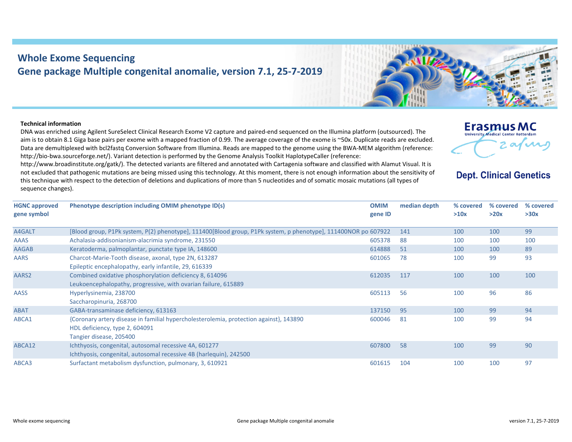## **Whole Exome Sequencing Gene package Multiple congenital anomalie, version 7.1, 25‐7‐2019**

## **Technical information**

DNA was enriched using Agilent SureSelect Clinical Research Exome V2 capture and paired‐end sequenced on the Illumina platform (outsourced). The aim is to obtain 8.1 Giga base pairs per exome with <sup>a</sup> mapped fraction of 0.99. The average coverage of the exome is ~50x. Duplicate reads are excluded. Data are demultiplexed with bcl2fastq Conversion Software from Illumina. Reads are mapped to the genome using the BWA‐MEM algorithm (reference: http://bio-bwa.sourceforge.net/). Variant detection is performed by the Genome Analysis Toolkit HaplotypeCaller (reference:

http://www.broadinstitute.org/gatk/). The detected variants are filtered and annotated with Cartagenia software and classified with Alamut Visual. It is not excluded that pathogenic mutations are being missed using this technology. At this moment, there is not enough information about the sensitivity of this technique with respect to the detection of deletions and duplications of more than 5 nucleotides and of somatic mosaic mutations (all types of sequence changes).

**HGNC approved gene symbol Phenotype description including OMIM phenotype ID(s) OMIM gene ID median depth % covered >10x**h disease, axonal, type 2N, 613287

| A4GALT       | [Blood group, P1Pk system, P(2) phenotype], 111400[Blood group, P1Pk system, p phenotype], 111400NOR po 607922 |        | 141 | 100 | 100 | 99  |
|--------------|----------------------------------------------------------------------------------------------------------------|--------|-----|-----|-----|-----|
| <b>AAAS</b>  | Achalasia-addisonianism-alacrimia syndrome, 231550                                                             | 605378 | 88  | 100 | 100 | 100 |
| <b>AAGAB</b> | Keratoderma, palmoplantar, punctate type IA, 148600                                                            | 614888 | 51  | 100 | 100 | 89  |
| <b>AARS</b>  | Charcot-Marie-Tooth disease, axonal, type 2N, 613287                                                           | 601065 | 78  | 100 | 99  | 93  |
|              | Epileptic encephalopathy, early infantile, 29, 616339                                                          |        |     |     |     |     |
| AARS2        | Combined oxidative phosphorylation deficiency 8, 614096                                                        | 612035 | 117 | 100 | 100 | 100 |
|              | Leukoencephalopathy, progressive, with ovarian failure, 615889                                                 |        |     |     |     |     |
| <b>AASS</b>  | Hyperlysinemia, 238700                                                                                         | 605113 | 56  | 100 | 96  | 86  |
|              | Saccharopinuria, 268700                                                                                        |        |     |     |     |     |
| <b>ABAT</b>  | GABA-transaminase deficiency, 613163                                                                           | 137150 | 95  | 100 | 99  | 94  |
| ABCA1        | {Coronary artery disease in familial hypercholesterolemia, protection against}, 143890                         | 600046 | 81  | 100 | 99  | 94  |
|              | HDL deficiency, type 2, 604091                                                                                 |        |     |     |     |     |
|              | Tangier disease, 205400                                                                                        |        |     |     |     |     |
| ABCA12       | Ichthyosis, congenital, autosomal recessive 4A, 601277                                                         | 607800 | 58  | 100 | 99  | 90  |
|              | Ichthyosis, congenital, autosomal recessive 4B (harlequin), 242500                                             |        |     |     |     |     |
| ABCA3        | Surfactant metabolism dysfunction, pulmonary, 3, 610921                                                        | 601615 | 104 | 100 | 100 | 97  |
|              |                                                                                                                |        |     |     |     |     |
|              |                                                                                                                |        |     |     |     |     |

**% covered >20x**

**Dept. Clinical Genetics** 

**Erasmus MC University Medical Center Rotterdam** 

 $^{\circ}$ 

**% covered >30x**

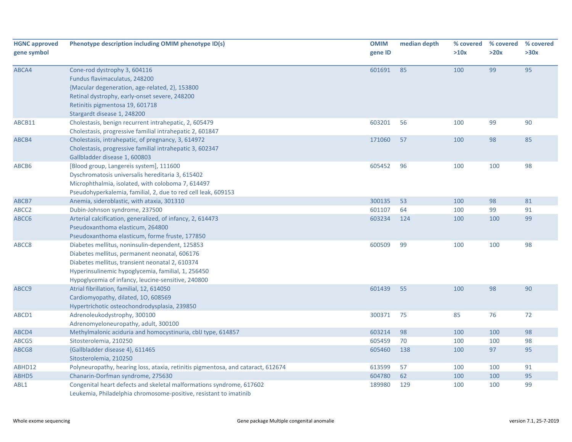| <b>HGNC approved</b><br>gene symbol | Phenotype description including OMIM phenotype ID(s)                                                                                                                                                                                                            | <b>OMIM</b><br>gene ID | median depth | % covered<br>>10x | % covered<br>>20x | % covered<br>>30x |
|-------------------------------------|-----------------------------------------------------------------------------------------------------------------------------------------------------------------------------------------------------------------------------------------------------------------|------------------------|--------------|-------------------|-------------------|-------------------|
| ABCA4                               | Cone-rod dystrophy 3, 604116<br>Fundus flavimaculatus, 248200<br>{Macular degeneration, age-related, 2}, 153800<br>Retinal dystrophy, early-onset severe, 248200<br>Retinitis pigmentosa 19, 601718<br>Stargardt disease 1, 248200                              | 601691                 | 85           | 100               | 99                | 95                |
| ABCB11                              | Cholestasis, benign recurrent intrahepatic, 2, 605479<br>Cholestasis, progressive familial intrahepatic 2, 601847                                                                                                                                               | 603201                 | 56           | 100               | 99                | 90                |
| ABCB4                               | Cholestasis, intrahepatic, of pregnancy, 3, 614972<br>Cholestasis, progressive familial intrahepatic 3, 602347<br>Gallbladder disease 1, 600803                                                                                                                 | 171060                 | 57           | 100               | 98                | 85                |
| ABCB6                               | [Blood group, Langereis system], 111600<br>Dyschromatosis universalis hereditaria 3, 615402<br>Microphthalmia, isolated, with coloboma 7, 614497<br>Pseudohyperkalemia, familial, 2, due to red cell leak, 609153                                               | 605452                 | 96           | 100               | 100               | 98                |
| ABCB7                               | Anemia, sideroblastic, with ataxia, 301310                                                                                                                                                                                                                      | 300135                 | 53           | 100               | 98                | 81                |
| ABCC <sub>2</sub>                   | Dubin-Johnson syndrome, 237500                                                                                                                                                                                                                                  | 601107                 | 64           | 100               | 99                | 91                |
| ABCC6                               | Arterial calcification, generalized, of infancy, 2, 614473<br>Pseudoxanthoma elasticum, 264800<br>Pseudoxanthoma elasticum, forme fruste, 177850                                                                                                                | 603234                 | 124          | 100               | 100               | 99                |
| ABCC8                               | Diabetes mellitus, noninsulin-dependent, 125853<br>Diabetes mellitus, permanent neonatal, 606176<br>Diabetes mellitus, transient neonatal 2, 610374<br>Hyperinsulinemic hypoglycemia, familial, 1, 256450<br>Hypoglycemia of infancy, leucine-sensitive, 240800 | 600509                 | 99           | 100               | 100               | 98                |
| ABCC9                               | Atrial fibrillation, familial, 12, 614050<br>Cardiomyopathy, dilated, 10, 608569<br>Hypertrichotic osteochondrodysplasia, 239850                                                                                                                                | 601439                 | 55           | 100               | 98                | 90                |
| ABCD1                               | Adrenoleukodystrophy, 300100<br>Adrenomyeloneuropathy, adult, 300100                                                                                                                                                                                            | 300371                 | 75           | 85                | 76                | 72                |
| ABCD4                               | Methylmalonic aciduria and homocystinuria, cblJ type, 614857                                                                                                                                                                                                    | 603214                 | 98           | 100               | 100               | 98                |
| ABCG5                               | Sitosterolemia, 210250                                                                                                                                                                                                                                          | 605459                 | 70           | 100               | 100               | 98                |
| ABCG8                               | {Gallbladder disease 4}, 611465<br>Sitosterolemia, 210250                                                                                                                                                                                                       | 605460                 | 138          | 100               | 97                | 95                |
| ABHD12                              | Polyneuropathy, hearing loss, ataxia, retinitis pigmentosa, and cataract, 612674                                                                                                                                                                                | 613599                 | 57           | 100               | 100               | 91                |
| ABHD5                               | Chanarin-Dorfman syndrome, 275630                                                                                                                                                                                                                               | 604780                 | 62           | 100               | 100               | 95                |
| ABL1                                | Congenital heart defects and skeletal malformations syndrome, 617602<br>Leukemia, Philadelphia chromosome-positive, resistant to imatinib                                                                                                                       | 189980                 | 129          | 100               | 100               | 99                |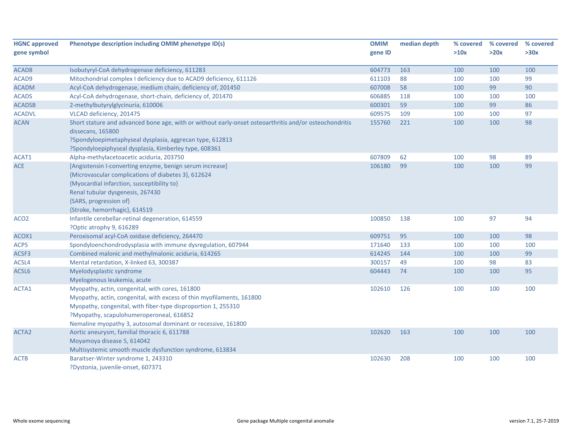| <b>HGNC approved</b><br>gene symbol | Phenotype description including OMIM phenotype ID(s)                                                                                                                                                                                                                                                  | <b>OMIM</b><br>gene ID | median depth | % covered<br>>10x | % covered<br>>20x | % covered<br>>30x |
|-------------------------------------|-------------------------------------------------------------------------------------------------------------------------------------------------------------------------------------------------------------------------------------------------------------------------------------------------------|------------------------|--------------|-------------------|-------------------|-------------------|
|                                     |                                                                                                                                                                                                                                                                                                       |                        |              |                   |                   |                   |
| ACAD <sub>8</sub>                   | Isobutyryl-CoA dehydrogenase deficiency, 611283                                                                                                                                                                                                                                                       | 604773                 | 163          | 100               | 100               | 100               |
| ACAD9                               | Mitochondrial complex I deficiency due to ACAD9 deficiency, 611126                                                                                                                                                                                                                                    | 611103                 | 88           | 100               | 100               | 99                |
| <b>ACADM</b>                        | Acyl-CoA dehydrogenase, medium chain, deficiency of, 201450                                                                                                                                                                                                                                           | 607008                 | 58           | 100               | 99                | 90                |
| <b>ACADS</b>                        | Acyl-CoA dehydrogenase, short-chain, deficiency of, 201470                                                                                                                                                                                                                                            | 606885                 | 118          | 100               | 100               | 100               |
| <b>ACADSB</b>                       | 2-methylbutyrylglycinuria, 610006                                                                                                                                                                                                                                                                     | 600301                 | 59           | 100               | 99                | 86                |
| <b>ACADVL</b>                       | VLCAD deficiency, 201475                                                                                                                                                                                                                                                                              | 609575                 | 109          | 100               | 100               | 97                |
| <b>ACAN</b>                         | Short stature and advanced bone age, with or without early-onset osteoarthritis and/or osteochondritis<br>dissecans, 165800                                                                                                                                                                           | 155760                 | 221          | 100               | 100               | 98                |
|                                     | ?Spondyloepimetaphyseal dysplasia, aggrecan type, 612813<br>?Spondyloepiphyseal dysplasia, Kimberley type, 608361                                                                                                                                                                                     |                        |              |                   |                   |                   |
| ACAT1                               | Alpha-methylacetoacetic aciduria, 203750                                                                                                                                                                                                                                                              | 607809                 | 62           | 100               | 98                | 89                |
| <b>ACE</b>                          | [Angiotensin I-converting enzyme, benign serum increase]<br>{Microvascular complications of diabetes 3}, 612624<br>{Myocardial infarction, susceptibility to}<br>Renal tubular dysgenesis, 267430<br>{SARS, progression of}<br>{Stroke, hemorrhagic}, 614519                                          | 106180                 | 99           | 100               | 100               | 99                |
| ACO <sub>2</sub>                    | Infantile cerebellar-retinal degeneration, 614559                                                                                                                                                                                                                                                     | 100850                 | 138          | 100               | 97                | 94                |
|                                     | ?Optic atrophy 9, 616289                                                                                                                                                                                                                                                                              |                        |              |                   |                   |                   |
| ACOX1                               | Peroxisomal acyl-CoA oxidase deficiency, 264470                                                                                                                                                                                                                                                       | 609751                 | 95           | 100               | 100               | 98                |
| ACP5                                | Spondyloenchondrodysplasia with immune dysregulation, 607944                                                                                                                                                                                                                                          | 171640                 | 133          | 100               | 100               | 100               |
| ACSF3                               | Combined malonic and methylmalonic aciduria, 614265                                                                                                                                                                                                                                                   | 614245                 | 144          | 100               | 100               | 99                |
| ACSL4                               | Mental retardation, X-linked 63, 300387                                                                                                                                                                                                                                                               | 300157                 | 49           | 100               | 98                | 83                |
| ACSL6                               | Myelodysplastic syndrome<br>Myelogenous leukemia, acute                                                                                                                                                                                                                                               | 604443                 | 74           | 100               | 100               | 95                |
| ACTA1                               | Myopathy, actin, congenital, with cores, 161800<br>Myopathy, actin, congenital, with excess of thin myofilaments, 161800<br>Myopathy, congenital, with fiber-type disproportion 1, 255310<br>?Myopathy, scapulohumeroperoneal, 616852<br>Nemaline myopathy 3, autosomal dominant or recessive, 161800 | 102610                 | 126          | 100               | 100               | 100               |
| ACTA <sub>2</sub>                   | Aortic aneurysm, familial thoracic 6, 611788<br>Moyamoya disease 5, 614042<br>Multisystemic smooth muscle dysfunction syndrome, 613834                                                                                                                                                                | 102620                 | 163          | 100               | 100               | 100               |
| ACTB                                | Baraitser-Winter syndrome 1, 243310<br>?Dystonia, juvenile-onset, 607371                                                                                                                                                                                                                              | 102630                 | 208          | 100               | 100               | 100               |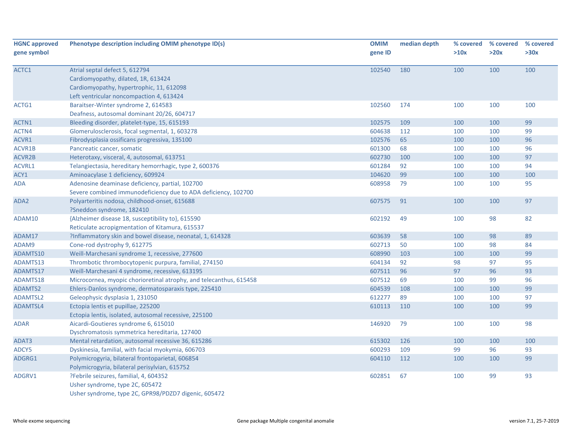| <b>HGNC approved</b><br>gene symbol | Phenotype description including OMIM phenotype ID(s)                                                                                                          | <b>OMIM</b><br>gene ID | median depth | % covered<br>>10x | % covered<br>>20x | % covered<br>>30x |
|-------------------------------------|---------------------------------------------------------------------------------------------------------------------------------------------------------------|------------------------|--------------|-------------------|-------------------|-------------------|
| ACTC1                               | Atrial septal defect 5, 612794<br>Cardiomyopathy, dilated, 1R, 613424<br>Cardiomyopathy, hypertrophic, 11, 612098<br>Left ventricular noncompaction 4, 613424 | 102540                 | 180          | 100               | 100               | 100               |
| ACTG1                               | Baraitser-Winter syndrome 2, 614583<br>Deafness, autosomal dominant 20/26, 604717                                                                             | 102560                 | 174          | 100               | 100               | 100               |
| ACTN1                               | Bleeding disorder, platelet-type, 15, 615193                                                                                                                  | 102575                 | 109          | 100               | 100               | 99                |
| ACTN4                               | Glomerulosclerosis, focal segmental, 1, 603278                                                                                                                | 604638                 | 112          | 100               | 100               | 99                |
| ACVR1                               | Fibrodysplasia ossificans progressiva, 135100                                                                                                                 | 102576                 | 65           | 100               | 100               | 96                |
| ACVR1B                              | Pancreatic cancer, somatic                                                                                                                                    | 601300                 | 68           | 100               | 100               | 96                |
| ACVR2B                              | Heterotaxy, visceral, 4, autosomal, 613751                                                                                                                    | 602730                 | 100          | 100               | 100               | 97                |
| <b>ACVRL1</b>                       | Telangiectasia, hereditary hemorrhagic, type 2, 600376                                                                                                        | 601284                 | 92           | 100               | 100               | 94                |
| ACY1                                | Aminoacylase 1 deficiency, 609924                                                                                                                             | 104620                 | 99           | 100               | 100               | 100               |
| <b>ADA</b>                          | Adenosine deaminase deficiency, partial, 102700<br>Severe combined immunodeficiency due to ADA deficiency, 102700                                             | 608958                 | 79           | 100               | 100               | 95                |
| ADA2                                | Polyarteritis nodosa, childhood-onset, 615688<br>?Sneddon syndrome, 182410                                                                                    | 607575                 | 91           | 100               | 100               | 97                |
| ADAM10                              | {Alzheimer disease 18, susceptibility to}, 615590<br>Reticulate acropigmentation of Kitamura, 615537                                                          | 602192                 | 49           | 100               | 98                | 82                |
| ADAM17                              | ?Inflammatory skin and bowel disease, neonatal, 1, 614328                                                                                                     | 603639                 | 58           | 100               | 98                | 89                |
| ADAM9                               | Cone-rod dystrophy 9, 612775                                                                                                                                  | 602713                 | 50           | 100               | 98                | 84                |
| ADAMTS10                            | Weill-Marchesani syndrome 1, recessive, 277600                                                                                                                | 608990                 | 103          | 100               | 100               | 99                |
| ADAMTS13                            | Thrombotic thrombocytopenic purpura, familial, 274150                                                                                                         | 604134                 | 92           | 98                | 97                | 95                |
| ADAMTS17                            | Weill-Marchesani 4 syndrome, recessive, 613195                                                                                                                | 607511                 | 96           | 97                | 96                | 93                |
| ADAMTS18                            | Microcornea, myopic chorioretinal atrophy, and telecanthus, 615458                                                                                            | 607512                 | 69           | 100               | 99                | 96                |
| ADAMTS2                             | Ehlers-Danlos syndrome, dermatosparaxis type, 225410                                                                                                          | 604539                 | 108          | 100               | 100               | 99                |
| <b>ADAMTSL2</b>                     | Geleophysic dysplasia 1, 231050                                                                                                                               | 612277                 | 89           | 100               | 100               | 97                |
| ADAMTSL4                            | Ectopia lentis et pupillae, 225200<br>Ectopia lentis, isolated, autosomal recessive, 225100                                                                   | 610113                 | 110          | 100               | 100               | 99                |
| <b>ADAR</b>                         | Aicardi-Goutieres syndrome 6, 615010<br>Dyschromatosis symmetrica hereditaria, 127400                                                                         | 146920                 | 79           | 100               | 100               | 98                |
| ADAT3                               | Mental retardation, autosomal recessive 36, 615286                                                                                                            | 615302                 | 126          | 100               | 100               | 100               |
| ADCY5                               | Dyskinesia, familial, with facial myokymia, 606703                                                                                                            | 600293                 | 109          | 99                | 96                | 93                |
| ADGRG1                              | Polymicrogyria, bilateral frontoparietal, 606854<br>Polymicrogyria, bilateral perisylvian, 615752                                                             | 604110                 | 112          | 100               | 100               | 99                |
| ADGRV1                              | ?Febrile seizures, familial, 4, 604352<br>Usher syndrome, type 2C, 605472<br>Usher syndrome, type 2C, GPR98/PDZD7 digenic, 605472                             | 602851                 | 67           | 100               | 99                | 93                |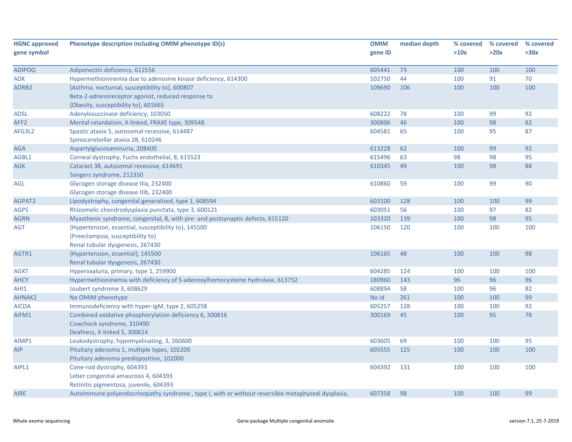| <b>HGNC approved</b> | Phenotype description including OMIM phenotype ID(s)                                              | <b>OMIM</b> | median depth | % covered | % covered | % covered |
|----------------------|---------------------------------------------------------------------------------------------------|-------------|--------------|-----------|-----------|-----------|
| gene symbol          |                                                                                                   | gene ID     |              | >10x      | >20x      | >30x      |
|                      |                                                                                                   |             |              |           |           |           |
| <b>ADIPOQ</b>        | Adiponectin deficiency, 612556                                                                    | 605441      | 73           | 100       | 100       | 100       |
| ADK                  | Hypermethioninemia due to adenosine kinase deficiency, 614300                                     | 102750      | 44           | 100       | 91        | 70        |
| ADRB <sub>2</sub>    | {Asthma, nocturnal, susceptibility to}, 600807                                                    | 109690      | 106          | 100       | 100       | 100       |
|                      | Beta-2-adrenoreceptor agonist, reduced response to                                                |             |              |           |           |           |
|                      | {Obesity, susceptibility to}, 601665                                                              |             |              |           |           |           |
| <b>ADSL</b>          | Adenylosuccinase deficiency, 103050                                                               | 608222      | 78           | 100       | 99        | 92        |
| AFF <sub>2</sub>     | Mental retardation, X-linked, FRAXE type, 309548                                                  | 300806      | 46           | 100       | 98        | 82        |
| AFG3L2               | Spastic ataxia 5, autosomal recessive, 614487                                                     | 604581      | 65           | 100       | 95        | 87        |
|                      | Spinocerebellar ataxia 28, 610246                                                                 |             |              |           |           |           |
| <b>AGA</b>           | Aspartylglucosaminuria, 208400                                                                    | 613228      | 62           | 100       | 99        | 92        |
| AGBL1                | Corneal dystrophy, Fuchs endothelial, 8, 615523                                                   | 615496      | 63           | 98        | 98        | 95        |
| <b>AGK</b>           | Cataract 38, autosomal recessive, 614691                                                          | 610345      | 49           | 100       | 98        | 88        |
|                      | Sengers syndrome, 212350                                                                          |             |              |           |           |           |
| AGL                  | Glycogen storage disease IIIa, 232400                                                             | 610860      | 59           | 100       | 99        | 90        |
|                      | Glycogen storage disease IIIb, 232400                                                             |             |              |           |           |           |
| AGPAT2               | Lipodystrophy, congenital generalized, type 1, 608594                                             | 603100      | 128          | 100       | 100       | 99        |
| <b>AGPS</b>          | Rhizomelic chondrodysplasia punctata, type 3, 600121                                              | 603051      | 56           | 100       | 97        | 82        |
| <b>AGRN</b>          | Myasthenic syndrome, congenital, 8, with pre- and postsynaptic defects, 615120                    | 103320      | 139          | 100       | 98        | 95        |
| AGT                  | {Hypertension, essential, susceptibility to}, 145500                                              | 106150      | 120          | 100       | 100       | 100       |
|                      | {Preeclampsia, susceptibility to}                                                                 |             |              |           |           |           |
|                      | Renal tubular dysgenesis, 267430                                                                  |             |              |           |           |           |
| AGTR1                | {Hypertension, essential}, 145500                                                                 | 106165      | 48           | 100       | 100       | 98        |
|                      | Renal tubular dysgenesis, 267430                                                                  |             |              |           |           |           |
| <b>AGXT</b>          | Hyperoxaluria, primary, type 1, 259900                                                            | 604285      | 124          | 100       | 100       | 100       |
| <b>AHCY</b>          | Hypermethioninemia with deficiency of S-adenosylhomocysteine hydrolase, 613752                    | 180960      | 143          | 96        | 96        | 96        |
| AHI1                 | Joubert syndrome 3, 608629                                                                        | 608894      | 58           | 100       | 96        | 82        |
| <b>AHNAK2</b>        | No OMIM phenotype                                                                                 | No id       | 261          | 100       | 100       | 99        |
| <b>AICDA</b>         | Immunodeficiency with hyper-IgM, type 2, 605258                                                   | 605257      | 128          | 100       | 100       | 92        |
| AIFM1                | Combined oxidative phosphorylation deficiency 6, 300816                                           | 300169      | 45           | 100       | 95        | 78        |
|                      | Cowchock syndrome, 310490                                                                         |             |              |           |           |           |
|                      | Deafness, X-linked 5, 300614                                                                      |             |              |           |           |           |
| AIMP1                | Leukodystrophy, hypomyelinating, 3, 260600                                                        | 603605      | 69           | 100       | 100       | 95        |
| <b>AIP</b>           | Pituitary adenoma 1, multiple types, 102200                                                       | 605555      | 125          | 100       | 100       | 100       |
|                      | Pituitary adenoma predisposition, 102000                                                          |             |              |           |           |           |
| AIPL1                | Cone-rod dystrophy, 604393                                                                        | 604392      | 131          | 100       | 100       | 100       |
|                      | Leber congenital amaurosis 4, 604393                                                              |             |              |           |           |           |
|                      | Retinitis pigmentosa, juvenile, 604393                                                            |             |              |           |           |           |
| <b>AIRE</b>          | Autoimmune polyendocrinopathy syndrome, type I, with or without reversible metaphyseal dysplasia, | 607358      | 98           | 100       | 100       | 99        |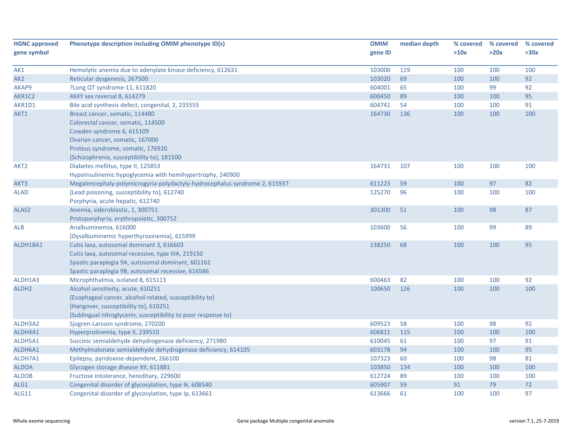| <b>HGNC approved</b> | Phenotype description including OMIM phenotype ID(s)                       | <b>OMIM</b> | median depth | % covered | % covered | % covered |
|----------------------|----------------------------------------------------------------------------|-------------|--------------|-----------|-----------|-----------|
| gene symbol          |                                                                            | gene ID     |              | >10x      | >20x      | >30x      |
|                      |                                                                            |             |              |           |           |           |
| AK1                  | Hemolytic anemia due to adenylate kinase deficiency, 612631                | 103000      | 119          | 100       | 100       | 100       |
| AK <sub>2</sub>      | Reticular dysgenesis, 267500                                               | 103020      | 69           | 100       | 100       | 92        |
| AKAP9                | ?Long QT syndrome-11, 611820                                               | 604001      | 65           | 100       | 99        | 92        |
| AKR1C2               | 46XY sex reversal 8, 614279                                                | 600450      | 89           | 100       | 100       | 95        |
| AKR1D1               | Bile acid synthesis defect, congenital, 2, 235555                          | 604741      | 54           | 100       | 100       | 91        |
| AKT1                 | Breast cancer, somatic, 114480                                             | 164730      | 136          | 100       | 100       | 100       |
|                      | Colorectal cancer, somatic, 114500                                         |             |              |           |           |           |
|                      | Cowden syndrome 6, 615109                                                  |             |              |           |           |           |
|                      | Ovarian cancer, somatic, 167000                                            |             |              |           |           |           |
|                      | Proteus syndrome, somatic, 176920                                          |             |              |           |           |           |
|                      | {Schizophrenia, susceptibility to}, 181500                                 |             |              |           |           |           |
| AKT2                 | Diabetes mellitus, type II, 125853                                         | 164731      | 107          | 100       | 100       | 100       |
|                      | Hypoinsulinemic hypoglycemia with hemihypertrophy, 240900                  |             |              |           |           |           |
| AKT3                 | Megalencephaly-polymicrogyria-polydactyly-hydrocephalus syndrome 2, 615937 | 611223      | 59           | 100       | 97        | 82        |
| ALAD                 | {Lead poisoning, susceptibility to}, 612740                                | 125270      | 96           | 100       | 100       | 100       |
|                      | Porphyria, acute hepatic, 612740                                           |             |              |           |           |           |
| ALAS <sub>2</sub>    | Anemia, sideroblastic, 1, 300751                                           | 301300      | 51           | 100       | 98        | 87        |
|                      | Protoporphyria, erythropoietic, 300752                                     |             |              |           |           |           |
| <b>ALB</b>           | Analbuminemia, 616000                                                      | 103600      | 56           | 100       | 99        | 89        |
|                      | [Dysalbuminemic hyperthyroxinemia], 615999                                 |             |              |           |           |           |
| ALDH18A1             | Cutis laxa, autosomal dominant 3, 616603                                   | 138250      | 68           | 100       | 100       | 95        |
|                      | Cutis laxa, autosomal recessive, type IIIA, 219150                         |             |              |           |           |           |
|                      | Spastic paraplegia 9A, autosomal dominant, 601162                          |             |              |           |           |           |
|                      | Spastic paraplegia 9B, autosomal recessive, 616586                         |             |              |           |           |           |
| ALDH1A3              | Microphthalmia, isolated 8, 615113                                         | 600463      | 82           | 100       | 100       | 92        |
| ALDH <sub>2</sub>    | Alcohol sensitivity, acute, 610251                                         | 100650      | 126          | 100       | 100       | 100       |
|                      | {Esophageal cancer, alcohol-related, susceptibility to}                    |             |              |           |           |           |
|                      | {Hangover, susceptibility to}, 610251                                      |             |              |           |           |           |
|                      | {Sublingual nitroglycerin, susceptibility to poor response to}             |             |              |           |           |           |
| ALDH3A2              | Sjogren-Larsson syndrome, 270200                                           | 609523      | 58           | 100       | 98        | 92        |
| ALDH4A1              | Hyperprolinemia, type II, 239510                                           | 606811      | 115          | 100       | 100       | 100       |
| ALDH5A1              | Succinic semialdehyde dehydrogenase deficiency, 271980                     | 610045      | 61           | 100       | 97        | 91        |
| ALDH6A1              | Methylmalonate semialdehyde dehydrogenase deficiency, 614105               | 603178      | 94           | 100       | 100       | 95        |
| ALDH7A1              | Epilepsy, pyridoxine-dependent, 266100                                     | 107323      | 60           | 100       | 98        | 81        |
| <b>ALDOA</b>         | Glycogen storage disease XII, 611881                                       | 103850      | 134          | 100       | 100       | 100       |
| <b>ALDOB</b>         | Fructose intolerance, hereditary, 229600                                   | 612724      | 89           | 100       | 100       | 100       |
| ALG1                 | Congenital disorder of glycosylation, type Ik, 608540                      | 605907      | 59           | 91        | 79        | 72        |
| ALG11                | Congenital disorder of glycosylation, type Ip, 613661                      | 613666      | 61           | 100       | 100       | 97        |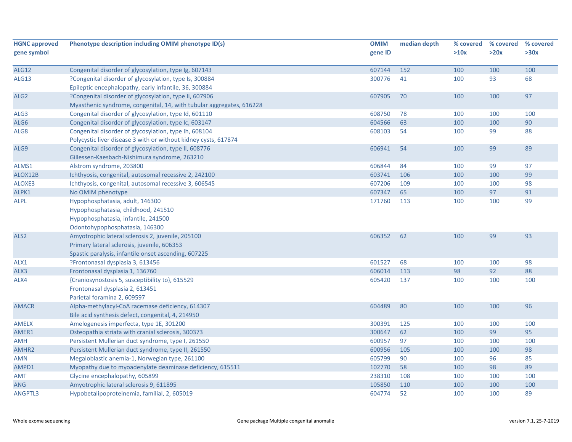| <b>HGNC approved</b> | Phenotype description including OMIM phenotype ID(s)                 | <b>OMIM</b> | median depth | % covered | % covered | % covered |
|----------------------|----------------------------------------------------------------------|-------------|--------------|-----------|-----------|-----------|
| gene symbol          |                                                                      | gene ID     |              | >10x      | >20x      | >30x      |
|                      |                                                                      |             |              |           |           |           |
| <b>ALG12</b>         | Congenital disorder of glycosylation, type Ig, 607143                | 607144      | 152          | 100       | 100       | 100       |
| ALG13                | ?Congenital disorder of glycosylation, type Is, 300884               | 300776      | 41           | 100       | 93        | 68        |
|                      | Epileptic encephalopathy, early infantile, 36, 300884                |             |              |           |           |           |
| ALG <sub>2</sub>     | ?Congenital disorder of glycosylation, type Ii, 607906               | 607905      | 70           | 100       | 100       | 97        |
|                      | Myasthenic syndrome, congenital, 14, with tubular aggregates, 616228 |             |              |           |           |           |
| ALG3                 | Congenital disorder of glycosylation, type Id, 601110                | 608750      | 78           | 100       | 100       | 100       |
| ALG6                 | Congenital disorder of glycosylation, type Ic, 603147                | 604566      | 63           | 100       | 100       | 90        |
| ALG8                 | Congenital disorder of glycosylation, type Ih, 608104                | 608103      | 54           | 100       | 99        | 88        |
|                      | Polycystic liver disease 3 with or without kidney cysts, 617874      |             |              |           |           |           |
| ALG9                 | Congenital disorder of glycosylation, type II, 608776                | 606941      | 54           | 100       | 99        | 89        |
|                      | Gillessen-Kaesbach-Nishimura syndrome, 263210                        |             |              |           |           |           |
| ALMS1                | Alstrom syndrome, 203800                                             | 606844      | 84           | 100       | 99        | 97        |
| ALOX12B              | Ichthyosis, congenital, autosomal recessive 2, 242100                | 603741      | 106          | 100       | 100       | 99        |
| ALOXE3               | Ichthyosis, congenital, autosomal recessive 3, 606545                | 607206      | 109          | 100       | 100       | 98        |
| ALPK1                | No OMIM phenotype                                                    | 607347      | 65           | 100       | 97        | 91        |
| <b>ALPL</b>          | Hypophosphatasia, adult, 146300                                      | 171760      | 113          | 100       | 100       | 99        |
|                      | Hypophosphatasia, childhood, 241510                                  |             |              |           |           |           |
|                      | Hypophosphatasia, infantile, 241500                                  |             |              |           |           |           |
|                      | Odontohypophosphatasia, 146300                                       |             |              |           |           |           |
| ALS <sub>2</sub>     | Amyotrophic lateral sclerosis 2, juvenile, 205100                    | 606352      | 62           | 100       | 99        | 93        |
|                      | Primary lateral sclerosis, juvenile, 606353                          |             |              |           |           |           |
|                      | Spastic paralysis, infantile onset ascending, 607225                 |             |              |           |           |           |
| ALX1                 | ?Frontonasal dysplasia 3, 613456                                     | 601527      | 68           | 100       | 100       | 98        |
| ALX3                 | Frontonasal dysplasia 1, 136760                                      | 606014      | 113          | 98        | 92        | 88        |
| ALX4                 | {Craniosynostosis 5, susceptibility to}, 615529                      | 605420      | 137          | 100       | 100       | 100       |
|                      | Frontonasal dysplasia 2, 613451                                      |             |              |           |           |           |
|                      | Parietal foramina 2, 609597                                          |             |              |           |           |           |
| <b>AMACR</b>         | Alpha-methylacyl-CoA racemase deficiency, 614307                     | 604489      | 80           | 100       | 100       | 96        |
|                      | Bile acid synthesis defect, congenital, 4, 214950                    |             |              |           |           |           |
| AMELX                | Amelogenesis imperfecta, type 1E, 301200                             | 300391      | 125          | 100       | 100       | 100       |
| AMER1                | Osteopathia striata with cranial sclerosis, 300373                   | 300647      | 62           | 100       | 99        | 95        |
| <b>AMH</b>           | Persistent Mullerian duct syndrome, type I, 261550                   | 600957      | 97           | 100       | 100       | 100       |
| AMHR2                | Persistent Mullerian duct syndrome, type II, 261550                  | 600956      | 105          | 100       | 100       | 98        |
| <b>AMN</b>           | Megaloblastic anemia-1, Norwegian type, 261100                       | 605799      | 90           | 100       | 96        | 85        |
| AMPD1                | Myopathy due to myoadenylate deaminase deficiency, 615511            | 102770      | 58           | 100       | 98        | 89        |
| <b>AMT</b>           | Glycine encephalopathy, 605899                                       | 238310      | 108          | 100       | 100       | 100       |
| <b>ANG</b>           | Amyotrophic lateral sclerosis 9, 611895                              | 105850      | 110          | 100       | 100       | 100       |
| <b>ANGPTL3</b>       | Hypobetalipoproteinemia, familial, 2, 605019                         | 604774      | 52           | 100       | 100       | 89        |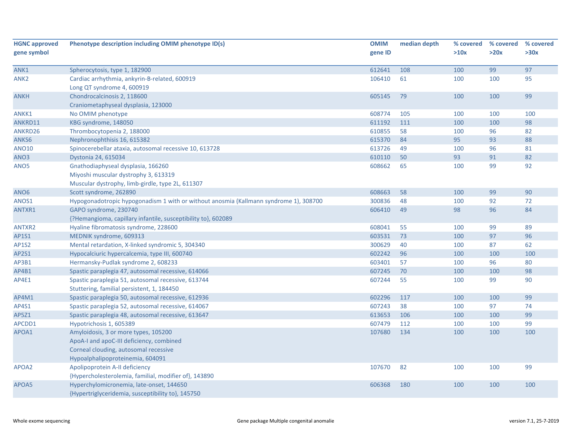| <b>HGNC approved</b> | Phenotype description including OMIM phenotype ID(s)                                                                                                          | <b>OMIM</b> | median depth | % covered | % covered | % covered |
|----------------------|---------------------------------------------------------------------------------------------------------------------------------------------------------------|-------------|--------------|-----------|-----------|-----------|
| gene symbol          |                                                                                                                                                               | gene ID     |              | >10x      | >20x      | >30x      |
| ANK1                 | Spherocytosis, type 1, 182900                                                                                                                                 | 612641      | 108          | 100       | 99        | 97        |
| ANK <sub>2</sub>     | Cardiac arrhythmia, ankyrin-B-related, 600919<br>Long QT syndrome 4, 600919                                                                                   | 106410      | 61           | 100       | 100       | 95        |
| <b>ANKH</b>          | Chondrocalcinosis 2, 118600<br>Craniometaphyseal dysplasia, 123000                                                                                            | 605145      | 79           | 100       | 100       | 99        |
| ANKK1                | No OMIM phenotype                                                                                                                                             | 608774      | 105          | 100       | 100       | 100       |
| ANKRD11              | KBG syndrome, 148050                                                                                                                                          | 611192      | 111          | 100       | 100       | 98        |
| ANKRD26              | Thrombocytopenia 2, 188000                                                                                                                                    | 610855      | 58           | 100       | 96        | 82        |
| ANKS6                | Nephronophthisis 16, 615382                                                                                                                                   | 615370      | 84           | 95        | 93        | 88        |
| <b>ANO10</b>         | Spinocerebellar ataxia, autosomal recessive 10, 613728                                                                                                        | 613726      | 49           | 100       | 96        | 81        |
| ANO3                 | Dystonia 24, 615034                                                                                                                                           | 610110      | 50           | 93        | 91        | 82        |
| ANO5                 | Gnathodiaphyseal dysplasia, 166260<br>Miyoshi muscular dystrophy 3, 613319<br>Muscular dystrophy, limb-girdle, type 2L, 611307                                | 608662      | 65           | 100       | 99        | 92        |
| ANO <sub>6</sub>     | Scott syndrome, 262890                                                                                                                                        | 608663      | 58           | 100       | 99        | 90        |
| ANOS1                | Hypogonadotropic hypogonadism 1 with or without anosmia (Kallmann syndrome 1), 308700                                                                         | 300836      | 48           | 100       | 92        | 72        |
| ANTXR1               | GAPO syndrome, 230740<br>{?Hemangioma, capillary infantile, susceptibility to}, 602089                                                                        | 606410      | 49           | 98        | 96        | 84        |
| ANTXR2               | Hyaline fibromatosis syndrome, 228600                                                                                                                         | 608041      | 55           | 100       | 99        | 89        |
| AP1S1                | MEDNIK syndrome, 609313                                                                                                                                       | 603531      | 73           | 100       | 97        | 96        |
| <b>AP1S2</b>         | Mental retardation, X-linked syndromic 5, 304340                                                                                                              | 300629      | 40           | 100       | 87        | 62        |
| AP2S1                | Hypocalciuric hypercalcemia, type III, 600740                                                                                                                 | 602242      | 96           | 100       | 100       | 100       |
| AP3B1                | Hermansky-Pudlak syndrome 2, 608233                                                                                                                           | 603401      | 57           | 100       | 96        | 80        |
| AP4B1                | Spastic paraplegia 47, autosomal recessive, 614066                                                                                                            | 607245      | 70           | 100       | 100       | 98        |
| AP4E1                | Spastic paraplegia 51, autosomal recessive, 613744<br>Stuttering, familial persistent, 1, 184450                                                              | 607244      | 55           | 100       | 99        | 90        |
| AP4M1                | Spastic paraplegia 50, autosomal recessive, 612936                                                                                                            | 602296      | 117          | 100       | 100       | 99        |
| AP4S1                | Spastic paraplegia 52, autosomal recessive, 614067                                                                                                            | 607243      | 38           | 100       | 97        | 74        |
| AP5Z1                | Spastic paraplegia 48, autosomal recessive, 613647                                                                                                            | 613653      | 106          | 100       | 100       | 99        |
| APCDD1               | Hypotrichosis 1, 605389                                                                                                                                       | 607479      | 112          | 100       | 100       | 99        |
| APOA1                | Amyloidosis, 3 or more types, 105200<br>ApoA-I and apoC-III deficiency, combined<br>Corneal clouding, autosomal recessive<br>Hypoalphalipoproteinemia, 604091 | 107680      | 134          | 100       | 100       | 100       |
| APOA2                | Apolipoprotein A-II deficiency<br>{Hypercholesterolemia, familial, modifier of}, 143890                                                                       | 107670      | 82           | 100       | 100       | 99        |
| APOA5                | Hyperchylomicronemia, late-onset, 144650<br>{Hypertriglyceridemia, susceptibility to}, 145750                                                                 | 606368      | 180          | 100       | 100       | 100       |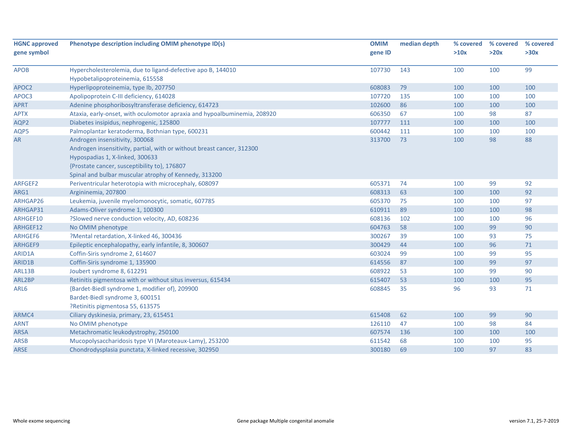| <b>HGNC approved</b> | Phenotype description including OMIM phenotype ID(s)                     | <b>OMIM</b> | median depth | % covered | % covered | % covered |
|----------------------|--------------------------------------------------------------------------|-------------|--------------|-----------|-----------|-----------|
| gene symbol          |                                                                          | gene ID     |              | >10x      | >20x      | >30x      |
| <b>APOB</b>          | Hypercholesterolemia, due to ligand-defective apo B, 144010              | 107730      | 143          | 100       | 100       | 99        |
|                      | Hypobetalipoproteinemia, 615558                                          |             |              |           |           |           |
| APOC2                | Hyperlipoproteinemia, type Ib, 207750                                    | 608083      | 79           | 100       | 100       | 100       |
| APOC3                | Apolipoprotein C-III deficiency, 614028                                  | 107720      | 135          | 100       | 100       | 100       |
| <b>APRT</b>          | Adenine phosphoribosyltransferase deficiency, 614723                     | 102600      | 86           | 100       | 100       | 100       |
| <b>APTX</b>          | Ataxia, early-onset, with oculomotor apraxia and hypoalbuminemia, 208920 | 606350      | 67           | 100       | 98        | 87        |
| AQP2                 | Diabetes insipidus, nephrogenic, 125800                                  | 107777      | 111          | 100       | 100       | 100       |
| AQP5                 | Palmoplantar keratoderma, Bothnian type, 600231                          | 600442      | 111          | 100       | 100       | 100       |
| AR                   | Androgen insensitivity, 300068                                           | 313700      | 73           | 100       | 98        | 88        |
|                      | Androgen insensitivity, partial, with or without breast cancer, 312300   |             |              |           |           |           |
|                      | Hypospadias 1, X-linked, 300633                                          |             |              |           |           |           |
|                      | {Prostate cancer, susceptibility to}, 176807                             |             |              |           |           |           |
|                      | Spinal and bulbar muscular atrophy of Kennedy, 313200                    |             |              |           |           |           |
| ARFGEF2              | Periventricular heterotopia with microcephaly, 608097                    | 605371      | 74           | 100       | 99        | 92        |
| ARG1                 | Argininemia, 207800                                                      | 608313      | 63           | 100       | 100       | 92        |
| ARHGAP26             | Leukemia, juvenile myelomonocytic, somatic, 607785                       | 605370      | 75           | 100       | 100       | 97        |
| ARHGAP31             | Adams-Oliver syndrome 1, 100300                                          | 610911      | 89           | 100       | 100       | 98        |
| ARHGEF10             | ?Slowed nerve conduction velocity, AD, 608236                            | 608136      | 102          | 100       | 100       | 96        |
| ARHGEF12             | No OMIM phenotype                                                        | 604763      | 58           | 100       | 99        | 90        |
| ARHGEF6              | ?Mental retardation, X-linked 46, 300436                                 | 300267      | 39           | 100       | 93        | 75        |
| ARHGEF9              | Epileptic encephalopathy, early infantile, 8, 300607                     | 300429      | 44           | 100       | 96        | 71        |
| ARID1A               | Coffin-Siris syndrome 2, 614607                                          | 603024      | 99           | 100       | 99        | 95        |
| ARID1B               | Coffin-Siris syndrome 1, 135900                                          | 614556      | 87           | 100       | 99        | 97        |
| ARL13B               | Joubert syndrome 8, 612291                                               | 608922      | 53           | 100       | 99        | 90        |
| ARL2BP               | Retinitis pigmentosa with or without situs inversus, 615434              | 615407      | 53           | 100       | 100       | 95        |
| ARL6                 | {Bardet-Biedl syndrome 1, modifier of}, 209900                           | 608845      | 35           | 96        | 93        | 71        |
|                      | Bardet-Biedl syndrome 3, 600151                                          |             |              |           |           |           |
|                      | ?Retinitis pigmentosa 55, 613575                                         |             |              |           |           |           |
| ARMC4                | Ciliary dyskinesia, primary, 23, 615451                                  | 615408      | 62           | 100       | 99        | 90        |
| <b>ARNT</b>          | No OMIM phenotype                                                        | 126110      | 47           | 100       | 98        | 84        |
| <b>ARSA</b>          | Metachromatic leukodystrophy, 250100                                     | 607574      | 136          | 100       | 100       | 100       |
| <b>ARSB</b>          | Mucopolysaccharidosis type VI (Maroteaux-Lamy), 253200                   | 611542      | 68           | 100       | 100       | 95        |
| ARSE                 | Chondrodysplasia punctata, X-linked recessive, 302950                    | 300180      | 69           | 100       | 97        | 83        |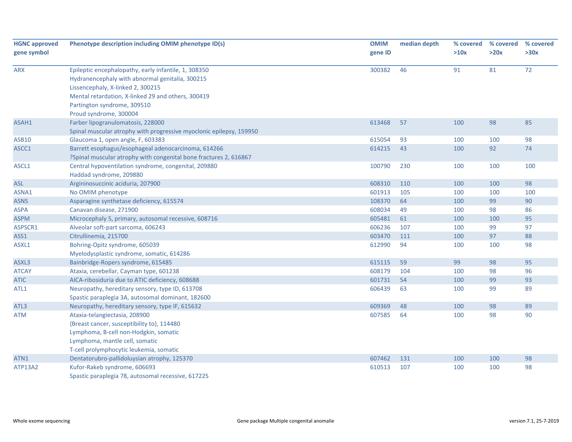| <b>HGNC approved</b><br>gene symbol | Phenotype description including OMIM phenotype ID(s)                | <b>OMIM</b><br>gene ID | median depth | % covered<br>>10x | % covered<br>>20x | % covered<br>>30x |
|-------------------------------------|---------------------------------------------------------------------|------------------------|--------------|-------------------|-------------------|-------------------|
|                                     |                                                                     |                        |              |                   |                   |                   |
| <b>ARX</b>                          | Epileptic encephalopathy, early infantile, 1, 308350                | 300382                 | 46           | 91                | 81                | 72                |
|                                     | Hydranencephaly with abnormal genitalia, 300215                     |                        |              |                   |                   |                   |
|                                     | Lissencephaly, X-linked 2, 300215                                   |                        |              |                   |                   |                   |
|                                     | Mental retardation, X-linked 29 and others, 300419                  |                        |              |                   |                   |                   |
|                                     | Partington syndrome, 309510                                         |                        |              |                   |                   |                   |
|                                     | Proud syndrome, 300004                                              |                        |              |                   |                   |                   |
| ASAH1                               | Farber lipogranulomatosis, 228000                                   | 613468                 | 57           | 100               | 98                | 85                |
|                                     | Spinal muscular atrophy with progressive myoclonic epilepsy, 159950 |                        |              |                   |                   |                   |
| <b>ASB10</b>                        | Glaucoma 1, open angle, F, 603383                                   | 615054                 | 93           | 100               | 100               | 98                |
| ASCC1                               | Barrett esophagus/esophageal adenocarcinoma, 614266                 | 614215                 | 43           | 100               | 92                | 74                |
|                                     | ?Spinal muscular atrophy with congenital bone fractures 2, 616867   |                        |              |                   |                   |                   |
| ASCL1                               | Central hypoventilation syndrome, congenital, 209880                | 100790                 | 230          | 100               | 100               | 100               |
|                                     | Haddad syndrome, 209880                                             |                        |              |                   |                   |                   |
| <b>ASL</b>                          | Argininosuccinic aciduria, 207900                                   | 608310                 | 110          | 100               | 100               | 98                |
| ASNA1                               | No OMIM phenotype                                                   | 601913                 | 105          | 100               | 100               | 100               |
| <b>ASNS</b>                         | Asparagine synthetase deficiency, 615574                            | 108370                 | 64           | 100               | 99                | 90                |
| <b>ASPA</b>                         | Canavan disease, 271900                                             | 608034                 | 49           | 100               | 98                | 86                |
| <b>ASPM</b>                         | Microcephaly 5, primary, autosomal recessive, 608716                | 605481                 | 61           | 100               | 100               | 95                |
| ASPSCR1                             | Alveolar soft-part sarcoma, 606243                                  | 606236                 | 107          | 100               | 99                | 97                |
| ASS1                                | Citrullinemia, 215700                                               | 603470                 | 111          | 100               | 97                | 88                |
| ASXL1                               | Bohring-Opitz syndrome, 605039                                      | 612990                 | 94           | 100               | 100               | 98                |
|                                     | Myelodysplastic syndrome, somatic, 614286                           |                        |              |                   |                   |                   |
| ASXL3                               | Bainbridge-Ropers syndrome, 615485                                  | 615115                 | 59           | 99                | 98                | 95                |
| <b>ATCAY</b>                        | Ataxia, cerebellar, Cayman type, 601238                             | 608179                 | 104          | 100               | 98                | 96                |
| <b>ATIC</b>                         | AICA-ribosiduria due to ATIC deficiency, 608688                     | 601731                 | 54           | 100               | 99                | 93                |
| ATL <sub>1</sub>                    | Neuropathy, hereditary sensory, type ID, 613708                     | 606439                 | 63           | 100               | 99                | 89                |
|                                     | Spastic paraplegia 3A, autosomal dominant, 182600                   |                        |              |                   |                   |                   |
| ATL3                                | Neuropathy, hereditary sensory, type IF, 615632                     | 609369                 | 48           | 100               | 98                | 89                |
| <b>ATM</b>                          | Ataxia-telangiectasia, 208900                                       | 607585                 | 64           | 100               | 98                | 90                |
|                                     | {Breast cancer, susceptibility to}, 114480                          |                        |              |                   |                   |                   |
|                                     | Lymphoma, B-cell non-Hodgkin, somatic                               |                        |              |                   |                   |                   |
|                                     | Lymphoma, mantle cell, somatic                                      |                        |              |                   |                   |                   |
|                                     | T-cell prolymphocytic leukemia, somatic                             |                        |              |                   |                   |                   |
| ATN1                                | Dentatorubro-pallidoluysian atrophy, 125370                         | 607462                 | 131          | 100               | 100               | 98                |
| <b>ATP13A2</b>                      | Kufor-Rakeb syndrome, 606693                                        | 610513                 | 107          | 100               | 100               | 98                |
|                                     | Spastic paraplegia 78, autosomal recessive, 617225                  |                        |              |                   |                   |                   |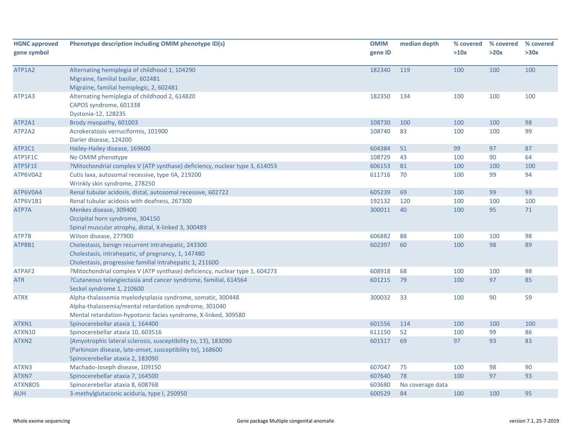| <b>HGNC approved</b><br>gene symbol | Phenotype description including OMIM phenotype ID(s)                                                                                                                                  | <b>OMIM</b><br>gene ID | median depth     | % covered<br>>10x | % covered<br>>20x | % covered<br>>30x |
|-------------------------------------|---------------------------------------------------------------------------------------------------------------------------------------------------------------------------------------|------------------------|------------------|-------------------|-------------------|-------------------|
| ATP1A2                              | Alternating hemiplegia of childhood 1, 104290<br>Migraine, familial basilar, 602481<br>Migraine, familial hemiplegic, 2, 602481                                                       | 182340                 | 119              | 100               | 100               | 100               |
| ATP1A3                              | Alternating hemiplegia of childhood 2, 614820<br>CAPOS syndrome, 601338<br>Dystonia-12, 128235                                                                                        | 182350                 | 134              | 100               | 100               | 100               |
| ATP2A1                              | Brody myopathy, 601003                                                                                                                                                                | 108730                 | 100              | 100               | 100               | 98                |
| ATP2A2                              | Acrokeratosis verruciformis, 101900<br>Darier disease, 124200                                                                                                                         | 108740                 | 83               | 100               | 100               | 99                |
| ATP2C1                              | Hailey-Hailey disease, 169600                                                                                                                                                         | 604384                 | 51               | 99                | 97                | 87                |
| ATP5F1C                             | No OMIM phenotype                                                                                                                                                                     | 108729                 | 43               | 100               | 90                | 64                |
| ATP5F1E                             | ?Mitochondrial complex V (ATP synthase) deficiency, nuclear type 3, 614053                                                                                                            | 606153                 | 81               | 100               | 100               | 100               |
| ATP6V0A2                            | Cutis laxa, autosomal recessive, type IIA, 219200<br>Wrinkly skin syndrome, 278250                                                                                                    | 611716                 | 70               | 100               | 99                | 94                |
| ATP6V0A4                            | Renal tubular acidosis, distal, autosomal recessive, 602722                                                                                                                           | 605239                 | 69               | 100               | 99                | 93                |
| ATP6V1B1                            | Renal tubular acidosis with deafness, 267300                                                                                                                                          | 192132                 | 120              | 100               | 100               | 100               |
| ATP7A                               | Menkes disease, 309400<br>Occipital horn syndrome, 304150<br>Spinal muscular atrophy, distal, X-linked 3, 300489                                                                      | 300011                 | 40               | 100               | 95                | 71                |
| ATP7B                               | Wilson disease, 277900                                                                                                                                                                | 606882                 | 88               | 100               | 100               | 98                |
| ATP8B1                              | Cholestasis, benign recurrent intrahepatic, 243300<br>Cholestasis, intrahepatic, of pregnancy, 1, 147480<br>Cholestasis, progressive familial intrahepatic 1, 211600                  | 602397                 | 60               | 100               | 98                | 89                |
| ATPAF2                              | ?Mitochondrial complex V (ATP synthase) deficiency, nuclear type 1, 604273                                                                                                            | 608918                 | 68               | 100               | 100               | 98                |
| <b>ATR</b>                          | ?Cutaneous telangiectasia and cancer syndrome, familial, 614564<br>Seckel syndrome 1, 210600                                                                                          | 601215                 | 79               | 100               | 97                | 85                |
| ATRX                                | Alpha-thalassemia myelodysplasia syndrome, somatic, 300448<br>Alpha-thalassemia/mental retardation syndrome, 301040<br>Mental retardation-hypotonic facies syndrome, X-linked, 309580 | 300032                 | 33               | 100               | 90                | 59                |
| ATXN1                               | Spinocerebellar ataxia 1, 164400                                                                                                                                                      | 601556                 | 114              | 100               | 100               | 100               |
| ATXN10                              | Spinocerebellar ataxia 10, 603516                                                                                                                                                     | 611150                 | 52               | 100               | 99                | 86                |
| ATXN2                               | {Amyotrophic lateral sclerosis, susceptibility to, 13}, 183090<br>{Parkinson disease, late-onset, susceptibility to}, 168600<br>Spinocerebellar ataxia 2, 183090                      | 601517                 | 69               | 97                | 93                | 83                |
| ATXN3                               | Machado-Joseph disease, 109150                                                                                                                                                        | 607047                 | 75               | 100               | 98                | 90                |
| ATXN7                               | Spinocerebellar ataxia 7, 164500                                                                                                                                                      | 607640                 | 78               | 100               | 97                | 93                |
| ATXN8OS                             | Spinocerebellar ataxia 8, 608768                                                                                                                                                      | 603680                 | No coverage data |                   |                   |                   |
| <b>AUH</b>                          | 3-methylglutaconic aciduria, type I, 250950                                                                                                                                           | 600529                 | 84               | 100               | 100               | 95                |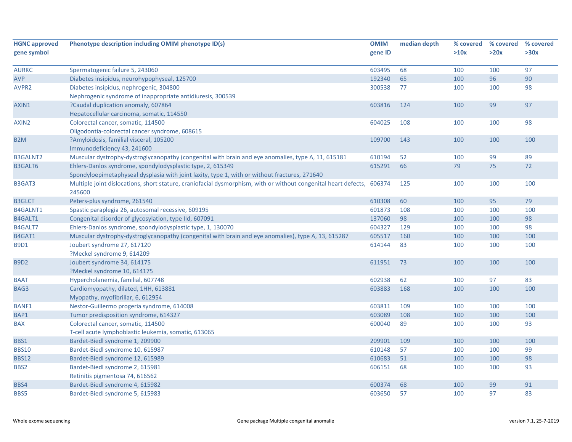| <b>HGNC approved</b> | Phenotype description including OMIM phenotype ID(s)                                                                             | <b>OMIM</b> | median depth | % covered | % covered | % covered |
|----------------------|----------------------------------------------------------------------------------------------------------------------------------|-------------|--------------|-----------|-----------|-----------|
| gene symbol          |                                                                                                                                  | gene ID     |              | >10x      | >20x      | >30x      |
| <b>AURKC</b>         | Spermatogenic failure 5, 243060                                                                                                  | 603495      | 68           | 100       | 100       | 97        |
| <b>AVP</b>           | Diabetes insipidus, neurohypophyseal, 125700                                                                                     | 192340      | 65           | 100       | 96        | 90        |
| AVPR2                | Diabetes insipidus, nephrogenic, 304800                                                                                          | 300538      | 77           | 100       | 100       | 98        |
|                      | Nephrogenic syndrome of inappropriate antidiuresis, 300539                                                                       |             |              |           |           |           |
| AXIN1                | ?Caudal duplication anomaly, 607864                                                                                              | 603816      | 124          | 100       | 99        | 97        |
|                      | Hepatocellular carcinoma, somatic, 114550                                                                                        |             |              |           |           |           |
| AXIN2                | Colorectal cancer, somatic, 114500                                                                                               | 604025      | 108          | 100       | 100       | 98        |
|                      | Oligodontia-colorectal cancer syndrome, 608615                                                                                   |             |              |           |           |           |
| B <sub>2</sub> M     | ?Amyloidosis, familial visceral, 105200                                                                                          | 109700      | 143          | 100       | 100       | 100       |
|                      | Immunodeficiency 43, 241600                                                                                                      |             |              |           |           |           |
| <b>B3GALNT2</b>      | Muscular dystrophy-dystroglycanopathy (congenital with brain and eye anomalies, type A, 11, 615181                               | 610194      | 52           | 100       | 99        | 89        |
| <b>B3GALT6</b>       | Ehlers-Danlos syndrome, spondylodysplastic type, 2, 615349                                                                       | 615291      | 66           | 79        | 75        | 72        |
|                      | Spondyloepimetaphyseal dysplasia with joint laxity, type 1, with or without fractures, 271640                                    |             |              |           |           |           |
| B3GAT3               | Multiple joint dislocations, short stature, craniofacial dysmorphism, with or without congenital heart defects, 606374<br>245600 |             | 125          | 100       | 100       | 100       |
| <b>B3GLCT</b>        | Peters-plus syndrome, 261540                                                                                                     | 610308      | 60           | 100       | 95        | 79        |
| <b>B4GALNT1</b>      | Spastic paraplegia 26, autosomal recessive, 609195                                                                               | 601873      | 108          | 100       | 100       | 100       |
| B4GALT1              | Congenital disorder of glycosylation, type IId, 607091                                                                           | 137060      | 98           | 100       | 100       | 98        |
| B4GALT7              | Ehlers-Danlos syndrome, spondylodysplastic type, 1, 130070                                                                       | 604327      | 129          | 100       | 100       | 98        |
| B4GAT1               | Muscular dystrophy-dystroglycanopathy (congenital with brain and eye anomalies), type A, 13, 615287                              | 605517      | 160          | 100       | 100       | 100       |
| <b>B9D1</b>          | Joubert syndrome 27, 617120                                                                                                      | 614144      | 83           | 100       | 100       | 100       |
|                      | ?Meckel syndrome 9, 614209                                                                                                       |             |              |           |           |           |
| <b>B9D2</b>          | Joubert syndrome 34, 614175                                                                                                      | 611951      | 73           | 100       | 100       | 100       |
|                      | ?Meckel syndrome 10, 614175                                                                                                      |             |              |           |           |           |
| <b>BAAT</b>          | Hypercholanemia, familial, 607748                                                                                                | 602938      | 62           | 100       | 97        | 83        |
| BAG3                 | Cardiomyopathy, dilated, 1HH, 613881                                                                                             | 603883      | 168          | 100       | 100       | 100       |
|                      | Myopathy, myofibrillar, 6, 612954                                                                                                |             |              |           |           |           |
| <b>BANF1</b>         | Nestor-Guillermo progeria syndrome, 614008                                                                                       | 603811      | 109          | 100       | 100       | 100       |
| BAP1                 | Tumor predisposition syndrome, 614327                                                                                            | 603089      | 108          | 100       | 100       | 100       |
| <b>BAX</b>           | Colorectal cancer, somatic, 114500                                                                                               | 600040      | 89           | 100       | 100       | 93        |
|                      | T-cell acute lymphoblastic leukemia, somatic, 613065                                                                             |             |              |           |           |           |
| BBS1                 | Bardet-Biedl syndrome 1, 209900                                                                                                  | 209901      | 109          | 100       | 100       | 100       |
| <b>BBS10</b>         | Bardet-Biedl syndrome 10, 615987                                                                                                 | 610148      | 57           | 100       | 100       | 99        |
| <b>BBS12</b>         | Bardet-Biedl syndrome 12, 615989                                                                                                 | 610683      | 51           | 100       | 100       | 98        |
| BBS2                 | Bardet-Biedl syndrome 2, 615981                                                                                                  | 606151      | 68           | 100       | 100       | 93        |
|                      | Retinitis pigmentosa 74, 616562                                                                                                  |             |              |           |           |           |
| BBS4                 | Bardet-Biedl syndrome 4, 615982                                                                                                  | 600374      | 68           | 100       | 99        | 91        |
| BBS5                 | Bardet-Biedl syndrome 5, 615983                                                                                                  | 603650      | 57           | 100       | 97        | 83        |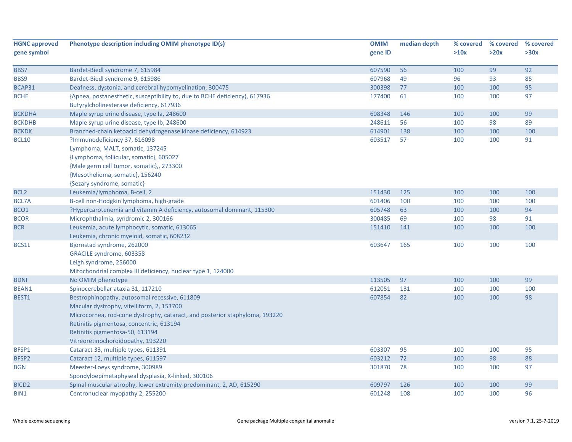| <b>HGNC approved</b> | Phenotype description including OMIM phenotype ID(s)                        | <b>OMIM</b> | median depth | % covered | % covered | % covered |
|----------------------|-----------------------------------------------------------------------------|-------------|--------------|-----------|-----------|-----------|
| gene symbol          |                                                                             | gene ID     |              | >10x      | >20x      | >30x      |
|                      |                                                                             |             |              |           |           |           |
| BBS7                 | Bardet-Biedl syndrome 7, 615984                                             | 607590      | 56           | 100       | 99        | 92        |
| BBS9                 | Bardet-Biedl syndrome 9, 615986                                             | 607968      | 49           | 96        | 93        | 85        |
| BCAP31               | Deafness, dystonia, and cerebral hypomyelination, 300475                    | 300398      | 77           | 100       | 100       | 95        |
| <b>BCHE</b>          | {Apnea, postanesthetic, susceptibility to, due to BCHE deficiency}, 617936  | 177400      | 61           | 100       | 100       | 97        |
|                      | Butyrylcholinesterase deficiency, 617936                                    |             |              |           |           |           |
| <b>BCKDHA</b>        | Maple syrup urine disease, type Ia, 248600                                  | 608348      | 146          | 100       | 100       | 99        |
| <b>BCKDHB</b>        | Maple syrup urine disease, type Ib, 248600                                  | 248611      | 56           | 100       | 98        | 89        |
| <b>BCKDK</b>         | Branched-chain ketoacid dehydrogenase kinase deficiency, 614923             | 614901      | 138          | 100       | 100       | 100       |
| <b>BCL10</b>         | ?Immunodeficiency 37, 616098                                                | 603517      | 57           | 100       | 100       | 91        |
|                      | Lymphoma, MALT, somatic, 137245                                             |             |              |           |           |           |
|                      | {Lymphoma, follicular, somatic}, 605027                                     |             |              |           |           |           |
|                      | {Male germ cell tumor, somatic},, 273300                                    |             |              |           |           |           |
|                      | {Mesothelioma, somatic}, 156240                                             |             |              |           |           |           |
|                      | {Sezary syndrome, somatic}                                                  |             |              |           |           |           |
| BCL <sub>2</sub>     | Leukemia/lymphoma, B-cell, 2                                                | 151430      | 125          | 100       | 100       | 100       |
| BCL7A                | B-cell non-Hodgkin lymphoma, high-grade                                     | 601406      | 100          | 100       | 100       | 100       |
| BCO1                 | ?Hypercarotenemia and vitamin A deficiency, autosomal dominant, 115300      | 605748      | 63           | 100       | 100       | 94        |
| <b>BCOR</b>          | Microphthalmia, syndromic 2, 300166                                         | 300485      | 69           | 100       | 98        | 91        |
| <b>BCR</b>           | Leukemia, acute lymphocytic, somatic, 613065                                | 151410      | 141          | 100       | 100       | 100       |
|                      | Leukemia, chronic myeloid, somatic, 608232                                  |             |              |           |           |           |
| BCS1L                | Bjornstad syndrome, 262000                                                  | 603647      | 165          | 100       | 100       | 100       |
|                      | GRACILE syndrome, 603358                                                    |             |              |           |           |           |
|                      | Leigh syndrome, 256000                                                      |             |              |           |           |           |
|                      | Mitochondrial complex III deficiency, nuclear type 1, 124000                |             |              |           |           |           |
| <b>BDNF</b>          | No OMIM phenotype                                                           | 113505      | 97           | 100       | 100       | 99        |
| BEAN1                | Spinocerebellar ataxia 31, 117210                                           | 612051      | 131          | 100       | 100       | 100       |
| BEST1                | Bestrophinopathy, autosomal recessive, 611809                               | 607854      | 82           | 100       | 100       | 98        |
|                      | Macular dystrophy, vitelliform, 2, 153700                                   |             |              |           |           |           |
|                      | Microcornea, rod-cone dystrophy, cataract, and posterior staphyloma, 193220 |             |              |           |           |           |
|                      | Retinitis pigmentosa, concentric, 613194                                    |             |              |           |           |           |
|                      | Retinitis pigmentosa-50, 613194                                             |             |              |           |           |           |
|                      | Vitreoretinochoroidopathy, 193220                                           |             |              |           |           |           |
| BFSP1                | Cataract 33, multiple types, 611391                                         | 603307      | 95           | 100       | 100       | 95        |
| BFSP2                | Cataract 12, multiple types, 611597                                         | 603212      | 72           | 100       | 98        | 88        |
| <b>BGN</b>           | Meester-Loeys syndrome, 300989                                              | 301870      | 78           | 100       | 100       | 97        |
|                      | Spondyloepimetaphyseal dysplasia, X-linked, 300106                          |             |              |           |           |           |
| BICD <sub>2</sub>    | Spinal muscular atrophy, lower extremity-predominant, 2, AD, 615290         | 609797      | 126          | 100       | 100       | 99        |
| BIN1                 | Centronuclear myopathy 2, 255200                                            | 601248      | 108          | 100       | 100       | 96        |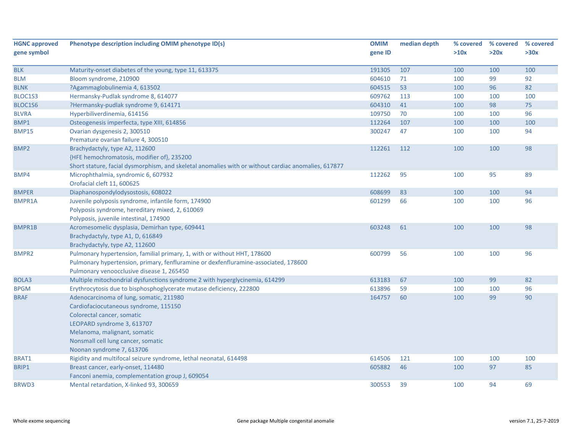| <b>HGNC approved</b> | Phenotype description including OMIM phenotype ID(s)                                                | <b>OMIM</b> | median depth | % covered | % covered | % covered |
|----------------------|-----------------------------------------------------------------------------------------------------|-------------|--------------|-----------|-----------|-----------|
| gene symbol          |                                                                                                     | gene ID     |              | >10x      | >20x      | >30x      |
|                      |                                                                                                     |             |              |           |           |           |
| <b>BLK</b>           | Maturity-onset diabetes of the young, type 11, 613375                                               | 191305      | 107          | 100       | 100       | 100       |
| <b>BLM</b>           | Bloom syndrome, 210900                                                                              | 604610      | 71           | 100       | 99        | 92        |
| <b>BLNK</b>          | ?Agammaglobulinemia 4, 613502                                                                       | 604515      | 53           | 100       | 96        | 82        |
| BLOC1S3              | Hermansky-Pudlak syndrome 8, 614077                                                                 | 609762      | 113          | 100       | 100       | 100       |
| BLOC1S6              | ?Hermansky-pudlak syndrome 9, 614171                                                                | 604310      | 41           | 100       | 98        | 75        |
| <b>BLVRA</b>         | Hyperbiliverdinemia, 614156                                                                         | 109750      | 70           | 100       | 100       | 96        |
| BMP1                 | Osteogenesis imperfecta, type XIII, 614856                                                          | 112264      | 107          | 100       | 100       | 100       |
| <b>BMP15</b>         | Ovarian dysgenesis 2, 300510                                                                        | 300247      | 47           | 100       | 100       | 94        |
|                      | Premature ovarian failure 4, 300510                                                                 |             |              |           |           |           |
| BMP <sub>2</sub>     | Brachydactyly, type A2, 112600                                                                      | 112261      | 112          | 100       | 100       | 98        |
|                      | {HFE hemochromatosis, modifier of}, 235200                                                          |             |              |           |           |           |
|                      | Short stature, facial dysmorphism, and skeletal anomalies with or without cardiac anomalies, 617877 |             |              |           |           |           |
| BMP4                 | Microphthalmia, syndromic 6, 607932                                                                 | 112262      | 95           | 100       | 95        | 89        |
|                      | Orofacial cleft 11, 600625                                                                          |             |              |           |           |           |
| <b>BMPER</b>         | Diaphanospondylodysostosis, 608022                                                                  | 608699      | 83           | 100       | 100       | 94        |
| <b>BMPR1A</b>        | Juvenile polyposis syndrome, infantile form, 174900                                                 | 601299      | 66           | 100       | 100       | 96        |
|                      | Polyposis syndrome, hereditary mixed, 2, 610069                                                     |             |              |           |           |           |
|                      | Polyposis, juvenile intestinal, 174900                                                              |             |              |           |           |           |
| BMPR1B               | Acromesomelic dysplasia, Demirhan type, 609441                                                      | 603248      | 61           | 100       | 100       | 98        |
|                      | Brachydactyly, type A1, D, 616849                                                                   |             |              |           |           |           |
|                      | Brachydactyly, type A2, 112600                                                                      |             |              |           |           |           |
| BMPR2                | Pulmonary hypertension, familial primary, 1, with or without HHT, 178600                            | 600799      | 56           | 100       | 100       | 96        |
|                      | Pulmonary hypertension, primary, fenfluramine or dexfenfluramine-associated, 178600                 |             |              |           |           |           |
|                      | Pulmonary venoocclusive disease 1, 265450                                                           |             |              |           |           |           |
| BOLA3                | Multiple mitochondrial dysfunctions syndrome 2 with hyperglycinemia, 614299                         | 613183      | 67           | 100       | 99        | 82        |
| <b>BPGM</b>          | Erythrocytosis due to bisphosphoglycerate mutase deficiency, 222800                                 | 613896      | 59           | 100       | 100       | 96        |
| <b>BRAF</b>          | Adenocarcinoma of lung, somatic, 211980                                                             | 164757      | 60           | 100       | 99        | 90        |
|                      | Cardiofaciocutaneous syndrome, 115150                                                               |             |              |           |           |           |
|                      | Colorectal cancer, somatic                                                                          |             |              |           |           |           |
|                      | LEOPARD syndrome 3, 613707                                                                          |             |              |           |           |           |
|                      | Melanoma, malignant, somatic                                                                        |             |              |           |           |           |
|                      | Nonsmall cell lung cancer, somatic                                                                  |             |              |           |           |           |
|                      | Noonan syndrome 7, 613706                                                                           |             |              |           |           |           |
| BRAT1                | Rigidity and multifocal seizure syndrome, lethal neonatal, 614498                                   | 614506      | 121          | 100       | 100       | 100       |
| BRIP1                | Breast cancer, early-onset, 114480                                                                  | 605882      | 46           | 100       | 97        | 85        |
|                      | Fanconi anemia, complementation group J, 609054                                                     |             |              |           |           |           |
| BRWD3                | Mental retardation, X-linked 93, 300659                                                             | 300553      | 39           | 100       | 94        | 69        |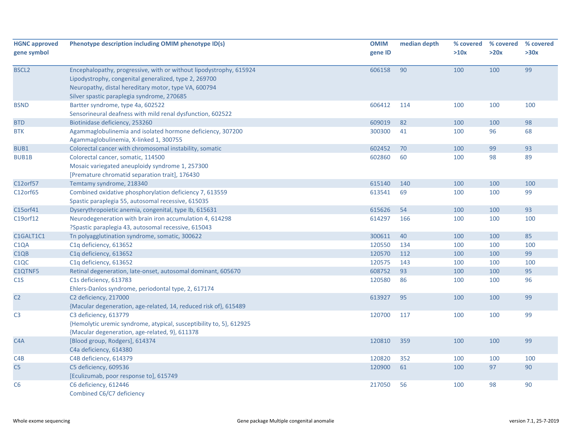| <b>HGNC approved</b><br>gene symbol | Phenotype description including OMIM phenotype ID(s)                                                                                                                                                                              | <b>OMIM</b><br>gene ID | median depth | % covered<br>>10x | % covered<br>>20x | % covered<br>>30x |
|-------------------------------------|-----------------------------------------------------------------------------------------------------------------------------------------------------------------------------------------------------------------------------------|------------------------|--------------|-------------------|-------------------|-------------------|
| <b>BSCL2</b>                        | Encephalopathy, progressive, with or without lipodystrophy, 615924<br>Lipodystrophy, congenital generalized, type 2, 269700<br>Neuropathy, distal hereditary motor, type VA, 600794<br>Silver spastic paraplegia syndrome, 270685 | 606158                 | 90           | 100               | 100               | 99                |
| <b>BSND</b>                         | Bartter syndrome, type 4a, 602522<br>Sensorineural deafness with mild renal dysfunction, 602522                                                                                                                                   | 606412                 | 114          | 100               | 100               | 100               |
| <b>BTD</b>                          | Biotinidase deficiency, 253260                                                                                                                                                                                                    | 609019                 | 82           | 100               | 100               | 98                |
| <b>BTK</b>                          | Agammaglobulinemia and isolated hormone deficiency, 307200<br>Agammaglobulinemia, X-linked 1, 300755                                                                                                                              | 300300                 | 41           | 100               | 96                | 68                |
| BUB1                                | Colorectal cancer with chromosomal instability, somatic                                                                                                                                                                           | 602452                 | 70           | 100               | 99                | 93                |
| <b>BUB1B</b>                        | Colorectal cancer, somatic, 114500<br>Mosaic variegated aneuploidy syndrome 1, 257300<br>[Premature chromatid separation trait], 176430                                                                                           | 602860                 | 60           | 100               | 98                | 89                |
| C12orf57                            | Temtamy syndrome, 218340                                                                                                                                                                                                          | 615140                 | 140          | 100               | 100               | 100               |
| C12orf65                            | Combined oxidative phosphorylation deficiency 7, 613559<br>Spastic paraplegia 55, autosomal recessive, 615035                                                                                                                     | 613541                 | 69           | 100               | 100               | 99                |
| C15orf41                            | Dyserythropoietic anemia, congenital, type Ib, 615631                                                                                                                                                                             | 615626                 | 54           | 100               | 100               | 93                |
| C19orf12                            | Neurodegeneration with brain iron accumulation 4, 614298<br>?Spastic paraplegia 43, autosomal recessive, 615043                                                                                                                   | 614297                 | 166          | 100               | 100               | 100               |
| C1GALT1C1                           | Tn polyagglutination syndrome, somatic, 300622                                                                                                                                                                                    | 300611                 | 40           | 100               | 100               | 85                |
| C <sub>1</sub> QA                   | C1q deficiency, 613652                                                                                                                                                                                                            | 120550                 | 134          | 100               | 100               | 100               |
| C <sub>1QB</sub>                    | C1q deficiency, 613652                                                                                                                                                                                                            | 120570                 | 112          | 100               | 100               | 99                |
| C <sub>1</sub> QC                   | C1q deficiency, 613652                                                                                                                                                                                                            | 120575                 | 143          | 100               | 100               | 100               |
| C1QTNF5                             | Retinal degeneration, late-onset, autosomal dominant, 605670                                                                                                                                                                      | 608752                 | 93           | 100               | 100               | 95                |
| C1S                                 | C1s deficiency, 613783<br>Ehlers-Danlos syndrome, periodontal type, 2, 617174                                                                                                                                                     | 120580                 | 86           | 100               | 100               | 96                |
| C <sub>2</sub>                      | C2 deficiency, 217000<br>{Macular degeneration, age-related, 14, reduced risk of}, 615489                                                                                                                                         | 613927                 | 95           | 100               | 100               | 99                |
| C <sub>3</sub>                      | C3 deficiency, 613779<br>{Hemolytic uremic syndrome, atypical, susceptibility to, 5}, 612925<br>{Macular degeneration, age-related, 9}, 611378                                                                                    | 120700                 | 117          | 100               | 100               | 99                |
| C <sub>4</sub> A                    | [Blood group, Rodgers], 614374<br>C4a deficiency, 614380                                                                                                                                                                          | 120810                 | 359          | 100               | 100               | 99                |
| C4B                                 | C4B deficiency, 614379                                                                                                                                                                                                            | 120820                 | 352          | 100               | 100               | 100               |
| C <sub>5</sub>                      | C5 deficiency, 609536<br>[Eculizumab, poor response to], 615749                                                                                                                                                                   | 120900                 | 61           | 100               | 97                | 90                |
| C <sub>6</sub>                      | C6 deficiency, 612446<br>Combined C6/C7 deficiency                                                                                                                                                                                | 217050                 | 56           | 100               | 98                | 90                |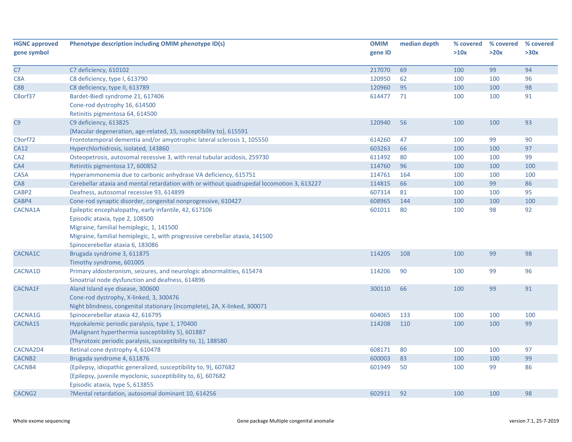| <b>HGNC approved</b> | Phenotype description including OMIM phenotype ID(s)                                      | <b>OMIM</b> | median depth | % covered | % covered | % covered |
|----------------------|-------------------------------------------------------------------------------------------|-------------|--------------|-----------|-----------|-----------|
| gene symbol          |                                                                                           | gene ID     |              | >10x      | >20x      | >30x      |
|                      |                                                                                           |             |              |           |           |           |
| C7                   | C7 deficiency, 610102                                                                     | 217070      | 69           | 100       | 99        | 94        |
| C8A                  | C8 deficiency, type I, 613790                                                             | 120950      | 62           | 100       | 100       | 96        |
| C8B                  | C8 deficiency, type II, 613789                                                            | 120960      | 95           | 100       | 100       | 98        |
| C8orf37              | Bardet-Biedl syndrome 21, 617406                                                          | 614477      | 71           | 100       | 100       | 91        |
|                      | Cone-rod dystrophy 16, 614500                                                             |             |              |           |           |           |
|                      | Retinitis pigmentosa 64, 614500                                                           |             |              |           |           |           |
| C9                   | C9 deficiency, 613825                                                                     | 120940      | 56           | 100       | 100       | 93        |
|                      | {Macular degeneration, age-related, 15, susceptibility to}, 615591                        |             |              |           |           |           |
| C9orf72              | Frontotemporal dementia and/or amyotrophic lateral sclerosis 1, 105550                    | 614260      | 47           | 100       | 99        | 90        |
| CA12                 | Hyperchlorhidrosis, isolated, 143860                                                      | 603263      | 66           | 100       | 100       | 97        |
| CA <sub>2</sub>      | Osteopetrosis, autosomal recessive 3, with renal tubular acidosis, 259730                 | 611492      | 80           | 100       | 100       | 99        |
| CA4                  | Retinitis pigmentosa 17, 600852                                                           | 114760      | 96           | 100       | 100       | 100       |
| CA5A                 | Hyperammonemia due to carbonic anhydrase VA deficiency, 615751                            | 114761      | 164          | 100       | 100       | 100       |
| CA8                  | Cerebellar ataxia and mental retardation with or without quadrupedal locomotion 3, 613227 | 114815      | 66           | 100       | 99        | 86        |
| CABP <sub>2</sub>    | Deafness, autosomal recessive 93, 614899                                                  | 607314      | 81           | 100       | 100       | 95        |
| CABP4                | Cone-rod synaptic disorder, congenital nonprogressive, 610427                             | 608965      | 144          | 100       | 100       | 100       |
| CACNA1A              | Epileptic encephalopathy, early infantile, 42, 617106                                     | 601011      | 80           | 100       | 98        | 92        |
|                      | Episodic ataxia, type 2, 108500                                                           |             |              |           |           |           |
|                      | Migraine, familial hemiplegic, 1, 141500                                                  |             |              |           |           |           |
|                      | Migraine, familial hemiplegic, 1, with progressive cerebellar ataxia, 141500              |             |              |           |           |           |
|                      | Spinocerebellar ataxia 6, 183086                                                          |             |              |           |           |           |
| CACNA1C              | Brugada syndrome 3, 611875                                                                | 114205      | 108          | 100       | 99        | 98        |
|                      | Timothy syndrome, 601005                                                                  |             |              |           |           |           |
| CACNA1D              | Primary aldosteronism, seizures, and neurologic abnormalities, 615474                     | 114206      | 90           | 100       | 99        | 96        |
|                      | Sinoatrial node dysfunction and deafness, 614896                                          |             |              |           |           |           |
| CACNA1F              | Aland Island eye disease, 300600                                                          | 300110      | 66           | 100       | 99        | 91        |
|                      | Cone-rod dystrophy, X-linked, 3, 300476                                                   |             |              |           |           |           |
|                      | Night blindness, congenital stationary (incomplete), 2A, X-linked, 300071                 |             |              |           |           |           |
| CACNA1G              | Spinocerebellar ataxia 42, 616795                                                         | 604065      | 133          | 100       | 100       | 100       |
| <b>CACNA1S</b>       | Hypokalemic periodic paralysis, type 1, 170400                                            | 114208      | 110          | 100       | 100       | 99        |
|                      | {Malignant hyperthermia susceptibility 5}, 601887                                         |             |              |           |           |           |
|                      | {Thyrotoxic periodic paralysis, susceptibility to, 1}, 188580                             |             |              |           |           |           |
| CACNA2D4             | Retinal cone dystrophy 4, 610478                                                          | 608171      | 80           | 100       | 100       | 97        |
| CACNB2               | Brugada syndrome 4, 611876                                                                | 600003      | 83           | 100       | 100       | 99        |
| CACNB4               | {Epilepsy, idiopathic generalized, susceptibility to, 9}, 607682                          | 601949      | 50           | 100       | 99        | 86        |
|                      | {Epilepsy, juvenile myoclonic, susceptibility to, 6}, 607682                              |             |              |           |           |           |
|                      | Episodic ataxia, type 5, 613855                                                           |             |              |           |           |           |
| CACNG <sub>2</sub>   | ?Mental retardation, autosomal dominant 10, 614256                                        | 602911      | 92           | 100       | 100       | 98        |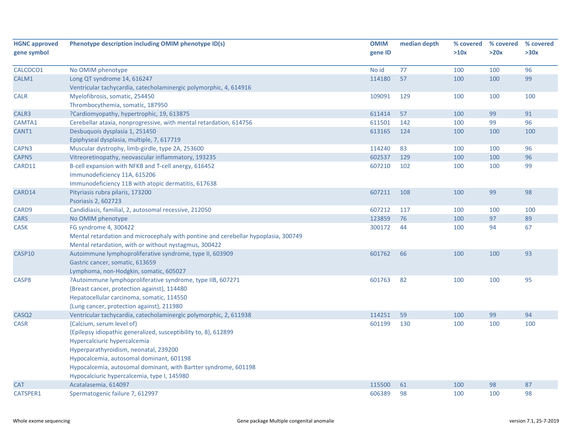| <b>HGNC approved</b> | Phenotype description including OMIM phenotype ID(s)                               | <b>OMIM</b> | median depth | % covered | % covered | % covered |
|----------------------|------------------------------------------------------------------------------------|-------------|--------------|-----------|-----------|-----------|
| gene symbol          |                                                                                    | gene ID     |              | >10x      | >20x      | >30x      |
| CALCOCO1             | No OMIM phenotype                                                                  | No id       | 77           | 100       | 100       | 96        |
| CALM1                | Long QT syndrome 14, 616247                                                        | 114180      | 57           | 100       | 100       | 99        |
|                      | Ventricular tachycardia, catecholaminergic polymorphic, 4, 614916                  |             |              |           |           |           |
| <b>CALR</b>          | Myelofibrosis, somatic, 254450                                                     | 109091      | 129          | 100       | 100       | 100       |
|                      | Thrombocythemia, somatic, 187950                                                   |             |              |           |           |           |
| CALR3                | ?Cardiomyopathy, hypertrophic, 19, 613875                                          | 611414      | 57           | 100       | 99        | 91        |
| CAMTA1               | Cerebellar ataxia, nonprogressive, with mental retardation, 614756                 | 611501      | 142          | 100       | 99        | 96        |
| CANT1                | Desbuquois dysplasia 1, 251450                                                     | 613165      | 124          | 100       | 100       | 100       |
|                      | Epiphyseal dysplasia, multiple, 7, 617719                                          |             |              |           |           |           |
| CAPN3                | Muscular dystrophy, limb-girdle, type 2A, 253600                                   | 114240      | 83           | 100       | 100       | 96        |
| CAPN5                | Vitreoretinopathy, neovascular inflammatory, 193235                                | 602537      | 129          | 100       | 100       | 96        |
| CARD11               | B-cell expansion with NFKB and T-cell anergy, 616452                               | 607210      | 102          | 100       | 100       | 99        |
|                      | Immunodeficiency 11A, 615206                                                       |             |              |           |           |           |
|                      | Immunodeficiency 11B with atopic dermatitis, 617638                                |             |              |           |           |           |
| CARD14               | Pityriasis rubra pilaris, 173200                                                   | 607211      | 108          | 100       | 99        | 98        |
|                      | Psoriasis 2, 602723                                                                |             |              |           |           |           |
| CARD9                | Candidiasis, familial, 2, autosomal recessive, 212050                              | 607212      | 117          | 100       | 100       | 100       |
| <b>CARS</b>          | No OMIM phenotype                                                                  | 123859      | 76           | 100       | 97        | 89        |
| <b>CASK</b>          | FG syndrome 4, 300422                                                              | 300172      | 44           | 100       | 94        | 67        |
|                      | Mental retardation and microcephaly with pontine and cerebellar hypoplasia, 300749 |             |              |           |           |           |
|                      | Mental retardation, with or without nystagmus, 300422                              |             |              |           |           |           |
| CASP10               | Autoimmune lymphoproliferative syndrome, type II, 603909                           | 601762      | 66           | 100       | 100       | 93        |
|                      | Gastric cancer, somatic, 613659                                                    |             |              |           |           |           |
|                      | Lymphoma, non-Hodgkin, somatic, 605027                                             |             |              |           |           |           |
| CASP8                | ?Autoimmune lymphoproliferative syndrome, type IIB, 607271                         | 601763      | 82           | 100       | 100       | 95        |
|                      | {Breast cancer, protection against}, 114480                                        |             |              |           |           |           |
|                      | Hepatocellular carcinoma, somatic, 114550                                          |             |              |           |           |           |
|                      | {Lung cancer, protection against}, 211980                                          |             |              |           |           |           |
| CASQ <sub>2</sub>    | Ventricular tachycardia, catecholaminergic polymorphic, 2, 611938                  | 114251      | 59           | 100       | 99        | 94        |
| CASR                 | {Calcium, serum level of}                                                          | 601199      | 130          | 100       | 100       | 100       |
|                      | {Epilepsy idiopathic generalized, susceptibility to, 8}, 612899                    |             |              |           |           |           |
|                      | Hypercalciuric hypercalcemia                                                       |             |              |           |           |           |
|                      | Hyperparathyroidism, neonatal, 239200                                              |             |              |           |           |           |
|                      | Hypocalcemia, autosomal dominant, 601198                                           |             |              |           |           |           |
|                      | Hypocalcemia, autosomal dominant, with Bartter syndrome, 601198                    |             |              |           |           |           |
|                      | Hypocalciuric hypercalcemia, type I, 145980                                        |             |              |           |           |           |
| <b>CAT</b>           | Acatalasemia, 614097                                                               | 115500      | 61           | 100       | 98        | 87        |
| CATSPER1             | Spermatogenic failure 7, 612997                                                    | 606389      | 98           | 100       | 100       | 98        |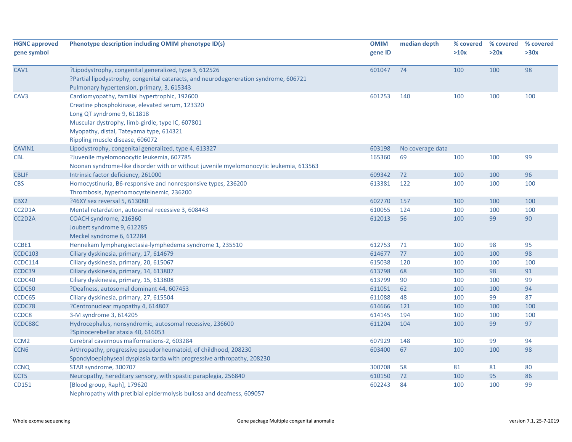| <b>HGNC approved</b><br>gene symbol | Phenotype description including OMIM phenotype ID(s)                                                                                                                                                                                                            | <b>OMIM</b><br>gene ID | median depth     | % covered<br>>10x | % covered<br>>20x | % covered<br>>30x |
|-------------------------------------|-----------------------------------------------------------------------------------------------------------------------------------------------------------------------------------------------------------------------------------------------------------------|------------------------|------------------|-------------------|-------------------|-------------------|
| CAV1                                | ?Lipodystrophy, congenital generalized, type 3, 612526<br>?Partial lipodystrophy, congenital cataracts, and neurodegeneration syndrome, 606721<br>Pulmonary hypertension, primary, 3, 615343                                                                    | 601047                 | 74               | 100               | 100               | 98                |
| CAV <sub>3</sub>                    | Cardiomyopathy, familial hypertrophic, 192600<br>Creatine phosphokinase, elevated serum, 123320<br>Long QT syndrome 9, 611818<br>Muscular dystrophy, limb-girdle, type IC, 607801<br>Myopathy, distal, Tateyama type, 614321<br>Rippling muscle disease, 606072 | 601253                 | 140              | 100               | 100               | 100               |
| CAVIN1                              | Lipodystrophy, congenital generalized, type 4, 613327                                                                                                                                                                                                           | 603198                 | No coverage data |                   |                   |                   |
| <b>CBL</b>                          | ?Juvenile myelomonocytic leukemia, 607785<br>Noonan syndrome-like disorder with or without juvenile myelomonocytic leukemia, 613563                                                                                                                             | 165360                 | 69               | 100               | 100               | 99                |
| <b>CBLIF</b>                        | Intrinsic factor deficiency, 261000                                                                                                                                                                                                                             | 609342                 | 72               | 100               | 100               | 96                |
| <b>CBS</b>                          | Homocystinuria, B6-responsive and nonresponsive types, 236200<br>Thrombosis, hyperhomocysteinemic, 236200                                                                                                                                                       | 613381                 | 122              | 100               | 100               | 100               |
| CBX2                                | ?46XY sex reversal 5, 613080                                                                                                                                                                                                                                    | 602770                 | 157              | 100               | 100               | 100               |
| CC2D1A                              | Mental retardation, autosomal recessive 3, 608443                                                                                                                                                                                                               | 610055                 | 124              | 100               | 100               | 100               |
| CC2D2A                              | COACH syndrome, 216360<br>Joubert syndrome 9, 612285<br>Meckel syndrome 6, 612284                                                                                                                                                                               | 612013                 | 56               | 100               | 99                | 90                |
| CCBE1                               | Hennekam lymphangiectasia-lymphedema syndrome 1, 235510                                                                                                                                                                                                         | 612753                 | 71               | 100               | 98                | 95                |
| <b>CCDC103</b>                      | Ciliary dyskinesia, primary, 17, 614679                                                                                                                                                                                                                         | 614677                 | 77               | 100               | 100               | 98                |
| CCDC114                             | Ciliary dyskinesia, primary, 20, 615067                                                                                                                                                                                                                         | 615038                 | 120              | 100               | 100               | 100               |
| CCDC39                              | Ciliary dyskinesia, primary, 14, 613807                                                                                                                                                                                                                         | 613798                 | 68               | 100               | 98                | 91                |
| CCDC40                              | Ciliary dyskinesia, primary, 15, 613808                                                                                                                                                                                                                         | 613799                 | 90               | 100               | 100               | 99                |
| CCDC50                              | ?Deafness, autosomal dominant 44, 607453                                                                                                                                                                                                                        | 611051                 | 62               | 100               | 100               | 94                |
| CCDC65                              | Ciliary dyskinesia, primary, 27, 615504                                                                                                                                                                                                                         | 611088                 | 48               | 100               | 99                | 87                |
| CCDC78                              | ?Centronuclear myopathy 4, 614807                                                                                                                                                                                                                               | 614666                 | 121              | 100               | 100               | 100               |
| CCDC8                               | 3-M syndrome 3, 614205                                                                                                                                                                                                                                          | 614145                 | 194              | 100               | 100               | 100               |
| CCDC88C                             | Hydrocephalus, nonsyndromic, autosomal recessive, 236600<br>?Spinocerebellar ataxia 40, 616053                                                                                                                                                                  | 611204                 | 104              | 100               | 99                | 97                |
| CCM <sub>2</sub>                    | Cerebral cavernous malformations-2, 603284                                                                                                                                                                                                                      | 607929                 | 148              | 100               | 99                | 94                |
| CCN <sub>6</sub>                    | Arthropathy, progressive pseudorheumatoid, of childhood, 208230<br>Spondyloepiphyseal dysplasia tarda with progressive arthropathy, 208230                                                                                                                      | 603400                 | 67               | 100               | 100               | 98                |
| CCNQ                                | STAR syndrome, 300707                                                                                                                                                                                                                                           | 300708                 | 58               | 81                | 81                | 80                |
| CCT5                                | Neuropathy, hereditary sensory, with spastic paraplegia, 256840                                                                                                                                                                                                 | 610150                 | 72               | 100               | 95                | 86                |
| CD151                               | [Blood group, Raph], 179620<br>Nephropathy with pretibial epidermolysis bullosa and deafness, 609057                                                                                                                                                            | 602243                 | 84               | 100               | 100               | 99                |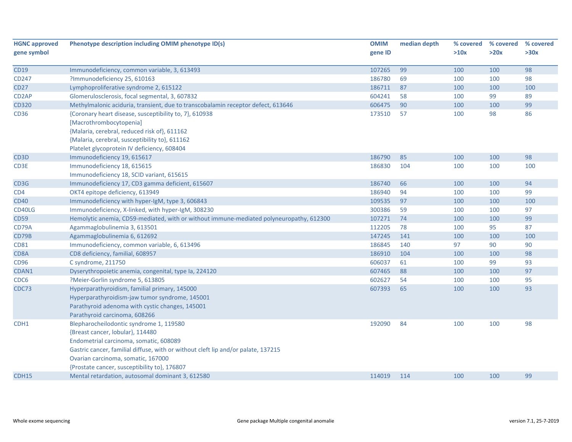| <b>HGNC approved</b> | Phenotype description including OMIM phenotype ID(s)                                                                                                                                                              | <b>OMIM</b> | median depth | % covered | % covered | % covered |
|----------------------|-------------------------------------------------------------------------------------------------------------------------------------------------------------------------------------------------------------------|-------------|--------------|-----------|-----------|-----------|
| gene symbol          |                                                                                                                                                                                                                   | gene ID     |              | >10x      | >20x      | >30x      |
| <b>CD19</b>          | Immunodeficiency, common variable, 3, 613493                                                                                                                                                                      | 107265      | 99           | 100       | 100       | 98        |
| CD247                | ?Immunodeficiency 25, 610163                                                                                                                                                                                      | 186780      | 69           | 100       | 100       | 98        |
| <b>CD27</b>          | Lymphoproliferative syndrome 2, 615122                                                                                                                                                                            | 186711      | 87           | 100       | 100       | 100       |
| CD <sub>2</sub> AP   | Glomerulosclerosis, focal segmental, 3, 607832                                                                                                                                                                    | 604241      | 58           | 100       | 99        | 89        |
| CD320                | Methylmalonic aciduria, transient, due to transcobalamin receptor defect, 613646                                                                                                                                  | 606475      | 90           | 100       | 100       | 99        |
| <b>CD36</b>          | {Coronary heart disease, susceptibility to, 7}, 610938<br>[Macrothrombocytopenia]                                                                                                                                 | 173510      | 57           | 100       | 98        | 86        |
|                      | {Malaria, cerebral, reduced risk of}, 611162<br>{Malaria, cerebral, susceptibility to}, 611162                                                                                                                    |             |              |           |           |           |
|                      | Platelet glycoprotein IV deficiency, 608404                                                                                                                                                                       |             |              |           |           |           |
| CD3D                 | Immunodeficiency 19, 615617                                                                                                                                                                                       | 186790      | 85           | 100       | 100       | 98        |
| CD3E                 | Immunodeficiency 18, 615615<br>Immunodeficiency 18, SCID variant, 615615                                                                                                                                          | 186830      | 104          | 100       | 100       | 100       |
| CD3G                 | Immunodeficiency 17, CD3 gamma deficient, 615607                                                                                                                                                                  | 186740      | 66           | 100       | 100       | 94        |
| CD4                  | OKT4 epitope deficiency, 613949                                                                                                                                                                                   | 186940      | 94           | 100       | 100       | 99        |
| <b>CD40</b>          | Immunodeficiency with hyper-IgM, type 3, 606843                                                                                                                                                                   | 109535      | 97           | 100       | 100       | 100       |
| CD40LG               | Immunodeficiency, X-linked, with hyper-IgM, 308230                                                                                                                                                                | 300386      | 59           | 100       | 100       | 97        |
| <b>CD59</b>          | Hemolytic anemia, CD59-mediated, with or without immune-mediated polyneuropathy, 612300                                                                                                                           | 107271      | 74           | 100       | 100       | 99        |
| CD79A                | Agammaglobulinemia 3, 613501                                                                                                                                                                                      | 112205      | 78           | 100       | 95        | 87        |
| CD79B                | Agammaglobulinemia 6, 612692                                                                                                                                                                                      | 147245      | 141          | 100       | 100       | 100       |
| <b>CD81</b>          | Immunodeficiency, common variable, 6, 613496                                                                                                                                                                      | 186845      | 140          | 97        | 90        | 90        |
| CD8A                 | CD8 deficiency, familial, 608957                                                                                                                                                                                  | 186910      | 104          | 100       | 100       | 98        |
| CD96                 | C syndrome, 211750                                                                                                                                                                                                | 606037      | 61           | 100       | 99        | 93        |
| CDAN1                | Dyserythropoietic anemia, congenital, type Ia, 224120                                                                                                                                                             | 607465      | 88           | 100       | 100       | 97        |
| CDC6                 | ?Meier-Gorlin syndrome 5, 613805                                                                                                                                                                                  | 602627      | 54           | 100       | 100       | 95        |
| CDC73                | Hyperparathyroidism, familial primary, 145000<br>Hyperparathyroidism-jaw tumor syndrome, 145001<br>Parathyroid adenoma with cystic changes, 145001                                                                | 607393      | 65           | 100       | 100       | 93        |
|                      | Parathyroid carcinoma, 608266                                                                                                                                                                                     |             |              |           |           |           |
| CDH <sub>1</sub>     | Blepharocheilodontic syndrome 1, 119580<br>{Breast cancer, lobular}, 114480                                                                                                                                       | 192090      | 84           | 100       | 100       | 98        |
|                      | Endometrial carcinoma, somatic, 608089<br>Gastric cancer, familial diffuse, with or without cleft lip and/or palate, 137215<br>Ovarian carcinoma, somatic, 167000<br>{Prostate cancer, susceptibility to}, 176807 |             |              |           |           |           |
| CDH15                | Mental retardation, autosomal dominant 3, 612580                                                                                                                                                                  | 114019      | 114          | 100       | 100       | 99        |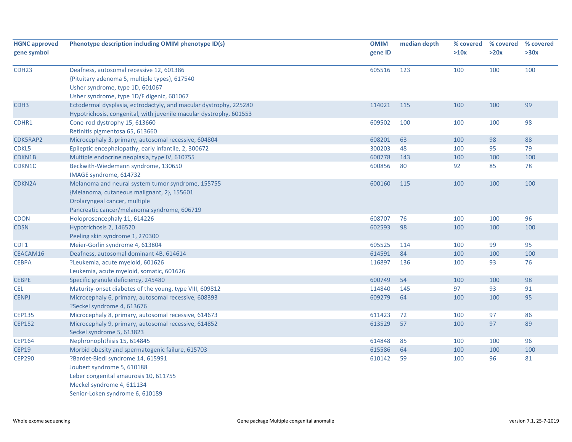| <b>HGNC approved</b> | Phenotype description including OMIM phenotype ID(s)               | <b>OMIM</b> | median depth | % covered | % covered | % covered |
|----------------------|--------------------------------------------------------------------|-------------|--------------|-----------|-----------|-----------|
| gene symbol          |                                                                    | gene ID     |              | >10x      | >20x      | >30x      |
| CDH <sub>23</sub>    | Deafness, autosomal recessive 12, 601386                           | 605516      | 123          | 100       | 100       | 100       |
|                      | {Pituitary adenoma 5, multiple types}, 617540                      |             |              |           |           |           |
|                      | Usher syndrome, type 1D, 601067                                    |             |              |           |           |           |
|                      | Usher syndrome, type 1D/F digenic, 601067                          |             |              |           |           |           |
| CDH <sub>3</sub>     | Ectodermal dysplasia, ectrodactyly, and macular dystrophy, 225280  | 114021      | 115          | 100       | 100       | 99        |
|                      | Hypotrichosis, congenital, with juvenile macular dystrophy, 601553 |             |              |           |           |           |
| CDHR1                | Cone-rod dystrophy 15, 613660                                      | 609502      | 100          | 100       | 100       | 98        |
|                      | Retinitis pigmentosa 65, 613660                                    |             |              |           |           |           |
| CDK5RAP2             | Microcephaly 3, primary, autosomal recessive, 604804               | 608201      | 63           | 100       | 98        | 88        |
| CDKL5                | Epileptic encephalopathy, early infantile, 2, 300672               | 300203      | 48           | 100       | 95        | 79        |
| CDKN1B               | Multiple endocrine neoplasia, type IV, 610755                      | 600778      | 143          | 100       | 100       | 100       |
| CDKN1C               | Beckwith-Wiedemann syndrome, 130650<br>IMAGE syndrome, 614732      | 600856      | 80           | 92        | 85        | 78        |
| <b>CDKN2A</b>        | Melanoma and neural system tumor syndrome, 155755                  | 600160      | 115          | 100       | 100       | 100       |
|                      | {Melanoma, cutaneous malignant, 2}, 155601                         |             |              |           |           |           |
|                      | Orolaryngeal cancer, multiple                                      |             |              |           |           |           |
|                      | Pancreatic cancer/melanoma syndrome, 606719                        |             |              |           |           |           |
| <b>CDON</b>          | Holoprosencephaly 11, 614226                                       | 608707      | 76           | 100       | 100       | 96        |
| <b>CDSN</b>          | Hypotrichosis 2, 146520                                            | 602593      | 98           | 100       | 100       | 100       |
|                      | Peeling skin syndrome 1, 270300                                    |             |              |           |           |           |
| CDT1                 | Meier-Gorlin syndrome 4, 613804                                    | 605525      | 114          | 100       | 99        | 95        |
| CEACAM16             | Deafness, autosomal dominant 4B, 614614                            | 614591      | 84           | 100       | 100       | 100       |
| <b>CEBPA</b>         | ?Leukemia, acute myeloid, 601626                                   | 116897      | 136          | 100       | 93        | 76        |
|                      | Leukemia, acute myeloid, somatic, 601626                           |             |              |           |           |           |
| <b>CEBPE</b>         | Specific granule deficiency, 245480                                | 600749      | 54           | 100       | 100       | 98        |
| <b>CEL</b>           | Maturity-onset diabetes of the young, type VIII, 609812            | 114840      | 145          | 97        | 93        | 91        |
| <b>CENPJ</b>         | Microcephaly 6, primary, autosomal recessive, 608393               | 609279      | 64           | 100       | 100       | 95        |
|                      | ?Seckel syndrome 4, 613676                                         |             |              |           |           |           |
| <b>CEP135</b>        | Microcephaly 8, primary, autosomal recessive, 614673               | 611423      | 72           | 100       | 97        | 86        |
| <b>CEP152</b>        | Microcephaly 9, primary, autosomal recessive, 614852               | 613529      | 57           | 100       | 97        | 89        |
|                      | Seckel syndrome 5, 613823                                          |             |              |           |           |           |
| <b>CEP164</b>        | Nephronophthisis 15, 614845                                        | 614848      | 85           | 100       | 100       | 96        |
| <b>CEP19</b>         | Morbid obesity and spermatogenic failure, 615703                   | 615586      | 64           | 100       | 100       | 100       |
| <b>CEP290</b>        | ?Bardet-Biedl syndrome 14, 615991                                  | 610142      | 59           | 100       | 96        | 81        |
|                      | Joubert syndrome 5, 610188                                         |             |              |           |           |           |
|                      | Leber congenital amaurosis 10, 611755                              |             |              |           |           |           |
|                      | Meckel syndrome 4, 611134                                          |             |              |           |           |           |
|                      | Senior-Loken syndrome 6, 610189                                    |             |              |           |           |           |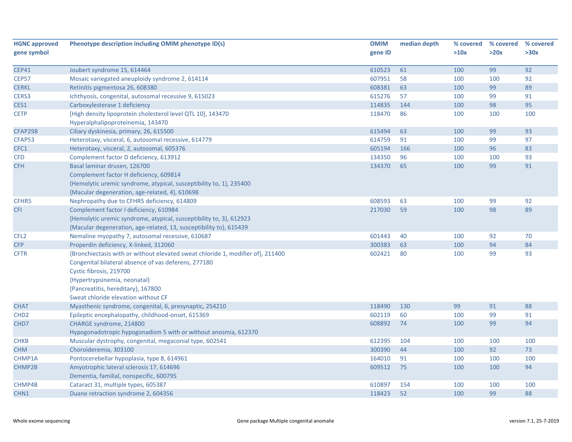| <b>HGNC approved</b> | Phenotype description including OMIM phenotype ID(s)                            | <b>OMIM</b>      | median depth | % covered  | % covered | % covered |
|----------------------|---------------------------------------------------------------------------------|------------------|--------------|------------|-----------|-----------|
| gene symbol          |                                                                                 | gene ID          |              | >10x       | >20x      | >30x      |
| <b>CEP41</b>         | Joubert syndrome 15, 614464                                                     | 610523           | 61           | 100        | 99        | 92        |
| <b>CEP57</b>         | Mosaic variegated aneuploidy syndrome 2, 614114                                 | 607951           | 58           | 100        | 100       | 92        |
| <b>CERKL</b>         | Retinitis pigmentosa 26, 608380                                                 | 608381           | 63           | 100        | 99        | 89        |
| CERS3                | Ichthyosis, congenital, autosomal recessive 9, 615023                           | 615276           | 57           | 100        | 99        | 91        |
| CES1                 | Carboxylesterase 1 deficiency                                                   | 114835           | 144          | 100        | 98        | 95        |
| <b>CETP</b>          | [High density lipoprotein cholesterol level QTL 10], 143470                     | 118470           | 86           | 100        | 100       | 100       |
|                      | Hyperalphalipoproteinemia, 143470                                               |                  |              |            |           |           |
| <b>CFAP298</b>       | Ciliary dyskinesia, primary, 26, 615500                                         | 615494           | 63           | 100        | 99        | 93        |
| CFAP53               | Heterotaxy, visceral, 6, autosomal recessive, 614779                            | 614759           | 91           | 100        | 99        | 97        |
| CFC1                 | Heterotaxy, visceral, 2, autosomal, 605376                                      | 605194           | 166          | 100        | 96        | 83        |
| <b>CFD</b>           | Complement factor D deficiency, 613912                                          | 134350           | 96           | 100        | 100       | 93        |
| <b>CFH</b>           | Basal laminar drusen, 126700                                                    | 134370           | 65           | 100        | 99        | 91        |
|                      | Complement factor H deficiency, 609814                                          |                  |              |            |           |           |
|                      | {Hemolytic uremic syndrome, atypical, susceptibility to, 1}, 235400             |                  |              |            |           |           |
|                      | {Macular degeneration, age-related, 4}, 610698                                  |                  |              |            |           |           |
| CFHR5                | Nephropathy due to CFHR5 deficiency, 614809                                     | 608593           | 63           | 100        | 99        | 92        |
| <b>CFI</b>           | Complement factor I deficiency, 610984                                          | 217030           | 59           | 100        | 98        | 89        |
|                      | {Hemolytic uremic syndrome, atypical, susceptibility to, 3}, 612923             |                  |              |            |           |           |
|                      | {Macular degeneration, age-related, 13, susceptibility to}, 615439              |                  |              |            |           |           |
| CFL <sub>2</sub>     | Nemaline myopathy 7, autosomal recessive, 610687                                | 601443           | 40           | 100        | 92        | 70        |
| CFP                  | Properdin deficiency, X-linked, 312060                                          | 300383           | 63           | 100        | 94        | 84        |
| <b>CFTR</b>          | {Bronchiectasis with or without elevated sweat chloride 1, modifier of}, 211400 | 602421           | 80           | 100        | 99        | 93        |
|                      | Congenital bilateral absence of vas deferens, 277180                            |                  |              |            |           |           |
|                      | Cystic fibrosis, 219700                                                         |                  |              |            |           |           |
|                      | {Hypertrypsinemia, neonatal}                                                    |                  |              |            |           |           |
|                      | {Pancreatitis, hereditary}, 167800                                              |                  |              |            |           |           |
|                      | Sweat chloride elevation without CF                                             |                  |              |            |           |           |
| <b>CHAT</b>          | Myasthenic syndrome, congenital, 6, presynaptic, 254210                         | 118490           | 130          | 99         | 91        | 88        |
| CHD <sub>2</sub>     | Epileptic encephalopathy, childhood-onset, 615369                               | 602119           | 60           | 100        | 99        | 91        |
| CHD7                 | CHARGE syndrome, 214800                                                         | 608892           | 74           | 100        | 99        | 94        |
|                      | Hypogonadotropic hypogonadism 5 with or without anosmia, 612370                 |                  |              |            |           |           |
| <b>CHKB</b>          | Muscular dystrophy, congenital, megaconial type, 602541                         | 612395           | 104          | 100        | 100       | 100       |
|                      |                                                                                 | 300390           | 44           |            | 92        | 73        |
| <b>CHM</b>           | Choroideremia, 303100                                                           | 164010           | 91           | 100        | 100       | 100       |
| CHMP1A               | Pontocerebellar hypoplasia, type 8, 614961                                      |                  |              | 100        |           |           |
| CHMP2B               | Amyotrophic lateral sclerosis 17, 614696                                        | 609512           | 75           | 100        | 100       | 94        |
|                      | Dementia, familial, nonspecific, 600795                                         |                  |              |            |           |           |
| CHMP4B               | Cataract 31, multiple types, 605387                                             | 610897<br>118423 | 154<br>52    | 100<br>100 | 100<br>99 | 100<br>88 |
| CHN1                 | Duane retraction syndrome 2, 604356                                             |                  |              |            |           |           |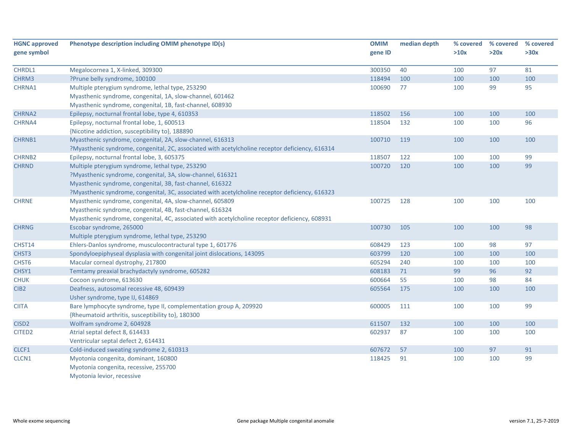| <b>HGNC approved</b> | Phenotype description including OMIM phenotype ID(s)                                            | <b>OMIM</b> | median depth | % covered | % covered | % covered |
|----------------------|-------------------------------------------------------------------------------------------------|-------------|--------------|-----------|-----------|-----------|
| gene symbol          |                                                                                                 | gene ID     |              | >10x      | >20x      | >30x      |
|                      |                                                                                                 |             |              |           |           |           |
| CHRDL1               | Megalocornea 1, X-linked, 309300                                                                | 300350      | 40           | 100       | 97        | 81        |
| CHRM3                | ?Prune belly syndrome, 100100                                                                   | 118494      | 100          | 100       | 100       | 100       |
| CHRNA1               | Multiple pterygium syndrome, lethal type, 253290                                                | 100690      | 77           | 100       | 99        | 95        |
|                      | Myasthenic syndrome, congenital, 1A, slow-channel, 601462                                       |             |              |           |           |           |
|                      | Myasthenic syndrome, congenital, 1B, fast-channel, 608930                                       |             |              |           |           |           |
| CHRNA2               | Epilepsy, nocturnal frontal lobe, type 4, 610353                                                | 118502      | 156          | 100       | 100       | 100       |
| CHRNA4               | Epilepsy, nocturnal frontal lobe, 1, 600513                                                     | 118504      | 132          | 100       | 100       | 96        |
|                      | {Nicotine addiction, susceptibility to}, 188890                                                 |             |              |           |           |           |
| CHRNB1               | Myasthenic syndrome, congenital, 2A, slow-channel, 616313                                       | 100710      | 119          | 100       | 100       | 100       |
|                      | ?Myasthenic syndrome, congenital, 2C, associated with acetylcholine receptor deficiency, 616314 |             |              |           |           |           |
| <b>CHRNB2</b>        | Epilepsy, nocturnal frontal lobe, 3, 605375                                                     | 118507      | 122          | 100       | 100       | 99        |
| <b>CHRND</b>         | Multiple pterygium syndrome, lethal type, 253290                                                | 100720      | 120          | 100       | 100       | 99        |
|                      | ?Myasthenic syndrome, congenital, 3A, slow-channel, 616321                                      |             |              |           |           |           |
|                      | Myasthenic syndrome, congenital, 3B, fast-channel, 616322                                       |             |              |           |           |           |
|                      | ?Myasthenic syndrome, congenital, 3C, associated with acetylcholine receptor deficiency, 616323 |             |              |           |           |           |
| <b>CHRNE</b>         | Myasthenic syndrome, congenital, 4A, slow-channel, 605809                                       | 100725      | 128          | 100       | 100       | 100       |
|                      | Myasthenic syndrome, congenital, 4B, fast-channel, 616324                                       |             |              |           |           |           |
|                      | Myasthenic syndrome, congenital, 4C, associated with acetylcholine receptor deficiency, 608931  |             |              |           |           |           |
| <b>CHRNG</b>         | Escobar syndrome, 265000                                                                        | 100730      | 105          | 100       | 100       | 98        |
|                      | Multiple pterygium syndrome, lethal type, 253290                                                |             |              |           |           |           |
| CHST14               | Ehlers-Danlos syndrome, musculocontractural type 1, 601776                                      | 608429      | 123          | 100       | 98        | 97        |
| CHST3                | Spondyloepiphyseal dysplasia with congenital joint dislocations, 143095                         | 603799      | 120          | 100       | 100       | 100       |
| CHST6                | Macular corneal dystrophy, 217800                                                               | 605294      | 240          | 100       | 100       | 100       |
| CHSY1                | Temtamy preaxial brachydactyly syndrome, 605282                                                 | 608183      | 71           | 99        | 96        | 92        |
| <b>CHUK</b>          | Cocoon syndrome, 613630                                                                         | 600664      | 55           | 100       | 98        | 84        |
| CIB <sub>2</sub>     | Deafness, autosomal recessive 48, 609439                                                        | 605564      | 175          | 100       | 100       | 100       |
|                      | Usher syndrome, type IJ, 614869                                                                 |             |              |           |           |           |
| <b>CIITA</b>         | Bare lymphocyte syndrome, type II, complementation group A, 209920                              | 600005      | 111          | 100       | 100       | 99        |
|                      | {Rheumatoid arthritis, susceptibility to}, 180300                                               |             |              |           |           |           |
| CISD <sub>2</sub>    | Wolfram syndrome 2, 604928                                                                      | 611507      | 132          | 100       | 100       | 100       |
| CITED <sub>2</sub>   | Atrial septal defect 8, 614433                                                                  | 602937      | 87           | 100       | 100       | 100       |
|                      | Ventricular septal defect 2, 614431                                                             |             |              |           |           |           |
| CLCF1                | Cold-induced sweating syndrome 2, 610313                                                        | 607672      | 57           | 100       | 97        | 91        |
| CLCN1                | Myotonia congenita, dominant, 160800                                                            | 118425      | 91           | 100       | 100       | 99        |
|                      | Myotonia congenita, recessive, 255700                                                           |             |              |           |           |           |
|                      | Myotonia levior, recessive                                                                      |             |              |           |           |           |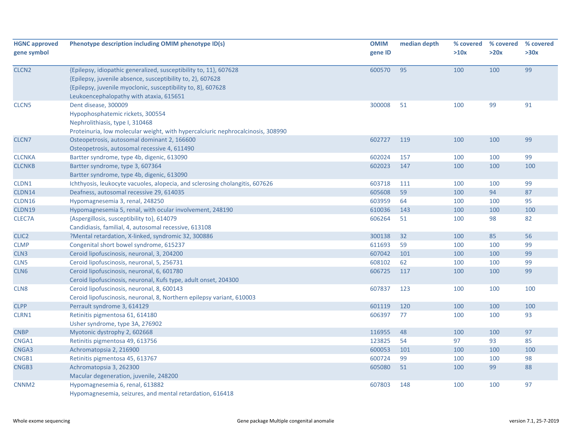| <b>HGNC approved</b><br>gene symbol | Phenotype description including OMIM phenotype ID(s)                                                                                                                                                                                       | <b>OMIM</b><br>gene ID | median depth | % covered<br>>10x | % covered<br>>20x | % covered<br>>30x |
|-------------------------------------|--------------------------------------------------------------------------------------------------------------------------------------------------------------------------------------------------------------------------------------------|------------------------|--------------|-------------------|-------------------|-------------------|
| CLCN <sub>2</sub>                   | {Epilepsy, idiopathic generalized, susceptibility to, 11}, 607628<br>{Epilepsy, juvenile absence, susceptibility to, 2}, 607628<br>{Epilepsy, juvenile myoclonic, susceptibility to, 8}, 607628<br>Leukoencephalopathy with ataxia, 615651 | 600570                 | 95           | 100               | 100               | 99                |
| CLCN <sub>5</sub>                   | Dent disease, 300009<br>Hypophosphatemic rickets, 300554<br>Nephrolithiasis, type I, 310468<br>Proteinuria, low molecular weight, with hypercalciuric nephrocalcinosis, 308990                                                             | 300008                 | 51           | 100               | 99                | 91                |
| CLCN7                               | Osteopetrosis, autosomal dominant 2, 166600<br>Osteopetrosis, autosomal recessive 4, 611490                                                                                                                                                | 602727                 | 119          | 100               | 100               | 99                |
| <b>CLCNKA</b>                       | Bartter syndrome, type 4b, digenic, 613090                                                                                                                                                                                                 | 602024                 | 157          | 100               | 100               | 99                |
| <b>CLCNKB</b>                       | Bartter syndrome, type 3, 607364<br>Bartter syndrome, type 4b, digenic, 613090                                                                                                                                                             | 602023                 | 147          | 100               | 100               | 100               |
| CLDN1                               | Ichthyosis, leukocyte vacuoles, alopecia, and sclerosing cholangitis, 607626                                                                                                                                                               | 603718                 | 111          | 100               | 100               | 99                |
| CLDN14                              | Deafness, autosomal recessive 29, 614035                                                                                                                                                                                                   | 605608                 | 59           | 100               | 94                | 87                |
| CLDN16                              | Hypomagnesemia 3, renal, 248250                                                                                                                                                                                                            | 603959                 | 64           | 100               | 100               | 95                |
| CLDN19                              | Hypomagnesemia 5, renal, with ocular involvement, 248190                                                                                                                                                                                   | 610036                 | 143          | 100               | 100               | 100               |
| CLEC7A                              | {Aspergillosis, susceptibility to}, 614079<br>Candidiasis, familial, 4, autosomal recessive, 613108                                                                                                                                        | 606264                 | 51           | 100               | 98                | 82                |
| CLIC <sub>2</sub>                   | ?Mental retardation, X-linked, syndromic 32, 300886                                                                                                                                                                                        | 300138                 | 32           | 100               | 85                | 56                |
| <b>CLMP</b>                         | Congenital short bowel syndrome, 615237                                                                                                                                                                                                    | 611693                 | 59           | 100               | 100               | 99                |
| CLN <sub>3</sub>                    | Ceroid lipofuscinosis, neuronal, 3, 204200                                                                                                                                                                                                 | 607042                 | 101          | 100               | 100               | 99                |
| CLN <sub>5</sub>                    | Ceroid lipofuscinosis, neuronal, 5, 256731                                                                                                                                                                                                 | 608102                 | 62           | 100               | 100               | 99                |
| CLN6                                | Ceroid lipofuscinosis, neuronal, 6, 601780<br>Ceroid lipofuscinosis, neuronal, Kufs type, adult onset, 204300                                                                                                                              | 606725                 | 117          | 100               | 100               | 99                |
| CLN8                                | Ceroid lipofuscinosis, neuronal, 8, 600143<br>Ceroid lipofuscinosis, neuronal, 8, Northern epilepsy variant, 610003                                                                                                                        | 607837                 | 123          | 100               | 100               | 100               |
| <b>CLPP</b>                         | Perrault syndrome 3, 614129                                                                                                                                                                                                                | 601119                 | 120          | 100               | 100               | 100               |
| CLRN1                               | Retinitis pigmentosa 61, 614180<br>Usher syndrome, type 3A, 276902                                                                                                                                                                         | 606397                 | 77           | 100               | 100               | 93                |
| <b>CNBP</b>                         | Myotonic dystrophy 2, 602668                                                                                                                                                                                                               | 116955                 | 48           | 100               | 100               | 97                |
| CNGA1                               | Retinitis pigmentosa 49, 613756                                                                                                                                                                                                            | 123825                 | 54           | 97                | 93                | 85                |
| CNGA3                               | Achromatopsia 2, 216900                                                                                                                                                                                                                    | 600053                 | 101          | 100               | 100               | 100               |
| CNGB1                               | Retinitis pigmentosa 45, 613767                                                                                                                                                                                                            | 600724                 | 99           | 100               | 100               | 98                |
| CNGB3                               | Achromatopsia 3, 262300                                                                                                                                                                                                                    | 605080                 | 51           | 100               | 99                | 88                |
|                                     | Macular degeneration, juvenile, 248200                                                                                                                                                                                                     |                        |              |                   |                   |                   |
| CNNM <sub>2</sub>                   | Hypomagnesemia 6, renal, 613882<br>Hypomagnesemia, seizures, and mental retardation, 616418                                                                                                                                                | 607803                 | 148          | 100               | 100               | 97                |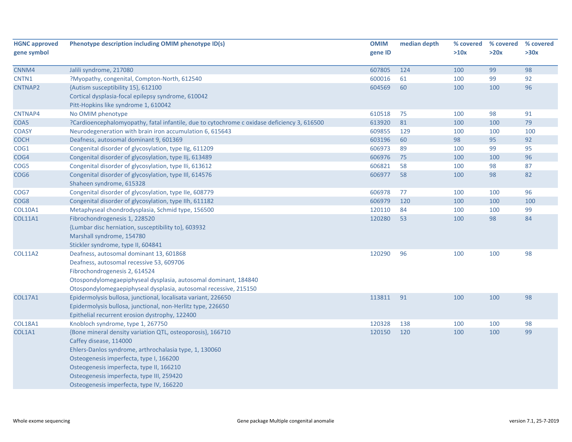| >30x<br>98 |
|------------|
|            |
|            |
|            |
| 92         |
| 96         |
|            |
|            |
| 91         |
| 79         |
| 100        |
| 92         |
| 95         |
| 96         |
| 87         |
| 82         |
|            |
| 96         |
| 100        |
| 99         |
| 84         |
|            |
|            |
|            |
| 98         |
|            |
|            |
|            |
|            |
| 98         |
|            |
|            |
| 98         |
| 99         |
|            |
|            |
|            |
|            |
|            |
|            |
|            |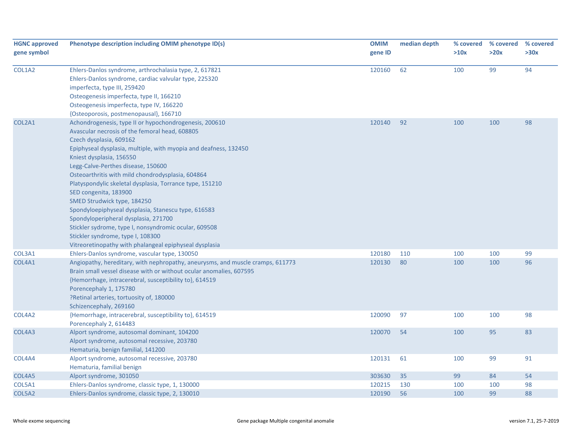| <b>HGNC approved</b><br>gene symbol | Phenotype description including OMIM phenotype ID(s)                                                                                                                                                                                                                                                                                                                                                                                                                                                                                                                                                                                                                                                      | <b>OMIM</b><br>gene ID | median depth | % covered<br>>10x | % covered<br>>20x | % covered<br>>30x |
|-------------------------------------|-----------------------------------------------------------------------------------------------------------------------------------------------------------------------------------------------------------------------------------------------------------------------------------------------------------------------------------------------------------------------------------------------------------------------------------------------------------------------------------------------------------------------------------------------------------------------------------------------------------------------------------------------------------------------------------------------------------|------------------------|--------------|-------------------|-------------------|-------------------|
| COL1A2                              | Ehlers-Danlos syndrome, arthrochalasia type, 2, 617821<br>Ehlers-Danlos syndrome, cardiac valvular type, 225320<br>imperfecta, type III, 259420<br>Osteogenesis imperfecta, type II, 166210<br>Osteogenesis imperfecta, type IV, 166220<br>{Osteoporosis, postmenopausal}, 166710                                                                                                                                                                                                                                                                                                                                                                                                                         | 120160                 | 62           | 100               | 99                | 94                |
| COL2A1                              | Achondrogenesis, type II or hypochondrogenesis, 200610<br>Avascular necrosis of the femoral head, 608805<br>Czech dysplasia, 609162<br>Epiphyseal dysplasia, multiple, with myopia and deafness, 132450<br>Kniest dysplasia, 156550<br>Legg-Calve-Perthes disease, 150600<br>Osteoarthritis with mild chondrodysplasia, 604864<br>Platyspondylic skeletal dysplasia, Torrance type, 151210<br>SED congenita, 183900<br>SMED Strudwick type, 184250<br>Spondyloepiphyseal dysplasia, Stanescu type, 616583<br>Spondyloperipheral dysplasia, 271700<br>Stickler sydrome, type I, nonsyndromic ocular, 609508<br>Stickler syndrome, type I, 108300<br>Vitreoretinopathy with phalangeal epiphyseal dysplasia | 120140                 | 92           | 100               | 100               | 98                |
| COL3A1                              | Ehlers-Danlos syndrome, vascular type, 130050                                                                                                                                                                                                                                                                                                                                                                                                                                                                                                                                                                                                                                                             | 120180                 | 110          | 100               | 100               | 99                |
| COL4A1                              | Angiopathy, hereditary, with nephropathy, aneurysms, and muscle cramps, 611773<br>Brain small vessel disease with or without ocular anomalies, 607595<br>{Hemorrhage, intracerebral, susceptibility to}, 614519<br>Porencephaly 1, 175780<br>?Retinal arteries, tortuosity of, 180000<br>Schizencephaly, 269160                                                                                                                                                                                                                                                                                                                                                                                           | 120130                 | 80           | 100               | 100               | 96                |
| COL4A2                              | {Hemorrhage, intracerebral, susceptibility to}, 614519<br>Porencephaly 2, 614483                                                                                                                                                                                                                                                                                                                                                                                                                                                                                                                                                                                                                          | 120090                 | 97           | 100               | 100               | 98                |
| COL4A3                              | Alport syndrome, autosomal dominant, 104200<br>Alport syndrome, autosomal recessive, 203780<br>Hematuria, benign familial, 141200                                                                                                                                                                                                                                                                                                                                                                                                                                                                                                                                                                         | 120070                 | 54           | 100               | 95                | 83                |
| COL4A4                              | Alport syndrome, autosomal recessive, 203780<br>Hematuria, familial benign                                                                                                                                                                                                                                                                                                                                                                                                                                                                                                                                                                                                                                | 120131                 | 61           | 100               | 99                | 91                |
| COL4A5                              | Alport syndrome, 301050                                                                                                                                                                                                                                                                                                                                                                                                                                                                                                                                                                                                                                                                                   | 303630                 | 35           | 99                | 84                | 54                |
| COL5A1                              | Ehlers-Danlos syndrome, classic type, 1, 130000                                                                                                                                                                                                                                                                                                                                                                                                                                                                                                                                                                                                                                                           | 120215                 | 130          | 100               | 100               | 98                |
| COL5A2                              | Ehlers-Danlos syndrome, classic type, 2, 130010                                                                                                                                                                                                                                                                                                                                                                                                                                                                                                                                                                                                                                                           | 120190                 | 56           | 100               | 99                | 88                |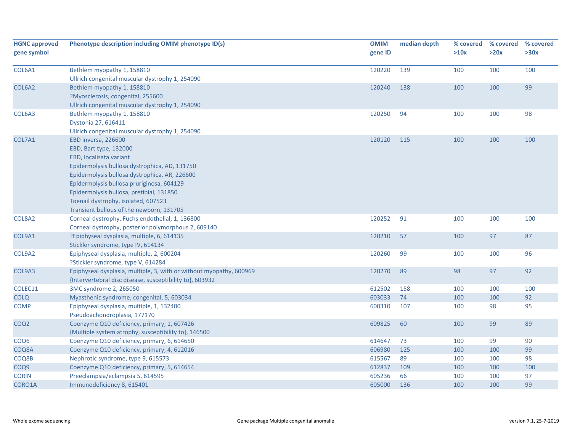| <b>HGNC approved</b><br>gene symbol | Phenotype description including OMIM phenotype ID(s)                | <b>OMIM</b><br>gene ID | median depth | % covered<br>>10x | % covered<br>>20x | % covered<br>>30x |
|-------------------------------------|---------------------------------------------------------------------|------------------------|--------------|-------------------|-------------------|-------------------|
|                                     |                                                                     |                        |              |                   |                   |                   |
| COL6A1                              | Bethlem myopathy 1, 158810                                          | 120220                 | 139          | 100               | 100               | 100               |
|                                     | Ullrich congenital muscular dystrophy 1, 254090                     |                        |              |                   |                   |                   |
| COL6A2                              | Bethlem myopathy 1, 158810                                          | 120240                 | 138          | 100               | 100               | 99                |
|                                     | ?Myosclerosis, congenital, 255600                                   |                        |              |                   |                   |                   |
|                                     | Ullrich congenital muscular dystrophy 1, 254090                     |                        |              |                   |                   |                   |
| COL6A3                              | Bethlem myopathy 1, 158810                                          | 120250                 | 94           | 100               | 100               | 98                |
|                                     | Dystonia 27, 616411                                                 |                        |              |                   |                   |                   |
|                                     | Ullrich congenital muscular dystrophy 1, 254090                     |                        |              |                   |                   |                   |
| COL7A1                              | EBD inversa, 226600                                                 | 120120                 | 115          | 100               | 100               | 100               |
|                                     | EBD, Bart type, 132000                                              |                        |              |                   |                   |                   |
|                                     | EBD, localisata variant                                             |                        |              |                   |                   |                   |
|                                     | Epidermolysis bullosa dystrophica, AD, 131750                       |                        |              |                   |                   |                   |
|                                     | Epidermolysis bullosa dystrophica, AR, 226600                       |                        |              |                   |                   |                   |
|                                     | Epidermolysis bullosa pruriginosa, 604129                           |                        |              |                   |                   |                   |
|                                     | Epidermolysis bullosa, pretibial, 131850                            |                        |              |                   |                   |                   |
|                                     | Toenail dystrophy, isolated, 607523                                 |                        |              |                   |                   |                   |
|                                     | Transient bullous of the newborn, 131705                            |                        |              |                   |                   |                   |
| COL8A2                              | Corneal dystrophy, Fuchs endothelial, 1, 136800                     | 120252                 | 91           | 100               | 100               | 100               |
|                                     | Corneal dystrophy, posterior polymorphous 2, 609140                 |                        |              |                   |                   |                   |
| COL9A1                              | ?Epiphyseal dysplasia, multiple, 6, 614135                          | 120210                 | 57           | 100               | 97                | 87                |
|                                     | Stickler syndrome, type IV, 614134                                  |                        |              |                   |                   |                   |
| COL9A2                              | Epiphyseal dysplasia, multiple, 2, 600204                           | 120260                 | 99           | 100               | 100               | 96                |
|                                     | ?Stickler syndrome, type V, 614284                                  |                        |              |                   |                   |                   |
| COL9A3                              | Epiphyseal dysplasia, multiple, 3, with or without myopathy, 600969 | 120270                 | 89           | 98                | 97                | 92                |
|                                     | {Intervertebral disc disease, susceptibility to}, 603932            |                        |              |                   |                   |                   |
| COLEC11                             | 3MC syndrome 2, 265050                                              | 612502                 | 158          | 100               | 100               | 100               |
| <b>COLQ</b>                         | Myasthenic syndrome, congenital, 5, 603034                          | 603033                 | 74           | 100               | 100               | 92                |
| <b>COMP</b>                         | Epiphyseal dysplasia, multiple, 1, 132400                           | 600310                 | 107          | 100               | 98                | 95                |
|                                     | Pseudoachondroplasia, 177170                                        |                        |              |                   |                   |                   |
| COQ <sub>2</sub>                    | Coenzyme Q10 deficiency, primary, 1, 607426                         | 609825                 | 60           | 100               | 99                | 89                |
|                                     | {Multiple system atrophy, susceptibility to}, 146500                |                        |              |                   |                   |                   |
| COQ <sub>6</sub>                    | Coenzyme Q10 deficiency, primary, 6, 614650                         | 614647                 | 73           | 100               | 99                | 90                |
| COQ8A                               | Coenzyme Q10 deficiency, primary, 4, 612016                         | 606980                 | 125          | 100               | 100               | 99                |
| COQ8B                               | Nephrotic syndrome, type 9, 615573                                  | 615567                 | 89           | 100               | 100               | 98                |
| COQ9                                | Coenzyme Q10 deficiency, primary, 5, 614654                         | 612837                 | 109          | 100               | 100               | 100               |
| <b>CORIN</b>                        | Preeclampsia/eclampsia 5, 614595                                    | 605236                 | 66           | 100               | 100               | 97                |
| CORO1A                              | Immunodeficiency 8, 615401                                          | 605000                 | 136          | 100               | 100               | 99                |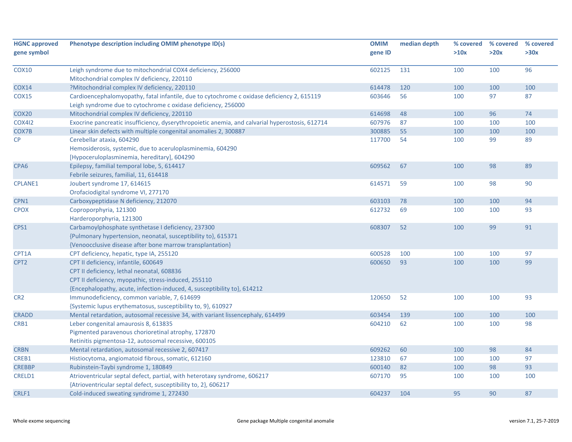| <b>HGNC approved</b><br>gene symbol | Phenotype description including OMIM phenotype ID(s)                                                                                                                                                                   | <b>OMIM</b><br>gene ID | median depth | % covered<br>>10x | % covered<br>>20x | % covered<br>>30x |
|-------------------------------------|------------------------------------------------------------------------------------------------------------------------------------------------------------------------------------------------------------------------|------------------------|--------------|-------------------|-------------------|-------------------|
| <b>COX10</b>                        | Leigh syndrome due to mitochondrial COX4 deficiency, 256000<br>Mitochondrial complex IV deficiency, 220110                                                                                                             | 602125                 | 131          | 100               | 100               | 96                |
| <b>COX14</b>                        | ?Mitochondrial complex IV deficiency, 220110                                                                                                                                                                           | 614478                 | 120          | 100               | 100               | 100               |
| <b>COX15</b>                        | Cardioencephalomyopathy, fatal infantile, due to cytochrome c oxidase deficiency 2, 615119<br>Leigh syndrome due to cytochrome c oxidase deficiency, 256000                                                            | 603646                 | 56           | 100               | 97                | 87                |
| COX <sub>20</sub>                   | Mitochondrial complex IV deficiency, 220110                                                                                                                                                                            | 614698                 | 48           | 100               | 96                | 74                |
| <b>COX412</b>                       | Exocrine pancreatic insufficiency, dyserythropoietic anemia, and calvarial hyperostosis, 612714                                                                                                                        | 607976                 | 87           | 100               | 100               | 100               |
| COX7B                               | Linear skin defects with multiple congenital anomalies 2, 300887                                                                                                                                                       | 300885                 | 55           | 100               | 100               | 100               |
| $\mathsf{CP}$                       | Cerebellar ataxia, 604290<br>Hemosiderosis, systemic, due to aceruloplasminemia, 604290<br>[Hypoceruloplasminemia, hereditary], 604290                                                                                 | 117700                 | 54           | 100               | 99                | 89                |
| CPA <sub>6</sub>                    | Epilepsy, familial temporal lobe, 5, 614417<br>Febrile seizures, familial, 11, 614418                                                                                                                                  | 609562                 | 67           | 100               | 98                | 89                |
| <b>CPLANE1</b>                      | Joubert syndrome 17, 614615<br>Orofaciodigital syndrome VI, 277170                                                                                                                                                     | 614571                 | 59           | 100               | 98                | 90                |
| CPN1                                | Carboxypeptidase N deficiency, 212070                                                                                                                                                                                  | 603103                 | 78           | 100               | 100               | 94                |
| <b>CPOX</b>                         | Coproporphyria, 121300<br>Harderoporphyria, 121300                                                                                                                                                                     | 612732                 | 69           | 100               | 100               | 93                |
| CPS1                                | Carbamoylphosphate synthetase I deficiency, 237300<br>{Pulmonary hypertension, neonatal, susceptibility to}, 615371<br>{Venoocclusive disease after bone marrow transplantation}                                       | 608307                 | 52           | 100               | 99                | 91                |
| CPT1A                               | CPT deficiency, hepatic, type IA, 255120                                                                                                                                                                               | 600528                 | 100          | 100               | 100               | 97                |
| CPT <sub>2</sub>                    | CPT II deficiency, infantile, 600649<br>CPT II deficiency, lethal neonatal, 608836<br>CPT II deficiency, myopathic, stress-induced, 255110<br>{Encephalopathy, acute, infection-induced, 4, susceptibility to}, 614212 | 600650                 | 93           | 100               | 100               | 99                |
| CR <sub>2</sub>                     | Immunodeficiency, common variable, 7, 614699<br>{Systemic lupus erythematosus, susceptibility to, 9}, 610927                                                                                                           | 120650                 | 52           | 100               | 100               | 93                |
| <b>CRADD</b>                        | Mental retardation, autosomal recessive 34, with variant lissencephaly, 614499                                                                                                                                         | 603454                 | 139          | 100               | 100               | 100               |
| CRB1                                | Leber congenital amaurosis 8, 613835<br>Pigmented paravenous chorioretinal atrophy, 172870<br>Retinitis pigmentosa-12, autosomal recessive, 600105                                                                     | 604210                 | 62           | 100               | 100               | 98                |
| <b>CRBN</b>                         | Mental retardation, autosomal recessive 2, 607417                                                                                                                                                                      | 609262                 | 60           | 100               | 98                | 84                |
| CREB1                               | Histiocytoma, angiomatoid fibrous, somatic, 612160                                                                                                                                                                     | 123810                 | 67           | 100               | 100               | 97                |
| <b>CREBBP</b>                       | Rubinstein-Taybi syndrome 1, 180849                                                                                                                                                                                    | 600140                 | 82           | 100               | 98                | 93                |
| CRELD1                              | Atrioventricular septal defect, partial, with heterotaxy syndrome, 606217<br>{Atrioventricular septal defect, susceptibility to, 2}, 606217                                                                            | 607170                 | 95           | 100               | 100               | 100               |
| CRLF1                               | Cold-induced sweating syndrome 1, 272430                                                                                                                                                                               | 604237                 | 104          | 95                | 90                | 87                |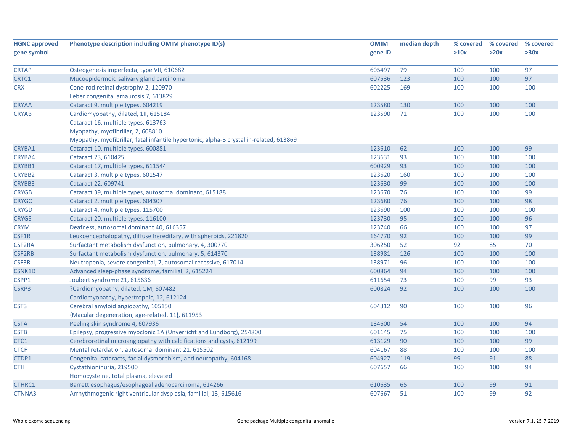| <b>HGNC approved</b> | Phenotype description including OMIM phenotype ID(s)                                   | <b>OMIM</b> | median depth | % covered | % covered | % covered |
|----------------------|----------------------------------------------------------------------------------------|-------------|--------------|-----------|-----------|-----------|
| gene symbol          |                                                                                        | gene ID     |              | >10x      | >20x      | >30x      |
|                      |                                                                                        |             |              |           |           |           |
| <b>CRTAP</b>         | Osteogenesis imperfecta, type VII, 610682                                              | 605497      | 79           | 100       | 100       | 97        |
| CRTC1                | Mucoepidermoid salivary gland carcinoma                                                | 607536      | 123          | 100       | 100       | 97        |
| <b>CRX</b>           | Cone-rod retinal dystrophy-2, 120970                                                   | 602225      | 169          | 100       | 100       | 100       |
|                      | Leber congenital amaurosis 7, 613829                                                   |             |              |           |           |           |
| <b>CRYAA</b>         | Cataract 9, multiple types, 604219                                                     | 123580      | 130          | 100       | 100       | 100       |
| <b>CRYAB</b>         | Cardiomyopathy, dilated, 1II, 615184                                                   | 123590      | 71           | 100       | 100       | 100       |
|                      | Cataract 16, multiple types, 613763                                                    |             |              |           |           |           |
|                      | Myopathy, myofibrillar, 2, 608810                                                      |             |              |           |           |           |
|                      | Myopathy, myofibrillar, fatal infantile hypertonic, alpha-B crystallin-related, 613869 |             |              |           |           |           |
| CRYBA1               | Cataract 10, multiple types, 600881                                                    | 123610      | 62           | 100       | 100       | 99        |
| CRYBA4               | Cataract 23, 610425                                                                    | 123631      | 93           | 100       | 100       | 100       |
| CRYBB1               | Cataract 17, multiple types, 611544                                                    | 600929      | 93           | 100       | 100       | 100       |
| CRYBB2               | Cataract 3, multiple types, 601547                                                     | 123620      | 160          | 100       | 100       | 100       |
| <b>CRYBB3</b>        | Cataract 22, 609741                                                                    | 123630      | 99           | 100       | 100       | 100       |
| <b>CRYGB</b>         | Cataract 39, multiple types, autosomal dominant, 615188                                | 123670      | 76           | 100       | 100       | 99        |
| <b>CRYGC</b>         | Cataract 2, multiple types, 604307                                                     | 123680      | 76           | 100       | 100       | 98        |
| <b>CRYGD</b>         | Cataract 4, multiple types, 115700                                                     | 123690      | 100          | 100       | 100       | 100       |
| <b>CRYGS</b>         | Cataract 20, multiple types, 116100                                                    | 123730      | 95           | 100       | 100       | 96        |
| <b>CRYM</b>          | Deafness, autosomal dominant 40, 616357                                                | 123740      | 66           | 100       | 100       | 97        |
| CSF1R                | Leukoencephalopathy, diffuse hereditary, with spheroids, 221820                        | 164770      | 92           | 100       | 100       | 99        |
| CSF2RA               | Surfactant metabolism dysfunction, pulmonary, 4, 300770                                | 306250      | 52           | 92        | 85        | 70        |
| CSF2RB               | Surfactant metabolism dysfunction, pulmonary, 5, 614370                                | 138981      | 126          | 100       | 100       | 100       |
| CSF3R                | Neutropenia, severe congenital, 7, autosomal recessive, 617014                         | 138971      | 96           | 100       | 100       | 100       |
| CSNK1D               | Advanced sleep-phase syndrome, familial, 2, 615224                                     | 600864      | 94           | 100       | 100       | 100       |
| CSPP1                | Joubert syndrome 21, 615636                                                            | 611654      | 73           | 100       | 99        | 93        |
| CSRP3                | ?Cardiomyopathy, dilated, 1M, 607482                                                   | 600824      | 92           | 100       | 100       | 100       |
|                      | Cardiomyopathy, hypertrophic, 12, 612124                                               |             |              |           |           |           |
| CST <sub>3</sub>     | Cerebral amyloid angiopathy, 105150                                                    | 604312      | 90           | 100       | 100       | 96        |
|                      | {Macular degeneration, age-related, 11}, 611953                                        |             |              |           |           |           |
| <b>CSTA</b>          | Peeling skin syndrome 4, 607936                                                        | 184600      | 54           | 100       | 100       | 94        |
| <b>CSTB</b>          | Epilepsy, progressive myoclonic 1A (Unverricht and Lundborg), 254800                   | 601145      | 75           | 100       | 100       | 100       |
| CTC1                 | Cerebroretinal microangiopathy with calcifications and cysts, 612199                   | 613129      | 90           | 100       | 100       | 99        |
| <b>CTCF</b>          | Mental retardation, autosomal dominant 21, 615502                                      | 604167      | 88           | 100       | 100       | 100       |
| CTDP1                | Congenital cataracts, facial dysmorphism, and neuropathy, 604168                       | 604927      | 119          | 99        | 91        | 88        |
| <b>CTH</b>           | Cystathioninuria, 219500                                                               | 607657      | 66           | 100       | 100       | 94        |
|                      | Homocysteine, total plasma, elevated                                                   |             |              |           |           |           |
| CTHRC1               | Barrett esophagus/esophageal adenocarcinoma, 614266                                    | 610635      | 65           | 100       | 99        | 91        |
| CTNNA3               | Arrhythmogenic right ventricular dysplasia, familial, 13, 615616                       | 607667      | 51           | 100       | 99        | 92        |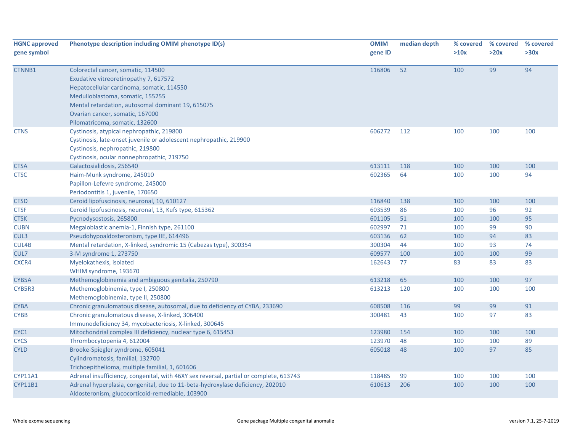| <b>HGNC approved</b><br>gene symbol | Phenotype description including OMIM phenotype ID(s)                                                                                                                                                                                                                                   | <b>OMIM</b><br>gene ID | median depth | % covered<br>>10x | % covered<br>>20x | % covered<br>>30x |
|-------------------------------------|----------------------------------------------------------------------------------------------------------------------------------------------------------------------------------------------------------------------------------------------------------------------------------------|------------------------|--------------|-------------------|-------------------|-------------------|
| CTNNB1                              | Colorectal cancer, somatic, 114500<br>Exudative vitreoretinopathy 7, 617572<br>Hepatocellular carcinoma, somatic, 114550<br>Medulloblastoma, somatic, 155255<br>Mental retardation, autosomal dominant 19, 615075<br>Ovarian cancer, somatic, 167000<br>Pilomatricoma, somatic, 132600 | 116806                 | 52           | 100               | 99                | 94                |
| <b>CTNS</b>                         | Cystinosis, atypical nephropathic, 219800<br>Cystinosis, late-onset juvenile or adolescent nephropathic, 219900<br>Cystinosis, nephropathic, 219800<br>Cystinosis, ocular nonnephropathic, 219750                                                                                      | 606272                 | 112          | 100               | 100               | 100               |
| <b>CTSA</b>                         | Galactosialidosis, 256540                                                                                                                                                                                                                                                              | 613111                 | 118          | 100               | 100               | 100               |
| <b>CTSC</b>                         | Haim-Munk syndrome, 245010<br>Papillon-Lefevre syndrome, 245000<br>Periodontitis 1, juvenile, 170650                                                                                                                                                                                   | 602365                 | 64           | 100               | 100               | 94                |
| <b>CTSD</b>                         | Ceroid lipofuscinosis, neuronal, 10, 610127                                                                                                                                                                                                                                            | 116840                 | 138          | 100               | 100               | 100               |
| <b>CTSF</b>                         | Ceroid lipofuscinosis, neuronal, 13, Kufs type, 615362                                                                                                                                                                                                                                 | 603539                 | 86           | 100               | 96                | 92                |
| <b>CTSK</b>                         | Pycnodysostosis, 265800                                                                                                                                                                                                                                                                | 601105                 | 51           | 100               | 100               | 95                |
| <b>CUBN</b>                         | Megaloblastic anemia-1, Finnish type, 261100                                                                                                                                                                                                                                           | 602997                 | 71           | 100               | 99                | 90                |
| CUL3                                | Pseudohypoaldosteronism, type IIE, 614496                                                                                                                                                                                                                                              | 603136                 | 62           | 100               | 94                | 83                |
| CUL4B                               | Mental retardation, X-linked, syndromic 15 (Cabezas type), 300354                                                                                                                                                                                                                      | 300304                 | 44           | 100               | 93                | 74                |
| CUL7                                | 3-M syndrome 1, 273750                                                                                                                                                                                                                                                                 | 609577                 | 100          | 100               | 100               | 99                |
| CXCR4                               | Myelokathexis, isolated<br>WHIM syndrome, 193670                                                                                                                                                                                                                                       | 162643                 | 77           | 83                | 83                | 83                |
| CYB5A                               | Methemoglobinemia and ambiguous genitalia, 250790                                                                                                                                                                                                                                      | 613218                 | 65           | 100               | 100               | 97                |
| CYB5R3                              | Methemoglobinemia, type I, 250800<br>Methemoglobinemia, type II, 250800                                                                                                                                                                                                                | 613213                 | 120          | 100               | 100               | 100               |
| <b>CYBA</b>                         | Chronic granulomatous disease, autosomal, due to deficiency of CYBA, 233690                                                                                                                                                                                                            | 608508                 | 116          | 99                | 99                | 91                |
| <b>CYBB</b>                         | Chronic granulomatous disease, X-linked, 306400<br>Immunodeficiency 34, mycobacteriosis, X-linked, 300645                                                                                                                                                                              | 300481                 | 43           | 100               | 97                | 83                |
| CYC1                                | Mitochondrial complex III deficiency, nuclear type 6, 615453                                                                                                                                                                                                                           | 123980                 | 154          | 100               | 100               | 100               |
| <b>CYCS</b>                         | Thrombocytopenia 4, 612004                                                                                                                                                                                                                                                             | 123970                 | 48           | 100               | 100               | 89                |
| <b>CYLD</b>                         | Brooke-Spiegler syndrome, 605041<br>Cylindromatosis, familial, 132700<br>Trichoepithelioma, multiple familial, 1, 601606                                                                                                                                                               | 605018                 | 48           | 100               | 97                | 85                |
| <b>CYP11A1</b>                      | Adrenal insufficiency, congenital, with 46XY sex reversal, partial or complete, 613743                                                                                                                                                                                                 | 118485                 | 99           | 100               | 100               | 100               |
| <b>CYP11B1</b>                      | Adrenal hyperplasia, congenital, due to 11-beta-hydroxylase deficiency, 202010<br>Aldosteronism, glucocorticoid-remediable, 103900                                                                                                                                                     | 610613                 | 206          | 100               | 100               | 100               |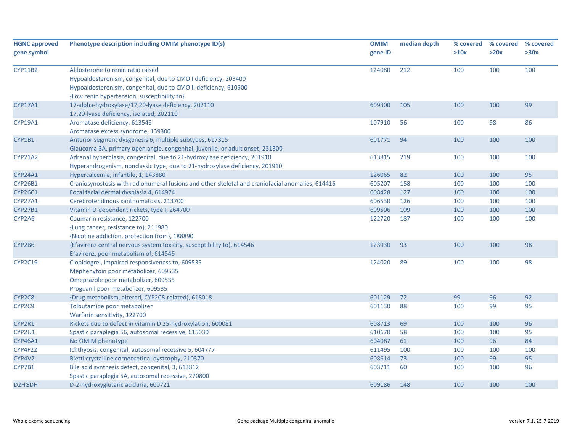| <b>HGNC approved</b><br>gene symbol | Phenotype description including OMIM phenotype ID(s)                                             | <b>OMIM</b><br>gene ID | median depth | % covered<br>>10x | % covered<br>>20x | % covered<br>>30x |
|-------------------------------------|--------------------------------------------------------------------------------------------------|------------------------|--------------|-------------------|-------------------|-------------------|
|                                     |                                                                                                  |                        |              |                   |                   |                   |
| <b>CYP11B2</b>                      | Aldosterone to renin ratio raised                                                                | 124080                 | 212          | 100               | 100               | 100               |
|                                     | Hypoaldosteronism, congenital, due to CMO I deficiency, 203400                                   |                        |              |                   |                   |                   |
|                                     | Hypoaldosteronism, congenital, due to CMO II deficiency, 610600                                  |                        |              |                   |                   |                   |
|                                     | {Low renin hypertension, susceptibility to}                                                      |                        |              |                   |                   |                   |
| CYP17A1                             | 17-alpha-hydroxylase/17,20-lyase deficiency, 202110                                              | 609300                 | 105          | 100               | 100               | 99                |
|                                     | 17,20-lyase deficiency, isolated, 202110                                                         |                        |              |                   |                   |                   |
| CYP19A1                             | Aromatase deficiency, 613546                                                                     | 107910                 | 56           | 100               | 98                | 86                |
|                                     | Aromatase excess syndrome, 139300                                                                |                        |              |                   |                   |                   |
| CYP1B1                              | Anterior segment dysgenesis 6, multiple subtypes, 617315                                         | 601771                 | 94           | 100               | 100               | 100               |
|                                     | Glaucoma 3A, primary open angle, congenital, juvenile, or adult onset, 231300                    |                        |              |                   |                   |                   |
| <b>CYP21A2</b>                      | Adrenal hyperplasia, congenital, due to 21-hydroxylase deficiency, 201910                        | 613815                 | 219          | 100               | 100               | 100               |
|                                     | Hyperandrogenism, nonclassic type, due to 21-hydroxylase deficiency, 201910                      |                        |              |                   |                   |                   |
| CYP24A1                             | Hypercalcemia, infantile, 1, 143880                                                              | 126065                 | 82           | 100               | 100               | 95                |
| CYP26B1                             | Craniosynostosis with radiohumeral fusions and other skeletal and craniofacial anomalies, 614416 | 605207                 | 158          | 100               | 100               | 100               |
| <b>CYP26C1</b>                      | Focal facial dermal dysplasia 4, 614974                                                          | 608428                 | 127          | 100               | 100               | 100               |
| <b>CYP27A1</b>                      | Cerebrotendinous xanthomatosis, 213700                                                           | 606530                 | 126          | 100               | 100               | 100               |
| <b>CYP27B1</b>                      | Vitamin D-dependent rickets, type I, 264700                                                      | 609506                 | 109          | 100               | 100               | 100               |
| CYP2A6                              | Coumarin resistance, 122700                                                                      | 122720                 | 187          | 100               | 100               | 100               |
|                                     | {Lung cancer, resistance to}, 211980                                                             |                        |              |                   |                   |                   |
|                                     | {Nicotine addiction, protection from}, 188890                                                    |                        |              |                   |                   |                   |
| CYP2B6                              | {Efavirenz central nervous system toxicity, susceptibility to}, 614546                           | 123930                 | 93           | 100               | 100               | 98                |
|                                     | Efavirenz, poor metabolism of, 614546                                                            |                        |              |                   |                   |                   |
| <b>CYP2C19</b>                      | Clopidogrel, impaired responsiveness to, 609535                                                  | 124020                 | 89           | 100               | 100               | 98                |
|                                     | Mephenytoin poor metabolizer, 609535                                                             |                        |              |                   |                   |                   |
|                                     | Omeprazole poor metabolizer, 609535                                                              |                        |              |                   |                   |                   |
|                                     | Proguanil poor metabolizer, 609535                                                               |                        |              |                   |                   |                   |
| CYP2C8                              | {Drug metabolism, altered, CYP2C8-related}, 618018                                               | 601129                 | 72           | 99                | 96                | 92                |
| CYP2C9                              | Tolbutamide poor metabolizer                                                                     | 601130                 | 88           | 100               | 99                | 95                |
|                                     | Warfarin sensitivity, 122700                                                                     |                        |              |                   |                   |                   |
| CYP2R1                              | Rickets due to defect in vitamin D 25-hydroxylation, 600081                                      | 608713                 | 69           | 100               | 100               | 96                |
| CYP2U1                              | Spastic paraplegia 56, autosomal recessive, 615030                                               | 610670                 | 58           | 100               | 100               | 95                |
| <b>CYP46A1</b>                      | No OMIM phenotype                                                                                | 604087                 | 61           | 100               | 96                | 84                |
| CYP4F22                             | Ichthyosis, congenital, autosomal recessive 5, 604777                                            | 611495                 | 100          | 100               | 100               | 100               |
| CYP4V2                              | Bietti crystalline corneoretinal dystrophy, 210370                                               | 608614                 | 73           | 100               | 99                | 95                |
| CYP7B1                              | Bile acid synthesis defect, congenital, 3, 613812                                                | 603711                 | 60           | 100               | 100               | 96                |
|                                     | Spastic paraplegia 5A, autosomal recessive, 270800                                               |                        |              |                   |                   |                   |
| D2HGDH                              | D-2-hydroxyglutaric aciduria, 600721                                                             | 609186                 | 148          | 100               | 100               | 100               |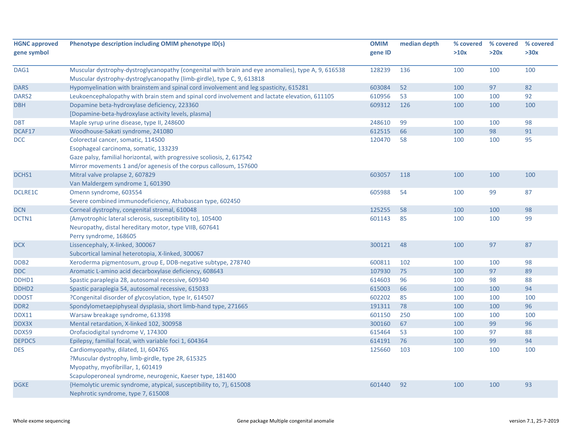| <b>HGNC approved</b><br>gene symbol | Phenotype description including OMIM phenotype ID(s)                                                                                                                         | <b>OMIM</b><br>gene ID | median depth | % covered<br>>10x | % covered<br>>20x | % covered<br>>30x |
|-------------------------------------|------------------------------------------------------------------------------------------------------------------------------------------------------------------------------|------------------------|--------------|-------------------|-------------------|-------------------|
|                                     |                                                                                                                                                                              |                        |              |                   |                   |                   |
| DAG1                                | Muscular dystrophy-dystroglycanopathy (congenital with brain and eye anomalies), type A, 9, 616538<br>Muscular dystrophy-dystroglycanopathy (limb-girdle), type C, 9, 613818 | 128239                 | 136          | 100               | 100               | 100               |
| <b>DARS</b>                         | Hypomyelination with brainstem and spinal cord involvement and leg spasticity, 615281                                                                                        | 603084                 | 52           | 100               | 97                | 82                |
| DARS <sub>2</sub>                   | Leukoencephalopathy with brain stem and spinal cord involvement and lactate elevation, 611105                                                                                | 610956                 | 53           | 100               | 100               | 92                |
| <b>DBH</b>                          | Dopamine beta-hydroxylase deficiency, 223360                                                                                                                                 | 609312                 | 126          | 100               | 100               | 100               |
|                                     | [Dopamine-beta-hydroxylase activity levels, plasma]                                                                                                                          |                        |              |                   |                   |                   |
| <b>DBT</b>                          | Maple syrup urine disease, type II, 248600                                                                                                                                   | 248610                 | 99           | 100               | 100               | 98                |
| DCAF17                              | Woodhouse-Sakati syndrome, 241080                                                                                                                                            | 612515                 | 66           | 100               | 98                | 91                |
| <b>DCC</b>                          | Colorectal cancer, somatic, 114500                                                                                                                                           | 120470                 | 58           | 100               | 100               | 95                |
|                                     | Esophageal carcinoma, somatic, 133239                                                                                                                                        |                        |              |                   |                   |                   |
|                                     | Gaze palsy, familial horizontal, with progressive scoliosis, 2, 617542                                                                                                       |                        |              |                   |                   |                   |
|                                     | Mirror movements 1 and/or agenesis of the corpus callosum, 157600                                                                                                            |                        |              |                   |                   |                   |
| DCHS1                               | Mitral valve prolapse 2, 607829                                                                                                                                              | 603057                 | 118          | 100               | 100               | 100               |
|                                     | Van Maldergem syndrome 1, 601390                                                                                                                                             |                        |              |                   |                   |                   |
| <b>DCLRE1C</b>                      | Omenn syndrome, 603554                                                                                                                                                       | 605988                 | 54           | 100               | 99                | 87                |
|                                     | Severe combined immunodeficiency, Athabascan type, 602450                                                                                                                    |                        |              |                   |                   |                   |
| <b>DCN</b>                          | Corneal dystrophy, congenital stromal, 610048                                                                                                                                | 125255                 | 58           | 100               | 100               | 98                |
| DCTN1                               | {Amyotrophic lateral sclerosis, susceptibility to}, 105400                                                                                                                   | 601143                 | 85           | 100               | 100               | 99                |
|                                     | Neuropathy, distal hereditary motor, type VIIB, 607641                                                                                                                       |                        |              |                   |                   |                   |
|                                     | Perry syndrome, 168605                                                                                                                                                       |                        |              |                   |                   |                   |
| DCX                                 | Lissencephaly, X-linked, 300067                                                                                                                                              | 300121                 | 48           | 100               | 97                | 87                |
|                                     | Subcortical laminal heterotopia, X-linked, 300067                                                                                                                            |                        |              |                   |                   |                   |
| DDB <sub>2</sub>                    | Xeroderma pigmentosum, group E, DDB-negative subtype, 278740                                                                                                                 | 600811                 | 102          | 100               | 100               | 98                |
| <b>DDC</b>                          | Aromatic L-amino acid decarboxylase deficiency, 608643                                                                                                                       | 107930                 | 75           | 100               | 97                | 89                |
| DDHD1                               | Spastic paraplegia 28, autosomal recessive, 609340                                                                                                                           | 614603                 | 96           | 100               | 98                | 88                |
| DDHD <sub>2</sub>                   | Spastic paraplegia 54, autosomal recessive, 615033                                                                                                                           | 615003                 | 66           | 100               | 100               | 94                |
| <b>DDOST</b>                        | ?Congenital disorder of glycosylation, type Ir, 614507                                                                                                                       | 602202                 | 85           | 100               | 100               | 100               |
| DDR <sub>2</sub>                    | Spondylometaepiphyseal dysplasia, short limb-hand type, 271665                                                                                                               | 191311                 | 78           | 100               | 100               | 96                |
| DDX11                               | Warsaw breakage syndrome, 613398                                                                                                                                             | 601150                 | 250          | 100               | 100               | 100               |
| DDX3X                               | Mental retardation, X-linked 102, 300958                                                                                                                                     | 300160                 | 67           | 100               | 99                | 96                |
| DDX59                               | Orofaciodigital syndrome V, 174300                                                                                                                                           | 615464                 | 53           | 100               | 97                | 88                |
| DEPDC5                              | Epilepsy, familial focal, with variable foci 1, 604364                                                                                                                       | 614191                 | 76           | 100               | 99                | 94                |
| <b>DES</b>                          | Cardiomyopathy, dilated, 1I, 604765                                                                                                                                          | 125660                 | 103          | 100               | 100               | 100               |
|                                     | ?Muscular dystrophy, limb-girdle, type 2R, 615325                                                                                                                            |                        |              |                   |                   |                   |
|                                     | Myopathy, myofibrillar, 1, 601419                                                                                                                                            |                        |              |                   |                   |                   |
|                                     | Scapuloperoneal syndrome, neurogenic, Kaeser type, 181400                                                                                                                    |                        |              |                   |                   |                   |
| <b>DGKE</b>                         | {Hemolytic uremic syndrome, atypical, susceptibility to, 7}, 615008                                                                                                          | 601440                 | 92           | 100               | 100               | 93                |
|                                     | Nephrotic syndrome, type 7, 615008                                                                                                                                           |                        |              |                   |                   |                   |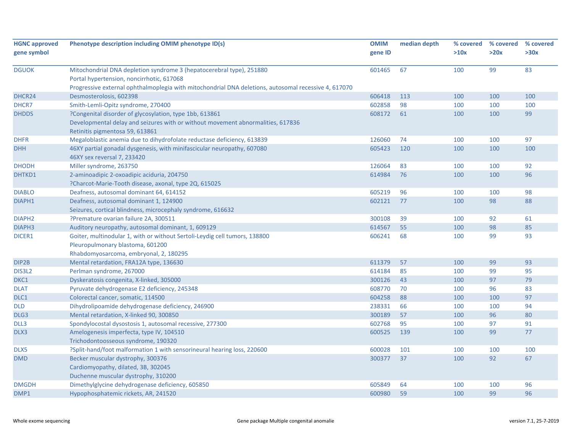| <b>HGNC approved</b><br>gene symbol | Phenotype description including OMIM phenotype ID(s)                                                                                                                                                                      | <b>OMIM</b><br>gene ID | median depth | % covered<br>>10x | % covered<br>>20x | % covered<br>>30x |
|-------------------------------------|---------------------------------------------------------------------------------------------------------------------------------------------------------------------------------------------------------------------------|------------------------|--------------|-------------------|-------------------|-------------------|
| <b>DGUOK</b>                        | Mitochondrial DNA depletion syndrome 3 (hepatocerebral type), 251880<br>Portal hypertension, noncirrhotic, 617068<br>Progressive external ophthalmoplegia with mitochondrial DNA deletions, autosomal recessive 4, 617070 | 601465                 | 67           | 100               | 99                | 83                |
| DHCR24                              | Desmosterolosis, 602398                                                                                                                                                                                                   | 606418                 | 113          | 100               | 100               | 100               |
| DHCR7                               | Smith-Lemli-Opitz syndrome, 270400                                                                                                                                                                                        | 602858                 | 98           | 100               | 100               | 100               |
| <b>DHDDS</b>                        | ?Congenital disorder of glycosylation, type 1bb, 613861<br>Developmental delay and seizures with or without movement abnormalities, 617836<br>Retinitis pigmentosa 59, 613861                                             | 608172                 | 61           | 100               | 100               | 99                |
| <b>DHFR</b>                         | Megaloblastic anemia due to dihydrofolate reductase deficiency, 613839                                                                                                                                                    | 126060                 | 74           | 100               | 100               | 97                |
| <b>DHH</b>                          | 46XY partial gonadal dysgenesis, with minifascicular neuropathy, 607080<br>46XY sex reversal 7, 233420                                                                                                                    | 605423                 | 120          | 100               | 100               | 100               |
| <b>DHODH</b>                        | Miller syndrome, 263750                                                                                                                                                                                                   | 126064                 | 83           | 100               | 100               | 92                |
| DHTKD1                              | 2-aminoadipic 2-oxoadipic aciduria, 204750<br>?Charcot-Marie-Tooth disease, axonal, type 2Q, 615025                                                                                                                       | 614984                 | 76           | 100               | 100               | 96                |
| <b>DIABLO</b>                       | Deafness, autosomal dominant 64, 614152                                                                                                                                                                                   | 605219                 | 96           | 100               | 100               | 98                |
| DIAPH1                              | Deafness, autosomal dominant 1, 124900<br>Seizures, cortical blindness, microcephaly syndrome, 616632                                                                                                                     | 602121                 | 77           | 100               | 98                | 88                |
| DIAPH <sub>2</sub>                  | ?Premature ovarian failure 2A, 300511                                                                                                                                                                                     | 300108                 | 39           | 100               | 92                | 61                |
| DIAPH3                              | Auditory neuropathy, autosomal dominant, 1, 609129                                                                                                                                                                        | 614567                 | 55           | 100               | 98                | 85                |
| DICER1                              | Goiter, multinodular 1, with or without Sertoli-Leydig cell tumors, 138800<br>Pleuropulmonary blastoma, 601200<br>Rhabdomyosarcoma, embryonal, 2, 180295                                                                  | 606241                 | 68           | 100               | 99                | 93                |
| DIP2B                               | Mental retardation, FRA12A type, 136630                                                                                                                                                                                   | 611379                 | 57           | 100               | 99                | 93                |
| DIS3L2                              | Perlman syndrome, 267000                                                                                                                                                                                                  | 614184                 | 85           | 100               | 99                | 95                |
| DKC1                                | Dyskeratosis congenita, X-linked, 305000                                                                                                                                                                                  | 300126                 | 43           | 100               | 97                | 79                |
| <b>DLAT</b>                         | Pyruvate dehydrogenase E2 deficiency, 245348                                                                                                                                                                              | 608770                 | 70           | 100               | 96                | 83                |
| DLC1                                | Colorectal cancer, somatic, 114500                                                                                                                                                                                        | 604258                 | 88           | 100               | 100               | 97                |
| <b>DLD</b>                          | Dihydrolipoamide dehydrogenase deficiency, 246900                                                                                                                                                                         | 238331                 | 66           | 100               | 100               | 94                |
| DLG3                                | Mental retardation, X-linked 90, 300850                                                                                                                                                                                   | 300189                 | 57           | 100               | 96                | 80                |
| DLL3                                | Spondylocostal dysostosis 1, autosomal recessive, 277300                                                                                                                                                                  | 602768                 | 95           | 100               | 97                | 91                |
| DLX3                                | Amelogenesis imperfecta, type IV, 104510<br>Trichodontoosseous syndrome, 190320                                                                                                                                           | 600525                 | 139          | 100               | 99                | 77                |
| DLX5                                | ?Split-hand/foot malformation 1 with sensorineural hearing loss, 220600                                                                                                                                                   | 600028                 | 101          | 100               | 100               | 100               |
| <b>DMD</b>                          | Becker muscular dystrophy, 300376<br>Cardiomyopathy, dilated, 3B, 302045<br>Duchenne muscular dystrophy, 310200                                                                                                           | 300377                 | 37           | 100               | 92                | 67                |
| <b>DMGDH</b>                        | Dimethylglycine dehydrogenase deficiency, 605850                                                                                                                                                                          | 605849                 | 64           | 100               | 100               | 96                |
| DMP1                                | Hypophosphatemic rickets, AR, 241520                                                                                                                                                                                      | 600980                 | 59           | 100               | 99                | 96                |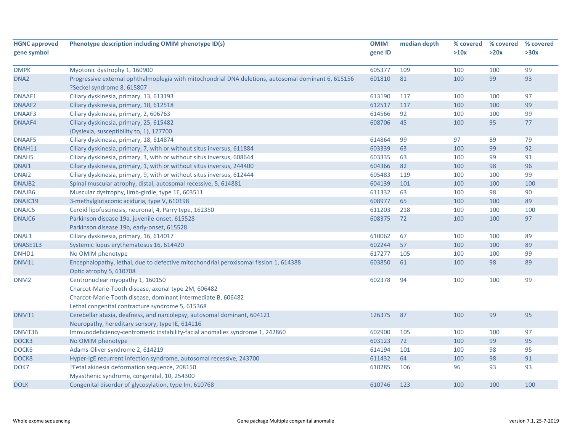| <b>HGNC approved</b> | Phenotype description including OMIM phenotype ID(s)                                                | <b>OMIM</b> | median depth | % covered | % covered | % covered |
|----------------------|-----------------------------------------------------------------------------------------------------|-------------|--------------|-----------|-----------|-----------|
| gene symbol          |                                                                                                     | gene ID     |              | >10x      | >20x      | >30x      |
|                      |                                                                                                     |             |              |           |           |           |
| <b>DMPK</b>          | Myotonic dystrophy 1, 160900                                                                        | 605377      | 109          | 100       | 100       | 99        |
| DNA <sub>2</sub>     | Progressive external ophthalmoplegia with mitochondrial DNA deletions, autosomal dominant 6, 615156 | 601810      | 81           | 100       | 99        | 93        |
|                      | ?Seckel syndrome 8, 615807                                                                          |             |              |           |           |           |
| DNAAF1               | Ciliary dyskinesia, primary, 13, 613193                                                             | 613190      | 117          | 100       | 100       | 97        |
| DNAAF2               | Ciliary dyskinesia, primary, 10, 612518                                                             | 612517      | 117          | 100       | 100       | 99        |
| DNAAF3               | Ciliary dyskinesia, primary, 2, 606763                                                              | 614566      | 92           | 100       | 100       | 99        |
| DNAAF4               | Ciliary dyskinesia, primary, 25, 615482                                                             | 608706      | 45           | 100       | 95        | 77        |
|                      | {Dyslexia, susceptibility to, 1}, 127700                                                            |             |              |           |           |           |
| <b>DNAAF5</b>        | Ciliary dyskinesia, primary, 18, 614874                                                             | 614864      | 99           | 97        | 89        | 79        |
| DNAH11               | Ciliary dyskinesia, primary, 7, with or without situs inversus, 611884                              | 603339      | 63           | 100       | 99        | 92        |
| DNAH <sub>5</sub>    | Ciliary dyskinesia, primary, 3, with or without situs inversus, 608644                              | 603335      | 63           | 100       | 99        | 91        |
| DNAI1                | Ciliary dyskinesia, primary, 1, with or without situs inversus, 244400                              | 604366      | 82           | 100       | 98        | 96        |
| DNAI2                | Ciliary dyskinesia, primary, 9, with or without situs inversus, 612444                              | 605483      | 119          | 100       | 100       | 99        |
| DNAJB <sub>2</sub>   | Spinal muscular atrophy, distal, autosomal recessive, 5, 614881                                     | 604139      | 101          | 100       | 100       | 100       |
| DNAJB6               | Muscular dystrophy, limb-girdle, type 1E, 603511                                                    | 611332      | 63           | 100       | 98        | 90        |
| DNAJC19              | 3-methylglutaconic aciduria, type V, 610198                                                         | 608977      | 65           | 100       | 100       | 89        |
| DNAJC5               | Ceroid lipofuscinosis, neuronal, 4, Parry type, 162350                                              | 611203      | 218          | 100       | 100       | 100       |
| DNAJC6               | Parkinson disease 19a, juvenile-onset, 615528                                                       | 608375      | 72           | 100       | 100       | 97        |
|                      | Parkinson disease 19b, early-onset, 615528                                                          |             |              |           |           |           |
| DNAL1                | Ciliary dyskinesia, primary, 16, 614017                                                             | 610062      | 67           | 100       | 100       | 89        |
| DNASE1L3             | Systemic lupus erythematosus 16, 614420                                                             | 602244      | 57           | 100       | 100       | 89        |
| DNHD1                | No OMIM phenotype                                                                                   | 617277      | 105          | 100       | 100       | 99        |
| DNM1L                | Encephalopathy, lethal, due to defective mitochondrial peroxisomal fission 1, 614388                | 603850      | 61           | 100       | 98        | 89        |
|                      | Optic atrophy 5, 610708                                                                             |             |              |           |           |           |
| DNM <sub>2</sub>     | Centronuclear myopathy 1, 160150                                                                    | 602378      | 94           | 100       | 100       | 99        |
|                      | Charcot-Marie-Tooth disease, axonal type 2M, 606482                                                 |             |              |           |           |           |
|                      | Charcot-Marie-Tooth disease, dominant intermediate B, 606482                                        |             |              |           |           |           |
|                      | Lethal congenital contracture syndrome 5, 615368                                                    |             |              |           |           |           |
| DNMT1                | Cerebellar ataxia, deafness, and narcolepsy, autosomal dominant, 604121                             | 126375      | 87           | 100       | 99        | 95        |
|                      | Neuropathy, hereditary sensory, type IE, 614116                                                     |             |              |           |           |           |
| DNMT3B               | Immunodeficiency-centromeric instability-facial anomalies syndrome 1, 242860                        | 602900      | 105          | 100       | 100       | 97        |
| DOCK3                | No OMIM phenotype                                                                                   | 603123      | 72           | 100       | 99        | 95        |
| DOCK6                | Adams-Oliver syndrome 2, 614219                                                                     | 614194      | 101          | 100       | 98        | 95        |
| DOCK8                | Hyper-IgE recurrent infection syndrome, autosomal recessive, 243700                                 | 611432      | 64           | 100       | 98        | 91        |
| DOK7                 | ?Fetal akinesia deformation sequence, 208150                                                        | 610285      | 106          | 96        | 93        | 93        |
|                      | Myasthenic syndrome, congenital, 10, 254300                                                         |             |              |           |           |           |
| <b>DOLK</b>          | Congenital disorder of glycosylation, type Im, 610768                                               | 610746      | 123          | 100       | 100       | 100       |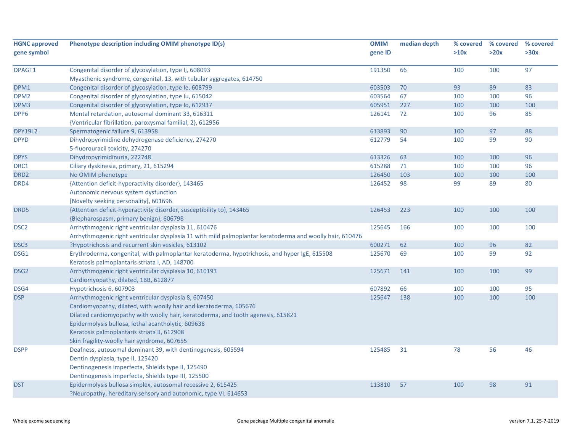| <b>HGNC approved</b><br>gene symbol | Phenotype description including OMIM phenotype ID(s)                                                                                                                                                                                                                                                                                                              | <b>OMIM</b><br>gene ID | median depth | % covered<br>>10x | % covered<br>>20x | % covered<br>>30x |
|-------------------------------------|-------------------------------------------------------------------------------------------------------------------------------------------------------------------------------------------------------------------------------------------------------------------------------------------------------------------------------------------------------------------|------------------------|--------------|-------------------|-------------------|-------------------|
| DPAGT1                              | Congenital disorder of glycosylation, type Ij, 608093<br>Myasthenic syndrome, congenital, 13, with tubular aggregates, 614750                                                                                                                                                                                                                                     | 191350                 | 66           | 100               | 100               | 97                |
| DPM1                                | Congenital disorder of glycosylation, type Ie, 608799                                                                                                                                                                                                                                                                                                             | 603503                 | 70           | 93                | 89                | 83                |
| DPM <sub>2</sub>                    | Congenital disorder of glycosylation, type Iu, 615042                                                                                                                                                                                                                                                                                                             | 603564                 | 67           | 100               | 100               | 96                |
| DPM3                                | Congenital disorder of glycosylation, type Io, 612937                                                                                                                                                                                                                                                                                                             | 605951                 | 227          | 100               | 100               | 100               |
| DPP6                                | Mental retardation, autosomal dominant 33, 616311<br>{Ventricular fibrillation, paroxysmal familial, 2}, 612956                                                                                                                                                                                                                                                   | 126141                 | 72           | 100               | 96                | 85                |
| <b>DPY19L2</b>                      | Spermatogenic failure 9, 613958                                                                                                                                                                                                                                                                                                                                   | 613893                 | 90           | 100               | 97                | 88                |
| <b>DPYD</b>                         | Dihydropyrimidine dehydrogenase deficiency, 274270<br>5-fluorouracil toxicity, 274270                                                                                                                                                                                                                                                                             | 612779                 | 54           | 100               | 99                | 90                |
| <b>DPYS</b>                         | Dihydropyrimidinuria, 222748                                                                                                                                                                                                                                                                                                                                      | 613326                 | 63           | 100               | 100               | 96                |
| DRC1                                | Ciliary dyskinesia, primary, 21, 615294                                                                                                                                                                                                                                                                                                                           | 615288                 | 71           | 100               | 100               | 96                |
| DRD <sub>2</sub>                    | No OMIM phenotype                                                                                                                                                                                                                                                                                                                                                 | 126450                 | 103          | 100               | 100               | 100               |
| DRD4                                | {Attention deficit-hyperactivity disorder}, 143465<br>Autonomic nervous system dysfunction<br>[Novelty seeking personality], 601696                                                                                                                                                                                                                               | 126452                 | 98           | 99                | 89                | 80                |
| DRD5                                | {Attention deficit-hyperactivity disorder, susceptibility to}, 143465<br>{Blepharospasm, primary benign}, 606798                                                                                                                                                                                                                                                  | 126453                 | 223          | 100               | 100               | 100               |
| DSC <sub>2</sub>                    | Arrhythmogenic right ventricular dysplasia 11, 610476<br>Arrhythmogenic right ventricular dysplasia 11 with mild palmoplantar keratoderma and woolly hair, 610476                                                                                                                                                                                                 | 125645                 | 166          | 100               | 100               | 100               |
| DSC <sub>3</sub>                    | ?Hypotrichosis and recurrent skin vesicles, 613102                                                                                                                                                                                                                                                                                                                | 600271                 | 62           | 100               | 96                | 82                |
| DSG1                                | Erythroderma, congenital, with palmoplantar keratoderma, hypotrichosis, and hyper IgE, 615508<br>Keratosis palmoplantaris striata I, AD, 148700                                                                                                                                                                                                                   | 125670                 | 69           | 100               | 99                | 92                |
| DSG <sub>2</sub>                    | Arrhythmogenic right ventricular dysplasia 10, 610193<br>Cardiomyopathy, dilated, 1BB, 612877                                                                                                                                                                                                                                                                     | 125671                 | 141          | 100               | 100               | 99                |
| DSG4                                | Hypotrichosis 6, 607903                                                                                                                                                                                                                                                                                                                                           | 607892                 | 66           | 100               | 100               | 95                |
| <b>DSP</b>                          | Arrhythmogenic right ventricular dysplasia 8, 607450<br>Cardiomyopathy, dilated, with woolly hair and keratoderma, 605676<br>Dilated cardiomyopathy with woolly hair, keratoderma, and tooth agenesis, 615821<br>Epidermolysis bullosa, lethal acantholytic, 609638<br>Keratosis palmoplantaris striata II, 612908<br>Skin fragility-woolly hair syndrome, 607655 | 125647                 | 138          | 100               | 100               | 100               |
| <b>DSPP</b>                         | Deafness, autosomal dominant 39, with dentinogenesis, 605594<br>Dentin dysplasia, type II, 125420<br>Dentinogenesis imperfecta, Shields type II, 125490<br>Dentinogenesis imperfecta, Shields type III, 125500                                                                                                                                                    | 125485                 | 31           | 78                | 56                | 46                |
| <b>DST</b>                          | Epidermolysis bullosa simplex, autosomal recessive 2, 615425<br>?Neuropathy, hereditary sensory and autonomic, type VI, 614653                                                                                                                                                                                                                                    | 113810                 | 57           | 100               | 98                | 91                |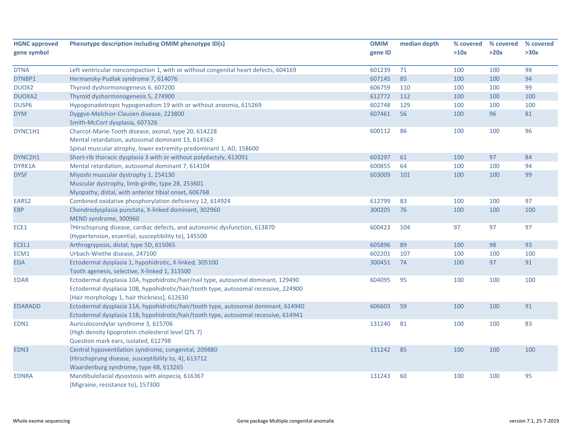| <b>HGNC approved</b> | Phenotype description including OMIM phenotype ID(s)                                | <b>OMIM</b> | median depth | % covered | % covered | % covered |
|----------------------|-------------------------------------------------------------------------------------|-------------|--------------|-----------|-----------|-----------|
| gene symbol          |                                                                                     | gene ID     |              | >10x      | >20x      | >30x      |
|                      |                                                                                     |             |              |           |           |           |
| <b>DTNA</b>          | Left ventricular noncompaction 1, with or without congenital heart defects, 604169  | 601239      | 71           | 100       | 100       | 98        |
| DTNBP1               | Hermansky-Pudlak syndrome 7, 614076                                                 | 607145      | 85           | 100       | 100       | 94        |
| DUOX2                | Thyroid dyshormonogenesis 6, 607200                                                 | 606759      | 110          | 100       | 100       | 99        |
| DUOXA2               | Thyroid dyshormonogenesis 5, 274900                                                 | 612772      | 112          | 100       | 100       | 100       |
| DUSP6                | Hypogonadotropic hypogonadism 19 with or without anosmia, 615269                    | 602748      | 129          | 100       | 100       | 100       |
| <b>DYM</b>           | Dyggve-Melchior-Clausen disease, 223800                                             | 607461      | 56           | 100       | 96        | 81        |
|                      | Smith-McCort dysplasia, 607326                                                      |             |              |           |           |           |
| DYNC1H1              | Charcot-Marie-Tooth disease, axonal, type 20, 614228                                | 600112      | 86           | 100       | 100       | 96        |
|                      | Mental retardation, autosomal dominant 13, 614563                                   |             |              |           |           |           |
|                      | Spinal muscular atrophy, lower extremity-predominant 1, AD, 158600                  |             |              |           |           |           |
| DYNC2H1              | Short-rib thoracic dysplasia 3 with or without polydactyly, 613091                  | 603297      | 61           | 100       | 97        | 84        |
| DYRK1A               | Mental retardation, autosomal dominant 7, 614104                                    | 600855      | 64           | 100       | 100       | 94        |
| <b>DYSF</b>          | Miyoshi muscular dystrophy 1, 254130                                                | 603009      | 101          | 100       | 100       | 99        |
|                      | Muscular dystrophy, limb-girdle, type 2B, 253601                                    |             |              |           |           |           |
|                      | Myopathy, distal, with anterior tibial onset, 606768                                |             |              |           |           |           |
| EARS2                | Combined oxidative phosphorylation deficiency 12, 614924                            | 612799      | 83           | 100       | 100       | 97        |
| <b>EBP</b>           | Chondrodysplasia punctata, X-linked dominant, 302960<br>MEND syndrome, 300960       | 300205      | 76           | 100       | 100       | 100       |
| ECE1                 | ?Hirschsprung disease, cardiac defects, and autonomic dysfunction, 613870           | 600423      | 104          | 97        | 97        | 97        |
|                      | {Hypertension, essential, susceptibility to}, 145500                                |             |              |           |           |           |
| ECEL1                | Arthrogryposis, distal, type 5D, 615065                                             | 605896      | 89           | 100       | 98        | 93        |
| ECM1                 | Urbach-Wiethe disease, 247100                                                       | 602201      | 107          | 100       | 100       | 100       |
| <b>EDA</b>           | Ectodermal dysplasia 1, hypohidrotic, X-linked, 305100                              | 300451      | 74           | 100       | 97        | 91        |
|                      | Tooth agenesis, selective, X-linked 1, 313500                                       |             |              |           |           |           |
| <b>EDAR</b>          | Ectodermal dysplasia 10A, hypohidrotic/hair/nail type, autosomal dominant, 129490   | 604095      | 95           | 100       | 100       | 100       |
|                      | Ectodermal dysplasia 10B, hypohidrotic/hair/tooth type, autosomal recessive, 224900 |             |              |           |           |           |
|                      | [Hair morphology 1, hair thickness], 612630                                         |             |              |           |           |           |
| <b>EDARADD</b>       | Ectodermal dysplasia 11A, hypohidrotic/hair/tooth type, autosomal dominant, 614940  | 606603      | 59           | 100       | 100       | 91        |
|                      | Ectodermal dysplasia 11B, hypohidrotic/hair/tooth type, autosomal recessive, 614941 |             |              |           |           |           |
| EDN1                 | Auriculocondylar syndrome 3, 615706                                                 | 131240      | 81           | 100       | 100       | 83        |
|                      | {High density lipoprotein cholesterol level QTL 7}                                  |             |              |           |           |           |
|                      | Question mark ears, isolated, 612798                                                |             |              |           |           |           |
| EDN3                 | Central hypoventilation syndrome, congenital, 209880                                | 131242      | 85           | 100       | 100       | 100       |
|                      | {Hirschsprung disease, susceptibility to, 4}, 613712                                |             |              |           |           |           |
|                      | Waardenburg syndrome, type 4B, 613265                                               |             |              |           |           |           |
| <b>EDNRA</b>         | Mandibulofacial dysostosis with alopecia, 616367                                    | 131243      | 60           | 100       | 100       | 95        |
|                      | {Migraine, resistance to}, 157300                                                   |             |              |           |           |           |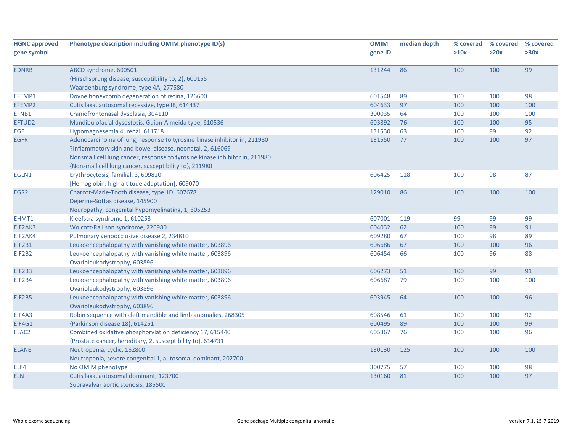| <b>HGNC approved</b> | Phenotype description including OMIM phenotype ID(s)                        | <b>OMIM</b> | median depth | % covered | % covered | % covered |
|----------------------|-----------------------------------------------------------------------------|-------------|--------------|-----------|-----------|-----------|
| gene symbol          |                                                                             | gene ID     |              | >10x      | >20x      | >30x      |
| <b>EDNRB</b>         | ABCD syndrome, 600501                                                       | 131244      | 86           | 100       | 100       | 99        |
|                      | {Hirschsprung disease, susceptibility to, 2}, 600155                        |             |              |           |           |           |
|                      | Waardenburg syndrome, type 4A, 277580                                       |             |              |           |           |           |
| EFEMP1               | Doyne honeycomb degeneration of retina, 126600                              | 601548      | 89           | 100       | 100       | 98        |
| EFEMP2               | Cutis laxa, autosomal recessive, type IB, 614437                            | 604633      | 97           | 100       | 100       | 100       |
| EFNB1                | Craniofrontonasal dysplasia, 304110                                         | 300035      | 64           | 100       | 100       | 100       |
| EFTUD2               | Mandibulofacial dysostosis, Guion-Almeida type, 610536                      | 603892      | 76           | 100       | 100       | 95        |
| <b>EGF</b>           | Hypomagnesemia 4, renal, 611718                                             | 131530      | 63           | 100       | 99        | 92        |
| <b>EGFR</b>          | Adenocarcinoma of lung, response to tyrosine kinase inhibitor in, 211980    | 131550      | 77           | 100       | 100       | 97        |
|                      | ?Inflammatory skin and bowel disease, neonatal, 2, 616069                   |             |              |           |           |           |
|                      | Nonsmall cell lung cancer, response to tyrosine kinase inhibitor in, 211980 |             |              |           |           |           |
|                      | {Nonsmall cell lung cancer, susceptibility to}, 211980                      |             |              |           |           |           |
| EGLN1                | Erythrocytosis, familial, 3, 609820                                         | 606425      | 118          | 100       | 98        | 87        |
|                      | [Hemoglobin, high altitude adaptation], 609070                              |             |              |           |           |           |
| EGR <sub>2</sub>     | Charcot-Marie-Tooth disease, type 1D, 607678                                | 129010      | 86           | 100       | 100       | 100       |
|                      | Dejerine-Sottas disease, 145900                                             |             |              |           |           |           |
|                      | Neuropathy, congenital hypomyelinating, 1, 605253                           |             |              |           |           |           |
| EHMT1                | Kleefstra syndrome 1, 610253                                                | 607001      | 119          | 99        | 99        | 99        |
| EIF2AK3              | Wolcott-Rallison syndrome, 226980                                           | 604032      | 62           | 100       | 99        | 91        |
| EIF2AK4              | Pulmonary venoocclusive disease 2, 234810                                   | 609280      | 67           | 100       | 98        | 89        |
| EIF2B1               | Leukoencephalopathy with vanishing white matter, 603896                     | 606686      | 67           | 100       | 100       | 96        |
| EIF2B2               | Leukoencephalopathy with vanishing white matter, 603896                     | 606454      | 66           | 100       | 96        | 88        |
|                      | Ovarioleukodystrophy, 603896                                                |             |              |           |           |           |
| <b>EIF2B3</b>        | Leukoencephalopathy with vanishing white matter, 603896                     | 606273      | 51           | 100       | 99        | 91        |
| EIF2B4               | Leukoencephalopathy with vanishing white matter, 603896                     | 606687      | 79           | 100       | 100       | 100       |
|                      | Ovarioleukodystrophy, 603896                                                |             |              |           |           |           |
| <b>EIF2B5</b>        | Leukoencephalopathy with vanishing white matter, 603896                     | 603945      | 64           | 100       | 100       | 96        |
|                      | Ovarioleukodystrophy, 603896                                                |             |              |           |           |           |
| EIF4A3               | Robin sequence with cleft mandible and limb anomalies, 268305               | 608546      | 61           | 100       | 100       | 92        |
| EIF4G1               | {Parkinson disease 18}, 614251                                              | 600495      | 89           | 100       | 100       | 99        |
| ELAC <sub>2</sub>    | Combined oxidative phosphorylation deficiency 17, 615440                    | 605367      | 76           | 100       | 100       | 96        |
|                      | {Prostate cancer, hereditary, 2, susceptibility to}, 614731                 |             |              |           |           |           |
| <b>ELANE</b>         | Neutropenia, cyclic, 162800                                                 | 130130      | 125          | 100       | 100       | 100       |
|                      | Neutropenia, severe congenital 1, autosomal dominant, 202700                |             |              |           |           |           |
| ELF4                 | No OMIM phenotype                                                           | 300775      | 57           | 100       | 100       | 98        |
| <b>ELN</b>           | Cutis laxa, autosomal dominant, 123700                                      | 130160      | 81           | 100       | 100       | 97        |
|                      | Supravalvar aortic stenosis, 185500                                         |             |              |           |           |           |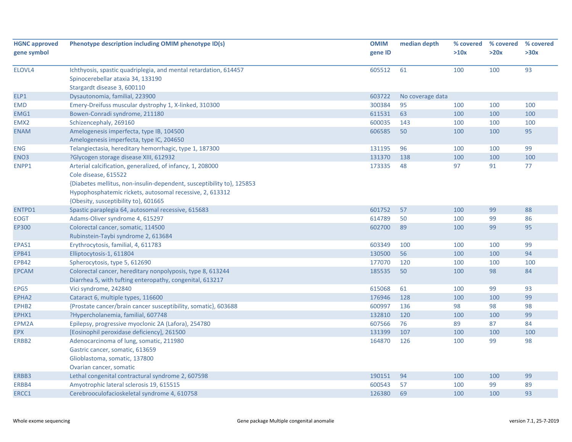| <b>HGNC approved</b> | Phenotype description including OMIM phenotype ID(s)                                                                                                                                                                                                            | <b>OMIM</b> | median depth     | % covered | % covered | % covered |
|----------------------|-----------------------------------------------------------------------------------------------------------------------------------------------------------------------------------------------------------------------------------------------------------------|-------------|------------------|-----------|-----------|-----------|
| gene symbol          |                                                                                                                                                                                                                                                                 | gene ID     |                  | >10x      | >20x      | >30x      |
| ELOVL4               | Ichthyosis, spastic quadriplegia, and mental retardation, 614457<br>Spinocerebellar ataxia 34, 133190<br>Stargardt disease 3, 600110                                                                                                                            | 605512      | 61               | 100       | 100       | 93        |
| ELP1                 | Dysautonomia, familial, 223900                                                                                                                                                                                                                                  | 603722      | No coverage data |           |           |           |
| <b>EMD</b>           | Emery-Dreifuss muscular dystrophy 1, X-linked, 310300                                                                                                                                                                                                           | 300384      | 95               | 100       | 100       | 100       |
| EMG1                 | Bowen-Conradi syndrome, 211180                                                                                                                                                                                                                                  | 611531      | 63               | 100       | 100       | 100       |
| EMX <sub>2</sub>     | Schizencephaly, 269160                                                                                                                                                                                                                                          | 600035      | 143              | 100       | 100       | 100       |
| <b>ENAM</b>          | Amelogenesis imperfecta, type IB, 104500<br>Amelogenesis imperfecta, type IC, 204650                                                                                                                                                                            | 606585      | 50               | 100       | 100       | 95        |
| <b>ENG</b>           | Telangiectasia, hereditary hemorrhagic, type 1, 187300                                                                                                                                                                                                          | 131195      | 96               | 100       | 100       | 99        |
| ENO <sub>3</sub>     | ?Glycogen storage disease XIII, 612932                                                                                                                                                                                                                          | 131370      | 138              | 100       | 100       | 100       |
| ENPP1                | Arterial calcification, generalized, of infancy, 1, 208000<br>Cole disease, 615522<br>{Diabetes mellitus, non-insulin-dependent, susceptibility to}, 125853<br>Hypophosphatemic rickets, autosomal recessive, 2, 613312<br>{Obesity, susceptibility to}, 601665 | 173335      | 48               | 97        | 91        | 77        |
| ENTPD1               | Spastic paraplegia 64, autosomal recessive, 615683                                                                                                                                                                                                              | 601752      | 57               | 100       | 99        | 88        |
| <b>EOGT</b>          | Adams-Oliver syndrome 4, 615297                                                                                                                                                                                                                                 | 614789      | 50               | 100       | 99        | 86        |
| <b>EP300</b>         | Colorectal cancer, somatic, 114500<br>Rubinstein-Taybi syndrome 2, 613684                                                                                                                                                                                       | 602700      | 89               | 100       | 99        | 95        |
| EPAS1                | Erythrocytosis, familial, 4, 611783                                                                                                                                                                                                                             | 603349      | 100              | 100       | 100       | 99        |
| <b>EPB41</b>         | Elliptocytosis-1, 611804                                                                                                                                                                                                                                        | 130500      | 56               | 100       | 100       | 94        |
| <b>EPB42</b>         | Spherocytosis, type 5, 612690                                                                                                                                                                                                                                   | 177070      | 120              | 100       | 100       | 100       |
| <b>EPCAM</b>         | Colorectal cancer, hereditary nonpolyposis, type 8, 613244<br>Diarrhea 5, with tufting enteropathy, congenital, 613217                                                                                                                                          | 185535      | 50               | 100       | 98        | 84        |
| EPG5                 | Vici syndrome, 242840                                                                                                                                                                                                                                           | 615068      | 61               | 100       | 99        | 93        |
| EPHA2                | Cataract 6, multiple types, 116600                                                                                                                                                                                                                              | 176946      | 128              | 100       | 100       | 99        |
| EPHB <sub>2</sub>    | {Prostate cancer/brain cancer susceptibility, somatic}, 603688                                                                                                                                                                                                  | 600997      | 136              | 98        | 98        | 98        |
| EPHX1                | ?Hypercholanemia, familial, 607748                                                                                                                                                                                                                              | 132810      | 120              | 100       | 100       | 99        |
| EPM2A                | Epilepsy, progressive myoclonic 2A (Lafora), 254780                                                                                                                                                                                                             | 607566      | 76               | 89        | 87        | 84        |
| <b>EPX</b>           | [Eosinophil peroxidase deficiency], 261500                                                                                                                                                                                                                      | 131399      | 107              | 100       | 100       | 100       |
| ERBB2                | Adenocarcinoma of lung, somatic, 211980<br>Gastric cancer, somatic, 613659<br>Glioblastoma, somatic, 137800<br>Ovarian cancer, somatic                                                                                                                          | 164870      | 126              | 100       | 99        | 98        |
| ERBB3                | Lethal congenital contractural syndrome 2, 607598                                                                                                                                                                                                               | 190151      | 94               | 100       | 100       | 99        |
| ERBB4                | Amyotrophic lateral sclerosis 19, 615515                                                                                                                                                                                                                        | 600543      | 57               | 100       | 99        | 89        |
| ERCC1                | Cerebrooculofacioskeletal syndrome 4, 610758                                                                                                                                                                                                                    | 126380      | 69               | 100       | 100       | 93        |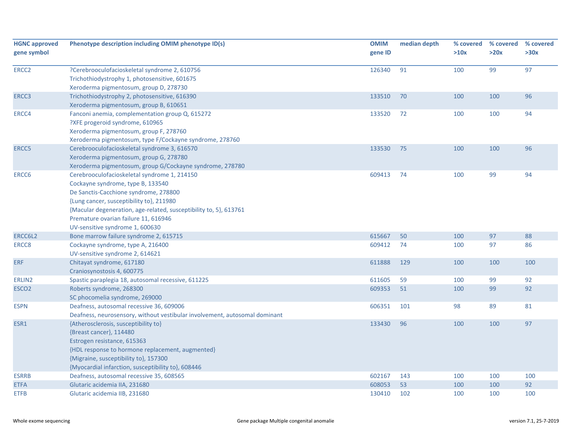| <b>HGNC approved</b><br>gene symbol | Phenotype description including OMIM phenotype ID(s)                                                                                                                                                                                                                                                                   | <b>OMIM</b><br>gene ID | median depth | % covered<br>>10x | % covered<br>>20x | % covered<br>>30x |
|-------------------------------------|------------------------------------------------------------------------------------------------------------------------------------------------------------------------------------------------------------------------------------------------------------------------------------------------------------------------|------------------------|--------------|-------------------|-------------------|-------------------|
| ERCC <sub>2</sub>                   | ?Cerebrooculofacioskeletal syndrome 2, 610756<br>Trichothiodystrophy 1, photosensitive, 601675<br>Xeroderma pigmentosum, group D, 278730                                                                                                                                                                               | 126340                 | 91           | 100               | 99                | 97                |
| ERCC3                               | Trichothiodystrophy 2, photosensitive, 616390<br>Xeroderma pigmentosum, group B, 610651                                                                                                                                                                                                                                | 133510                 | 70           | 100               | 100               | 96                |
| ERCC4                               | Fanconi anemia, complementation group Q, 615272<br>?XFE progeroid syndrome, 610965<br>Xeroderma pigmentosum, group F, 278760<br>Xeroderma pigmentosum, type F/Cockayne syndrome, 278760                                                                                                                                | 133520                 | 72           | 100               | 100               | 94                |
| ERCC <sub>5</sub>                   | Cerebrooculofacioskeletal syndrome 3, 616570<br>Xeroderma pigmentosum, group G, 278780<br>Xeroderma pigmentosum, group G/Cockayne syndrome, 278780                                                                                                                                                                     | 133530                 | 75           | 100               | 100               | 96                |
| ERCC6                               | Cerebrooculofacioskeletal syndrome 1, 214150<br>Cockayne syndrome, type B, 133540<br>De Sanctis-Cacchione syndrome, 278800<br>{Lung cancer, susceptibility to}, 211980<br>{Macular degeneration, age-related, susceptibility to, 5}, 613761<br>Premature ovarian failure 11, 616946<br>UV-sensitive syndrome 1, 600630 | 609413                 | 74           | 100               | 99                | 94                |
| ERCC6L2                             | Bone marrow failure syndrome 2, 615715                                                                                                                                                                                                                                                                                 | 615667                 | 50           | 100               | 97                | 88                |
| ERCC8                               | Cockayne syndrome, type A, 216400<br>UV-sensitive syndrome 2, 614621                                                                                                                                                                                                                                                   | 609412                 | 74           | 100               | 97                | 86                |
| <b>ERF</b>                          | Chitayat syndrome, 617180<br>Craniosynostosis 4, 600775                                                                                                                                                                                                                                                                | 611888                 | 129          | 100               | 100               | 100               |
| ERLIN2                              | Spastic paraplegia 18, autosomal recessive, 611225                                                                                                                                                                                                                                                                     | 611605                 | 59           | 100               | 99                | 92                |
| ESCO <sub>2</sub>                   | Roberts syndrome, 268300<br>SC phocomelia syndrome, 269000                                                                                                                                                                                                                                                             | 609353                 | 51           | 100               | 99                | 92                |
| <b>ESPN</b>                         | Deafness, autosomal recessive 36, 609006<br>Deafness, neurosensory, without vestibular involvement, autosomal dominant                                                                                                                                                                                                 | 606351                 | 101          | 98                | 89                | 81                |
| ESR1                                | {Atherosclerosis, susceptibility to}<br>{Breast cancer}, 114480<br>Estrogen resistance, 615363<br>{HDL response to hormone replacement, augmented}<br>{Migraine, susceptibility to}, 157300<br>{Myocardial infarction, susceptibility to}, 608446                                                                      | 133430                 | 96           | 100               | 100               | 97                |
| <b>ESRRB</b>                        | Deafness, autosomal recessive 35, 608565                                                                                                                                                                                                                                                                               | 602167                 | 143          | 100               | 100               | 100               |
| <b>ETFA</b>                         | Glutaric acidemia IIA, 231680                                                                                                                                                                                                                                                                                          | 608053                 | 53           | 100               | 100               | 92                |
| <b>ETFB</b>                         | Glutaric acidemia IIB, 231680                                                                                                                                                                                                                                                                                          | 130410                 | 102          | 100               | 100               | 100               |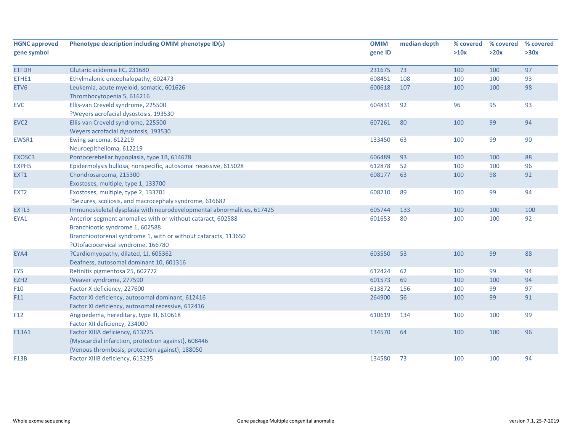| <b>HGNC approved</b> | Phenotype description including OMIM phenotype ID(s)                   | <b>OMIM</b> | median depth | % covered | % covered | % covered |
|----------------------|------------------------------------------------------------------------|-------------|--------------|-----------|-----------|-----------|
| gene symbol          |                                                                        | gene ID     |              | >10x      | >20x      | >30x      |
| <b>ETFDH</b>         | Glutaric acidemia IIC, 231680                                          | 231675      | 73           | 100       | 100       | 97        |
| ETHE1                | Ethylmalonic encephalopathy, 602473                                    | 608451      | 108          | 100       | 100       | 93        |
| ETV6                 | Leukemia, acute myeloid, somatic, 601626                               | 600618      | 107          | 100       | 100       | 98        |
|                      |                                                                        |             |              |           |           |           |
|                      | Thrombocytopenia 5, 616216                                             |             |              |           |           | 93        |
| <b>EVC</b>           | Ellis-van Creveld syndrome, 225500                                     | 604831      | 92           | 96        | 95        |           |
|                      | ?Weyers acrofacial dysostosis, 193530                                  |             |              |           |           |           |
| EVC <sub>2</sub>     | Ellis-van Creveld syndrome, 225500                                     | 607261      | 80           | 100       | 99        | 94        |
|                      | Weyers acrofacial dysostosis, 193530                                   |             |              |           |           |           |
| EWSR1                | Ewing sarcoma, 612219                                                  | 133450      | 63           | 100       | 99        | 90        |
|                      | Neuroepithelioma, 612219                                               |             |              |           |           |           |
| EXOSC3               | Pontocerebellar hypoplasia, type 1B, 614678                            | 606489      | 93           | 100       | 100       | 88        |
| EXPH <sub>5</sub>    | Epidermolysis bullosa, nonspecific, autosomal recessive, 615028        | 612878      | 52           | 100       | 100       | 96        |
| EXT1                 | Chondrosarcoma, 215300                                                 | 608177      | 63           | 100       | 98        | 92        |
|                      | Exostoses, multiple, type 1, 133700                                    |             |              |           |           |           |
| EXT <sub>2</sub>     | Exostoses, multiple, type 2, 133701                                    | 608210      | 89           | 100       | 99        | 94        |
|                      | ?Seizures, scoliosis, and macrocephaly syndrome, 616682                |             |              |           |           |           |
| EXTL3                | Immunoskeletal dysplasia with neurodevelopmental abnormalities, 617425 | 605744      | 133          | 100       | 100       | 100       |
| EYA1                 | Anterior segment anomalies with or without cataract, 602588            | 601653      | 80           | 100       | 100       | 92        |
|                      | Branchiootic syndrome 1, 602588                                        |             |              |           |           |           |
|                      | Branchiootorenal syndrome 1, with or without cataracts, 113650         |             |              |           |           |           |
|                      | ?Otofaciocervical syndrome, 166780                                     |             |              |           |           |           |
| EYA4                 | ?Cardiomyopathy, dilated, 1J, 605362                                   | 603550      | 53           | 100       | 99        | 88        |
|                      | Deafness, autosomal dominant 10, 601316                                |             |              |           |           |           |
| <b>EYS</b>           | Retinitis pigmentosa 25, 602772                                        | 612424      | 62           | 100       | 99        | 94        |
| EZH <sub>2</sub>     | Weaver syndrome, 277590                                                | 601573      | 69           | 100       | 100       | 94        |
| F10                  | Factor X deficiency, 227600                                            | 613872      | 156          | 100       | 99        | 97        |
| F11                  | Factor XI deficiency, autosomal dominant, 612416                       | 264900      | 56           | 100       | 99        | 91        |
|                      | Factor XI deficiency, autosomal recessive, 612416                      |             |              |           |           |           |
| F12                  | Angioedema, hereditary, type III, 610618                               | 610619      | 134          | 100       | 100       | 99        |
|                      | Factor XII deficiency, 234000                                          |             |              |           |           |           |
| F13A1                | Factor XIIIA deficiency, 613225                                        | 134570      | 64           | 100       | 100       | 96        |
|                      | {Myocardial infarction, protection against}, 608446                    |             |              |           |           |           |
|                      | {Venous thrombosis, protection against}, 188050                        |             |              |           |           |           |
| <b>F13B</b>          | Factor XIIIB deficiency, 613235                                        | 134580      | 73           | 100       | 100       | 94        |
|                      |                                                                        |             |              |           |           |           |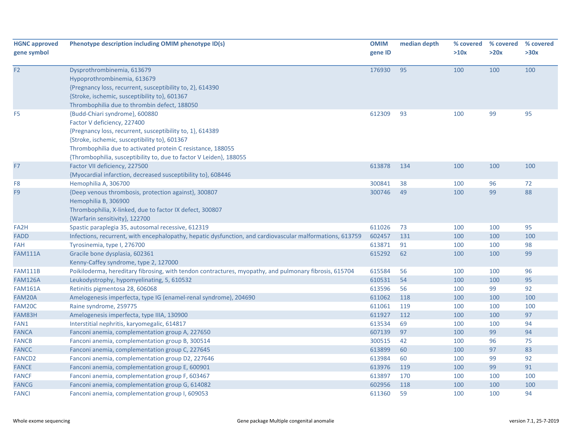| <b>HGNC approved</b><br>gene symbol | Phenotype description including OMIM phenotype ID(s)                                                                                                                                                                                                                                                             | <b>OMIM</b><br>gene ID | median depth | % covered<br>>10x | % covered<br>>20x | % covered<br>>30x |
|-------------------------------------|------------------------------------------------------------------------------------------------------------------------------------------------------------------------------------------------------------------------------------------------------------------------------------------------------------------|------------------------|--------------|-------------------|-------------------|-------------------|
| F <sub>2</sub>                      | Dysprothrombinemia, 613679<br>Hypoprothrombinemia, 613679<br>{Pregnancy loss, recurrent, susceptibility to, 2}, 614390<br>{Stroke, ischemic, susceptibility to}, 601367<br>Thrombophilia due to thrombin defect, 188050                                                                                          | 176930                 | 95           | 100               | 100               | 100               |
| F <sub>5</sub>                      | {Budd-Chiari syndrome}, 600880<br>Factor V deficiency, 227400<br>{Pregnancy loss, recurrent, susceptibility to, 1}, 614389<br>{Stroke, ischemic, susceptibility to}, 601367<br>Thrombophilia due to activated protein C resistance, 188055<br>{Thrombophilia, susceptibility to, due to factor V Leiden}, 188055 | 612309                 | 93           | 100               | 99                | 95                |
| F7                                  | Factor VII deficiency, 227500<br>{Myocardial infarction, decreased susceptibility to}, 608446                                                                                                                                                                                                                    | 613878                 | 134          | 100               | 100               | 100               |
| F8                                  | Hemophilia A, 306700                                                                                                                                                                                                                                                                                             | 300841                 | 38           | 100               | 96                | 72                |
| F <sub>9</sub>                      | {Deep venous thrombosis, protection against}, 300807<br>Hemophilia B, 306900<br>Thrombophilia, X-linked, due to factor IX defect, 300807<br>{Warfarin sensitivity}, 122700                                                                                                                                       | 300746                 | 49           | 100               | 99                | 88                |
| FA <sub>2</sub> H                   | Spastic paraplegia 35, autosomal recessive, 612319                                                                                                                                                                                                                                                               | 611026                 | 73           | 100               | 100               | 95                |
| <b>FADD</b>                         | Infections, recurrent, with encephalopathy, hepatic dysfunction, and cardiovascular malformations, 613759                                                                                                                                                                                                        | 602457                 | 131          | 100               | 100               | 100               |
| <b>FAH</b>                          | Tyrosinemia, type I, 276700                                                                                                                                                                                                                                                                                      | 613871                 | 91           | 100               | 100               | 98                |
| <b>FAM111A</b>                      | Gracile bone dysplasia, 602361<br>Kenny-Caffey syndrome, type 2, 127000                                                                                                                                                                                                                                          | 615292                 | 62           | 100               | 100               | 99                |
| <b>FAM111B</b>                      | Poikiloderma, hereditary fibrosing, with tendon contractures, myopathy, and pulmonary fibrosis, 615704                                                                                                                                                                                                           | 615584                 | 56           | 100               | 100               | 96                |
| <b>FAM126A</b>                      | Leukodystrophy, hypomyelinating, 5, 610532                                                                                                                                                                                                                                                                       | 610531                 | 54           | 100               | 100               | 95                |
| <b>FAM161A</b>                      | Retinitis pigmentosa 28, 606068                                                                                                                                                                                                                                                                                  | 613596                 | 56           | 100               | 99                | 92                |
| FAM20A                              | Amelogenesis imperfecta, type IG (enamel-renal syndrome), 204690                                                                                                                                                                                                                                                 | 611062                 | 118          | 100               | 100               | 100               |
| FAM20C                              | Raine syndrome, 259775                                                                                                                                                                                                                                                                                           | 611061                 | 119          | 100               | 100               | 100               |
| FAM83H                              | Amelogenesis imperfecta, type IIIA, 130900                                                                                                                                                                                                                                                                       | 611927                 | 112          | 100               | 100               | 97                |
| FAN1                                | Interstitial nephritis, karyomegalic, 614817                                                                                                                                                                                                                                                                     | 613534                 | 69           | 100               | 100               | 94                |
| <b>FANCA</b>                        | Fanconi anemia, complementation group A, 227650                                                                                                                                                                                                                                                                  | 607139                 | 97           | 100               | 99                | 94                |
| <b>FANCB</b>                        | Fanconi anemia, complementation group B, 300514                                                                                                                                                                                                                                                                  | 300515                 | 42           | 100               | 96                | 75                |
| <b>FANCC</b>                        | Fanconi anemia, complementation group C, 227645                                                                                                                                                                                                                                                                  | 613899                 | 60           | 100               | 97                | 83                |
| <b>FANCD2</b>                       | Fanconi anemia, complementation group D2, 227646                                                                                                                                                                                                                                                                 | 613984                 | 60           | 100               | 99                | 92                |
| <b>FANCE</b>                        | Fanconi anemia, complementation group E, 600901                                                                                                                                                                                                                                                                  | 613976                 | 119          | 100               | 99                | 91                |
| <b>FANCF</b>                        | Fanconi anemia, complementation group F, 603467                                                                                                                                                                                                                                                                  | 613897                 | 170          | 100               | 100               | 100               |
| <b>FANCG</b>                        | Fanconi anemia, complementation group G, 614082                                                                                                                                                                                                                                                                  | 602956                 | 118          | 100               | 100               | 100               |
| <b>FANCI</b>                        | Fanconi anemia, complementation group I, 609053                                                                                                                                                                                                                                                                  | 611360                 | 59           | 100               | 100               | 94                |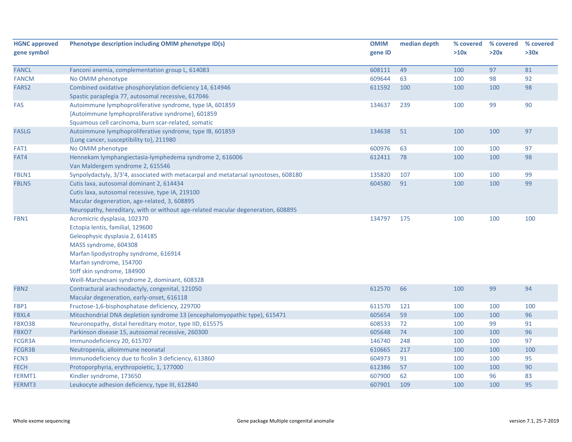| <b>HGNC approved</b> | Phenotype description including OMIM phenotype ID(s)                                | <b>OMIM</b> | median depth |      | % covered % covered | % covered |
|----------------------|-------------------------------------------------------------------------------------|-------------|--------------|------|---------------------|-----------|
| gene symbol          |                                                                                     | gene ID     |              | >10x | >20x                | >30x      |
|                      |                                                                                     |             |              |      |                     |           |
| <b>FANCL</b>         | Fanconi anemia, complementation group L, 614083                                     | 608111      | 49           | 100  | 97                  | 81        |
| <b>FANCM</b>         | No OMIM phenotype                                                                   | 609644      | 63           | 100  | 98                  | 92        |
| FARS2                | Combined oxidative phosphorylation deficiency 14, 614946                            | 611592      | 100          | 100  | 100                 | 98        |
|                      | Spastic paraplegia 77, autosomal recessive, 617046                                  |             |              |      |                     |           |
| <b>FAS</b>           | Autoimmune lymphoproliferative syndrome, type IA, 601859                            | 134637      | 239          | 100  | 99                  | 90        |
|                      | {Autoimmune lymphoproliferative syndrome}, 601859                                   |             |              |      |                     |           |
|                      | Squamous cell carcinoma, burn scar-related, somatic                                 |             |              |      |                     |           |
| <b>FASLG</b>         | Autoimmune lymphoproliferative syndrome, type IB, 601859                            | 134638      | 51           | 100  | 100                 | 97        |
|                      | {Lung cancer, susceptibility to}, 211980                                            |             |              |      |                     |           |
| FAT1                 | No OMIM phenotype                                                                   | 600976      | 63           | 100  | 100                 | 97        |
| FAT4                 | Hennekam lymphangiectasia-lymphedema syndrome 2, 616006                             | 612411      | 78           | 100  | 100                 | 98        |
|                      | Van Maldergem syndrome 2, 615546                                                    |             |              |      |                     |           |
| FBLN1                | Synpolydactyly, 3/3'4, associated with metacarpal and metatarsal synostoses, 608180 | 135820      | 107          | 100  | 100                 | 99        |
| FBLN5                | Cutis laxa, autosomal dominant 2, 614434                                            | 604580      | 91           | 100  | 100                 | 99        |
|                      | Cutis laxa, autosomal recessive, type IA, 219100                                    |             |              |      |                     |           |
|                      | Macular degeneration, age-related, 3, 608895                                        |             |              |      |                     |           |
|                      | Neuropathy, hereditary, with or without age-related macular degeneration, 608895    |             |              |      |                     |           |
| FBN1                 | Acromicric dysplasia, 102370                                                        | 134797      | 175          | 100  | 100                 | 100       |
|                      | Ectopia lentis, familial, 129600                                                    |             |              |      |                     |           |
|                      | Geleophysic dysplasia 2, 614185                                                     |             |              |      |                     |           |
|                      | MASS syndrome, 604308                                                               |             |              |      |                     |           |
|                      | Marfan lipodystrophy syndrome, 616914                                               |             |              |      |                     |           |
|                      | Marfan syndrome, 154700                                                             |             |              |      |                     |           |
|                      | Stiff skin syndrome, 184900                                                         |             |              |      |                     |           |
|                      | Weill-Marchesani syndrome 2, dominant, 608328                                       |             |              |      |                     |           |
| FBN <sub>2</sub>     | Contractural arachnodactyly, congenital, 121050                                     | 612570      | 66           | 100  | 99                  | 94        |
|                      | Macular degeneration, early-onset, 616118                                           |             |              |      |                     |           |
| FBP1                 | Fructose-1,6-bisphosphatase deficiency, 229700                                      | 611570      | 121          | 100  | 100                 | 100       |
| FBXL4                | Mitochondrial DNA depletion syndrome 13 (encephalomyopathic type), 615471           | 605654      | 59           | 100  | 100                 | 96        |
| FBXO38               | Neuronopathy, distal hereditary motor, type IID, 615575                             | 608533      | 72           | 100  | 99                  | 91        |
| FBXO7                | Parkinson disease 15, autosomal recessive, 260300                                   | 605648      | 74           | 100  | 100                 | 96        |
| FCGR3A               | Immunodeficiency 20, 615707                                                         | 146740      | 248          | 100  | 100                 | 97        |
| FCGR3B               | Neutropenia, alloimmune neonatal                                                    | 610665      | 217          | 100  | 100                 | 100       |
| FCN <sub>3</sub>     | Immunodeficiency due to ficolin 3 deficiency, 613860                                | 604973      | 91           | 100  | 100                 | 95        |
| <b>FECH</b>          | Protoporphyria, erythropoietic, 1, 177000                                           | 612386      | 57           | 100  | 100                 | 90        |
| FERMT1               | Kindler syndrome, 173650                                                            | 607900      | 62           | 100  | 96                  | 83        |
| FERMT3               | Leukocyte adhesion deficiency, type III, 612840                                     | 607901      | 109          | 100  | 100                 | 95        |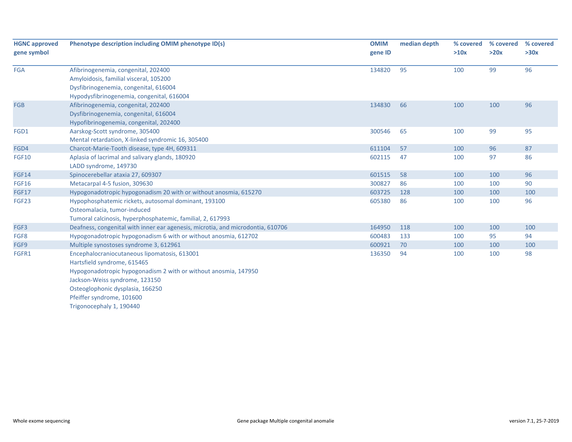| <b>HGNC approved</b><br>gene symbol | Phenotype description including OMIM phenotype ID(s)                                                                                                                                                                                                                          | <b>OMIM</b><br>gene ID | median depth | % covered<br>>10x | % covered<br>>20x | % covered<br>>30x |
|-------------------------------------|-------------------------------------------------------------------------------------------------------------------------------------------------------------------------------------------------------------------------------------------------------------------------------|------------------------|--------------|-------------------|-------------------|-------------------|
| <b>FGA</b>                          | Afibrinogenemia, congenital, 202400<br>Amyloidosis, familial visceral, 105200<br>Dysfibrinogenemia, congenital, 616004<br>Hypodysfibrinogenemia, congenital, 616004                                                                                                           | 134820                 | 95           | 100               | 99                | 96                |
| <b>FGB</b>                          | Afibrinogenemia, congenital, 202400<br>Dysfibrinogenemia, congenital, 616004<br>Hypofibrinogenemia, congenital, 202400                                                                                                                                                        | 134830                 | 66           | 100               | 100               | 96                |
| FGD1                                | Aarskog-Scott syndrome, 305400<br>Mental retardation, X-linked syndromic 16, 305400                                                                                                                                                                                           | 300546                 | 65           | 100               | 99                | 95                |
| FGD4                                | Charcot-Marie-Tooth disease, type 4H, 609311                                                                                                                                                                                                                                  | 611104                 | 57           | 100               | 96                | 87                |
| <b>FGF10</b>                        | Aplasia of lacrimal and salivary glands, 180920<br>LADD syndrome, 149730                                                                                                                                                                                                      | 602115                 | 47           | 100               | 97                | 86                |
| <b>FGF14</b>                        | Spinocerebellar ataxia 27, 609307                                                                                                                                                                                                                                             | 601515                 | 58           | 100               | 100               | 96                |
| <b>FGF16</b>                        | Metacarpal 4-5 fusion, 309630                                                                                                                                                                                                                                                 | 300827                 | 86           | 100               | 100               | 90                |
| <b>FGF17</b>                        | Hypogonadotropic hypogonadism 20 with or without anosmia, 615270                                                                                                                                                                                                              | 603725                 | 128          | 100               | 100               | 100               |
| FGF23                               | Hypophosphatemic rickets, autosomal dominant, 193100<br>Osteomalacia, tumor-induced<br>Tumoral calcinosis, hyperphosphatemic, familial, 2, 617993                                                                                                                             | 605380                 | 86           | 100               | 100               | 96                |
| FGF3                                | Deafness, congenital with inner ear agenesis, microtia, and microdontia, 610706                                                                                                                                                                                               | 164950                 | 118          | 100               | 100               | 100               |
| FGF8                                | Hypogonadotropic hypogonadism 6 with or without anosmia, 612702                                                                                                                                                                                                               | 600483                 | 133          | 100               | 95                | 94                |
| FGF9                                | Multiple synostoses syndrome 3, 612961                                                                                                                                                                                                                                        | 600921                 | 70           | 100               | 100               | 100               |
| FGFR1                               | Encephalocraniocutaneous lipomatosis, 613001<br>Hartsfield syndrome, 615465<br>Hypogonadotropic hypogonadism 2 with or without anosmia, 147950<br>Jackson-Weiss syndrome, 123150<br>Osteoglophonic dysplasia, 166250<br>Pfeiffer syndrome, 101600<br>Trigonocephaly 1, 190440 | 136350                 | 94           | 100               | 100               | 98                |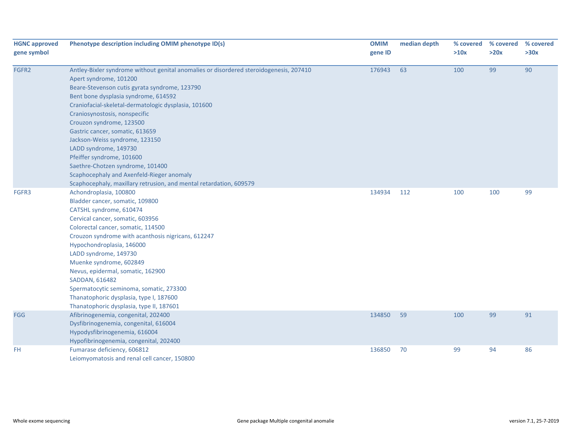| <b>HGNC approved</b><br>gene symbol | Phenotype description including OMIM phenotype ID(s)                                   | <b>OMIM</b><br>gene ID | median depth | % covered<br>>10x | % covered<br>>20x | % covered<br>>30x |
|-------------------------------------|----------------------------------------------------------------------------------------|------------------------|--------------|-------------------|-------------------|-------------------|
| FGFR2                               | Antley-Bixler syndrome without genital anomalies or disordered steroidogenesis, 207410 | 176943                 | 63           | 100               | 99                | 90                |
|                                     | Apert syndrome, 101200                                                                 |                        |              |                   |                   |                   |
|                                     | Beare-Stevenson cutis gyrata syndrome, 123790                                          |                        |              |                   |                   |                   |
|                                     | Bent bone dysplasia syndrome, 614592                                                   |                        |              |                   |                   |                   |
|                                     | Craniofacial-skeletal-dermatologic dysplasia, 101600                                   |                        |              |                   |                   |                   |
|                                     | Craniosynostosis, nonspecific                                                          |                        |              |                   |                   |                   |
|                                     | Crouzon syndrome, 123500                                                               |                        |              |                   |                   |                   |
|                                     | Gastric cancer, somatic, 613659                                                        |                        |              |                   |                   |                   |
|                                     | Jackson-Weiss syndrome, 123150                                                         |                        |              |                   |                   |                   |
|                                     | LADD syndrome, 149730                                                                  |                        |              |                   |                   |                   |
|                                     | Pfeiffer syndrome, 101600                                                              |                        |              |                   |                   |                   |
|                                     | Saethre-Chotzen syndrome, 101400                                                       |                        |              |                   |                   |                   |
|                                     | Scaphocephaly and Axenfeld-Rieger anomaly                                              |                        |              |                   |                   |                   |
|                                     | Scaphocephaly, maxillary retrusion, and mental retardation, 609579                     |                        |              |                   |                   |                   |
| FGFR3                               | Achondroplasia, 100800                                                                 | 134934                 | 112          | 100               | 100               | 99                |
|                                     | Bladder cancer, somatic, 109800                                                        |                        |              |                   |                   |                   |
|                                     | CATSHL syndrome, 610474                                                                |                        |              |                   |                   |                   |
|                                     | Cervical cancer, somatic, 603956                                                       |                        |              |                   |                   |                   |
|                                     | Colorectal cancer, somatic, 114500                                                     |                        |              |                   |                   |                   |
|                                     | Crouzon syndrome with acanthosis nigricans, 612247                                     |                        |              |                   |                   |                   |
|                                     | Hypochondroplasia, 146000                                                              |                        |              |                   |                   |                   |
|                                     | LADD syndrome, 149730                                                                  |                        |              |                   |                   |                   |
|                                     | Muenke syndrome, 602849                                                                |                        |              |                   |                   |                   |
|                                     | Nevus, epidermal, somatic, 162900                                                      |                        |              |                   |                   |                   |
|                                     | SADDAN, 616482                                                                         |                        |              |                   |                   |                   |
|                                     | Spermatocytic seminoma, somatic, 273300                                                |                        |              |                   |                   |                   |
|                                     | Thanatophoric dysplasia, type I, 187600                                                |                        |              |                   |                   |                   |
|                                     | Thanatophoric dysplasia, type II, 187601                                               |                        |              |                   |                   |                   |
| <b>FGG</b>                          | Afibrinogenemia, congenital, 202400                                                    | 134850                 | 59           | 100               | 99                | 91                |
|                                     | Dysfibrinogenemia, congenital, 616004                                                  |                        |              |                   |                   |                   |
|                                     | Hypodysfibrinogenemia, 616004                                                          |                        |              |                   |                   |                   |
|                                     | Hypofibrinogenemia, congenital, 202400                                                 |                        |              |                   |                   |                   |
| FH                                  | Fumarase deficiency, 606812<br>Leiomyomatosis and renal cell cancer, 150800            | 136850                 | 70           | 99                | 94                | 86                |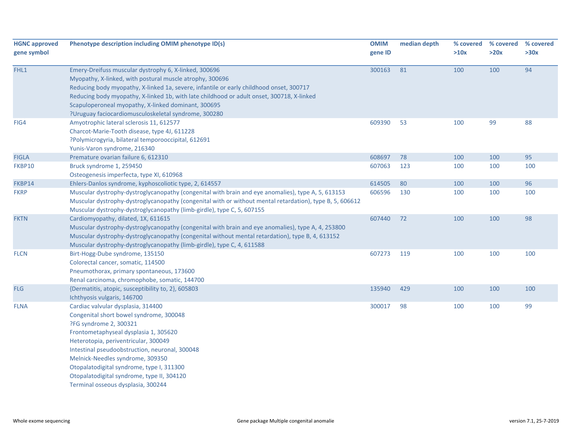| <b>HGNC approved</b><br>gene symbol | Phenotype description including OMIM phenotype ID(s)                                                                                                                                                                                                                                                                                                                                                                     | <b>OMIM</b><br>gene ID | median depth | % covered<br>>10x | % covered<br>>20x | % covered<br>>30x |
|-------------------------------------|--------------------------------------------------------------------------------------------------------------------------------------------------------------------------------------------------------------------------------------------------------------------------------------------------------------------------------------------------------------------------------------------------------------------------|------------------------|--------------|-------------------|-------------------|-------------------|
| FHL1                                | Emery-Dreifuss muscular dystrophy 6, X-linked, 300696<br>Myopathy, X-linked, with postural muscle atrophy, 300696<br>Reducing body myopathy, X-linked 1a, severe, infantile or early childhood onset, 300717<br>Reducing body myopathy, X-linked 1b, with late childhood or adult onset, 300718, X-linked<br>Scapuloperoneal myopathy, X-linked dominant, 300695<br>?Uruguay faciocardiomusculoskeletal syndrome, 300280 | 300163                 | 81           | 100               | 100               | 94                |
| FIG4                                | Amyotrophic lateral sclerosis 11, 612577<br>Charcot-Marie-Tooth disease, type 4J, 611228<br>?Polymicrogyria, bilateral temporooccipital, 612691<br>Yunis-Varon syndrome, 216340                                                                                                                                                                                                                                          | 609390                 | 53           | 100               | 99                | 88                |
| <b>FIGLA</b>                        | Premature ovarian failure 6, 612310                                                                                                                                                                                                                                                                                                                                                                                      | 608697                 | 78           | 100               | 100               | 95                |
| FKBP10                              | Bruck syndrome 1, 259450<br>Osteogenesis imperfecta, type XI, 610968                                                                                                                                                                                                                                                                                                                                                     | 607063                 | 123          | 100               | 100               | 100               |
| FKBP14                              | Ehlers-Danlos syndrome, kyphoscoliotic type, 2, 614557                                                                                                                                                                                                                                                                                                                                                                   | 614505                 | 80           | 100               | 100               | 96                |
| <b>FKRP</b>                         | Muscular dystrophy-dystroglycanopathy (congenital with brain and eye anomalies), type A, 5, 613153<br>Muscular dystrophy-dystroglycanopathy (congenital with or without mental retardation), type B, 5, 606612<br>Muscular dystrophy-dystroglycanopathy (limb-girdle), type C, 5, 607155                                                                                                                                 | 606596                 | 130          | 100               | 100               | 100               |
| <b>FKTN</b>                         | Cardiomyopathy, dilated, 1X, 611615<br>Muscular dystrophy-dystroglycanopathy (congenital with brain and eye anomalies), type A, 4, 253800<br>Muscular dystrophy-dystroglycanopathy (congenital without mental retardation), type B, 4, 613152<br>Muscular dystrophy-dystroglycanopathy (limb-girdle), type C, 4, 611588                                                                                                  | 607440                 | 72           | 100               | 100               | 98                |
| <b>FLCN</b>                         | Birt-Hogg-Dube syndrome, 135150<br>Colorectal cancer, somatic, 114500<br>Pneumothorax, primary spontaneous, 173600<br>Renal carcinoma, chromophobe, somatic, 144700                                                                                                                                                                                                                                                      | 607273                 | 119          | 100               | 100               | 100               |
| <b>FLG</b>                          | {Dermatitis, atopic, susceptibility to, 2}, 605803<br>Ichthyosis vulgaris, 146700                                                                                                                                                                                                                                                                                                                                        | 135940                 | 429          | 100               | 100               | 100               |
| <b>FLNA</b>                         | Cardiac valvular dysplasia, 314400<br>Congenital short bowel syndrome, 300048<br>?FG syndrome 2, 300321<br>Frontometaphyseal dysplasia 1, 305620<br>Heterotopia, periventricular, 300049<br>Intestinal pseudoobstruction, neuronal, 300048<br>Melnick-Needles syndrome, 309350<br>Otopalatodigital syndrome, type I, 311300<br>Otopalatodigital syndrome, type II, 304120<br>Terminal osseous dysplasia, 300244          | 300017                 | 98           | 100               | 100               | 99                |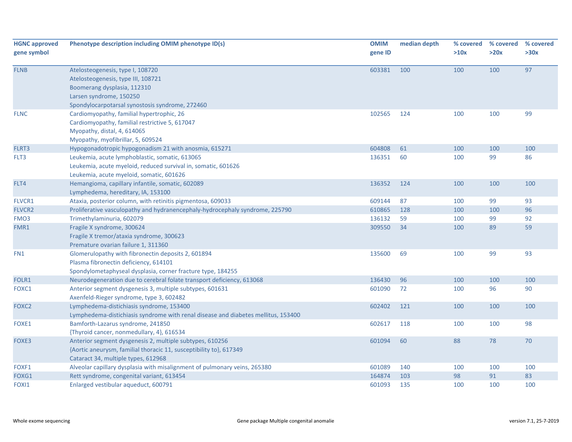| <b>HGNC approved</b><br>gene symbol | Phenotype description including OMIM phenotype ID(s)                                                                                                                                | <b>OMIM</b><br>gene ID | median depth | % covered<br>>10x | % covered<br>>20x | % covered<br>>30x |
|-------------------------------------|-------------------------------------------------------------------------------------------------------------------------------------------------------------------------------------|------------------------|--------------|-------------------|-------------------|-------------------|
| <b>FLNB</b>                         | Atelosteogenesis, type I, 108720<br>Atelosteogenesis, type III, 108721<br>Boomerang dysplasia, 112310<br>Larsen syndrome, 150250<br>Spondylocarpotarsal synostosis syndrome, 272460 | 603381                 | 100          | 100               | 100               | 97                |
| <b>FLNC</b>                         | Cardiomyopathy, familial hypertrophic, 26<br>Cardiomyopathy, familial restrictive 5, 617047<br>Myopathy, distal, 4, 614065<br>Myopathy, myofibrillar, 5, 609524                     | 102565                 | 124          | 100               | 100               | 99                |
| FLRT3                               | Hypogonadotropic hypogonadism 21 with anosmia, 615271                                                                                                                               | 604808                 | 61           | 100               | 100               | 100               |
| FLT3                                | Leukemia, acute lymphoblastic, somatic, 613065<br>Leukemia, acute myeloid, reduced survival in, somatic, 601626<br>Leukemia, acute myeloid, somatic, 601626                         | 136351                 | 60           | 100               | 99                | 86                |
| FLT4                                | Hemangioma, capillary infantile, somatic, 602089<br>Lymphedema, hereditary, IA, 153100                                                                                              | 136352                 | 124          | 100               | 100               | 100               |
| FLVCR1                              | Ataxia, posterior column, with retinitis pigmentosa, 609033                                                                                                                         | 609144                 | 87           | 100               | 99                | 93                |
| <b>FLVCR2</b>                       | Proliferative vasculopathy and hydranencephaly-hydrocephaly syndrome, 225790                                                                                                        | 610865                 | 128          | 100               | 100               | 96                |
| FMO <sub>3</sub>                    | Trimethylaminuria, 602079                                                                                                                                                           | 136132                 | 59           | 100               | 99                | 92                |
| FMR1                                | Fragile X syndrome, 300624<br>Fragile X tremor/ataxia syndrome, 300623<br>Premature ovarian failure 1, 311360                                                                       | 309550                 | 34           | 100               | 89                | 59                |
| FN1                                 | Glomerulopathy with fibronectin deposits 2, 601894<br>Plasma fibronectin deficiency, 614101<br>Spondylometaphyseal dysplasia, corner fracture type, 184255                          | 135600                 | 69           | 100               | 99                | 93                |
| FOLR1                               | Neurodegeneration due to cerebral folate transport deficiency, 613068                                                                                                               | 136430                 | 96           | 100               | 100               | 100               |
| FOXC1                               | Anterior segment dysgenesis 3, multiple subtypes, 601631<br>Axenfeld-Rieger syndrome, type 3, 602482                                                                                | 601090                 | 72           | 100               | 96                | 90                |
| FOXC <sub>2</sub>                   | Lymphedema-distichiasis syndrome, 153400<br>Lymphedema-distichiasis syndrome with renal disease and diabetes mellitus, 153400                                                       | 602402                 | 121          | 100               | 100               | 100               |
| FOXE1                               | Bamforth-Lazarus syndrome, 241850<br>{Thyroid cancer, nonmedullary, 4}, 616534                                                                                                      | 602617                 | 118          | 100               | 100               | 98                |
| FOXE3                               | Anterior segment dysgenesis 2, multiple subtypes, 610256<br>{Aortic aneurysm, familial thoracic 11, susceptibility to}, 617349<br>Cataract 34, multiple types, 612968               | 601094                 | 60           | 88                | 78                | 70                |
| FOXF1                               | Alveolar capillary dysplasia with misalignment of pulmonary veins, 265380                                                                                                           | 601089                 | 140          | 100               | 100               | 100               |
| FOXG1                               | Rett syndrome, congenital variant, 613454                                                                                                                                           | 164874                 | 103          | 98                | 91                | 83                |
| FOXI1                               | Enlarged vestibular aqueduct, 600791                                                                                                                                                | 601093                 | 135          | 100               | 100               | 100               |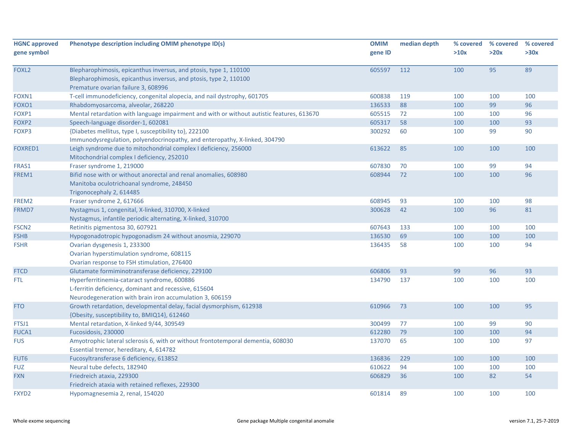| <b>HGNC approved</b><br>gene symbol | Phenotype description including OMIM phenotype ID(s)                                                                                                                          | <b>OMIM</b><br>gene ID | median depth | % covered<br>>10x | % covered<br>>20x | % covered<br>>30x |
|-------------------------------------|-------------------------------------------------------------------------------------------------------------------------------------------------------------------------------|------------------------|--------------|-------------------|-------------------|-------------------|
| FOXL <sub>2</sub>                   | Blepharophimosis, epicanthus inversus, and ptosis, type 1, 110100<br>Blepharophimosis, epicanthus inversus, and ptosis, type 2, 110100<br>Premature ovarian failure 3, 608996 | 605597                 | 112          | 100               | 95                | 89                |
| FOXN1                               | T-cell immunodeficiency, congenital alopecia, and nail dystrophy, 601705                                                                                                      | 600838                 | 119          | 100               | 100               | 100               |
| FOXO1                               | Rhabdomyosarcoma, alveolar, 268220                                                                                                                                            | 136533                 | 88           | 100               | 99                | 96                |
| FOXP1                               | Mental retardation with language impairment and with or without autistic features, 613670                                                                                     | 605515                 | 72           | 100               | 100               | 96                |
| FOXP2                               | Speech-language disorder-1, 602081                                                                                                                                            | 605317                 | 58           | 100               | 100               | 93                |
| FOXP3                               | {Diabetes mellitus, type I, susceptibility to}, 222100<br>Immunodysregulation, polyendocrinopathy, and enteropathy, X-linked, 304790                                          | 300292                 | 60           | 100               | 99                | 90                |
| FOXRED1                             | Leigh syndrome due to mitochondrial complex I deficiency, 256000<br>Mitochondrial complex I deficiency, 252010                                                                | 613622                 | 85           | 100               | 100               | 100               |
| FRAS1                               | Fraser syndrome 1, 219000                                                                                                                                                     | 607830                 | 70           | 100               | 99                | 94                |
| FREM1                               | Bifid nose with or without anorectal and renal anomalies, 608980<br>Manitoba oculotrichoanal syndrome, 248450<br>Trigonocephaly 2, 614485                                     | 608944                 | 72           | 100               | 100               | 96                |
| FREM2                               | Fraser syndrome 2, 617666                                                                                                                                                     | 608945                 | 93           | 100               | 100               | 98                |
| FRMD7                               | Nystagmus 1, congenital, X-linked, 310700, X-linked<br>Nystagmus, infantile periodic alternating, X-linked, 310700                                                            | 300628                 | 42           | 100               | 96                | 81                |
| FSCN <sub>2</sub>                   | Retinitis pigmentosa 30, 607921                                                                                                                                               | 607643                 | 133          | 100               | 100               | 100               |
| <b>FSHB</b>                         | Hypogonadotropic hypogonadism 24 without anosmia, 229070                                                                                                                      | 136530                 | 69           | 100               | 100               | 100               |
| <b>FSHR</b>                         | Ovarian dysgenesis 1, 233300<br>Ovarian hyperstimulation syndrome, 608115<br>Ovarian response to FSH stimulation, 276400                                                      | 136435                 | 58           | 100               | 100               | 94                |
| <b>FTCD</b>                         | Glutamate formiminotransferase deficiency, 229100                                                                                                                             | 606806                 | 93           | 99                | 96                | 93                |
| FTL.                                | Hyperferritinemia-cataract syndrome, 600886<br>L-ferritin deficiency, dominant and recessive, 615604<br>Neurodegeneration with brain iron accumulation 3, 606159              | 134790                 | 137          | 100               | 100               | 100               |
| <b>FTO</b>                          | Growth retardation, developmental delay, facial dysmorphism, 612938<br>{Obesity, susceptibility to, BMIQ14}, 612460                                                           | 610966                 | 73           | 100               | 100               | 95                |
| FTSJ1                               | Mental retardation, X-linked 9/44, 309549                                                                                                                                     | 300499                 | 77           | 100               | 99                | 90                |
| FUCA1                               | Fucosidosis, 230000                                                                                                                                                           | 612280                 | 79           | 100               | 100               | 94                |
| <b>FUS</b>                          | Amyotrophic lateral sclerosis 6, with or without frontotemporal dementia, 608030<br>Essential tremor, hereditary, 4, 614782                                                   | 137070                 | 65           | 100               | 100               | 97                |
| FUT6                                | Fucosyltransferase 6 deficiency, 613852                                                                                                                                       | 136836                 | 229          | 100               | 100               | 100               |
| <b>FUZ</b>                          | Neural tube defects, 182940                                                                                                                                                   | 610622                 | 94           | 100               | 100               | 100               |
| <b>FXN</b>                          | Friedreich ataxia, 229300<br>Friedreich ataxia with retained reflexes, 229300                                                                                                 | 606829                 | 36           | 100               | 82                | 54                |
| FXYD <sub>2</sub>                   | Hypomagnesemia 2, renal, 154020                                                                                                                                               | 601814                 | 89           | 100               | 100               | 100               |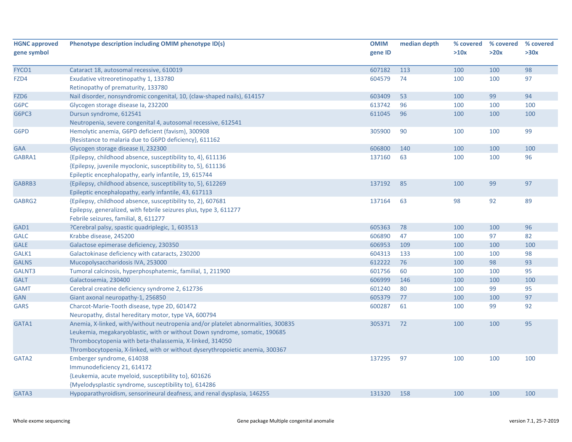| <b>HGNC approved</b> | Phenotype description including OMIM phenotype ID(s)                              | <b>OMIM</b> | median depth | % covered | % covered | % covered |
|----------------------|-----------------------------------------------------------------------------------|-------------|--------------|-----------|-----------|-----------|
| gene symbol          |                                                                                   | gene ID     |              | >10x      | >20x      | >30x      |
| FYCO1                |                                                                                   | 607182      |              | 100       | 100       | 98        |
| FZD4                 | Cataract 18, autosomal recessive, 610019<br>Exudative vitreoretinopathy 1, 133780 | 604579      | 113<br>74    | 100       | 100       | 97        |
|                      | Retinopathy of prematurity, 133780                                                |             |              |           |           |           |
| FZD <sub>6</sub>     | Nail disorder, nonsyndromic congenital, 10, (claw-shaped nails), 614157           | 603409      | 53           | 100       | 99        | 94        |
| G6PC                 | Glycogen storage disease la, 232200                                               | 613742      | 96           | 100       | 100       | 100       |
| G6PC3                | Dursun syndrome, 612541                                                           | 611045      | 96           | 100       | 100       | 100       |
|                      | Neutropenia, severe congenital 4, autosomal recessive, 612541                     |             |              |           |           |           |
| G6PD                 | Hemolytic anemia, G6PD deficient (favism), 300908                                 | 305900      | 90           | 100       | 100       | 99        |
|                      | {Resistance to malaria due to G6PD deficiency}, 611162                            |             |              |           |           |           |
| GAA                  | Glycogen storage disease II, 232300                                               | 606800      | 140          | 100       | 100       | 100       |
| GABRA1               | {Epilepsy, childhood absence, susceptibility to, 4}, 611136                       | 137160      | 63           | 100       | 100       | 96        |
|                      | {Epilepsy, juvenile myoclonic, susceptibility to, 5}, 611136                      |             |              |           |           |           |
|                      | Epileptic encephalopathy, early infantile, 19, 615744                             |             |              |           |           |           |
| GABRB3               | {Epilepsy, childhood absence, susceptibility to, 5}, 612269                       | 137192      | 85           | 100       | 99        | 97        |
|                      | Epileptic encephalopathy, early infantile, 43, 617113                             |             |              |           |           |           |
| GABRG2               | {Epilepsy, childhood absence, susceptibility to, 2}, 607681                       | 137164      | 63           | 98        | 92        | 89        |
|                      | Epilepsy, generalized, with febrile seizures plus, type 3, 611277                 |             |              |           |           |           |
|                      | Febrile seizures, familial, 8, 611277                                             |             |              |           |           |           |
| GAD1                 | ?Cerebral palsy, spastic quadriplegic, 1, 603513                                  | 605363      | 78           | 100       | 100       | 96        |
| <b>GALC</b>          | Krabbe disease, 245200                                                            | 606890      | 47           | 100       | 97        | 82        |
| <b>GALE</b>          | Galactose epimerase deficiency, 230350                                            | 606953      | 109          | 100       | 100       | 100       |
| GALK1                | Galactokinase deficiency with cataracts, 230200                                   | 604313      | 133          | 100       | 100       | 98        |
| <b>GALNS</b>         | Mucopolysaccharidosis IVA, 253000                                                 | 612222      | 76           | 100       | 98        | 93        |
| GALNT3               | Tumoral calcinosis, hyperphosphatemic, familial, 1, 211900                        | 601756      | 60           | 100       | 100       | 95        |
| <b>GALT</b>          | Galactosemia, 230400                                                              | 606999      | 146          | 100       | 100       | 100       |
| <b>GAMT</b>          | Cerebral creatine deficiency syndrome 2, 612736                                   | 601240      | 80           | 100       | 99        | 95        |
| <b>GAN</b>           | Giant axonal neuropathy-1, 256850                                                 | 605379      | 77           | 100       | 100       | 97        |
| <b>GARS</b>          | Charcot-Marie-Tooth disease, type 2D, 601472                                      | 600287      | 61           | 100       | 99        | 92        |
|                      | Neuropathy, distal hereditary motor, type VA, 600794                              |             |              |           |           |           |
| GATA1                | Anemia, X-linked, with/without neutropenia and/or platelet abnormalities, 300835  | 305371      | 72           | 100       | 100       | 95        |
|                      | Leukemia, megakaryoblastic, with or without Down syndrome, somatic, 190685        |             |              |           |           |           |
|                      | Thrombocytopenia with beta-thalassemia, X-linked, 314050                          |             |              |           |           |           |
|                      | Thrombocytopenia, X-linked, with or without dyserythropoietic anemia, 300367      |             |              |           |           |           |
| GATA2                | Emberger syndrome, 614038                                                         | 137295      | 97           | 100       | 100       | 100       |
|                      | Immunodeficiency 21, 614172                                                       |             |              |           |           |           |
|                      | {Leukemia, acute myeloid, susceptibility to}, 601626                              |             |              |           |           |           |
|                      | {Myelodysplastic syndrome, susceptibility to}, 614286                             |             |              |           |           |           |
| GATA3                | Hypoparathyroidism, sensorineural deafness, and renal dysplasia, 146255           | 131320      | 158          | 100       | 100       | 100       |
|                      |                                                                                   |             |              |           |           |           |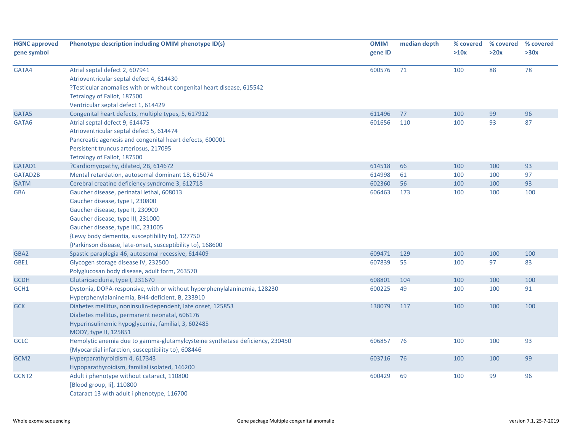| <b>HGNC approved</b> | Phenotype description including OMIM phenotype ID(s)                         | <b>OMIM</b> | median depth | % covered | % covered | % covered |
|----------------------|------------------------------------------------------------------------------|-------------|--------------|-----------|-----------|-----------|
| gene symbol          |                                                                              | gene ID     |              | >10x      | >20x      | >30x      |
| GATA4                | Atrial septal defect 2, 607941                                               | 600576      | 71           | 100       | 88        | 78        |
|                      | Atrioventricular septal defect 4, 614430                                     |             |              |           |           |           |
|                      | ?Testicular anomalies with or without congenital heart disease, 615542       |             |              |           |           |           |
|                      | Tetralogy of Fallot, 187500                                                  |             |              |           |           |           |
|                      | Ventricular septal defect 1, 614429                                          |             |              |           |           |           |
| GATA5                | Congenital heart defects, multiple types, 5, 617912                          | 611496      | 77           | 100       | 99        | 96        |
| GATA6                | Atrial septal defect 9, 614475                                               | 601656      | 110          | 100       | 93        | 87        |
|                      | Atrioventricular septal defect 5, 614474                                     |             |              |           |           |           |
|                      | Pancreatic agenesis and congenital heart defects, 600001                     |             |              |           |           |           |
|                      | Persistent truncus arteriosus, 217095                                        |             |              |           |           |           |
|                      | Tetralogy of Fallot, 187500                                                  |             |              |           |           |           |
| GATAD1               | ?Cardiomyopathy, dilated, 2B, 614672                                         | 614518      | 66           | 100       | 100       | 93        |
| GATAD2B              | Mental retardation, autosomal dominant 18, 615074                            | 614998      | 61           | 100       | 100       | 97        |
| <b>GATM</b>          | Cerebral creatine deficiency syndrome 3, 612718                              | 602360      | 56           | 100       | 100       | 93        |
| <b>GBA</b>           | Gaucher disease, perinatal lethal, 608013                                    | 606463      | 173          | 100       | 100       | 100       |
|                      | Gaucher disease, type I, 230800                                              |             |              |           |           |           |
|                      | Gaucher disease, type II, 230900                                             |             |              |           |           |           |
|                      | Gaucher disease, type III, 231000                                            |             |              |           |           |           |
|                      | Gaucher disease, type IIIC, 231005                                           |             |              |           |           |           |
|                      | {Lewy body dementia, susceptibility to}, 127750                              |             |              |           |           |           |
|                      | {Parkinson disease, late-onset, susceptibility to}, 168600                   |             |              |           |           |           |
| GBA2                 | Spastic paraplegia 46, autosomal recessive, 614409                           | 609471      | 129          | 100       | 100       | 100       |
| GBE1                 | Glycogen storage disease IV, 232500                                          | 607839      | 55           | 100       | 97        | 83        |
|                      | Polyglucosan body disease, adult form, 263570                                |             |              |           |           |           |
| <b>GCDH</b>          | Glutaricaciduria, type I, 231670                                             | 608801      | 104          | 100       | 100       | 100       |
| GCH1                 | Dystonia, DOPA-responsive, with or without hyperphenylalaninemia, 128230     | 600225      | 49           | 100       | 100       | 91        |
|                      | Hyperphenylalaninemia, BH4-deficient, B, 233910                              |             |              |           |           |           |
| <b>GCK</b>           | Diabetes mellitus, noninsulin-dependent, late onset, 125853                  | 138079      | 117          | 100       | 100       | 100       |
|                      | Diabetes mellitus, permanent neonatal, 606176                                |             |              |           |           |           |
|                      | Hyperinsulinemic hypoglycemia, familial, 3, 602485                           |             |              |           |           |           |
|                      | MODY, type II, 125851                                                        |             |              |           |           |           |
| <b>GCLC</b>          | Hemolytic anemia due to gamma-glutamylcysteine synthetase deficiency, 230450 | 606857      | 76           | 100       | 100       | 93        |
|                      | {Myocardial infarction, susceptibility to}, 608446                           |             |              |           |           |           |
| GCM <sub>2</sub>     | Hyperparathyroidism 4, 617343                                                | 603716      | 76           | 100       | 100       | 99        |
|                      | Hypoparathyroidism, familial isolated, 146200                                |             |              |           |           |           |
| GCNT <sub>2</sub>    | Adult i phenotype without cataract, 110800                                   | 600429      | 69           | 100       | 99        | 96        |
|                      | [Blood group, li], 110800                                                    |             |              |           |           |           |
|                      | Cataract 13 with adult i phenotype, 116700                                   |             |              |           |           |           |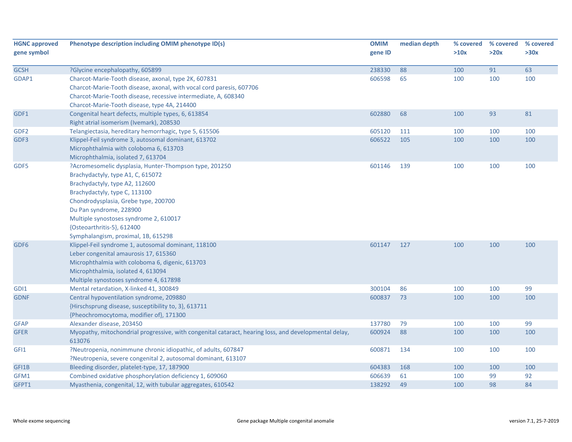| <b>HGNC approved</b><br>gene symbol | Phenotype description including OMIM phenotype ID(s)                                                  | <b>OMIM</b><br>gene ID | median depth | % covered<br>>10x | % covered<br>>20x | % covered<br>>30x |
|-------------------------------------|-------------------------------------------------------------------------------------------------------|------------------------|--------------|-------------------|-------------------|-------------------|
| <b>GCSH</b>                         | ?Glycine encephalopathy, 605899                                                                       | 238330                 | 88           | 100               | 91                | 63                |
| GDAP1                               | Charcot-Marie-Tooth disease, axonal, type 2K, 607831                                                  | 606598                 | 65           | 100               | 100               | 100               |
|                                     | Charcot-Marie-Tooth disease, axonal, with vocal cord paresis, 607706                                  |                        |              |                   |                   |                   |
|                                     | Charcot-Marie-Tooth disease, recessive intermediate, A, 608340                                        |                        |              |                   |                   |                   |
|                                     | Charcot-Marie-Tooth disease, type 4A, 214400                                                          |                        |              |                   |                   |                   |
| GDF1                                | Congenital heart defects, multiple types, 6, 613854                                                   | 602880                 | 68           | 100               | 93                | 81                |
|                                     | Right atrial isomerism (Ivemark), 208530                                                              |                        |              |                   |                   |                   |
| GDF <sub>2</sub>                    | Telangiectasia, hereditary hemorrhagic, type 5, 615506                                                | 605120                 | 111          | 100               | 100               | 100               |
| GDF3                                | Klippel-Feil syndrome 3, autosomal dominant, 613702                                                   | 606522                 | 105          | 100               | 100               | 100               |
|                                     | Microphthalmia with coloboma 6, 613703                                                                |                        |              |                   |                   |                   |
|                                     | Microphthalmia, isolated 7, 613704                                                                    |                        |              |                   |                   |                   |
| GDF5                                | ?Acromesomelic dysplasia, Hunter-Thompson type, 201250                                                | 601146                 | 139          | 100               | 100               | 100               |
|                                     | Brachydactyly, type A1, C, 615072                                                                     |                        |              |                   |                   |                   |
|                                     | Brachydactyly, type A2, 112600                                                                        |                        |              |                   |                   |                   |
|                                     | Brachydactyly, type C, 113100                                                                         |                        |              |                   |                   |                   |
|                                     | Chondrodysplasia, Grebe type, 200700                                                                  |                        |              |                   |                   |                   |
|                                     | Du Pan syndrome, 228900                                                                               |                        |              |                   |                   |                   |
|                                     | Multiple synostoses syndrome 2, 610017                                                                |                        |              |                   |                   |                   |
|                                     | {Osteoarthritis-5}, 612400                                                                            |                        |              |                   |                   |                   |
|                                     | Symphalangism, proximal, 1B, 615298                                                                   |                        |              |                   |                   |                   |
| GDF <sub>6</sub>                    | Klippel-Feil syndrome 1, autosomal dominant, 118100                                                   | 601147                 | 127          | 100               | 100               | 100               |
|                                     | Leber congenital amaurosis 17, 615360                                                                 |                        |              |                   |                   |                   |
|                                     | Microphthalmia with coloboma 6, digenic, 613703                                                       |                        |              |                   |                   |                   |
|                                     | Microphthalmia, isolated 4, 613094                                                                    |                        |              |                   |                   |                   |
| GDI1                                | Multiple synostoses syndrome 4, 617898<br>Mental retardation, X-linked 41, 300849                     | 300104                 | 86           | 100               | 100               | 99                |
| <b>GDNF</b>                         | Central hypoventilation syndrome, 209880                                                              | 600837                 | 73           | 100               | 100               | 100               |
|                                     | {Hirschsprung disease, susceptibility to, 3}, 613711                                                  |                        |              |                   |                   |                   |
|                                     | {Pheochromocytoma, modifier of}, 171300                                                               |                        |              |                   |                   |                   |
| <b>GFAP</b>                         | Alexander disease, 203450                                                                             | 137780                 | 79           | 100               | 100               | 99                |
| <b>GFER</b>                         | Myopathy, mitochondrial progressive, with congenital cataract, hearing loss, and developmental delay, | 600924                 | 88           | 100               | 100               | 100               |
|                                     | 613076                                                                                                |                        |              |                   |                   |                   |
| GFI1                                | ?Neutropenia, nonimmune chronic idiopathic, of adults, 607847                                         | 600871                 | 134          | 100               | 100               | 100               |
|                                     | ?Neutropenia, severe congenital 2, autosomal dominant, 613107                                         |                        |              |                   |                   |                   |
| GFI1B                               | Bleeding disorder, platelet-type, 17, 187900                                                          | 604383                 | 168          | 100               | 100               | 100               |
| GFM1                                | Combined oxidative phosphorylation deficiency 1, 609060                                               | 606639                 | 61           | 100               | 99                | 92                |
| GFPT1                               | Myasthenia, congenital, 12, with tubular aggregates, 610542                                           | 138292                 | 49           | 100               | 98                | 84                |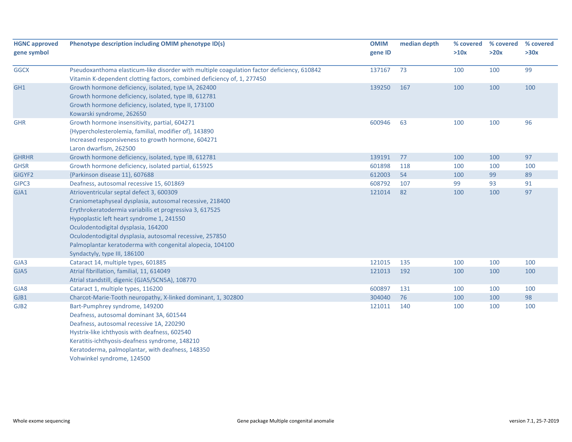| <b>HGNC approved</b><br>gene symbol | Phenotype description including OMIM phenotype ID(s)                                       | <b>OMIM</b><br>gene ID | median depth | % covered<br>>10x | % covered<br>>20x | % covered<br>>30x |
|-------------------------------------|--------------------------------------------------------------------------------------------|------------------------|--------------|-------------------|-------------------|-------------------|
| <b>GGCX</b>                         | Pseudoxanthoma elasticum-like disorder with multiple coagulation factor deficiency, 610842 | 137167                 | 73           | 100               | 100               | 99                |
|                                     | Vitamin K-dependent clotting factors, combined deficiency of, 1, 277450                    |                        |              |                   |                   |                   |
| GH1                                 | Growth hormone deficiency, isolated, type IA, 262400                                       | 139250                 | 167          | 100               | 100               | 100               |
|                                     | Growth hormone deficiency, isolated, type IB, 612781                                       |                        |              |                   |                   |                   |
|                                     | Growth hormone deficiency, isolated, type II, 173100                                       |                        |              |                   |                   |                   |
|                                     | Kowarski syndrome, 262650                                                                  |                        |              |                   |                   |                   |
| <b>GHR</b>                          | Growth hormone insensitivity, partial, 604271                                              | 600946                 | 63           | 100               | 100               | 96                |
|                                     | {Hypercholesterolemia, familial, modifier of}, 143890                                      |                        |              |                   |                   |                   |
|                                     | Increased responsiveness to growth hormone, 604271                                         |                        |              |                   |                   |                   |
|                                     | Laron dwarfism, 262500                                                                     |                        |              |                   |                   |                   |
| <b>GHRHR</b>                        | Growth hormone deficiency, isolated, type IB, 612781                                       | 139191                 | 77           | 100               | 100               | 97                |
| <b>GHSR</b>                         | Growth hormone deficiency, isolated partial, 615925                                        | 601898                 | 118          | 100               | 100               | 100               |
| GIGYF2                              | {Parkinson disease 11}, 607688                                                             | 612003                 | 54           | 100               | 99                | 89                |
| GIPC3                               | Deafness, autosomal recessive 15, 601869                                                   | 608792                 | 107          | 99                | 93                | 91                |
| GJA1                                | Atrioventricular septal defect 3, 600309                                                   | 121014                 | 82           | 100               | 100               | 97                |
|                                     | Craniometaphyseal dysplasia, autosomal recessive, 218400                                   |                        |              |                   |                   |                   |
|                                     | Erythrokeratodermia variabilis et progressiva 3, 617525                                    |                        |              |                   |                   |                   |
|                                     | Hypoplastic left heart syndrome 1, 241550                                                  |                        |              |                   |                   |                   |
|                                     | Oculodentodigital dysplasia, 164200                                                        |                        |              |                   |                   |                   |
|                                     | Oculodentodigital dysplasia, autosomal recessive, 257850                                   |                        |              |                   |                   |                   |
|                                     | Palmoplantar keratoderma with congenital alopecia, 104100                                  |                        |              |                   |                   |                   |
|                                     | Syndactyly, type III, 186100                                                               |                        |              |                   |                   |                   |
| GJA3                                | Cataract 14, multiple types, 601885                                                        | 121015                 | 135          | 100               | 100               | 100               |
| GJA5                                | Atrial fibrillation, familial, 11, 614049                                                  | 121013                 | 192          | 100               | 100               | 100               |
|                                     | Atrial standstill, digenic (GJA5/SCN5A), 108770                                            |                        |              |                   |                   |                   |
| GJA8                                | Cataract 1, multiple types, 116200                                                         | 600897                 | 131          | 100               | 100               | 100               |
| GJB1                                | Charcot-Marie-Tooth neuropathy, X-linked dominant, 1, 302800                               | 304040                 | 76           | 100               | 100               | 98                |
| GJB <sub>2</sub>                    | Bart-Pumphrey syndrome, 149200                                                             | 121011                 | 140          | 100               | 100               | 100               |
|                                     | Deafness, autosomal dominant 3A, 601544                                                    |                        |              |                   |                   |                   |
|                                     | Deafness, autosomal recessive 1A, 220290                                                   |                        |              |                   |                   |                   |
|                                     | Hystrix-like ichthyosis with deafness, 602540                                              |                        |              |                   |                   |                   |
|                                     | Keratitis-ichthyosis-deafness syndrome, 148210                                             |                        |              |                   |                   |                   |
|                                     | Keratoderma, palmoplantar, with deafness, 148350                                           |                        |              |                   |                   |                   |
|                                     | Vohwinkel syndrome, 124500                                                                 |                        |              |                   |                   |                   |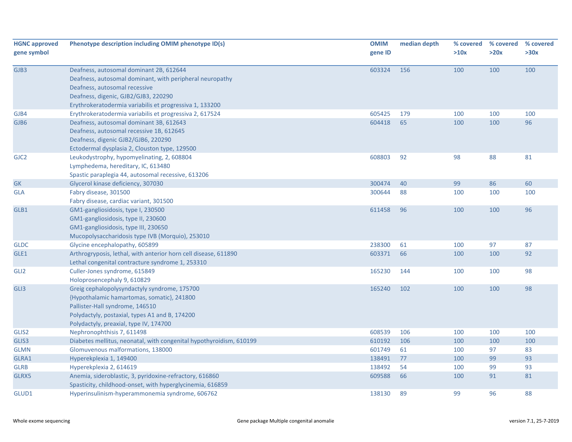| <b>HGNC approved</b><br>gene symbol | Phenotype description including OMIM phenotype ID(s)                                                                                                                                                                                    | <b>OMIM</b><br>gene ID | median depth | % covered<br>>10x | % covered<br>>20x | % covered<br>>30x |
|-------------------------------------|-----------------------------------------------------------------------------------------------------------------------------------------------------------------------------------------------------------------------------------------|------------------------|--------------|-------------------|-------------------|-------------------|
| GJB3                                | Deafness, autosomal dominant 2B, 612644<br>Deafness, autosomal dominant, with peripheral neuropathy<br>Deafness, autosomal recessive<br>Deafness, digenic, GJB2/GJB3, 220290<br>Erythrokeratodermia variabilis et progressiva 1, 133200 | 603324                 | 156          | 100               | 100               | 100               |
| GJB4                                | Erythrokeratodermia variabilis et progressiva 2, 617524                                                                                                                                                                                 | 605425                 | 179          | 100               | 100               | 100               |
| GJB6                                | Deafness, autosomal dominant 3B, 612643<br>Deafness, autosomal recessive 1B, 612645<br>Deafness, digenic GJB2/GJB6, 220290<br>Ectodermal dysplasia 2, Clouston type, 129500                                                             | 604418                 | 65           | 100               | 100               | 96                |
| GJC <sub>2</sub>                    | Leukodystrophy, hypomyelinating, 2, 608804<br>Lymphedema, hereditary, IC, 613480<br>Spastic paraplegia 44, autosomal recessive, 613206                                                                                                  | 608803                 | 92           | 98                | 88                | 81                |
| <b>GK</b>                           | Glycerol kinase deficiency, 307030                                                                                                                                                                                                      | 300474                 | 40           | 99                | 86                | 60                |
| <b>GLA</b>                          | Fabry disease, 301500<br>Fabry disease, cardiac variant, 301500                                                                                                                                                                         | 300644                 | 88           | 100               | 100               | 100               |
| GLB1                                | GM1-gangliosidosis, type I, 230500<br>GM1-gangliosidosis, type II, 230600<br>GM1-gangliosidosis, type III, 230650<br>Mucopolysaccharidosis type IVB (Morquio), 253010                                                                   | 611458                 | 96           | 100               | 100               | 96                |
| <b>GLDC</b>                         | Glycine encephalopathy, 605899                                                                                                                                                                                                          | 238300                 | 61           | 100               | 97                | 87                |
| GLE1                                | Arthrogryposis, lethal, with anterior horn cell disease, 611890<br>Lethal congenital contracture syndrome 1, 253310                                                                                                                     | 603371                 | 66           | 100               | 100               | 92                |
| GLI <sub>2</sub>                    | Culler-Jones syndrome, 615849<br>Holoprosencephaly 9, 610829                                                                                                                                                                            | 165230                 | 144          | 100               | 100               | 98                |
| GLI3                                | Greig cephalopolysyndactyly syndrome, 175700<br>{Hypothalamic hamartomas, somatic}, 241800<br>Pallister-Hall syndrome, 146510<br>Polydactyly, postaxial, types A1 and B, 174200<br>Polydactyly, preaxial, type IV, 174700               | 165240                 | 102          | 100               | 100               | 98                |
| GLIS2                               | Nephronophthisis 7, 611498                                                                                                                                                                                                              | 608539                 | 106          | 100               | 100               | 100               |
| GLIS3                               | Diabetes mellitus, neonatal, with congenital hypothyroidism, 610199                                                                                                                                                                     | 610192                 | 106          | 100               | 100               | 100               |
| <b>GLMN</b>                         | Glomuvenous malformations, 138000                                                                                                                                                                                                       | 601749                 | 61           | 100               | 97                | 83                |
| GLRA1                               | Hyperekplexia 1, 149400                                                                                                                                                                                                                 | 138491                 | 77           | 100               | 99                | 93                |
| <b>GLRB</b>                         | Hyperekplexia 2, 614619                                                                                                                                                                                                                 | 138492                 | 54           | 100               | 99                | 93                |
| GLRX5                               | Anemia, sideroblastic, 3, pyridoxine-refractory, 616860<br>Spasticity, childhood-onset, with hyperglycinemia, 616859                                                                                                                    | 609588                 | 66           | 100               | 91                | 81                |
| GLUD1                               | Hyperinsulinism-hyperammonemia syndrome, 606762                                                                                                                                                                                         | 138130                 | 89           | 99                | 96                | 88                |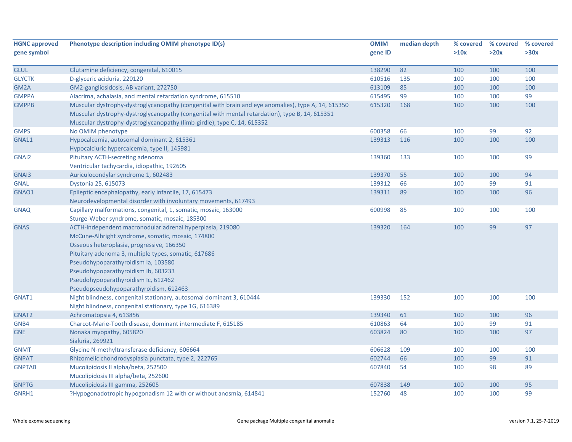| <b>HGNC approved</b>  | Phenotype description including OMIM phenotype ID(s)                                                                                         | <b>OMIM</b>      | median depth | % covered  | % covered  | % covered |
|-----------------------|----------------------------------------------------------------------------------------------------------------------------------------------|------------------|--------------|------------|------------|-----------|
| gene symbol           |                                                                                                                                              | gene ID          |              | >10x       | >20x       | >30x      |
|                       |                                                                                                                                              |                  |              |            |            |           |
| <b>GLUL</b>           | Glutamine deficiency, congenital, 610015                                                                                                     | 138290           | 82           | 100        | 100        | 100       |
| <b>GLYCTK</b>         | D-glyceric aciduria, 220120                                                                                                                  | 610516           | 135          | 100        | 100        | 100       |
| GM2A                  | GM2-gangliosidosis, AB variant, 272750                                                                                                       | 613109           | 85           | 100        | 100        | 100       |
| <b>GMPPA</b>          | Alacrima, achalasia, and mental retardation syndrome, 615510                                                                                 | 615495           | 99           | 100        | 100        | 99        |
| <b>GMPPB</b>          | Muscular dystrophy-dystroglycanopathy (congenital with brain and eye anomalies), type A, 14, 615350                                          | 615320           | 168          | 100        | 100        | 100       |
|                       | Muscular dystrophy-dystroglycanopathy (congenital with mental retardation), type B, 14, 615351                                               |                  |              |            |            |           |
|                       | Muscular dystrophy-dystroglycanopathy (limb-girdle), type C, 14, 615352                                                                      |                  |              |            |            |           |
| <b>GMPS</b>           | No OMIM phenotype                                                                                                                            | 600358           | 66           | 100        | 99         | 92        |
| <b>GNA11</b>          | Hypocalcemia, autosomal dominant 2, 615361                                                                                                   | 139313           | 116          | 100        | 100        | 100       |
|                       | Hypocalciuric hypercalcemia, type II, 145981                                                                                                 |                  |              |            |            |           |
| GNAI2                 | Pituitary ACTH-secreting adenoma                                                                                                             | 139360           | 133          | 100        | 100        | 99        |
|                       | Ventricular tachycardia, idiopathic, 192605                                                                                                  |                  |              |            |            |           |
| GNAI3                 | Auriculocondylar syndrome 1, 602483                                                                                                          | 139370           | 55           | 100        | 100        | 94        |
| <b>GNAL</b>           | Dystonia 25, 615073                                                                                                                          | 139312           | 66           | 100        | 99         | 91        |
| GNAO1                 | Epileptic encephalopathy, early infantile, 17, 615473                                                                                        | 139311           | 89           | 100        | 100        | 96        |
|                       | Neurodevelopmental disorder with involuntary movements, 617493                                                                               |                  |              |            |            |           |
| <b>GNAQ</b>           | Capillary malformations, congenital, 1, somatic, mosaic, 163000                                                                              | 600998           | 85           | 100        | 100        | 100       |
|                       | Sturge-Weber syndrome, somatic, mosaic, 185300                                                                                               |                  |              |            |            |           |
| <b>GNAS</b>           | ACTH-independent macronodular adrenal hyperplasia, 219080                                                                                    | 139320           | 164          | 100        | 99         | 97        |
|                       | McCune-Albright syndrome, somatic, mosaic, 174800                                                                                            |                  |              |            |            |           |
|                       | Osseous heteroplasia, progressive, 166350                                                                                                    |                  |              |            |            |           |
|                       | Pituitary adenoma 3, multiple types, somatic, 617686                                                                                         |                  |              |            |            |           |
|                       | Pseudohypoparathyroidism Ia, 103580                                                                                                          |                  |              |            |            |           |
|                       | Pseudohypoparathyroidism Ib, 603233                                                                                                          |                  |              |            |            |           |
|                       | Pseudohypoparathyroidism Ic, 612462                                                                                                          |                  |              |            |            |           |
|                       | Pseudopseudohypoparathyroidism, 612463                                                                                                       |                  |              |            |            |           |
| GNAT1                 | Night blindness, congenital stationary, autosomal dominant 3, 610444                                                                         | 139330           | 152          | 100        | 100        | 100       |
|                       | Night blindness, congenital stationary, type 1G, 616389                                                                                      |                  |              |            |            |           |
| GNAT2                 | Achromatopsia 4, 613856                                                                                                                      | 139340           | 61           | 100        | 100        | 96        |
| GNB4                  | Charcot-Marie-Tooth disease, dominant intermediate F, 615185                                                                                 | 610863           | 64           | 100        | 99         | 91        |
| <b>GNE</b>            | Nonaka myopathy, 605820                                                                                                                      | 603824           | 80           | 100        | 100        | 97        |
|                       | Sialuria, 269921                                                                                                                             |                  |              |            |            |           |
| <b>GNMT</b>           | Glycine N-methyltransferase deficiency, 606664                                                                                               | 606628           | 109          | 100        | 100        | 100       |
| <b>GNPAT</b>          | Rhizomelic chondrodysplasia punctata, type 2, 222765                                                                                         | 602744           | 66           | 100        | 99         | 91        |
| <b>GNPTAB</b>         | Mucolipidosis II alpha/beta, 252500                                                                                                          | 607840           | 54           | 100        | 98         | 89        |
|                       |                                                                                                                                              |                  |              |            |            |           |
|                       |                                                                                                                                              |                  |              |            |            |           |
|                       |                                                                                                                                              |                  |              |            |            |           |
| <b>GNPTG</b><br>GNRH1 | Mucolipidosis III alpha/beta, 252600<br>Mucolipidosis III gamma, 252605<br>?Hypogonadotropic hypogonadism 12 with or without anosmia, 614841 | 607838<br>152760 | 149<br>48    | 100<br>100 | 100<br>100 | 95<br>99  |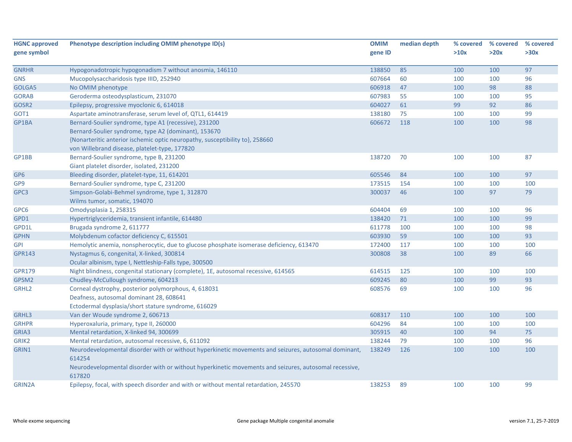| <b>HGNC approved</b> | Phenotype description including OMIM phenotype ID(s)                                                  | <b>OMIM</b> | median depth | % covered | % covered | % covered |
|----------------------|-------------------------------------------------------------------------------------------------------|-------------|--------------|-----------|-----------|-----------|
| gene symbol          |                                                                                                       | gene ID     |              | >10x      | >20x      | >30x      |
|                      |                                                                                                       |             |              |           |           |           |
| <b>GNRHR</b>         | Hypogonadotropic hypogonadism 7 without anosmia, 146110                                               | 138850      | 85           | 100       | 100       | 97        |
| <b>GNS</b>           | Mucopolysaccharidosis type IIID, 252940                                                               | 607664      | 60           | 100       | 100       | 96        |
| GOLGA5               | No OMIM phenotype                                                                                     | 606918      | 47           | 100       | 98        | 88        |
| <b>GORAB</b>         | Geroderma osteodysplasticum, 231070                                                                   | 607983      | 55           | 100       | 100       | 95        |
| GOSR2                | Epilepsy, progressive myoclonic 6, 614018                                                             | 604027      | 61           | 99        | 92        | 86        |
| GOT1                 | Aspartate aminotransferase, serum level of, QTL1, 614419                                              | 138180      | 75           | 100       | 100       | 99        |
| GP1BA                | Bernard-Soulier syndrome, type A1 (recessive), 231200                                                 | 606672      | 118          | 100       | 100       | 98        |
|                      | Bernard-Soulier syndrome, type A2 (dominant), 153670                                                  |             |              |           |           |           |
|                      | {Nonarteritic anterior ischemic optic neuropathy, susceptibility to}, 258660                          |             |              |           |           |           |
|                      | von Willebrand disease, platelet-type, 177820                                                         |             |              |           |           |           |
| GP1BB                | Bernard-Soulier syndrome, type B, 231200                                                              | 138720      | 70           | 100       | 100       | 87        |
|                      | Giant platelet disorder, isolated, 231200                                                             |             |              |           |           |           |
| GP <sub>6</sub>      | Bleeding disorder, platelet-type, 11, 614201                                                          | 605546      | 84           | 100       | 100       | 97        |
| GP9                  | Bernard-Soulier syndrome, type C, 231200                                                              | 173515      | 154          | 100       | 100       | 100       |
| GPC3                 | Simpson-Golabi-Behmel syndrome, type 1, 312870                                                        | 300037      | 46           | 100       | 97        | 79        |
|                      | Wilms tumor, somatic, 194070                                                                          |             |              |           |           |           |
| GPC6                 | Omodysplasia 1, 258315                                                                                | 604404      | 69           | 100       | 100       | 96        |
| GPD1                 | Hypertriglyceridemia, transient infantile, 614480                                                     | 138420      | 71           | 100       | 100       | 99        |
| GPD1L                | Brugada syndrome 2, 611777                                                                            | 611778      | 100          | 100       | 100       | 98        |
| <b>GPHN</b>          | Molybdenum cofactor deficiency C, 615501                                                              | 603930      | 59           | 100       | 100       | 93        |
| <b>GPI</b>           | Hemolytic anemia, nonspherocytic, due to glucose phosphate isomerase deficiency, 613470               | 172400      | 117          | 100       | 100       | 100       |
| <b>GPR143</b>        | Nystagmus 6, congenital, X-linked, 300814                                                             | 300808      | 38           | 100       | 89        | 66        |
|                      | Ocular albinism, type I, Nettleship-Falls type, 300500                                                |             |              |           |           |           |
| <b>GPR179</b>        | Night blindness, congenital stationary (complete), 1E, autosomal recessive, 614565                    | 614515      | 125          | 100       | 100       | 100       |
| GPSM2                | Chudley-McCullough syndrome, 604213                                                                   | 609245      | 80           | 100       | 99        | 93        |
| GRHL <sub>2</sub>    | Corneal dystrophy, posterior polymorphous, 4, 618031                                                  | 608576      | 69           | 100       | 100       | 96        |
|                      | Deafness, autosomal dominant 28, 608641                                                               |             |              |           |           |           |
|                      | Ectodermal dysplasia/short stature syndrome, 616029                                                   |             |              |           |           |           |
| GRHL3                | Van der Woude syndrome 2, 606713                                                                      | 608317      | 110          | 100       | 100       | 100       |
| <b>GRHPR</b>         | Hyperoxaluria, primary, type II, 260000                                                               | 604296      | 84           | 100       | 100       | 100       |
| GRIA3                | Mental retardation, X-linked 94, 300699                                                               | 305915      | 40           | 100       | 94        | 75        |
| GRIK2                | Mental retardation, autosomal recessive, 6, 611092                                                    | 138244      | 79           | 100       | 100       | 96        |
| GRIN1                | Neurodevelopmental disorder with or without hyperkinetic movements and seizures, autosomal dominant,  | 138249      | 126          | 100       | 100       | 100       |
|                      | 614254                                                                                                |             |              |           |           |           |
|                      | Neurodevelopmental disorder with or without hyperkinetic movements and seizures, autosomal recessive, |             |              |           |           |           |
|                      | 617820                                                                                                |             |              |           |           |           |
| <b>GRIN2A</b>        | Epilepsy, focal, with speech disorder and with or without mental retardation, 245570                  | 138253      | 89           | 100       | 100       | 99        |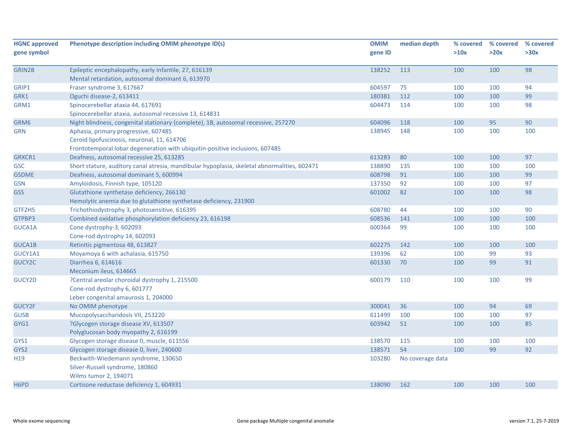| <b>HGNC approved</b>          | Phenotype description including OMIM phenotype ID(s)                                         | <b>OMIM</b> | median depth     | % covered | % covered | % covered |
|-------------------------------|----------------------------------------------------------------------------------------------|-------------|------------------|-----------|-----------|-----------|
| gene symbol                   |                                                                                              | gene ID     |                  | >10x      | >20x      | >30x      |
|                               |                                                                                              |             |                  |           |           |           |
| <b>GRIN2B</b>                 | Epileptic encephalopathy, early infantile, 27, 616139                                        | 138252      | 113              | 100       | 100       | 98        |
|                               | Mental retardation, autosomal dominant 6, 613970                                             |             |                  |           |           |           |
| GRIP1                         | Fraser syndrome 3, 617667                                                                    | 604597      | 75               | 100       | 100       | 94        |
| GRK1                          | Oguchi disease-2, 613411                                                                     | 180381      | 112              | 100       | 100       | 99        |
| GRM1                          | Spinocerebellar ataxia 44, 617691                                                            | 604473      | 114              | 100       | 100       | 98        |
|                               | Spinocerebellar ataxia, autosomal recessive 13, 614831                                       |             |                  |           |           |           |
| GRM6                          | Night blindness, congenital stationary (complete), 1B, autosomal recessive, 257270           | 604096      | 118              | 100       | 95        | 90        |
| <b>GRN</b>                    | Aphasia, primary progressive, 607485                                                         | 138945      | 148              | 100       | 100       | 100       |
|                               | Ceroid lipofuscinosis, neuronal, 11, 614706                                                  |             |                  |           |           |           |
|                               | Frontotemporal lobar degeneration with ubiquitin-positive inclusions, 607485                 |             |                  |           |           |           |
| GRXCR1                        | Deafness, autosomal recessive 25, 613285                                                     | 613283      | 80               | 100       | 100       | 97        |
| <b>GSC</b>                    | Short stature, auditory canal atresia, mandibular hypoplasia, skeletal abnormalities, 602471 | 138890      | 135              | 100       | 100       | 100       |
| <b>GSDME</b>                  | Deafness, autosomal dominant 5, 600994                                                       | 608798      | 91               | 100       | 100       | 99        |
| GSN                           | Amyloidosis, Finnish type, 105120                                                            | 137350      | 92               | 100       | 100       | 97        |
| <b>GSS</b>                    | Glutathione synthetase deficiency, 266130                                                    | 601002      | 82               | 100       | 100       | 98        |
|                               | Hemolytic anemia due to glutathione synthetase deficiency, 231900                            |             |                  |           |           |           |
| GTF2H5                        | Trichothiodystrophy 3, photosensitive, 616395                                                | 608780      | 44               | 100       | 100       | 90        |
| GTPBP3                        | Combined oxidative phosphorylation deficiency 23, 616198                                     | 608536      | 141              | 100       | 100       | 100       |
| GUCA1A                        | Cone dystrophy-3, 602093                                                                     | 600364      | 99               | 100       | 100       | 100       |
|                               | Cone-rod dystrophy 14, 602093                                                                |             |                  |           |           |           |
| GUCA1B                        | Retinitis pigmentosa 48, 613827                                                              | 602275      | 142              | 100       | 100       | 100       |
| GUCY1A1                       | Moyamoya 6 with achalasia, 615750                                                            | 139396      | 62               | 100       | 99        | 93        |
| GUCY2C                        | Diarrhea 6, 614616                                                                           | 601330      | 70               | 100       | 99        | 91        |
|                               | Meconium ileus, 614665                                                                       |             |                  |           |           |           |
| GUCY2D                        | ?Central areolar choroidal dystrophy 1, 215500                                               | 600179      | 110              | 100       | 100       | 99        |
|                               | Cone-rod dystrophy 6, 601777                                                                 |             |                  |           |           |           |
|                               | Leber congenital amaurosis 1, 204000                                                         |             |                  |           |           |           |
| GUCY2F                        | No OMIM phenotype                                                                            | 300041      | 36               | 100       | 94        | 69        |
| <b>GUSB</b>                   | Mucopolysaccharidosis VII, 253220                                                            | 611499      | 100              | 100       | 100       | 97        |
| GYG1                          | ?Glycogen storage disease XV, 613507                                                         | 603942      | 51               | 100       | 100       | 85        |
|                               | Polyglucosan body myopathy 2, 616199                                                         |             |                  |           |           |           |
| GYS1                          | Glycogen storage disease 0, muscle, 611556                                                   | 138570      | 115              | 100       | 100       | 100       |
| GYS2                          | Glycogen storage disease 0, liver, 240600                                                    | 138571      | 54               | 100       | 99        | 92        |
| H <sub>19</sub>               | Beckwith-Wiedemann syndrome, 130650                                                          | 103280      | No coverage data |           |           |           |
|                               | Silver-Russell syndrome, 180860                                                              |             |                  |           |           |           |
|                               | Wilms tumor 2, 194071                                                                        |             |                  |           |           |           |
| H <sub>6</sub> P <sub>D</sub> | Cortisone reductase deficiency 1, 604931                                                     | 138090      | 162              | 100       | 100       | 100       |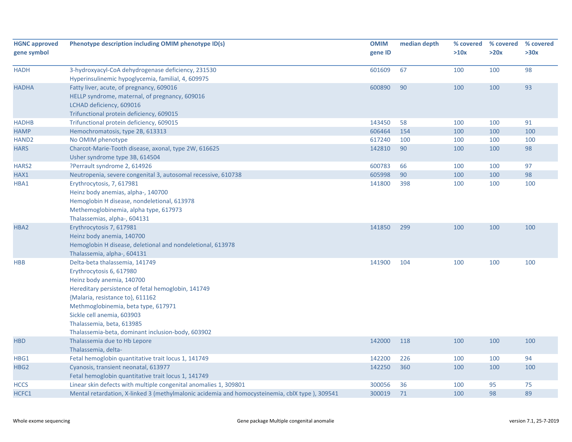| <b>HGNC approved</b> | Phenotype description including OMIM phenotype ID(s)                                           | <b>OMIM</b> | median depth | % covered | % covered | % covered |
|----------------------|------------------------------------------------------------------------------------------------|-------------|--------------|-----------|-----------|-----------|
| gene symbol          |                                                                                                | gene ID     |              | >10x      | >20x      | >30x      |
| <b>HADH</b>          | 3-hydroxyacyl-CoA dehydrogenase deficiency, 231530                                             | 601609      | 67           | 100       | 100       | 98        |
|                      | Hyperinsulinemic hypoglycemia, familial, 4, 609975                                             |             | 90           | 100       |           | 93        |
| <b>HADHA</b>         | Fatty liver, acute, of pregnancy, 609016<br>HELLP syndrome, maternal, of pregnancy, 609016     | 600890      |              |           | 100       |           |
|                      | LCHAD deficiency, 609016                                                                       |             |              |           |           |           |
|                      | Trifunctional protein deficiency, 609015                                                       |             |              |           |           |           |
| <b>HADHB</b>         | Trifunctional protein deficiency, 609015                                                       | 143450      | 58           | 100       | 100       | 91        |
| <b>HAMP</b>          | Hemochromatosis, type 2B, 613313                                                               | 606464      | 154          | 100       | 100       | 100       |
| HAND <sub>2</sub>    | No OMIM phenotype                                                                              | 617240      | 100          | 100       | 100       | 100       |
| <b>HARS</b>          | Charcot-Marie-Tooth disease, axonal, type 2W, 616625                                           | 142810      | 90           | 100       | 100       | 98        |
|                      | Usher syndrome type 3B, 614504                                                                 |             |              |           |           |           |
| HARS2                | ?Perrault syndrome 2, 614926                                                                   | 600783      | 66           | 100       | 100       | 97        |
| HAX1                 | Neutropenia, severe congenital 3, autosomal recessive, 610738                                  | 605998      | 90           | 100       | 100       | 98        |
| HBA1                 | Erythrocytosis, 7, 617981                                                                      | 141800      | 398          | 100       | 100       | 100       |
|                      | Heinz body anemias, alpha-, 140700                                                             |             |              |           |           |           |
|                      | Hemoglobin H disease, nondeletional, 613978                                                    |             |              |           |           |           |
|                      | Methemoglobinemia, alpha type, 617973                                                          |             |              |           |           |           |
|                      | Thalassemias, alpha-, 604131                                                                   |             |              |           |           |           |
| HBA2                 | Erythrocytosis 7, 617981                                                                       | 141850      | 299          | 100       | 100       | 100       |
|                      | Heinz body anemia, 140700                                                                      |             |              |           |           |           |
|                      | Hemoglobin H disease, deletional and nondeletional, 613978                                     |             |              |           |           |           |
|                      | Thalassemia, alpha-, 604131                                                                    |             |              |           |           |           |
| <b>HBB</b>           | Delta-beta thalassemia, 141749                                                                 | 141900      | 104          | 100       | 100       | 100       |
|                      | Erythrocytosis 6, 617980                                                                       |             |              |           |           |           |
|                      | Heinz body anemia, 140700                                                                      |             |              |           |           |           |
|                      | Hereditary persistence of fetal hemoglobin, 141749                                             |             |              |           |           |           |
|                      | {Malaria, resistance to}, 611162                                                               |             |              |           |           |           |
|                      | Methmoglobinemia, beta type, 617971                                                            |             |              |           |           |           |
|                      | Sickle cell anemia, 603903                                                                     |             |              |           |           |           |
|                      | Thalassemia, beta, 613985                                                                      |             |              |           |           |           |
|                      | Thalassemia-beta, dominant inclusion-body, 603902                                              |             |              |           |           |           |
| <b>HBD</b>           | Thalassemia due to Hb Lepore                                                                   | 142000      | 118          | 100       | 100       | 100       |
|                      | Thalassemia, delta-                                                                            |             |              |           |           |           |
| HBG1                 | Fetal hemoglobin quantitative trait locus 1, 141749                                            | 142200      | 226          | 100       | 100       | 94        |
| HBG <sub>2</sub>     | Cyanosis, transient neonatal, 613977                                                           | 142250      | 360          | 100       | 100       | 100       |
|                      | Fetal hemoglobin quantitative trait locus 1, 141749                                            |             |              |           |           |           |
| <b>HCCS</b>          | Linear skin defects with multiple congenital anomalies 1, 309801                               | 300056      | 36           | 100       | 95        | 75        |
| HCFC1                | Mental retardation, X-linked 3 (methylmalonic acidemia and homocysteinemia, cblX type), 309541 | 300019      | 71           | 100       | 98        | 89        |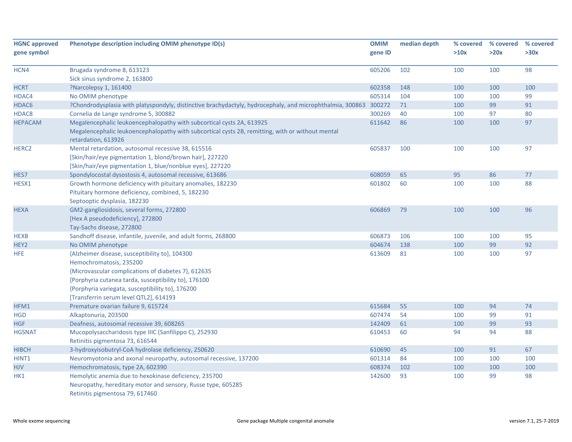| <b>HGNC approved</b> | Phenotype description including OMIM phenotype ID(s)                                                      | <b>OMIM</b> | median depth | % covered | % covered | % covered |
|----------------------|-----------------------------------------------------------------------------------------------------------|-------------|--------------|-----------|-----------|-----------|
| gene symbol          |                                                                                                           | gene ID     |              | >10x      | >20x      | >30x      |
|                      |                                                                                                           |             |              |           |           |           |
| HCN4                 | Brugada syndrome 8, 613123                                                                                | 605206      | 102          | 100       | 100       | 98        |
|                      | Sick sinus syndrome 2, 163800                                                                             |             |              |           |           |           |
| <b>HCRT</b>          | ?Narcolepsy 1, 161400                                                                                     | 602358      | 148          | 100       | 100       | 100       |
| HDAC4                | No OMIM phenotype                                                                                         | 605314      | 104          | 100       | 100       | 99        |
| HDAC <sub>6</sub>    | ?Chondrodysplasia with platyspondyly, distinctive brachydactyly, hydrocephaly, and microphthalmia, 300863 | 300272      | 71           | 100       | 99        | 91        |
| HDAC8                | Cornelia de Lange syndrome 5, 300882                                                                      | 300269      | 40           | 100       | 97        | 80        |
| <b>HEPACAM</b>       | Megalencephalic leukoencephalopathy with subcortical cysts 2A, 613925                                     | 611642      | 86           | 100       | 100       | 97        |
|                      | Megalencephalic leukoencephalopathy with subcortical cysts 2B, remitting, with or without mental          |             |              |           |           |           |
|                      | retardation, 613926                                                                                       |             |              |           |           |           |
| HERC <sub>2</sub>    | Mental retardation, autosomal recessive 38, 615516                                                        | 605837      | 100          | 100       | 100       | 97        |
|                      | [Skin/hair/eye pigmentation 1, blond/brown hair], 227220                                                  |             |              |           |           |           |
|                      | [Skin/hair/eye pigmentation 1, blue/nonblue eyes], 227220                                                 |             |              |           |           |           |
| HES7                 | Spondylocostal dysostosis 4, autosomal recessive, 613686                                                  | 608059      | 65           | 95        | 86        | 77        |
| HESX1                | Growth hormone deficiency with pituitary anomalies, 182230                                                | 601802      | 60           | 100       | 100       | 88        |
|                      | Pituitary hormone deficiency, combined, 5, 182230                                                         |             |              |           |           |           |
|                      | Septooptic dysplasia, 182230                                                                              |             |              |           |           |           |
| <b>HEXA</b>          | GM2-gangliosidosis, several forms, 272800                                                                 | 606869      | 79           | 100       | 100       | 96        |
|                      | [Hex A pseudodeficiency], 272800                                                                          |             |              |           |           |           |
|                      | Tay-Sachs disease, 272800                                                                                 |             |              |           |           |           |
| <b>HEXB</b>          | Sandhoff disease, infantile, juvenile, and adult forms, 268800                                            | 606873      | 106          | 100       | 100       | 95        |
| HEY2                 | No OMIM phenotype                                                                                         | 604674      | 138          | 100       | 99        | 92        |
| <b>HFE</b>           | {Alzheimer disease, susceptibility to}, 104300                                                            | 613609      | 81           | 100       | 100       | 97        |
|                      | Hemochromatosis, 235200                                                                                   |             |              |           |           |           |
|                      | {Microvascular complications of diabetes 7}, 612635                                                       |             |              |           |           |           |
|                      | {Porphyria cutanea tarda, susceptibility to}, 176100                                                      |             |              |           |           |           |
|                      | {Porphyria variegata, susceptibility to}, 176200                                                          |             |              |           |           |           |
|                      | [Transferrin serum level QTL2], 614193                                                                    |             |              |           |           |           |
| HFM1                 | Premature ovarian failure 9, 615724                                                                       | 615684      | 55           | 100       | 94        | 74        |
| <b>HGD</b>           | Alkaptonuria, 203500                                                                                      | 607474      | 54           | 100       | 99        | 91        |
| <b>HGF</b>           | Deafness, autosomal recessive 39, 608265                                                                  | 142409      | 61           | 100       | 99        | 93        |
| <b>HGSNAT</b>        | Mucopolysaccharidosis type IIIC (Sanfilippo C), 252930                                                    | 610453      | 60           | 94        | 94        | 88        |
|                      | Retinitis pigmentosa 73, 616544                                                                           |             |              |           |           |           |
| <b>HIBCH</b>         | 3-hydroxyisobutryl-CoA hydrolase deficiency, 250620                                                       | 610690      | 45           | 100       | 91        | 67        |
| HINT <sub>1</sub>    | Neuromyotonia and axonal neuropathy, autosomal recessive, 137200                                          | 601314      | 84           | 100       | 100       | 100       |
| <b>HJV</b>           | Hemochromatosis, type 2A, 602390                                                                          | 608374      | 102          | 100       | 100       | 100       |
| HK1                  | Hemolytic anemia due to hexokinase deficiency, 235700                                                     | 142600      | 93           | 100       | 99        | 98        |
|                      | Neuropathy, hereditary motor and sensory, Russe type, 605285                                              |             |              |           |           |           |
|                      | Retinitis pigmentosa 79, 617460                                                                           |             |              |           |           |           |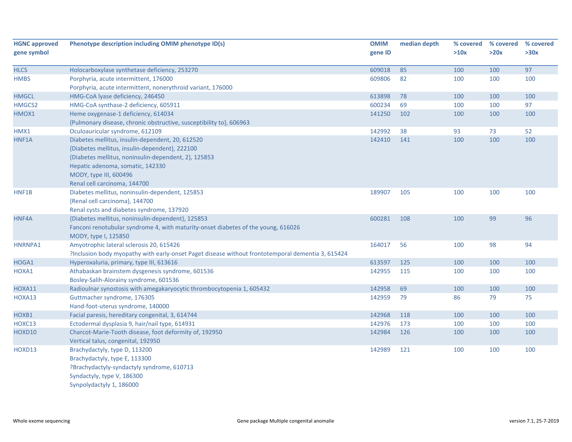| <b>HGNC approved</b> | Phenotype description including OMIM phenotype ID(s)                                              | <b>OMIM</b> | median depth | % covered | % covered  | % covered |
|----------------------|---------------------------------------------------------------------------------------------------|-------------|--------------|-----------|------------|-----------|
| gene symbol          |                                                                                                   | gene ID     |              | >10x      | >20x       | >30x      |
|                      |                                                                                                   |             | 85           |           | 100        | 97        |
| <b>HLCS</b>          | Holocarboxylase synthetase deficiency, 253270<br>Porphyria, acute intermittent, 176000            | 609018      |              | 100       |            |           |
| <b>HMBS</b>          | Porphyria, acute intermittent, nonerythroid variant, 176000                                       | 609806      | 82           | 100       | 100        | 100       |
|                      |                                                                                                   |             |              |           |            |           |
| <b>HMGCL</b>         | HMG-CoA lyase deficiency, 246450                                                                  | 613898      | 78<br>69     | 100       | 100<br>100 | 100<br>97 |
| HMGCS2               | HMG-CoA synthase-2 deficiency, 605911                                                             | 600234      |              | 100       |            |           |
| HMOX1                | Heme oxygenase-1 deficiency, 614034                                                               | 141250      | 102          | 100       | 100        | 100       |
|                      | {Pulmonary disease, chronic obstructive, susceptibility to}, 606963                               |             |              |           |            |           |
| HMX1                 | Oculoauricular syndrome, 612109                                                                   | 142992      | 38           | 93        | 73         | 52        |
| HNF1A                | Diabetes mellitus, insulin-dependent, 20, 612520                                                  | 142410      | 141          | 100       | 100        | 100       |
|                      | {Diabetes mellitus, insulin-dependent}, 222100                                                    |             |              |           |            |           |
|                      | {Diabetes mellitus, noninsulin-dependent, 2}, 125853                                              |             |              |           |            |           |
|                      | Hepatic adenoma, somatic, 142330                                                                  |             |              |           |            |           |
|                      | MODY, type III, 600496                                                                            |             |              |           |            |           |
|                      | Renal cell carcinoma, 144700                                                                      |             |              |           |            |           |
| HNF1B                | Diabetes mellitus, noninsulin-dependent, 125853                                                   | 189907      | 105          | 100       | 100        | 100       |
|                      | {Renal cell carcinoma}, 144700                                                                    |             |              |           |            |           |
|                      | Renal cysts and diabetes syndrome, 137920                                                         |             |              |           |            |           |
| HNF4A                | {Diabetes mellitus, noninsulin-dependent}, 125853                                                 | 600281      | 108          | 100       | 99         | 96        |
|                      | Fanconi renotubular syndrome 4, with maturity-onset diabetes of the young, 616026                 |             |              |           |            |           |
|                      | MODY, type I, 125850                                                                              |             |              |           |            |           |
| HNRNPA1              | Amyotrophic lateral sclerosis 20, 615426                                                          | 164017      | 56           | 100       | 98         | 94        |
|                      | ?Inclusion body myopathy with early-onset Paget disease without frontotemporal dementia 3, 615424 |             |              |           |            |           |
| HOGA1                | Hyperoxaluria, primary, type III, 613616                                                          | 613597      | 125          | 100       | 100        | 100       |
| HOXA1                | Athabaskan brainstem dysgenesis syndrome, 601536                                                  | 142955      | 115          | 100       | 100        | 100       |
|                      | Bosley-Salih-Alorainy syndrome, 601536                                                            |             |              |           |            |           |
| HOXA11               | Radioulnar synostosis with amegakaryocytic thrombocytopenia 1, 605432                             | 142958      | 69           | 100       | 100        | 100       |
| HOXA13               | Guttmacher syndrome, 176305                                                                       | 142959      | 79           | 86        | 79         | 75        |
|                      | Hand-foot-uterus syndrome, 140000                                                                 |             |              |           |            |           |
| HOXB1                | Facial paresis, hereditary congenital, 3, 614744                                                  | 142968      | 118          | 100       | 100        | 100       |
| HOXC13               | Ectodermal dysplasia 9, hair/nail type, 614931                                                    | 142976      | 173          | 100       | 100        | 100       |
| HOXD10               | Charcot-Marie-Tooth disease, foot deformity of, 192950                                            | 142984      | 126          | 100       | 100        | 100       |
|                      | Vertical talus, congenital, 192950                                                                |             |              |           |            |           |
| HOXD13               | Brachydactyly, type D, 113200                                                                     | 142989      | 121          | 100       | 100        | 100       |
|                      | Brachydactyly, type E, 113300                                                                     |             |              |           |            |           |
|                      | ?Brachydactyly-syndactyly syndrome, 610713                                                        |             |              |           |            |           |
|                      | Syndactyly, type V, 186300                                                                        |             |              |           |            |           |
|                      | Synpolydactyly 1, 186000                                                                          |             |              |           |            |           |
|                      |                                                                                                   |             |              |           |            |           |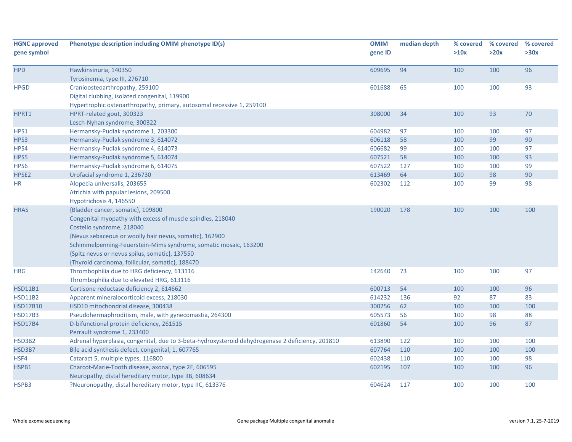| <b>HGNC approved</b> | Phenotype description including OMIM phenotype ID(s)                                             | <b>OMIM</b> | median depth | % covered | % covered | % covered |
|----------------------|--------------------------------------------------------------------------------------------------|-------------|--------------|-----------|-----------|-----------|
| gene symbol          |                                                                                                  | gene ID     |              | >10x      | >20x      | >30x      |
| <b>HPD</b>           | Hawkinsinuria, 140350                                                                            | 609695      | 94           | 100       | 100       | 96        |
|                      | Tyrosinemia, type III, 276710                                                                    |             |              |           |           |           |
| <b>HPGD</b>          | Cranioosteoarthropathy, 259100                                                                   | 601688      | 65           | 100       | 100       | 93        |
|                      | Digital clubbing, isolated congenital, 119900                                                    |             |              |           |           |           |
|                      | Hypertrophic osteoarthropathy, primary, autosomal recessive 1, 259100                            |             |              |           |           |           |
| HPRT1                | HPRT-related gout, 300323                                                                        | 308000      | 34           | 100       | 93        | 70        |
|                      | Lesch-Nyhan syndrome, 300322                                                                     |             |              |           |           |           |
| HPS1                 | Hermansky-Pudlak syndrome 1, 203300                                                              | 604982      | 97           | 100       | 100       | 97        |
| HPS3                 | Hermansky-Pudlak syndrome 3, 614072                                                              | 606118      | 58           | 100       | 99        | 90        |
| HPS4                 | Hermansky-Pudlak syndrome 4, 614073                                                              | 606682      | 99           | 100       | 100       | 97        |
| HPS5                 | Hermansky-Pudlak syndrome 5, 614074                                                              | 607521      | 58           | 100       | 100       | 93        |
| HPS6                 | Hermansky-Pudlak syndrome 6, 614075                                                              | 607522      | 127          | 100       | 100       | 99        |
| HPSE <sub>2</sub>    | Urofacial syndrome 1, 236730                                                                     | 613469      | 64           | 100       | 98        | 90        |
| ΗR                   | Alopecia universalis, 203655                                                                     | 602302      | 112          | 100       | 99        | 98        |
|                      | Atrichia with papular lesions, 209500                                                            |             |              |           |           |           |
|                      | Hypotrichosis 4, 146550                                                                          |             |              |           |           |           |
| <b>HRAS</b>          | {Bladder cancer, somatic}, 109800                                                                | 190020      | 178          | 100       | 100       | 100       |
|                      | Congenital myopathy with excess of muscle spindles, 218040                                       |             |              |           |           |           |
|                      | Costello syndrome, 218040                                                                        |             |              |           |           |           |
|                      | {Nevus sebaceous or woolly hair nevus, somatic}, 162900                                          |             |              |           |           |           |
|                      | Schimmelpenning-Feuerstein-Mims syndrome, somatic mosaic, 163200                                 |             |              |           |           |           |
|                      | {Spitz nevus or nevus spilus, somatic}, 137550                                                   |             |              |           |           |           |
|                      | {Thyroid carcinoma, follicular, somatic}, 188470                                                 |             |              |           |           |           |
| <b>HRG</b>           | Thrombophilia due to HRG deficiency, 613116                                                      | 142640      | 73           | 100       | 100       | 97        |
|                      | Thrombophilia due to elevated HRG, 613116                                                        |             |              |           |           |           |
| <b>HSD11B1</b>       | Cortisone reductase deficiency 2, 614662                                                         | 600713      | 54           | 100       | 100       | 96        |
| <b>HSD11B2</b>       | Apparent mineralocorticoid excess, 218030                                                        | 614232      | 136          | 92        | 87        | 83        |
| <b>HSD17B10</b>      | HSD10 mitochondrial disease, 300438                                                              | 300256      | 62           | 100       | 100       | 100       |
| <b>HSD17B3</b>       | Pseudohermaphroditism, male, with gynecomastia, 264300                                           | 605573      | 56           | 100       | 98        | 88        |
| <b>HSD17B4</b>       | D-bifunctional protein deficiency, 261515                                                        | 601860      | 54           | 100       | 96        | 87        |
|                      | Perrault syndrome 1, 233400                                                                      |             |              |           |           |           |
| HSD3B2               | Adrenal hyperplasia, congenital, due to 3-beta-hydroxysteroid dehydrogenase 2 deficiency, 201810 | 613890      | 122          | 100       | 100       | 100       |
| HSD3B7               | Bile acid synthesis defect, congenital, 1, 607765                                                | 607764      | 110          | 100       | 100       | 100       |
| HSF4                 | Cataract 5, multiple types, 116800                                                               | 602438      | 110          | 100       | 100       | 98        |
| HSPB1                | Charcot-Marie-Tooth disease, axonal, type 2F, 606595                                             | 602195      | 107          | 100       | 100       | 96        |
|                      | Neuropathy, distal hereditary motor, type IIB, 608634                                            |             |              |           |           |           |
| HSPB3                | ?Neuronopathy, distal hereditary motor, type IIC, 613376                                         | 604624      | 117          | 100       | 100       | 100       |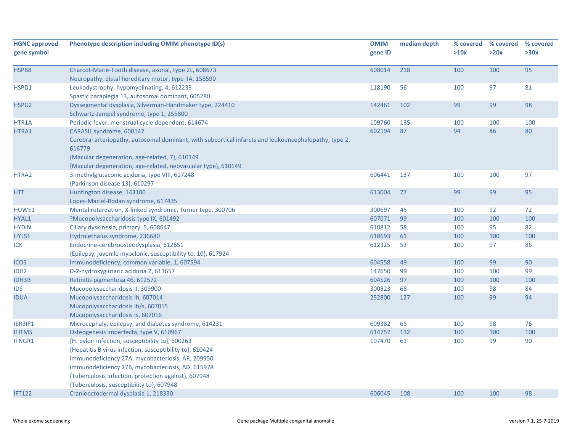| <b>HGNC approved</b><br>gene symbol | Phenotype description including OMIM phenotype ID(s)                                                                                                                                                                                                                                                                        | <b>OMIM</b><br>gene ID | median depth | % covered<br>>10x | % covered<br>>20x | % covered<br>>30x |
|-------------------------------------|-----------------------------------------------------------------------------------------------------------------------------------------------------------------------------------------------------------------------------------------------------------------------------------------------------------------------------|------------------------|--------------|-------------------|-------------------|-------------------|
| HSPB8                               | Charcot-Marie-Tooth disease, axonal, type 2L, 608673<br>Neuropathy, distal hereditary motor, type IIA, 158590                                                                                                                                                                                                               | 608014                 | 218          | 100               | 100               | 95                |
| HSPD1                               | Leukodystrophy, hypomyelinating, 4, 612233<br>Spastic paraplegia 13, autosomal dominant, 605280                                                                                                                                                                                                                             | 118190                 | 56           | 100               | 97                | 81                |
| HSPG <sub>2</sub>                   | Dyssegmental dysplasia, Silverman-Handmaker type, 224410<br>Schwartz-Jampel syndrome, type 1, 255800                                                                                                                                                                                                                        | 142461                 | 102          | 99                | 99                | 98                |
| HTR1A                               | Periodic fever, menstrual cycle dependent, 614674                                                                                                                                                                                                                                                                           | 109760                 | 135          | 100               | 100               | 100               |
| HTRA1                               | CARASIL syndrome, 600142<br>Cerebral arteriopathy, autosomal dominant, with subcortical infarcts and leukoencephalopathy, type 2,<br>616779<br>{Macular degeneration, age-related, 7}, 610149<br>{Macular degeneration, age-related, neovascular type}, 610149                                                              | 602194                 | 87           | 94                | 86                | 80                |
| HTRA2                               | 3-methylglutaconic aciduria, type VIII, 617248<br>{Parkinson disease 13}, 610297                                                                                                                                                                                                                                            | 606441                 | 137          | 100               | 100               | 97                |
| <b>HTT</b>                          | Huntington disease, 143100<br>Lopes-Maciel-Rodan syndrome, 617435                                                                                                                                                                                                                                                           | 613004                 | 77           | 99                | 99                | 95                |
| HUWE1                               | Mental retardation, X-linked syndromic, Turner type, 300706                                                                                                                                                                                                                                                                 | 300697                 | 45           | 100               | 92                | 72                |
| HYAL1                               | ?Mucopolysaccharidosis type IX, 601492                                                                                                                                                                                                                                                                                      | 607071                 | 99           | 100               | 100               | 100               |
| <b>HYDIN</b>                        | Ciliary dyskinesia, primary, 5, 608647                                                                                                                                                                                                                                                                                      | 610812                 | 58           | 100               | 95                | 82                |
| HYLS1                               | Hydrolethalus syndrome, 236680                                                                                                                                                                                                                                                                                              | 610693                 | 61           | 100               | 100               | 100               |
| <b>ICK</b>                          | Endocrine-cerebroosteodysplasia, 612651<br>{Epilepsy, juvenile myoclonic, susceptibility to, 10}, 617924                                                                                                                                                                                                                    | 612325                 | 53           | 100               | 97                | 86                |
| <b>ICOS</b>                         | Immunodeficiency, common variable, 1, 607594                                                                                                                                                                                                                                                                                | 604558                 | 49           | 100               | 99                | 90                |
| IDH <sub>2</sub>                    | D-2-hydroxyglutaric aciduria 2, 613657                                                                                                                                                                                                                                                                                      | 147650                 | 99           | 100               | 100               | 99                |
| <b>IDH3B</b>                        | Retinitis pigmentosa 46, 612572                                                                                                                                                                                                                                                                                             | 604526                 | 97           | 100               | 100               | 100               |
| <b>IDS</b>                          | Mucopolysaccharidosis II, 309900                                                                                                                                                                                                                                                                                            | 300823                 | 68           | 100               | 98                | 84                |
| <b>IDUA</b>                         | Mucopolysaccharidosis Ih, 607014<br>Mucopolysaccharidosis Ih/s, 607015<br>Mucopolysaccharidosis Is, 607016                                                                                                                                                                                                                  | 252800                 | 127          | 100               | 99                | 94                |
| IER3IP1                             | Microcephaly, epilepsy, and diabetes syndrome, 614231                                                                                                                                                                                                                                                                       | 609382                 | 65           | 100               | 98                | 76                |
| <b>IFITM5</b>                       | Osteogenesis imperfecta, type V, 610967                                                                                                                                                                                                                                                                                     | 614757                 | 132          | 100               | 100               | 100               |
| IFNGR1                              | {H. pylori infection, susceptibility to}, 600263<br>{Hepatitis B virus infection, susceptibility to}, 610424<br>Immunodeficiency 27A, mycobacteriosis, AR, 209950<br>Immunodeficiency 27B, mycobacteriosis, AD, 615978<br>{Tuberculosis infection, protection against}, 607948<br>{Tuberculosis, susceptibility to}, 607948 | 107470                 | 61           | 100               | 99                | 90                |
| <b>IFT122</b>                       | Cranioectodermal dysplasia 1, 218330                                                                                                                                                                                                                                                                                        | 606045                 | 108          | 100               | 100               | 98                |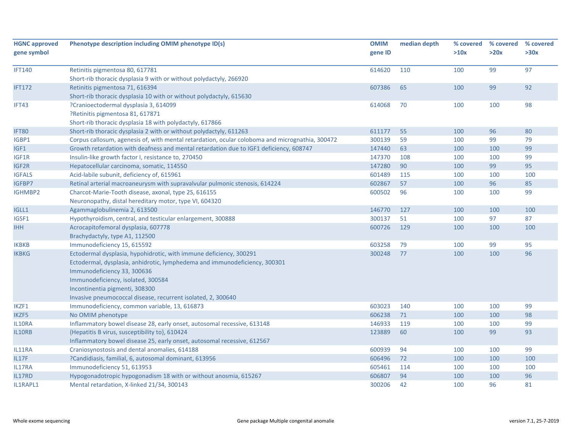| <b>HGNC approved</b><br>gene symbol | Phenotype description including OMIM phenotype ID(s)                                                                                                                                                                                              | <b>OMIM</b><br>gene ID | median depth | % covered<br>>10x | % covered<br>>20x | % covered<br>>30x |
|-------------------------------------|---------------------------------------------------------------------------------------------------------------------------------------------------------------------------------------------------------------------------------------------------|------------------------|--------------|-------------------|-------------------|-------------------|
| <b>IFT140</b>                       | Retinitis pigmentosa 80, 617781<br>Short-rib thoracic dysplasia 9 with or without polydactyly, 266920                                                                                                                                             | 614620                 | 110          | 100               | 99                | 97                |
| <b>IFT172</b>                       | Retinitis pigmentosa 71, 616394<br>Short-rib thoracic dysplasia 10 with or without polydactyly, 615630                                                                                                                                            | 607386                 | 65           | 100               | 99                | 92                |
| IFT43                               | ?Cranioectodermal dysplasia 3, 614099<br>?Retinitis pigmentosa 81, 617871<br>Short-rib thoracic dysplasia 18 with polydactyly, 617866                                                                                                             | 614068                 | 70           | 100               | 100               | 98                |
| <b>IFT80</b>                        | Short-rib thoracic dysplasia 2 with or without polydactyly, 611263                                                                                                                                                                                | 611177                 | 55           | 100               | 96                | 80                |
| IGBP1                               | Corpus callosum, agenesis of, with mental retardation, ocular coloboma and micrognathia, 300472                                                                                                                                                   | 300139                 | 59           | 100               | 99                | 79                |
| IGF1                                | Growth retardation with deafness and mental retardation due to IGF1 deficiency, 608747                                                                                                                                                            | 147440                 | 63           | 100               | 100               | 99                |
| IGF1R                               | Insulin-like growth factor I, resistance to, 270450                                                                                                                                                                                               | 147370                 | 108          | 100               | 100               | 99                |
| IGF2R                               | Hepatocellular carcinoma, somatic, 114550                                                                                                                                                                                                         | 147280                 | 90           | 100               | 99                | 95                |
| <b>IGFALS</b>                       | Acid-labile subunit, deficiency of, 615961                                                                                                                                                                                                        | 601489                 | 115          | 100               | 100               | 100               |
| IGFBP7                              | Retinal arterial macroaneurysm with supravalvular pulmonic stenosis, 614224                                                                                                                                                                       | 602867                 | 57           | 100               | 96                | 85                |
| IGHMBP2                             | Charcot-Marie-Tooth disease, axonal, type 2S, 616155<br>Neuronopathy, distal hereditary motor, type VI, 604320                                                                                                                                    | 600502                 | 96           | 100               | 100               | 99                |
| IGLL1                               | Agammaglobulinemia 2, 613500                                                                                                                                                                                                                      | 146770                 | 127          | 100               | 100               | 100               |
| IGSF1                               | Hypothyroidism, central, and testicular enlargement, 300888                                                                                                                                                                                       | 300137                 | 51           | 100               | 97                | 87                |
| <b>IHH</b>                          | Acrocapitofemoral dysplasia, 607778<br>Brachydactyly, type A1, 112500                                                                                                                                                                             | 600726                 | 129          | 100               | 100               | 100               |
| IKBKB                               | Immunodeficiency 15, 615592                                                                                                                                                                                                                       | 603258                 | 79           | 100               | 99                | 95                |
| <b>IKBKG</b>                        | Ectodermal dysplasia, hypohidrotic, with immune deficiency, 300291                                                                                                                                                                                | 300248                 | 77           | 100               | 100               | 96                |
|                                     | Ectodermal, dysplasia, anhidrotic, lymphedema and immunodeficiency, 300301<br>Immunodeficiency 33, 300636<br>Immunodeficiency, isolated, 300584<br>Incontinentia pigmenti, 308300<br>Invasive pneumococcal disease, recurrent isolated, 2, 300640 |                        |              |                   |                   |                   |
| IKZF1                               | Immunodeficiency, common variable, 13, 616873                                                                                                                                                                                                     | 603023                 | 140          | 100               | 100               | 99                |
| <b>IKZF5</b>                        | No OMIM phenotype                                                                                                                                                                                                                                 | 606238                 | 71           | 100               | 100               | 98                |
| IL10RA                              | Inflammatory bowel disease 28, early onset, autosomal recessive, 613148                                                                                                                                                                           | 146933                 | 119          | 100               | 100               | 99                |
| IL10RB                              | {Hepatitis B virus, susceptibility to}, 610424<br>Inflammatory bowel disease 25, early onset, autosomal recessive, 612567                                                                                                                         | 123889                 | 60           | 100               | 99                | 93                |
| IL11RA                              | Craniosynostosis and dental anomalies, 614188                                                                                                                                                                                                     | 600939                 | 94           | 100               | 100               | 99                |
| IL17F                               | ?Candidiasis, familial, 6, autosomal dominant, 613956                                                                                                                                                                                             | 606496                 | 72           | 100               | 100               | 100               |
| IL17RA                              | Immunodeficiency 51, 613953                                                                                                                                                                                                                       | 605461                 | 114          | 100               | 100               | 100               |
| IL17RD                              | Hypogonadotropic hypogonadism 18 with or without anosmia, 615267                                                                                                                                                                                  | 606807                 | 94           | 100               | 100               | 96                |
| IL1RAPL1                            | Mental retardation, X-linked 21/34, 300143                                                                                                                                                                                                        | 300206                 | 42           | 100               | 96                | 81                |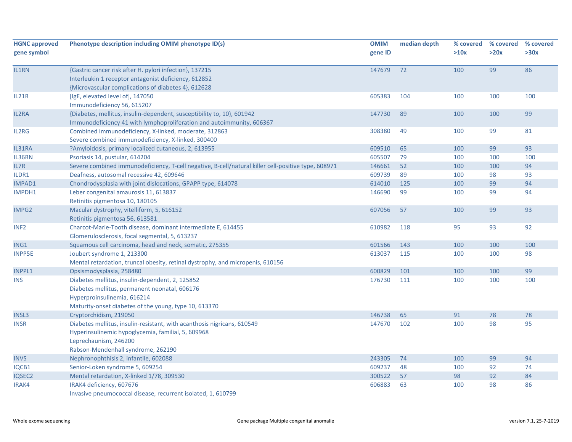| <b>HGNC approved</b><br>gene symbol | Phenotype description including OMIM phenotype ID(s)                                                                                                                                         | <b>OMIM</b><br>gene ID | median depth | % covered<br>>10x | % covered<br>>20x | % covered<br>>30x |
|-------------------------------------|----------------------------------------------------------------------------------------------------------------------------------------------------------------------------------------------|------------------------|--------------|-------------------|-------------------|-------------------|
|                                     |                                                                                                                                                                                              |                        |              |                   |                   |                   |
| IL1RN                               | {Gastric cancer risk after H. pylori infection}, 137215<br>Interleukin 1 receptor antagonist deficiency, 612852<br>{Microvascular complications of diabetes 4}, 612628                       | 147679                 | 72           | 100               | 99                | 86                |
| IL21R                               | [IgE, elevated level of], 147050<br>Immunodeficiency 56, 615207                                                                                                                              | 605383                 | 104          | 100               | 100               | 100               |
| IL2RA                               | {Diabetes, mellitus, insulin-dependent, susceptibility to, 10}, 601942<br>Immunodeficiency 41 with lymphoproliferation and autoimmunity, 606367                                              | 147730                 | 89           | 100               | 100               | 99                |
| IL2RG                               | Combined immunodeficiency, X-linked, moderate, 312863<br>Severe combined immunodeficiency, X-linked, 300400                                                                                  | 308380                 | 49           | 100               | 99                | 81                |
| IL31RA                              | ?Amyloidosis, primary localized cutaneous, 2, 613955                                                                                                                                         | 609510                 | 65           | 100               | 99                | 93                |
| IL36RN                              | Psoriasis 14, pustular, 614204                                                                                                                                                               | 605507                 | 79           | 100               | 100               | 100               |
| IL7R                                | Severe combined immunodeficiency, T-cell negative, B-cell/natural killer cell-positive type, 608971                                                                                          | 146661                 | 52           | 100               | 100               | 94                |
| ILDR1                               | Deafness, autosomal recessive 42, 609646                                                                                                                                                     | 609739                 | 89           | 100               | 98                | 93                |
| <b>IMPAD1</b>                       | Chondrodysplasia with joint dislocations, GPAPP type, 614078                                                                                                                                 | 614010                 | 125          | 100               | 99                | 94                |
| IMPDH1                              | Leber congenital amaurosis 11, 613837<br>Retinitis pigmentosa 10, 180105                                                                                                                     | 146690                 | 99           | 100               | 99                | 94                |
| IMPG2                               | Macular dystrophy, vitelliform, 5, 616152<br>Retinitis pigmentosa 56, 613581                                                                                                                 | 607056                 | 57           | 100               | 99                | 93                |
| INF <sub>2</sub>                    | Charcot-Marie-Tooth disease, dominant intermediate E, 614455<br>Glomerulosclerosis, focal segmental, 5, 613237                                                                               | 610982                 | 118          | 95                | 93                | 92                |
| ING1                                | Squamous cell carcinoma, head and neck, somatic, 275355                                                                                                                                      | 601566                 | 143          | 100               | 100               | 100               |
| <b>INPP5E</b>                       | Joubert syndrome 1, 213300<br>Mental retardation, truncal obesity, retinal dystrophy, and micropenis, 610156                                                                                 | 613037                 | 115          | 100               | 100               | 98                |
| <b>INPPL1</b>                       | Opsismodysplasia, 258480                                                                                                                                                                     | 600829                 | 101          | 100               | 100               | 99                |
| <b>INS</b>                          | Diabetes mellitus, insulin-dependent, 2, 125852<br>Diabetes mellitus, permanent neonatal, 606176<br>Hyperproinsulinemia, 616214<br>Maturity-onset diabetes of the young, type 10, 613370     | 176730                 | 111          | 100               | 100               | 100               |
| <b>INSL3</b>                        | Cryptorchidism, 219050                                                                                                                                                                       | 146738                 | 65           | 91                | 78                | 78                |
| <b>INSR</b>                         | Diabetes mellitus, insulin-resistant, with acanthosis nigricans, 610549<br>Hyperinsulinemic hypoglycemia, familial, 5, 609968<br>Leprechaunism, 246200<br>Rabson-Mendenhall syndrome, 262190 | 147670                 | 102          | 100               | 98                | 95                |
| <b>INVS</b>                         | Nephronophthisis 2, infantile, 602088                                                                                                                                                        | 243305                 | 74           | 100               | 99                | 94                |
| IQCB1                               | Senior-Loken syndrome 5, 609254                                                                                                                                                              | 609237                 | 48           | 100               | 92                | 74                |
| <b>IQSEC2</b>                       | Mental retardation, X-linked 1/78, 309530                                                                                                                                                    | 300522                 | 57           | 98                | 92                | 84                |
| IRAK4                               | IRAK4 deficiency, 607676<br>Invasive pneumococcal disease, recurrent isolated, 1, 610799                                                                                                     | 606883                 | 63           | 100               | 98                | 86                |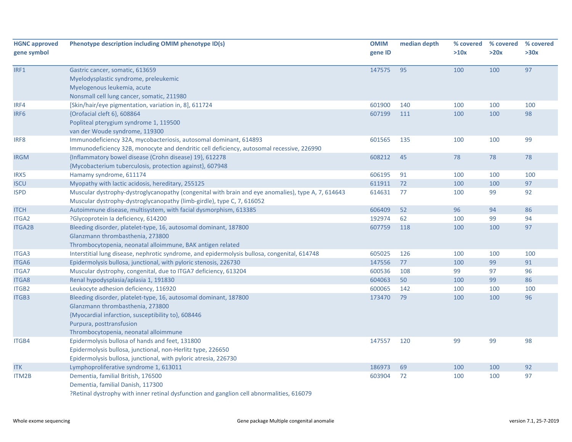| <b>HGNC approved</b> | Phenotype description including OMIM phenotype ID(s)                                                                                                                         | <b>OMIM</b> | median depth | % covered | % covered | % covered |
|----------------------|------------------------------------------------------------------------------------------------------------------------------------------------------------------------------|-------------|--------------|-----------|-----------|-----------|
| gene symbol          |                                                                                                                                                                              | gene ID     |              | >10x      | >20x      | >30x      |
| IRF1                 | Gastric cancer, somatic, 613659                                                                                                                                              | 147575      | 95           | 100       | 100       | 97        |
|                      | Myelodysplastic syndrome, preleukemic                                                                                                                                        |             |              |           |           |           |
|                      | Myelogenous leukemia, acute                                                                                                                                                  |             |              |           |           |           |
|                      | Nonsmall cell lung cancer, somatic, 211980                                                                                                                                   |             |              |           |           |           |
| IRF4                 | [Skin/hair/eye pigmentation, variation in, 8], 611724                                                                                                                        | 601900      | 140          | 100       | 100       | 100       |
| IRF <sub>6</sub>     | {Orofacial cleft 6}, 608864                                                                                                                                                  | 607199      | 111          | 100       | 100       | 98        |
|                      | Popliteal pterygium syndrome 1, 119500                                                                                                                                       |             |              |           |           |           |
|                      | van der Woude syndrome, 119300                                                                                                                                               |             |              |           |           |           |
| IRF8                 | Immunodeficiency 32A, mycobacteriosis, autosomal dominant, 614893                                                                                                            | 601565      | 135          | 100       | 100       | 99        |
|                      | Immunodeficiency 32B, monocyte and dendritic cell deficiency, autosomal recessive, 226990                                                                                    |             |              |           |           |           |
| <b>IRGM</b>          | {Inflammatory bowel disease (Crohn disease) 19}, 612278                                                                                                                      | 608212      | 45           | 78        | 78        | 78        |
|                      | {Mycobacterium tuberculosis, protection against}, 607948                                                                                                                     |             |              |           |           |           |
| IRX5                 | Hamamy syndrome, 611174                                                                                                                                                      | 606195      | 91           | 100       | 100       | 100       |
| <b>ISCU</b>          | Myopathy with lactic acidosis, hereditary, 255125                                                                                                                            | 611911      | 72           | 100       | 100       | 97        |
| <b>ISPD</b>          | Muscular dystrophy-dystroglycanopathy (congenital with brain and eye anomalies), type A, 7, 614643<br>Muscular dystrophy-dystroglycanopathy (limb-girdle), type C, 7, 616052 | 614631      | 77           | 100       | 99        | 92        |
| <b>ITCH</b>          | Autoimmune disease, multisystem, with facial dysmorphism, 613385                                                                                                             | 606409      | 52           | 96        | 94        | 86        |
| ITGA2                | ?Glycoprotein la deficiency, 614200                                                                                                                                          | 192974      | 62           | 100       | 99        | 94        |
| <b>ITGA2B</b>        | Bleeding disorder, platelet-type, 16, autosomal dominant, 187800                                                                                                             | 607759      | 118          | 100       | 100       | 97        |
|                      | Glanzmann thrombasthenia, 273800                                                                                                                                             |             |              |           |           |           |
|                      | Thrombocytopenia, neonatal alloimmune, BAK antigen related                                                                                                                   |             |              |           |           |           |
| ITGA3                | Interstitial lung disease, nephrotic syndrome, and epidermolysis bullosa, congenital, 614748                                                                                 | 605025      | 126          | 100       | 100       | 100       |
| ITGA6                | Epidermolysis bullosa, junctional, with pyloric stenosis, 226730                                                                                                             | 147556      | 77           | 100       | 99        | 91        |
| <b>ITGA7</b>         | Muscular dystrophy, congenital, due to ITGA7 deficiency, 613204                                                                                                              | 600536      | 108          | 99        | 97        | 96        |
| ITGA8                | Renal hypodysplasia/aplasia 1, 191830                                                                                                                                        | 604063      | 50           | 100       | 99        | 86        |
| ITGB2                | Leukocyte adhesion deficiency, 116920                                                                                                                                        | 600065      | 142          | 100       | 100       | 100       |
| ITGB3                | Bleeding disorder, platelet-type, 16, autosomal dominant, 187800                                                                                                             | 173470      | 79           | 100       | 100       | 96        |
|                      | Glanzmann thrombasthenia, 273800                                                                                                                                             |             |              |           |           |           |
|                      | {Myocardial infarction, susceptibility to}, 608446                                                                                                                           |             |              |           |           |           |
|                      | Purpura, posttransfusion                                                                                                                                                     |             |              |           |           |           |
|                      | Thrombocytopenia, neonatal alloimmune                                                                                                                                        |             |              |           |           |           |
| ITGB4                | Epidermolysis bullosa of hands and feet, 131800                                                                                                                              | 147557      | 120          | 99        | 99        | 98        |
|                      | Epidermolysis bullosa, junctional, non-Herlitz type, 226650                                                                                                                  |             |              |           |           |           |
|                      | Epidermolysis bullosa, junctional, with pyloric atresia, 226730                                                                                                              |             |              |           |           |           |
| <b>ITK</b>           | Lymphoproliferative syndrome 1, 613011                                                                                                                                       | 186973      | 69           | 100       | 100       | 92        |
| ITM2B                | Dementia, familial British, 176500                                                                                                                                           | 603904      | 72           | 100       | 100       | 97        |
|                      | Dementia, familial Danish, 117300                                                                                                                                            |             |              |           |           |           |
|                      | ?Retinal dystrophy with inner retinal dysfunction and ganglion cell abnormalities, 616079                                                                                    |             |              |           |           |           |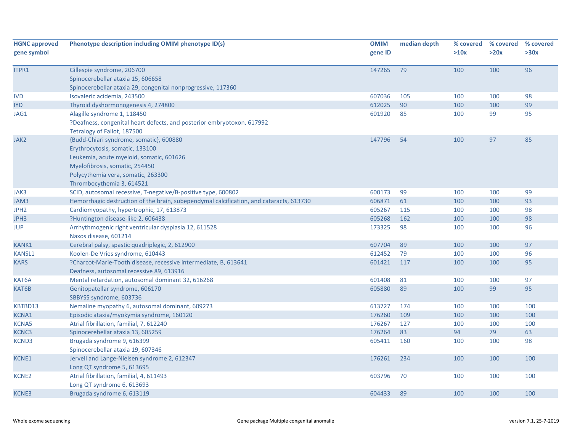| <b>HGNC approved</b><br>gene symbol | Phenotype description including OMIM phenotype ID(s)                                                                                                                                                                        | <b>OMIM</b><br>gene ID | median depth | % covered<br>>10x | % covered<br>>20x | % covered<br>>30x |
|-------------------------------------|-----------------------------------------------------------------------------------------------------------------------------------------------------------------------------------------------------------------------------|------------------------|--------------|-------------------|-------------------|-------------------|
| ITPR1                               | Gillespie syndrome, 206700<br>Spinocerebellar ataxia 15, 606658<br>Spinocerebellar ataxia 29, congenital nonprogressive, 117360                                                                                             | 147265                 | 79           | 100               | 100               | 96                |
| <b>IVD</b>                          | Isovaleric acidemia, 243500                                                                                                                                                                                                 | 607036                 | 105          | 100               | 100               | 98                |
| <b>IYD</b>                          | Thyroid dyshormonogenesis 4, 274800                                                                                                                                                                                         | 612025                 | 90           | 100               | 100               | 99                |
| JAG1                                | Alagille syndrome 1, 118450<br>?Deafness, congenital heart defects, and posterior embryotoxon, 617992<br>Tetralogy of Fallot, 187500                                                                                        | 601920                 | 85           | 100               | 99                | 95                |
| JAK <sub>2</sub>                    | {Budd-Chiari syndrome, somatic}, 600880<br>Erythrocytosis, somatic, 133100<br>Leukemia, acute myeloid, somatic, 601626<br>Myelofibrosis, somatic, 254450<br>Polycythemia vera, somatic, 263300<br>Thrombocythemia 3, 614521 | 147796                 | 54           | 100               | 97                | 85                |
| JAK3                                | SCID, autosomal recessive, T-negative/B-positive type, 600802                                                                                                                                                               | 600173                 | 99           | 100               | 100               | 99                |
| JAM3                                | Hemorrhagic destruction of the brain, subependymal calcification, and cataracts, 613730                                                                                                                                     | 606871                 | 61           | 100               | 100               | 93                |
| JPH <sub>2</sub>                    | Cardiomyopathy, hypertrophic, 17, 613873                                                                                                                                                                                    | 605267                 | 115          | 100               | 100               | 98                |
| JPH3                                | ?Huntington disease-like 2, 606438                                                                                                                                                                                          | 605268                 | 162          | 100               | 100               | 98                |
| <b>JUP</b>                          | Arrhythmogenic right ventricular dysplasia 12, 611528<br>Naxos disease, 601214                                                                                                                                              | 173325                 | 98           | 100               | 100               | 96                |
| <b>KANK1</b>                        | Cerebral palsy, spastic quadriplegic, 2, 612900                                                                                                                                                                             | 607704                 | 89           | 100               | 100               | 97                |
| <b>KANSL1</b>                       | Koolen-De Vries syndrome, 610443                                                                                                                                                                                            | 612452                 | 79           | 100               | 100               | 96                |
| <b>KARS</b>                         | ?Charcot-Marie-Tooth disease, recessive intermediate, B, 613641<br>Deafness, autosomal recessive 89, 613916                                                                                                                 | 601421                 | 117          | 100               | 100               | 95                |
| KAT6A                               | Mental retardation, autosomal dominant 32, 616268                                                                                                                                                                           | 601408                 | 81           | 100               | 100               | 97                |
| KAT6B                               | Genitopatellar syndrome, 606170<br>SBBYSS syndrome, 603736                                                                                                                                                                  | 605880                 | 89           | 100               | 99                | 95                |
| KBTBD13                             | Nemaline myopathy 6, autosomal dominant, 609273                                                                                                                                                                             | 613727                 | 174          | 100               | 100               | 100               |
| <b>KCNA1</b>                        | Episodic ataxia/myokymia syndrome, 160120                                                                                                                                                                                   | 176260                 | 109          | 100               | 100               | 100               |
| <b>KCNA5</b>                        | Atrial fibrillation, familial, 7, 612240                                                                                                                                                                                    | 176267                 | 127          | 100               | 100               | 100               |
| KCNC3                               | Spinocerebellar ataxia 13, 605259                                                                                                                                                                                           | 176264                 | 83           | 94                | 79                | 63                |
| <b>KCND3</b>                        | Brugada syndrome 9, 616399<br>Spinocerebellar ataxia 19, 607346                                                                                                                                                             | 605411                 | 160          | 100               | 100               | 98                |
| KCNE1                               | Jervell and Lange-Nielsen syndrome 2, 612347<br>Long QT syndrome 5, 613695                                                                                                                                                  | 176261                 | 234          | 100               | 100               | 100               |
| <b>KCNE2</b>                        | Atrial fibrillation, familial, 4, 611493<br>Long QT syndrome 6, 613693                                                                                                                                                      | 603796                 | 70           | 100               | 100               | 100               |
| <b>KCNE3</b>                        | Brugada syndrome 6, 613119                                                                                                                                                                                                  | 604433                 | 89           | 100               | 100               | 100               |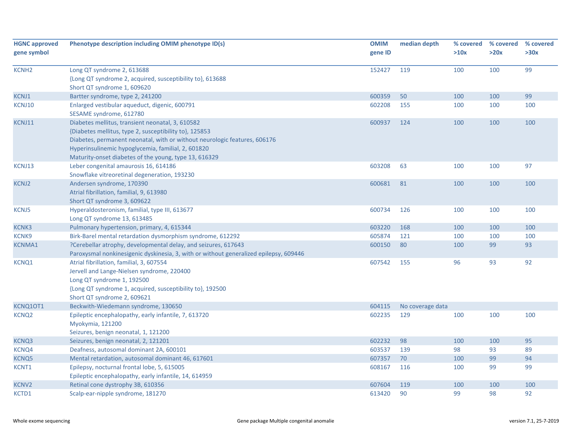| <b>HGNC approved</b><br>gene symbol | Phenotype description including OMIM phenotype ID(s)                                                                                                                                                                                                                                                   | <b>OMIM</b><br>gene ID | median depth     | % covered<br>>10x | % covered<br>>20x | % covered<br>>30x |
|-------------------------------------|--------------------------------------------------------------------------------------------------------------------------------------------------------------------------------------------------------------------------------------------------------------------------------------------------------|------------------------|------------------|-------------------|-------------------|-------------------|
| <b>KCNH2</b>                        | Long QT syndrome 2, 613688<br>{Long QT syndrome 2, acquired, susceptibility to}, 613688<br>Short QT syndrome 1, 609620                                                                                                                                                                                 | 152427                 | 119              | 100               | 100               | 99                |
| KCNJ1                               | Bartter syndrome, type 2, 241200                                                                                                                                                                                                                                                                       | 600359                 | 50               | 100               | 100               | 99                |
| KCNJ10                              | Enlarged vestibular aqueduct, digenic, 600791<br>SESAME syndrome, 612780                                                                                                                                                                                                                               | 602208                 | 155              | 100               | 100               | 100               |
| KCNJ11                              | Diabetes mellitus, transient neonatal, 3, 610582<br>{Diabetes mellitus, type 2, susceptibility to}, 125853<br>Diabetes, permanent neonatal, with or without neurologic features, 606176<br>Hyperinsulinemic hypoglycemia, familial, 2, 601820<br>Maturity-onset diabetes of the young, type 13, 616329 | 600937                 | 124              | 100               | 100               | 100               |
| KCNJ13                              | Leber congenital amaurosis 16, 614186<br>Snowflake vitreoretinal degeneration, 193230                                                                                                                                                                                                                  | 603208                 | 63               | 100               | 100               | 97                |
| <b>KCNJ2</b>                        | Andersen syndrome, 170390<br>Atrial fibrillation, familial, 9, 613980<br>Short QT syndrome 3, 609622                                                                                                                                                                                                   | 600681                 | 81               | 100               | 100               | 100               |
| <b>KCNJ5</b>                        | Hyperaldosteronism, familial, type III, 613677<br>Long QT syndrome 13, 613485                                                                                                                                                                                                                          | 600734                 | 126              | 100               | 100               | 100               |
| KCNK3                               | Pulmonary hypertension, primary, 4, 615344                                                                                                                                                                                                                                                             | 603220                 | 168              | 100               | 100               | 100               |
| <b>KCNK9</b>                        | Birk-Barel mental retardation dysmorphism syndrome, 612292                                                                                                                                                                                                                                             | 605874                 | 121              | 100               | 100               | 100               |
| <b>KCNMA1</b>                       | ?Cerebellar atrophy, developmental delay, and seizures, 617643<br>Paroxysmal nonkinesigenic dyskinesia, 3, with or without generalized epilepsy, 609446                                                                                                                                                | 600150                 | 80               | 100               | 99                | 93                |
| KCNQ1                               | Atrial fibrillation, familial, 3, 607554<br>Jervell and Lange-Nielsen syndrome, 220400<br>Long QT syndrome 1, 192500<br>{Long QT syndrome 1, acquired, susceptibility to}, 192500<br>Short QT syndrome 2, 609621                                                                                       | 607542                 | 155              | 96                | 93                | 92                |
| KCNQ10T1                            | Beckwith-Wiedemann syndrome, 130650                                                                                                                                                                                                                                                                    | 604115                 | No coverage data |                   |                   |                   |
| KCNQ <sub>2</sub>                   | Epileptic encephalopathy, early infantile, 7, 613720<br>Myokymia, 121200<br>Seizures, benign neonatal, 1, 121200                                                                                                                                                                                       | 602235                 | 129              | 100               | 100               | 100               |
| KCNQ3                               | Seizures, benign neonatal, 2, 121201                                                                                                                                                                                                                                                                   | 602232                 | 98               | 100               | 100               | 95                |
| KCNQ4                               | Deafness, autosomal dominant 2A, 600101                                                                                                                                                                                                                                                                | 603537                 | 139              | 98                | 93                | 89                |
| <b>KCNQ5</b>                        | Mental retardation, autosomal dominant 46, 617601                                                                                                                                                                                                                                                      | 607357                 | 70               | 100               | 99                | 94                |
| KCNT1                               | Epilepsy, nocturnal frontal lobe, 5, 615005<br>Epileptic encephalopathy, early infantile, 14, 614959                                                                                                                                                                                                   | 608167                 | 116              | 100               | 99                | 99                |
| KCNV2                               | Retinal cone dystrophy 3B, 610356                                                                                                                                                                                                                                                                      | 607604                 | 119              | 100               | 100               | 100               |
| KCTD1                               | Scalp-ear-nipple syndrome, 181270                                                                                                                                                                                                                                                                      | 613420                 | 90               | 99                | 98                | 92                |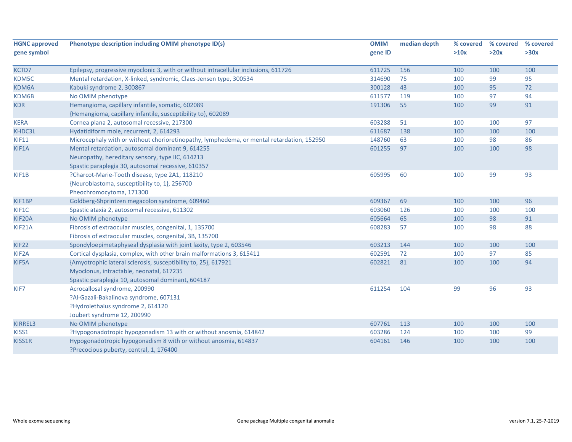| <b>HGNC approved</b> | Phenotype description including OMIM phenotype ID(s)                                      | <b>OMIM</b> | median depth | % covered | % covered | % covered |
|----------------------|-------------------------------------------------------------------------------------------|-------------|--------------|-----------|-----------|-----------|
| gene symbol          |                                                                                           | gene ID     |              | >10x      | >20x      | >30x      |
| KCTD7                | Epilepsy, progressive myoclonic 3, with or without intracellular inclusions, 611726       | 611725      | 156          | 100       | 100       | 100       |
| KDM5C                | Mental retardation, X-linked, syndromic, Claes-Jensen type, 300534                        | 314690      | 75           | 100       | 99        | 95        |
| KDM6A                | Kabuki syndrome 2, 300867                                                                 | 300128      | 43           | 100       | 95        | 72        |
| KDM6B                | No OMIM phenotype                                                                         | 611577      | 119          | 100       | 97        | 94        |
| <b>KDR</b>           | Hemangioma, capillary infantile, somatic, 602089                                          | 191306      | 55           | 100       | 99        | 91        |
|                      | {Hemangioma, capillary infantile, susceptibility to}, 602089                              |             |              |           |           |           |
| <b>KERA</b>          | Cornea plana 2, autosomal recessive, 217300                                               | 603288      | 51           | 100       | 100       | 97        |
| KHDC3L               | Hydatidiform mole, recurrent, 2, 614293                                                   | 611687      | 138          | 100       | 100       | 100       |
| <b>KIF11</b>         | Microcephaly with or without chorioretinopathy, lymphedema, or mental retardation, 152950 | 148760      | 63           | 100       | 98        | 86        |
| KIF1A                | Mental retardation, autosomal dominant 9, 614255                                          | 601255      | 97           | 100       | 100       | 98        |
|                      | Neuropathy, hereditary sensory, type IIC, 614213                                          |             |              |           |           |           |
|                      | Spastic paraplegia 30, autosomal recessive, 610357                                        |             |              |           |           |           |
| KIF1B                | ?Charcot-Marie-Tooth disease, type 2A1, 118210                                            | 605995      | 60           | 100       | 99        | 93        |
|                      | {Neuroblastoma, susceptibility to, 1}, 256700                                             |             |              |           |           |           |
|                      | Pheochromocytoma, 171300                                                                  |             |              |           |           |           |
| KIF1BP               | Goldberg-Shprintzen megacolon syndrome, 609460                                            | 609367      | 69           | 100       | 100       | 96        |
| KIF1C                | Spastic ataxia 2, autosomal recessive, 611302                                             | 603060      | 126          | 100       | 100       | 100       |
| KIF20A               | No OMIM phenotype                                                                         | 605664      | 65           | 100       | 98        | 91        |
| KIF21A               | Fibrosis of extraocular muscles, congenital, 1, 135700                                    | 608283      | 57           | 100       | 98        | 88        |
|                      | Fibrosis of extraocular muscles, congenital, 3B, 135700                                   |             |              |           |           |           |
| KIF22                | Spondyloepimetaphyseal dysplasia with joint laxity, type 2, 603546                        | 603213      | 144          | 100       | 100       | 100       |
| KIF <sub>2</sub> A   | Cortical dysplasia, complex, with other brain malformations 3, 615411                     | 602591      | 72           | 100       | 97        | 85        |
| KIF5A                | {Amyotrophic lateral sclerosis, susceptibility to, 25}, 617921                            | 602821      | 81           | 100       | 100       | 94        |
|                      | Myoclonus, intractable, neonatal, 617235                                                  |             |              |           |           |           |
|                      | Spastic paraplegia 10, autosomal dominant, 604187                                         |             |              |           |           |           |
| KIF7                 | Acrocallosal syndrome, 200990                                                             | 611254      | 104          | 99        | 96        | 93        |
|                      | ?Al-Gazali-Bakalinova syndrome, 607131                                                    |             |              |           |           |           |
|                      | ?Hydrolethalus syndrome 2, 614120                                                         |             |              |           |           |           |
|                      | Joubert syndrome 12, 200990                                                               |             |              |           |           |           |
| KIRREL3              | No OMIM phenotype                                                                         | 607761      | 113          | 100       | 100       | 100       |
| KISS1                | ?Hypogonadotropic hypogonadism 13 with or without anosmia, 614842                         | 603286      | 124          | 100       | 100       | 99        |
| KISS1R               | Hypogonadotropic hypogonadism 8 with or without anosmia, 614837                           | 604161      | 146          | 100       | 100       | 100       |
|                      | ?Precocious puberty, central, 1, 176400                                                   |             |              |           |           |           |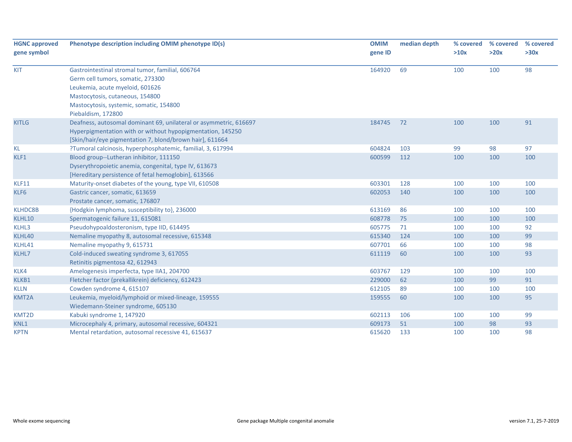| <b>HGNC approved</b> | Phenotype description including OMIM phenotype ID(s)              | <b>OMIM</b> | median depth | % covered | % covered | % covered |
|----------------------|-------------------------------------------------------------------|-------------|--------------|-----------|-----------|-----------|
| gene symbol          |                                                                   | gene ID     |              | >10x      | >20x      | >30x      |
| <b>KIT</b>           | Gastrointestinal stromal tumor, familial, 606764                  | 164920      | 69           | 100       | 100       | 98        |
|                      | Germ cell tumors, somatic, 273300                                 |             |              |           |           |           |
|                      | Leukemia, acute myeloid, 601626                                   |             |              |           |           |           |
|                      | Mastocytosis, cutaneous, 154800                                   |             |              |           |           |           |
|                      | Mastocytosis, systemic, somatic, 154800                           |             |              |           |           |           |
|                      | Piebaldism, 172800                                                |             |              |           |           |           |
| <b>KITLG</b>         | Deafness, autosomal dominant 69, unilateral or asymmetric, 616697 | 184745      | 72           | 100       | 100       | 91        |
|                      | Hyperpigmentation with or without hypopigmentation, 145250        |             |              |           |           |           |
|                      | [Skin/hair/eye pigmentation 7, blond/brown hair], 611664          |             |              |           |           |           |
| <b>KL</b>            | ?Tumoral calcinosis, hyperphosphatemic, familial, 3, 617994       | 604824      | 103          | 99        | 98        | 97        |
| KLF1                 | Blood group--Lutheran inhibitor, 111150                           | 600599      | 112          | 100       | 100       | 100       |
|                      | Dyserythropoietic anemia, congenital, type IV, 613673             |             |              |           |           |           |
|                      | [Hereditary persistence of fetal hemoglobin], 613566              |             |              |           |           |           |
| KLF11                | Maturity-onset diabetes of the young, type VII, 610508            | 603301      | 128          | 100       | 100       | 100       |
| KLF6                 | Gastric cancer, somatic, 613659                                   | 602053      | 140          | 100       | 100       | 100       |
|                      | Prostate cancer, somatic, 176807                                  |             |              |           |           |           |
| <b>KLHDC8B</b>       | {Hodgkin lymphoma, susceptibility to}, 236000                     | 613169      | 86           | 100       | 100       | 100       |
| KLHL10               | Spermatogenic failure 11, 615081                                  | 608778      | 75           | 100       | 100       | 100       |
| KLHL3                | Pseudohypoaldosteronism, type IID, 614495                         | 605775      | 71           | 100       | 100       | 92        |
| KLHL40               | Nemaline myopathy 8, autosomal recessive, 615348                  | 615340      | 124          | 100       | 100       | 99        |
| KLHL41               | Nemaline myopathy 9, 615731                                       | 607701      | 66           | 100       | 100       | 98        |
| KLHL7                | Cold-induced sweating syndrome 3, 617055                          | 611119      | 60           | 100       | 100       | 93        |
|                      | Retinitis pigmentosa 42, 612943                                   |             |              |           |           |           |
| KLK4                 | Amelogenesis imperfecta, type IIA1, 204700                        | 603767      | 129          | 100       | 100       | 100       |
| KLKB1                | Fletcher factor (prekallikrein) deficiency, 612423                | 229000      | 62           | 100       | 99        | 91        |
| <b>KLLN</b>          | Cowden syndrome 4, 615107                                         | 612105      | 89           | 100       | 100       | 100       |
| KMT2A                | Leukemia, myeloid/lymphoid or mixed-lineage, 159555               | 159555      | 60           | 100       | 100       | 95        |
|                      | Wiedemann-Steiner syndrome, 605130                                |             |              |           |           |           |
| KMT2D                | Kabuki syndrome 1, 147920                                         | 602113      | 106          | 100       | 100       | 99        |
| KNL1                 | Microcephaly 4, primary, autosomal recessive, 604321              | 609173      | 51           | 100       | 98        | 93        |
| <b>KPTN</b>          | Mental retardation, autosomal recessive 41, 615637                | 615620      | 133          | 100       | 100       | 98        |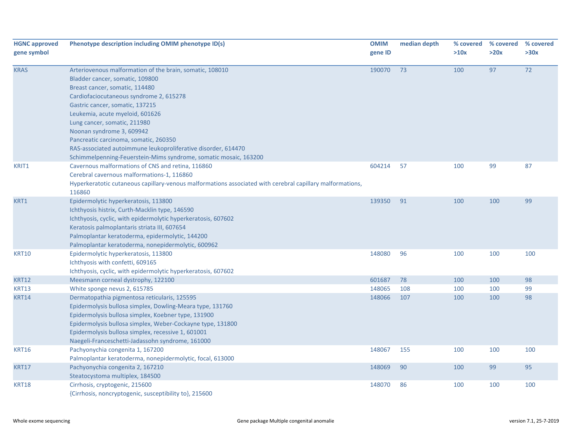| <b>HGNC approved</b><br>gene symbol | Phenotype description including OMIM phenotype ID(s)                                                                                                                                                                                                                                                                                                                                                                                                                                      | <b>OMIM</b><br>gene ID | median depth | % covered<br>>10x | % covered<br>>20x | % covered<br>>30x |
|-------------------------------------|-------------------------------------------------------------------------------------------------------------------------------------------------------------------------------------------------------------------------------------------------------------------------------------------------------------------------------------------------------------------------------------------------------------------------------------------------------------------------------------------|------------------------|--------------|-------------------|-------------------|-------------------|
| <b>KRAS</b>                         | Arteriovenous malformation of the brain, somatic, 108010<br>Bladder cancer, somatic, 109800<br>Breast cancer, somatic, 114480<br>Cardiofaciocutaneous syndrome 2, 615278<br>Gastric cancer, somatic, 137215<br>Leukemia, acute myeloid, 601626<br>Lung cancer, somatic, 211980<br>Noonan syndrome 3, 609942<br>Pancreatic carcinoma, somatic, 260350<br>RAS-associated autoimmune leukoproliferative disorder, 614470<br>Schimmelpenning-Feuerstein-Mims syndrome, somatic mosaic, 163200 | 190070                 | 73           | 100               | 97                | 72                |
| KRIT1                               | Cavernous malformations of CNS and retina, 116860<br>Cerebral cavernous malformations-1, 116860<br>Hyperkeratotic cutaneous capillary-venous malformations associated with cerebral capillary malformations,<br>116860                                                                                                                                                                                                                                                                    | 604214                 | 57           | 100               | 99                | 87                |
| KRT1                                | Epidermolytic hyperkeratosis, 113800<br>Ichthyosis histrix, Curth-Macklin type, 146590<br>Ichthyosis, cyclic, with epidermolytic hyperkeratosis, 607602<br>Keratosis palmoplantaris striata III, 607654<br>Palmoplantar keratoderma, epidermolytic, 144200<br>Palmoplantar keratoderma, nonepidermolytic, 600962                                                                                                                                                                          | 139350                 | 91           | 100               | 100               | 99                |
| <b>KRT10</b>                        | Epidermolytic hyperkeratosis, 113800<br>Ichthyosis with confetti, 609165<br>Ichthyosis, cyclic, with epidermolytic hyperkeratosis, 607602                                                                                                                                                                                                                                                                                                                                                 | 148080                 | 96           | 100               | 100               | 100               |
| <b>KRT12</b>                        | Meesmann corneal dystrophy, 122100                                                                                                                                                                                                                                                                                                                                                                                                                                                        | 601687                 | 78           | 100               | 100               | 98                |
| KRT13                               | White sponge nevus 2, 615785                                                                                                                                                                                                                                                                                                                                                                                                                                                              | 148065                 | 108          | 100               | 100               | 99                |
| <b>KRT14</b>                        | Dermatopathia pigmentosa reticularis, 125595<br>Epidermolysis bullosa simplex, Dowling-Meara type, 131760<br>Epidermolysis bullosa simplex, Koebner type, 131900<br>Epidermolysis bullosa simplex, Weber-Cockayne type, 131800<br>Epidermolysis bullosa simplex, recessive 1, 601001<br>Naegeli-Franceschetti-Jadassohn syndrome, 161000                                                                                                                                                  | 148066                 | 107          | 100               | 100               | 98                |
| <b>KRT16</b>                        | Pachyonychia congenita 1, 167200<br>Palmoplantar keratoderma, nonepidermolytic, focal, 613000                                                                                                                                                                                                                                                                                                                                                                                             | 148067                 | 155          | 100               | 100               | 100               |
| <b>KRT17</b>                        | Pachyonychia congenita 2, 167210<br>Steatocystoma multiplex, 184500                                                                                                                                                                                                                                                                                                                                                                                                                       | 148069                 | 90           | 100               | 99                | 95                |
| <b>KRT18</b>                        | Cirrhosis, cryptogenic, 215600<br>{Cirrhosis, noncryptogenic, susceptibility to}, 215600                                                                                                                                                                                                                                                                                                                                                                                                  | 148070                 | 86           | 100               | 100               | 100               |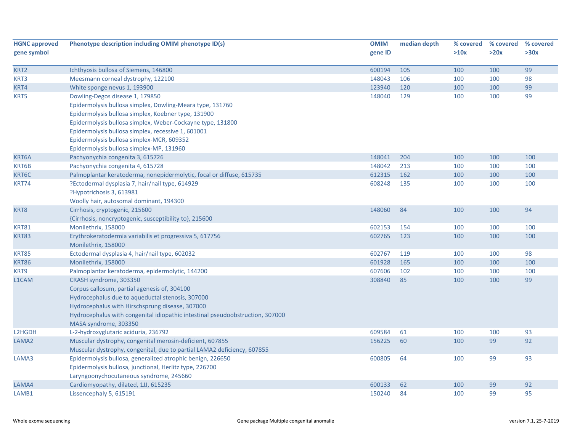| <b>HGNC approved</b> | Phenotype description including OMIM phenotype ID(s)                          | <b>OMIM</b> | median depth | % covered | % covered | % covered |
|----------------------|-------------------------------------------------------------------------------|-------------|--------------|-----------|-----------|-----------|
| gene symbol          |                                                                               | gene ID     |              | >10x      | >20x      | >30x      |
| KRT2                 | Ichthyosis bullosa of Siemens, 146800                                         | 600194      | 105          | 100       | 100       | 99        |
| KRT3                 | Meesmann corneal dystrophy, 122100                                            | 148043      | 106          | 100       | 100       | 98        |
| KRT4                 | White sponge nevus 1, 193900                                                  | 123940      | 120          | 100       | 100       | 99        |
| KRT5                 | Dowling-Degos disease 1, 179850                                               | 148040      | 129          | 100       | 100       | 99        |
|                      | Epidermolysis bullosa simplex, Dowling-Meara type, 131760                     |             |              |           |           |           |
|                      | Epidermolysis bullosa simplex, Koebner type, 131900                           |             |              |           |           |           |
|                      | Epidermolysis bullosa simplex, Weber-Cockayne type, 131800                    |             |              |           |           |           |
|                      | Epidermolysis bullosa simplex, recessive 1, 601001                            |             |              |           |           |           |
|                      | Epidermolysis bullosa simplex-MCR, 609352                                     |             |              |           |           |           |
|                      | Epidermolysis bullosa simplex-MP, 131960                                      |             |              |           |           |           |
| KRT6A                | Pachyonychia congenita 3, 615726                                              | 148041      | 204          | 100       | 100       | 100       |
| KRT6B                | Pachyonychia congenita 4, 615728                                              | 148042      | 213          | 100       | 100       | 100       |
| KRT6C                | Palmoplantar keratoderma, nonepidermolytic, focal or diffuse, 615735          | 612315      | 162          | 100       | 100       | 100       |
| KRT74                | ?Ectodermal dysplasia 7, hair/nail type, 614929                               | 608248      | 135          | 100       | 100       | 100       |
|                      | ?Hypotrichosis 3, 613981                                                      |             |              |           |           |           |
|                      | Woolly hair, autosomal dominant, 194300                                       |             |              |           |           |           |
| KRT8                 | Cirrhosis, cryptogenic, 215600                                                | 148060      | 84           | 100       | 100       | 94        |
|                      | {Cirrhosis, noncryptogenic, susceptibility to}, 215600                        |             |              |           |           |           |
| <b>KRT81</b>         | Monilethrix, 158000                                                           | 602153      | 154          | 100       | 100       | 100       |
| <b>KRT83</b>         | Erythrokeratodermia variabilis et progressiva 5, 617756                       | 602765      | 123          | 100       | 100       | 100       |
|                      | Monilethrix, 158000                                                           |             |              |           |           |           |
| <b>KRT85</b>         | Ectodermal dysplasia 4, hair/nail type, 602032                                | 602767      | 119          | 100       | 100       | 98        |
| <b>KRT86</b>         | Monilethrix, 158000                                                           | 601928      | 165          | 100       | 100       | 100       |
| KRT9                 | Palmoplantar keratoderma, epidermolytic, 144200                               | 607606      | 102          | 100       | 100       | 100       |
| L1CAM                | CRASH syndrome, 303350                                                        | 308840      | 85           | 100       | 100       | 99        |
|                      | Corpus callosum, partial agenesis of, 304100                                  |             |              |           |           |           |
|                      | Hydrocephalus due to aqueductal stenosis, 307000                              |             |              |           |           |           |
|                      | Hydrocephalus with Hirschsprung disease, 307000                               |             |              |           |           |           |
|                      | Hydrocephalus with congenital idiopathic intestinal pseudoobstruction, 307000 |             |              |           |           |           |
|                      | MASA syndrome, 303350                                                         |             |              |           |           |           |
| L2HGDH               | L-2-hydroxyglutaric aciduria, 236792                                          | 609584      | 61           | 100       | 100       | 93        |
| LAMA <sub>2</sub>    | Muscular dystrophy, congenital merosin-deficient, 607855                      | 156225      | 60           | 100       | 99        | 92        |
|                      | Muscular dystrophy, congenital, due to partial LAMA2 deficiency, 607855       |             |              |           |           |           |
| LAMA3                | Epidermolysis bullosa, generalized atrophic benign, 226650                    | 600805      | 64           | 100       | 99        | 93        |
|                      | Epidermolysis bullosa, junctional, Herlitz type, 226700                       |             |              |           |           |           |
|                      | Laryngoonychocutaneous syndrome, 245660                                       |             |              |           |           |           |
| LAMA4                | Cardiomyopathy, dilated, 1JJ, 615235                                          | 600133      | 62           | 100       | 99        | 92        |
| LAMB1                | Lissencephaly 5, 615191                                                       | 150240      | 84           | 100       | 99        | 95        |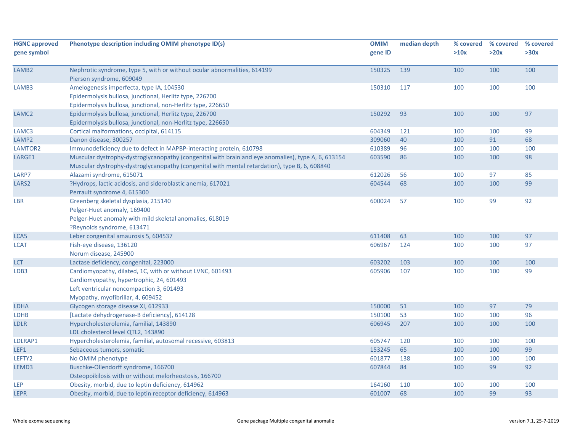| <b>HGNC approved</b><br>gene symbol | Phenotype description including OMIM phenotype ID(s)                                                                                                                                                | <b>OMIM</b><br>gene ID | median depth | % covered<br>>10x | % covered<br>>20x | % covered<br>>30x |
|-------------------------------------|-----------------------------------------------------------------------------------------------------------------------------------------------------------------------------------------------------|------------------------|--------------|-------------------|-------------------|-------------------|
| LAMB <sub>2</sub>                   | Nephrotic syndrome, type 5, with or without ocular abnormalities, 614199<br>Pierson syndrome, 609049                                                                                                | 150325                 | 139          | 100               | 100               | 100               |
| LAMB3                               | Amelogenesis imperfecta, type IA, 104530<br>Epidermolysis bullosa, junctional, Herlitz type, 226700<br>Epidermolysis bullosa, junctional, non-Herlitz type, 226650                                  | 150310                 | 117          | 100               | 100               | 100               |
| LAMC <sub>2</sub>                   | Epidermolysis bullosa, junctional, Herlitz type, 226700<br>Epidermolysis bullosa, junctional, non-Herlitz type, 226650                                                                              | 150292                 | 93           | 100               | 100               | 97                |
| LAMC3                               | Cortical malformations, occipital, 614115                                                                                                                                                           | 604349                 | 121          | 100               | 100               | 99                |
| LAMP <sub>2</sub>                   | Danon disease, 300257                                                                                                                                                                               | 309060                 | 40           | 100               | 91                | 68                |
| LAMTOR2                             | Immunodeficiency due to defect in MAPBP-interacting protein, 610798                                                                                                                                 | 610389                 | 96           | 100               | 100               | 100               |
| LARGE1                              | Muscular dystrophy-dystroglycanopathy (congenital with brain and eye anomalies), type A, 6, 613154<br>Muscular dystrophy-dystroglycanopathy (congenital with mental retardation), type B, 6, 608840 | 603590                 | 86           | 100               | 100               | 98                |
| LARP7                               | Alazami syndrome, 615071                                                                                                                                                                            | 612026                 | 56           | 100               | 97                | 85                |
| LARS <sub>2</sub>                   | ?Hydrops, lactic acidosis, and sideroblastic anemia, 617021<br>Perrault syndrome 4, 615300                                                                                                          | 604544                 | 68           | 100               | 100               | 99                |
| <b>LBR</b>                          | Greenberg skeletal dysplasia, 215140<br>Pelger-Huet anomaly, 169400<br>Pelger-Huet anomaly with mild skeletal anomalies, 618019<br>?Reynolds syndrome, 613471                                       | 600024                 | 57           | 100               | 99                | 92                |
| LCA5                                | Leber congenital amaurosis 5, 604537                                                                                                                                                                | 611408                 | 63           | 100               | 100               | 97                |
| <b>LCAT</b>                         | Fish-eye disease, 136120<br>Norum disease, 245900                                                                                                                                                   | 606967                 | 124          | 100               | 100               | 97                |
| <b>LCT</b>                          | Lactase deficiency, congenital, 223000                                                                                                                                                              | 603202                 | 103          | 100               | 100               | 100               |
| LDB3                                | Cardiomyopathy, dilated, 1C, with or without LVNC, 601493<br>Cardiomyopathy, hypertrophic, 24, 601493<br>Left ventricular noncompaction 3, 601493<br>Myopathy, myofibrillar, 4, 609452              | 605906                 | 107          | 100               | 100               | 99                |
| <b>LDHA</b>                         | Glycogen storage disease XI, 612933                                                                                                                                                                 | 150000                 | 51           | 100               | 97                | 79                |
| <b>LDHB</b>                         | [Lactate dehydrogenase-B deficiency], 614128                                                                                                                                                        | 150100                 | 53           | 100               | 100               | 96                |
| <b>LDLR</b>                         | Hypercholesterolemia, familial, 143890<br>LDL cholesterol level QTL2, 143890                                                                                                                        | 606945                 | 207          | 100               | 100               | 100               |
| LDLRAP1                             | Hypercholesterolemia, familial, autosomal recessive, 603813                                                                                                                                         | 605747                 | 120          | 100               | 100               | 100               |
| LEF1                                | Sebaceous tumors, somatic                                                                                                                                                                           | 153245                 | 65           | 100               | 100               | 99                |
| LEFTY2                              | No OMIM phenotype                                                                                                                                                                                   | 601877                 | 138          | 100               | 100               | 100               |
| LEMD3                               | Buschke-Ollendorff syndrome, 166700<br>Osteopoikilosis with or without melorheostosis, 166700                                                                                                       | 607844                 | 84           | 100               | 99                | 92                |
| <b>LEP</b>                          | Obesity, morbid, due to leptin deficiency, 614962                                                                                                                                                   | 164160                 | 110          | 100               | 100               | 100               |
| <b>LEPR</b>                         | Obesity, morbid, due to leptin receptor deficiency, 614963                                                                                                                                          | 601007                 | 68           | 100               | 99                | 93                |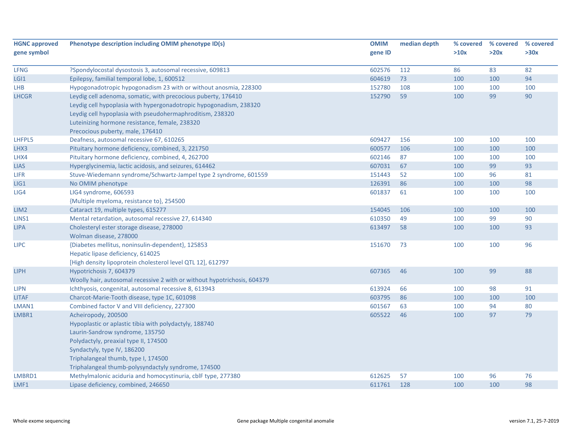| <b>HGNC approved</b> | Phenotype description including OMIM phenotype ID(s)                     | <b>OMIM</b> | median depth | % covered | % covered | % covered |
|----------------------|--------------------------------------------------------------------------|-------------|--------------|-----------|-----------|-----------|
| gene symbol          |                                                                          | gene ID     |              | >10x      | >20x      | >30x      |
| LFNG                 | ?Spondylocostal dysostosis 3, autosomal recessive, 609813                | 602576      | 112          | 86        | 83        | 82        |
| LGI <sub>1</sub>     | Epilepsy, familial temporal lobe, 1, 600512                              | 604619      | 73           | 100       | 100       | 94        |
| <b>LHB</b>           | Hypogonadotropic hypogonadism 23 with or without anosmia, 228300         | 152780      | 108          | 100       | 100       | 100       |
| <b>LHCGR</b>         | Leydig cell adenoma, somatic, with precocious puberty, 176410            | 152790      | 59           | 100       | 99        | 90        |
|                      | Leydig cell hypoplasia with hypergonadotropic hypogonadism, 238320       |             |              |           |           |           |
|                      | Leydig cell hypoplasia with pseudohermaphroditism, 238320                |             |              |           |           |           |
|                      | Luteinizing hormone resistance, female, 238320                           |             |              |           |           |           |
|                      | Precocious puberty, male, 176410                                         |             |              |           |           |           |
| LHFPL5               | Deafness, autosomal recessive 67, 610265                                 | 609427      | 156          | 100       | 100       | 100       |
| LHX3                 | Pituitary hormone deficiency, combined, 3, 221750                        | 600577      | 106          | 100       | 100       | 100       |
| LHX4                 | Pituitary hormone deficiency, combined, 4, 262700                        | 602146      | 87           | 100       | 100       | 100       |
| <b>LIAS</b>          | Hyperglycinemia, lactic acidosis, and seizures, 614462                   | 607031      | 67           | 100       | 99        | 93        |
| <b>LIFR</b>          | Stuve-Wiedemann syndrome/Schwartz-Jampel type 2 syndrome, 601559         | 151443      | 52           | 100       | 96        | 81        |
| LIG1                 | No OMIM phenotype                                                        | 126391      | 86           | 100       | 100       | 98        |
| LIG4                 | LIG4 syndrome, 606593                                                    | 601837      | 61           | 100       | 100       | 100       |
|                      | {Multiple myeloma, resistance to}, 254500                                |             |              |           |           |           |
| LIM <sub>2</sub>     | Cataract 19, multiple types, 615277                                      | 154045      | 106          | 100       | 100       | 100       |
| LINS1                | Mental retardation, autosomal recessive 27, 614340                       | 610350      | 49           | 100       | 99        | 90        |
| <b>LIPA</b>          | Cholesteryl ester storage disease, 278000                                | 613497      | 58           | 100       | 100       | 93        |
|                      | Wolman disease, 278000                                                   |             |              |           |           |           |
| <b>LIPC</b>          | {Diabetes mellitus, noninsulin-dependent}, 125853                        | 151670      | 73           | 100       | 100       | 96        |
|                      | Hepatic lipase deficiency, 614025                                        |             |              |           |           |           |
|                      | [High density lipoprotein cholesterol level QTL 12], 612797              |             |              |           |           |           |
| <b>LIPH</b>          | Hypotrichosis 7, 604379                                                  | 607365      | 46           | 100       | 99        | 88        |
|                      | Woolly hair, autosomal recessive 2 with or without hypotrichosis, 604379 |             |              |           |           |           |
| <b>LIPN</b>          | Ichthyosis, congenital, autosomal recessive 8, 613943                    | 613924      | 66           | 100       | 98        | 91        |
| <b>LITAF</b>         | Charcot-Marie-Tooth disease, type 1C, 601098                             | 603795      | 86           | 100       | 100       | 100       |
| LMAN1                | Combined factor V and VIII deficiency, 227300                            | 601567      | 63           | 100       | 94        | 80        |
| LMBR1                | Acheiropody, 200500                                                      | 605522      | 46           | 100       | 97        | 79        |
|                      | Hypoplastic or aplastic tibia with polydactyly, 188740                   |             |              |           |           |           |
|                      | Laurin-Sandrow syndrome, 135750                                          |             |              |           |           |           |
|                      | Polydactyly, preaxial type II, 174500                                    |             |              |           |           |           |
|                      | Syndactyly, type IV, 186200                                              |             |              |           |           |           |
|                      | Triphalangeal thumb, type I, 174500                                      |             |              |           |           |           |
|                      | Triphalangeal thumb-polysyndactyly syndrome, 174500                      |             |              |           |           |           |
| LMBRD1               | Methylmalonic aciduria and homocystinuria, cblF type, 277380             | 612625      | 57           | 100       | 96        | 76        |
| LMF1                 | Lipase deficiency, combined, 246650                                      | 611761      | 128          | 100       | 100       | 98        |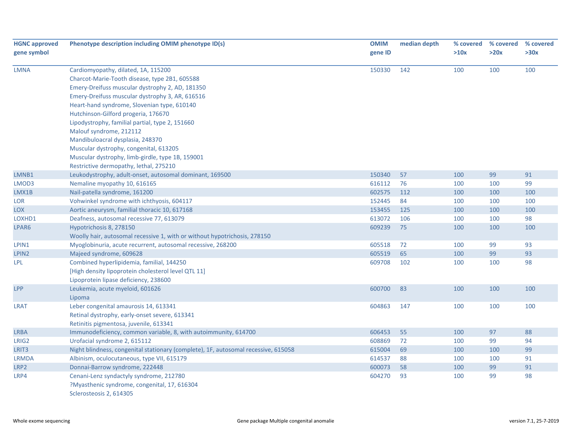| <b>HGNC approved</b> | Phenotype description including OMIM phenotype ID(s)                               | <b>OMIM</b> | median depth | % covered | % covered<br>>20x | % covered |
|----------------------|------------------------------------------------------------------------------------|-------------|--------------|-----------|-------------------|-----------|
| gene symbol          |                                                                                    | gene ID     |              | >10x      |                   | >30x      |
| <b>LMNA</b>          | Cardiomyopathy, dilated, 1A, 115200                                                | 150330      | 142          | 100       | 100               | 100       |
|                      | Charcot-Marie-Tooth disease, type 2B1, 605588                                      |             |              |           |                   |           |
|                      | Emery-Dreifuss muscular dystrophy 2, AD, 181350                                    |             |              |           |                   |           |
|                      | Emery-Dreifuss muscular dystrophy 3, AR, 616516                                    |             |              |           |                   |           |
|                      | Heart-hand syndrome, Slovenian type, 610140                                        |             |              |           |                   |           |
|                      | Hutchinson-Gilford progeria, 176670                                                |             |              |           |                   |           |
|                      | Lipodystrophy, familial partial, type 2, 151660                                    |             |              |           |                   |           |
|                      | Malouf syndrome, 212112                                                            |             |              |           |                   |           |
|                      | Mandibuloacral dysplasia, 248370                                                   |             |              |           |                   |           |
|                      | Muscular dystrophy, congenital, 613205                                             |             |              |           |                   |           |
|                      | Muscular dystrophy, limb-girdle, type 1B, 159001                                   |             |              |           |                   |           |
|                      | Restrictive dermopathy, lethal, 275210                                             |             |              |           |                   |           |
| LMNB1                | Leukodystrophy, adult-onset, autosomal dominant, 169500                            | 150340      | 57           | 100       | 99                | 91        |
| LMOD3                | Nemaline myopathy 10, 616165                                                       | 616112      | 76           | 100       | 100               | 99        |
| LMX1B                | Nail-patella syndrome, 161200                                                      | 602575      | 112          | 100       | 100               | 100       |
| <b>LOR</b>           | Vohwinkel syndrome with ichthyosis, 604117                                         | 152445      | 84           | 100       | 100               | 100       |
| <b>LOX</b>           | Aortic aneurysm, familial thoracic 10, 617168                                      | 153455      | 125          | 100       | 100               | 100       |
| LOXHD1               | Deafness, autosomal recessive 77, 613079                                           | 613072      | 106          | 100       | 100               | 98        |
| LPAR6                | Hypotrichosis 8, 278150                                                            | 609239      | 75           | 100       | 100               | 100       |
|                      | Woolly hair, autosomal recessive 1, with or without hypotrichosis, 278150          |             |              |           |                   |           |
| LPIN1                | Myoglobinuria, acute recurrent, autosomal recessive, 268200                        | 605518      | 72           | 100       | 99                | 93        |
| LPIN2                | Majeed syndrome, 609628                                                            | 605519      | 65           | 100       | 99                | 93        |
| <b>LPL</b>           | Combined hyperlipidemia, familial, 144250                                          | 609708      | 102          | 100       | 100               | 98        |
|                      | [High density lipoprotein cholesterol level QTL 11]                                |             |              |           |                   |           |
|                      | Lipoprotein lipase deficiency, 238600                                              |             |              |           |                   |           |
| LPP                  | Leukemia, acute myeloid, 601626                                                    | 600700      | 83           | 100       | 100               | 100       |
|                      | Lipoma                                                                             |             |              |           |                   |           |
| <b>LRAT</b>          | Leber congenital amaurosis 14, 613341                                              | 604863      | 147          | 100       | 100               | 100       |
|                      | Retinal dystrophy, early-onset severe, 613341                                      |             |              |           |                   |           |
|                      | Retinitis pigmentosa, juvenile, 613341                                             |             |              |           |                   |           |
| <b>LRBA</b>          | Immunodeficiency, common variable, 8, with autoimmunity, 614700                    | 606453      | 55           | 100       | 97                | 88        |
| LRIG2                | Urofacial syndrome 2, 615112                                                       | 608869      | 72           | 100       | 99                | 94        |
| LRIT3                | Night blindness, congenital stationary (complete), 1F, autosomal recessive, 615058 | 615004      | 69           | 100       | 100               | 99        |
| <b>LRMDA</b>         | Albinism, oculocutaneous, type VII, 615179                                         | 614537      | 88           | 100       | 100               | 91        |
| LRP2                 | Donnai-Barrow syndrome, 222448                                                     | 600073      | 58           | 100       | 99                | 91        |
| LRP4                 | Cenani-Lenz syndactyly syndrome, 212780                                            | 604270      | 93           | 100       | 99                | 98        |
|                      | ?Myasthenic syndrome, congenital, 17, 616304                                       |             |              |           |                   |           |
|                      | Sclerosteosis 2, 614305                                                            |             |              |           |                   |           |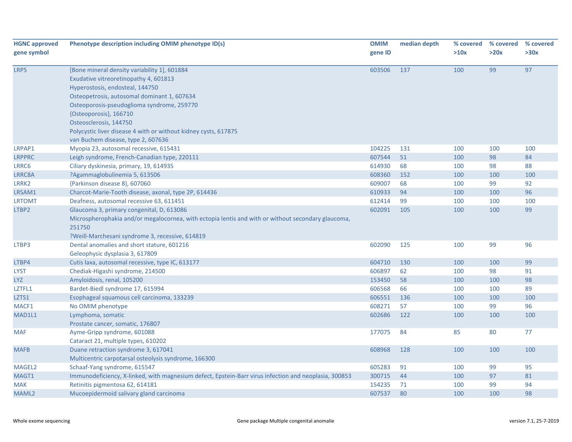| <b>HGNC approved</b> | Phenotype description including OMIM phenotype ID(s)                                                  | <b>OMIM</b> | median depth | % covered | % covered | % covered |
|----------------------|-------------------------------------------------------------------------------------------------------|-------------|--------------|-----------|-----------|-----------|
| gene symbol          |                                                                                                       | gene ID     |              | >10x      | >20x      | >30x      |
|                      |                                                                                                       |             |              |           |           |           |
| LRP5                 | [Bone mineral density variability 1], 601884                                                          | 603506      | 137          | 100       | 99        | 97        |
|                      | Exudative vitreoretinopathy 4, 601813                                                                 |             |              |           |           |           |
|                      | Hyperostosis, endosteal, 144750                                                                       |             |              |           |           |           |
|                      | Osteopetrosis, autosomal dominant 1, 607634                                                           |             |              |           |           |           |
|                      | Osteoporosis-pseudoglioma syndrome, 259770                                                            |             |              |           |           |           |
|                      | {Osteoporosis}, 166710                                                                                |             |              |           |           |           |
|                      | Osteosclerosis, 144750                                                                                |             |              |           |           |           |
|                      | Polycystic liver disease 4 with or without kidney cysts, 617875                                       |             |              |           |           |           |
|                      | van Buchem disease, type 2, 607636                                                                    |             |              |           |           |           |
| LRPAP1               | Myopia 23, autosomal recessive, 615431                                                                | 104225      | 131          | 100       | 100       | 100       |
| <b>LRPPRC</b>        | Leigh syndrome, French-Canadian type, 220111                                                          | 607544      | 51           | 100       | 98        | 84        |
| LRRC6                | Ciliary dyskinesia, primary, 19, 614935                                                               | 614930      | 68           | 100       | 98        | 88        |
| LRRC8A               | ?Agammaglobulinemia 5, 613506                                                                         | 608360      | 152          | 100       | 100       | 100       |
| LRRK2                | {Parkinson disease 8}, 607060                                                                         | 609007      | 68           | 100       | 99        | 92        |
| LRSAM1               | Charcot-Marie-Tooth disease, axonal, type 2P, 614436                                                  | 610933      | 94           | 100       | 100       | 96        |
| <b>LRTOMT</b>        | Deafness, autosomal recessive 63, 611451                                                              | 612414      | 99           | 100       | 100       | 100       |
| LTBP2                | Glaucoma 3, primary congenital, D, 613086                                                             | 602091      | 105          | 100       | 100       | 99        |
|                      | Microspherophakia and/or megalocornea, with ectopia lentis and with or without secondary glaucoma,    |             |              |           |           |           |
|                      | 251750                                                                                                |             |              |           |           |           |
|                      | ?Weill-Marchesani syndrome 3, recessive, 614819                                                       |             |              |           |           |           |
| LTBP3                | Dental anomalies and short stature, 601216                                                            | 602090      | 125          | 100       | 99        | 96        |
|                      | Geleophysic dysplasia 3, 617809                                                                       |             |              |           |           |           |
| LTBP4                | Cutis laxa, autosomal recessive, type IC, 613177                                                      | 604710      | 130          | 100       | 100       | 99        |
| <b>LYST</b>          | Chediak-Higashi syndrome, 214500                                                                      | 606897      | 62           | 100       | 98        | 91        |
| <b>LYZ</b>           | Amyloidosis, renal, 105200                                                                            | 153450      | 58           | 100       | 100       | 98        |
| LZTFL1               | Bardet-Biedl syndrome 17, 615994                                                                      | 606568      | 66           | 100       | 100       | 89        |
| LZTS1                | Esophageal squamous cell carcinoma, 133239                                                            | 606551      | 136          | 100       | 100       | 100       |
| MACF1                | No OMIM phenotype                                                                                     | 608271      | 57           | 100       | 99        | 96        |
| MAD1L1               | Lymphoma, somatic                                                                                     | 602686      | 122          | 100       | 100       | 100       |
|                      | Prostate cancer, somatic, 176807                                                                      |             |              |           |           |           |
| <b>MAF</b>           | Ayme-Gripp syndrome, 601088                                                                           | 177075      | 84           | 85        | 80        | 77        |
|                      | Cataract 21, multiple types, 610202                                                                   |             |              |           |           |           |
| <b>MAFB</b>          | Duane retraction syndrome 3, 617041                                                                   | 608968      | 128          | 100       | 100       | 100       |
|                      | Multicentric carpotarsal osteolysis syndrome, 166300                                                  |             |              |           |           |           |
| MAGEL2               | Schaaf-Yang syndrome, 615547                                                                          | 605283      | 91           | 100       | 99        | 95        |
| MAGT1                | Immunodeficiency, X-linked, with magnesium defect, Epstein-Barr virus infection and neoplasia, 300853 | 300715      | 44           | 100       | 97        | 81        |
| <b>MAK</b>           | Retinitis pigmentosa 62, 614181                                                                       | 154235      | 71           | 100       | 99        | 94        |
| MAML2                | Mucoepidermoid salivary gland carcinoma                                                               | 607537      | 80           | 100       | 100       | 98        |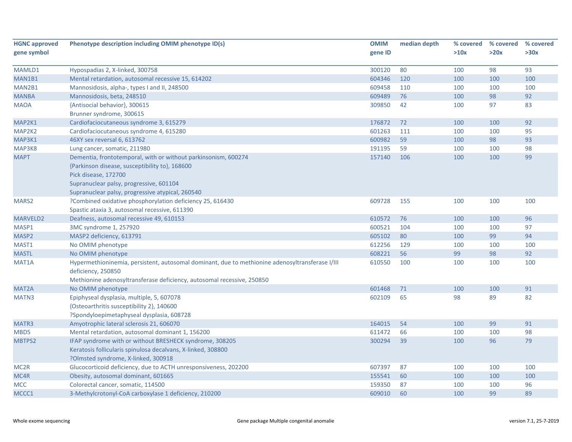| <b>HGNC approved</b> | Phenotype description including OMIM phenotype ID(s)                                            | <b>OMIM</b> | median depth | % covered | % covered | % covered |
|----------------------|-------------------------------------------------------------------------------------------------|-------------|--------------|-----------|-----------|-----------|
| gene symbol          |                                                                                                 | gene ID     |              | >10x      | >20x      | >30x      |
|                      |                                                                                                 |             |              |           |           |           |
| MAMLD1               | Hypospadias 2, X-linked, 300758                                                                 | 300120      | 80           | 100       | 98        | 93        |
| MAN1B1               | Mental retardation, autosomal recessive 15, 614202                                              | 604346      | 120          | 100       | 100       | 100       |
| MAN2B1               | Mannosidosis, alpha-, types I and II, 248500                                                    | 609458      | 110          | 100       | 100       | 100       |
| <b>MANBA</b>         | Mannosidosis, beta, 248510                                                                      | 609489      | 76           | 100       | 98        | 92        |
| <b>MAOA</b>          | {Antisocial behavior}, 300615                                                                   | 309850      | 42           | 100       | 97        | 83        |
|                      | Brunner syndrome, 300615                                                                        |             |              |           |           |           |
| MAP2K1               | Cardiofaciocutaneous syndrome 3, 615279                                                         | 176872      | 72           | 100       | 100       | 92        |
| MAP2K2               | Cardiofaciocutaneous syndrome 4, 615280                                                         | 601263      | 111          | 100       | 100       | 95        |
| MAP3K1               | 46XY sex reversal 6, 613762                                                                     | 600982      | 59           | 100       | 98        | 93        |
| MAP3K8               | Lung cancer, somatic, 211980                                                                    | 191195      | 59           | 100       | 100       | 98        |
| <b>MAPT</b>          | Dementia, frontotemporal, with or without parkinsonism, 600274                                  | 157140      | 106          | 100       | 100       | 99        |
|                      | {Parkinson disease, susceptibility to}, 168600                                                  |             |              |           |           |           |
|                      | Pick disease, 172700                                                                            |             |              |           |           |           |
|                      | Supranuclear palsy, progressive, 601104                                                         |             |              |           |           |           |
|                      | Supranuclear palsy, progressive atypical, 260540                                                |             |              |           |           |           |
| MARS2                | ?Combined oxidative phosphorylation deficiency 25, 616430                                       | 609728      | 155          | 100       | 100       | 100       |
|                      | Spastic ataxia 3, autosomal recessive, 611390                                                   |             |              |           |           |           |
| MARVELD2             | Deafness, autosomal recessive 49, 610153                                                        | 610572      | 76           | 100       | 100       | 96        |
| MASP1                | 3MC syndrome 1, 257920                                                                          | 600521      | 104          | 100       | 100       | 97        |
| MASP <sub>2</sub>    | MASP2 deficiency, 613791                                                                        | 605102      | 80           | 100       | 99        | 94        |
| MAST1                | No OMIM phenotype                                                                               | 612256      | 129          | 100       | 100       | 100       |
| <b>MASTL</b>         | No OMIM phenotype                                                                               | 608221      | 56           | 99        | 98        | 92        |
| MAT <sub>1</sub> A   | Hypermethioninemia, persistent, autosomal dominant, due to methionine adenosyltransferase I/III | 610550      | 100          | 100       | 100       | 100       |
|                      | deficiency, 250850                                                                              |             |              |           |           |           |
|                      | Methionine adenosyltransferase deficiency, autosomal recessive, 250850                          |             |              |           |           |           |
| MAT2A                | No OMIM phenotype                                                                               | 601468      | 71           | 100       | 100       | 91        |
| MATN3                | Epiphyseal dysplasia, multiple, 5, 607078                                                       | 602109      | 65           | 98        | 89        | 82        |
|                      | {Osteoarthritis susceptibility 2}, 140600                                                       |             |              |           |           |           |
|                      | ?Spondyloepimetaphyseal dysplasia, 608728                                                       |             |              |           |           |           |
| MATR3                | Amyotrophic lateral sclerosis 21, 606070                                                        | 164015      | 54           | 100       | 99        | 91        |
| MBD <sub>5</sub>     | Mental retardation, autosomal dominant 1, 156200                                                | 611472      | 66           | 100       | 100       | 98        |
| MBTPS2               | IFAP syndrome with or without BRESHECK syndrome, 308205                                         | 300294      | 39           | 100       | 96        | 79        |
|                      | Keratosis follicularis spinulosa decalvans, X-linked, 308800                                    |             |              |           |           |           |
|                      | ?Olmsted syndrome, X-linked, 300918                                                             |             |              |           |           |           |
| MC <sub>2R</sub>     | Glucocorticoid deficiency, due to ACTH unresponsiveness, 202200                                 | 607397      | 87           | 100       | 100       | 100       |
| MC4R                 | Obesity, autosomal dominant, 601665                                                             | 155541      | 60           | 100       | 100       | 100       |
| <b>MCC</b>           | Colorectal cancer, somatic, 114500                                                              | 159350      | 87           | 100       | 100       | 96        |
| MCCC1                | 3-Methylcrotonyl-CoA carboxylase 1 deficiency, 210200                                           | 609010      | 60           | 100       | 99        | 89        |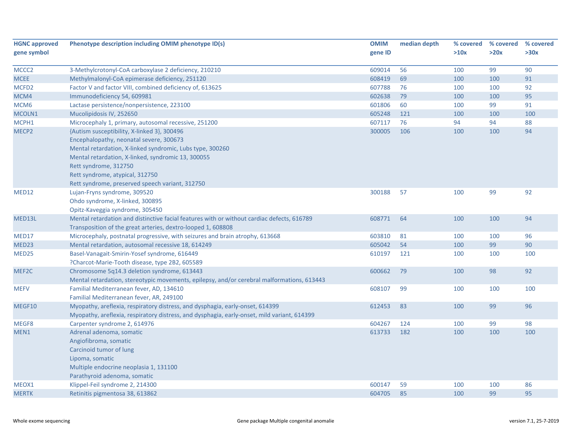| <b>HGNC approved</b> | Phenotype description including OMIM phenotype ID(s)                                        | <b>OMIM</b> | median depth | % covered | % covered | % covered |
|----------------------|---------------------------------------------------------------------------------------------|-------------|--------------|-----------|-----------|-----------|
| gene symbol          |                                                                                             | gene ID     |              | >10x      | >20x      | >30x      |
|                      |                                                                                             |             |              |           |           |           |
| MCCC <sub>2</sub>    | 3-Methylcrotonyl-CoA carboxylase 2 deficiency, 210210                                       | 609014      | 56           | 100       | 99        | 90        |
| <b>MCEE</b>          | Methylmalonyl-CoA epimerase deficiency, 251120                                              | 608419      | 69           | 100       | 100       | 91        |
| MCFD <sub>2</sub>    | Factor V and factor VIII, combined deficiency of, 613625                                    | 607788      | 76           | 100       | 100       | 92        |
| MCM4                 | Immunodeficiency 54, 609981                                                                 | 602638      | 79           | 100       | 100       | 95        |
| MCM <sub>6</sub>     | Lactase persistence/nonpersistence, 223100                                                  | 601806      | 60           | 100       | 99        | 91        |
| MCOLN1               | Mucolipidosis IV, 252650                                                                    | 605248      | 121          | 100       | 100       | 100       |
| MCPH1                | Microcephaly 1, primary, autosomal recessive, 251200                                        | 607117      | 76           | 94        | 94        | 88        |
| MECP <sub>2</sub>    | {Autism susceptibility, X-linked 3}, 300496                                                 | 300005      | 106          | 100       | 100       | 94        |
|                      | Encephalopathy, neonatal severe, 300673                                                     |             |              |           |           |           |
|                      | Mental retardation, X-linked syndromic, Lubs type, 300260                                   |             |              |           |           |           |
|                      | Mental retardation, X-linked, syndromic 13, 300055                                          |             |              |           |           |           |
|                      | Rett syndrome, 312750                                                                       |             |              |           |           |           |
|                      | Rett syndrome, atypical, 312750                                                             |             |              |           |           |           |
|                      | Rett syndrome, preserved speech variant, 312750                                             |             |              |           |           |           |
| MED <sub>12</sub>    | Lujan-Fryns syndrome, 309520                                                                | 300188      | 57           | 100       | 99        | 92        |
|                      | Ohdo syndrome, X-linked, 300895                                                             |             |              |           |           |           |
|                      | Opitz-Kaveggia syndrome, 305450                                                             |             |              |           |           |           |
| MED13L               | Mental retardation and distinctive facial features with or without cardiac defects, 616789  | 608771      | 64           | 100       | 100       | 94        |
|                      | Transposition of the great arteries, dextro-looped 1, 608808                                |             |              |           |           |           |
| MED17                | Microcephaly, postnatal progressive, with seizures and brain atrophy, 613668                | 603810      | 81           | 100       | 100       | 96        |
| MED <sub>23</sub>    | Mental retardation, autosomal recessive 18, 614249                                          | 605042      | 54           | 100       | 99        | 90        |
| MED <sub>25</sub>    | Basel-Vanagait-Smirin-Yosef syndrome, 616449                                                | 610197      | 121          | 100       | 100       | 100       |
|                      | ?Charcot-Marie-Tooth disease, type 2B2, 605589                                              |             |              |           |           |           |
| MEF2C                | Chromosome 5q14.3 deletion syndrome, 613443                                                 | 600662      | 79           | 100       | 98        | 92        |
|                      | Mental retardation, stereotypic movements, epilepsy, and/or cerebral malformations, 613443  |             |              |           |           |           |
| <b>MEFV</b>          | Familial Mediterranean fever, AD, 134610                                                    | 608107      | 99           | 100       | 100       | 100       |
|                      | Familial Mediterranean fever, AR, 249100                                                    |             |              |           |           |           |
| MEGF10               | Myopathy, areflexia, respiratory distress, and dysphagia, early-onset, 614399               | 612453      | 83           | 100       | 99        | 96        |
|                      | Myopathy, areflexia, respiratory distress, and dysphagia, early-onset, mild variant, 614399 |             |              |           |           |           |
| MEGF8                | Carpenter syndrome 2, 614976                                                                | 604267      | 124          | 100       | 99        | 98        |
| MEN1                 | Adrenal adenoma, somatic                                                                    | 613733      | 182          | 100       | 100       | 100       |
|                      | Angiofibroma, somatic                                                                       |             |              |           |           |           |
|                      | Carcinoid tumor of lung                                                                     |             |              |           |           |           |
|                      | Lipoma, somatic                                                                             |             |              |           |           |           |
|                      | Multiple endocrine neoplasia 1, 131100                                                      |             |              |           |           |           |
|                      | Parathyroid adenoma, somatic                                                                |             |              |           |           |           |
| MEOX1                | Klippel-Feil syndrome 2, 214300                                                             | 600147      | 59           | 100       | 100       | 86        |
| <b>MERTK</b>         | Retinitis pigmentosa 38, 613862                                                             | 604705      | 85           | 100       | 99        | 95        |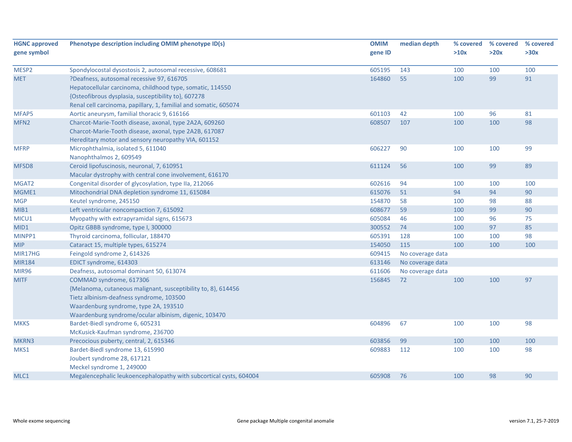| <b>HGNC approved</b> | Phenotype description including OMIM phenotype ID(s)               | <b>OMIM</b> | median depth     | % covered | % covered | % covered |
|----------------------|--------------------------------------------------------------------|-------------|------------------|-----------|-----------|-----------|
| gene symbol          |                                                                    | gene ID     |                  | >10x      | >20x      | >30x      |
| MESP2                | Spondylocostal dysostosis 2, autosomal recessive, 608681           | 605195      | 143              | 100       | 100       | 100       |
| <b>MET</b>           | ?Deafness, autosomal recessive 97, 616705                          | 164860      | 55               | 100       | 99        | 91        |
|                      | Hepatocellular carcinoma, childhood type, somatic, 114550          |             |                  |           |           |           |
|                      | {Osteofibrous dysplasia, susceptibility to}, 607278                |             |                  |           |           |           |
|                      | Renal cell carcinoma, papillary, 1, familial and somatic, 605074   |             |                  |           |           |           |
| MFAP5                | Aortic aneurysm, familial thoracic 9, 616166                       | 601103      | 42               | 100       | 96        | 81        |
| MFN <sub>2</sub>     | Charcot-Marie-Tooth disease, axonal, type 2A2A, 609260             | 608507      | 107              | 100       | 100       | 98        |
|                      | Charcot-Marie-Tooth disease, axonal, type 2A2B, 617087             |             |                  |           |           |           |
|                      | Hereditary motor and sensory neuropathy VIA, 601152                |             |                  |           |           |           |
| <b>MFRP</b>          | Microphthalmia, isolated 5, 611040                                 | 606227      | 90               | 100       | 100       | 99        |
|                      | Nanophthalmos 2, 609549                                            |             |                  |           |           |           |
| MFSD8                | Ceroid lipofuscinosis, neuronal, 7, 610951                         | 611124      | 56               | 100       | 99        | 89        |
|                      | Macular dystrophy with central cone involvement, 616170            |             |                  |           |           |           |
| MGAT2                | Congenital disorder of glycosylation, type IIa, 212066             | 602616      | 94               | 100       | 100       | 100       |
| MGME1                | Mitochondrial DNA depletion syndrome 11, 615084                    | 615076      | 51               | 94        | 94        | 90        |
| <b>MGP</b>           | Keutel syndrome, 245150                                            | 154870      | 58               | 100       | 98        | 88        |
| MIB1                 | Left ventricular noncompaction 7, 615092                           | 608677      | 59               | 100       | 99        | 90        |
| MICU1                | Myopathy with extrapyramidal signs, 615673                         | 605084      | 46               | 100       | 96        | 75        |
| MID1                 | Opitz GBBB syndrome, type I, 300000                                | 300552      | 74               | 100       | 97        | 85        |
| MINPP1               | Thyroid carcinoma, follicular, 188470                              | 605391      | 128              | 100       | 100       | 98        |
| <b>MIP</b>           | Cataract 15, multiple types, 615274                                | 154050      | 115              | 100       | 100       | 100       |
| MIR17HG              | Feingold syndrome 2, 614326                                        | 609415      | No coverage data |           |           |           |
| <b>MIR184</b>        | EDICT syndrome, 614303                                             | 613146      | No coverage data |           |           |           |
| <b>MIR96</b>         | Deafness, autosomal dominant 50, 613074                            | 611606      | No coverage data |           |           |           |
| <b>MITF</b>          | COMMAD syndrome, 617306                                            | 156845      | 72               | 100       | 100       | 97        |
|                      | {Melanoma, cutaneous malignant, susceptibility to, 8}, 614456      |             |                  |           |           |           |
|                      | Tietz albinism-deafness syndrome, 103500                           |             |                  |           |           |           |
|                      | Waardenburg syndrome, type 2A, 193510                              |             |                  |           |           |           |
|                      | Waardenburg syndrome/ocular albinism, digenic, 103470              |             |                  |           |           |           |
| <b>MKKS</b>          | Bardet-Biedl syndrome 6, 605231                                    | 604896      | 67               | 100       | 100       | 98        |
|                      | McKusick-Kaufman syndrome, 236700                                  |             |                  |           |           |           |
| MKRN3                | Precocious puberty, central, 2, 615346                             | 603856      | 99               | 100       | 100       | 100       |
| MKS1                 | Bardet-Biedl syndrome 13, 615990                                   | 609883      | 112              | 100       | 100       | 98        |
|                      | Joubert syndrome 28, 617121                                        |             |                  |           |           |           |
|                      | Meckel syndrome 1, 249000                                          |             |                  |           |           |           |
| MLC1                 | Megalencephalic leukoencephalopathy with subcortical cysts, 604004 | 605908      | 76               | 100       | 98        | 90        |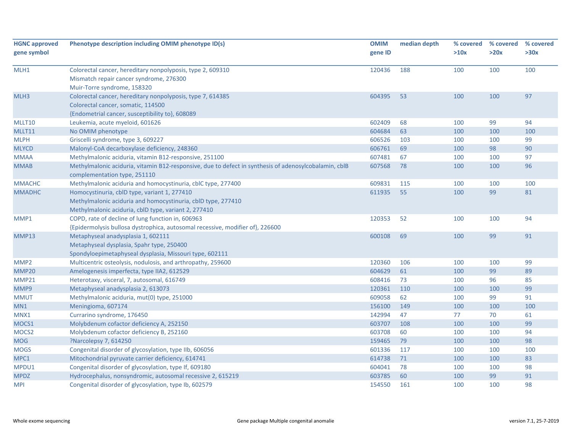| <b>HGNC approved</b><br>gene symbol | Phenotype description including OMIM phenotype ID(s)                                                                                                                 | <b>OMIM</b><br>gene ID | median depth | % covered<br>>10x | % covered<br>>20x | % covered<br>>30x |
|-------------------------------------|----------------------------------------------------------------------------------------------------------------------------------------------------------------------|------------------------|--------------|-------------------|-------------------|-------------------|
| MLH1                                | Colorectal cancer, hereditary nonpolyposis, type 2, 609310<br>Mismatch repair cancer syndrome, 276300<br>Muir-Torre syndrome, 158320                                 | 120436                 | 188          | 100               | 100               | 100               |
| MLH3                                | Colorectal cancer, hereditary nonpolyposis, type 7, 614385<br>Colorectal cancer, somatic, 114500<br>{Endometrial cancer, susceptibility to}, 608089                  | 604395                 | 53           | 100               | 100               | 97                |
| MLLT10                              | Leukemia, acute myeloid, 601626                                                                                                                                      | 602409                 | 68           | 100               | 99                | 94                |
| MLLT11                              | No OMIM phenotype                                                                                                                                                    | 604684                 | 63           | 100               | 100               | 100               |
| <b>MLPH</b>                         | Griscelli syndrome, type 3, 609227                                                                                                                                   | 606526                 | 103          | 100               | 100               | 99                |
| <b>MLYCD</b>                        | Malonyl-CoA decarboxylase deficiency, 248360                                                                                                                         | 606761                 | 69           | 100               | 98                | 90                |
| <b>MMAA</b>                         | Methylmalonic aciduria, vitamin B12-responsive, 251100                                                                                                               | 607481                 | 67           | 100               | 100               | 97                |
| <b>MMAB</b>                         | Methylmalonic aciduria, vitamin B12-responsive, due to defect in synthesis of adenosylcobalamin, cblB<br>complementation type, 251110                                | 607568                 | 78           | 100               | 100               | 96                |
| <b>MMACHC</b>                       | Methylmalonic aciduria and homocystinuria, cblC type, 277400                                                                                                         | 609831                 | 115          | 100               | 100               | 100               |
| <b>MMADHC</b>                       | Homocystinuria, cblD type, variant 1, 277410<br>Methylmalonic aciduria and homocystinuria, cblD type, 277410<br>Methylmalonic aciduria, cbID type, variant 2, 277410 | 611935                 | 55           | 100               | 99                | 81                |
| MMP1                                | COPD, rate of decline of lung function in, 606963<br>{Epidermolysis bullosa dystrophica, autosomal recessive, modifier of}, 226600                                   | 120353                 | 52           | 100               | 100               | 94                |
| MMP13                               | Metaphyseal anadysplasia 1, 602111<br>Metaphyseal dysplasia, Spahr type, 250400<br>Spondyloepimetaphyseal dysplasia, Missouri type, 602111                           | 600108                 | 69           | 100               | 99                | 91                |
| MMP <sub>2</sub>                    | Multicentric osteolysis, nodulosis, and arthropathy, 259600                                                                                                          | 120360                 | 106          | 100               | 100               | 99                |
| MMP20                               | Amelogenesis imperfecta, type IIA2, 612529                                                                                                                           | 604629                 | 61           | 100               | 99                | 89                |
| MMP21                               | Heterotaxy, visceral, 7, autosomal, 616749                                                                                                                           | 608416                 | 73           | 100               | 96                | 85                |
| MMP9                                | Metaphyseal anadysplasia 2, 613073                                                                                                                                   | 120361                 | 110          | 100               | 100               | 99                |
| <b>MMUT</b>                         | Methylmalonic aciduria, mut(0) type, 251000                                                                                                                          | 609058                 | 62           | 100               | 99                | 91                |
| MN <sub>1</sub>                     | Meningioma, 607174                                                                                                                                                   | 156100                 | 149          | 100               | 100               | 100               |
| MNX1                                | Currarino syndrome, 176450                                                                                                                                           | 142994                 | 47           | 77                | 70                | 61                |
| MOCS1                               | Molybdenum cofactor deficiency A, 252150                                                                                                                             | 603707                 | 108          | 100               | 100               | 99                |
| MOCS <sub>2</sub>                   | Molybdenum cofactor deficiency B, 252160                                                                                                                             | 603708                 | 60           | 100               | 100               | 94                |
| <b>MOG</b>                          | ?Narcolepsy 7, 614250                                                                                                                                                | 159465                 | 79           | 100               | 100               | 98                |
| <b>MOGS</b>                         | Congenital disorder of glycosylation, type IIb, 606056                                                                                                               | 601336                 | 117          | 100               | 100               | 100               |
| MPC1                                | Mitochondrial pyruvate carrier deficiency, 614741                                                                                                                    | 614738                 | 71           | 100               | 100               | 83                |
| MPDU1                               | Congenital disorder of glycosylation, type If, 609180                                                                                                                | 604041                 | 78           | 100               | 100               | 98                |
| <b>MPDZ</b>                         | Hydrocephalus, nonsyndromic, autosomal recessive 2, 615219                                                                                                           | 603785                 | 60           | 100               | 99                | 91                |
| <b>MPI</b>                          | Congenital disorder of glycosylation, type Ib, 602579                                                                                                                | 154550                 | 161          | 100               | 100               | 98                |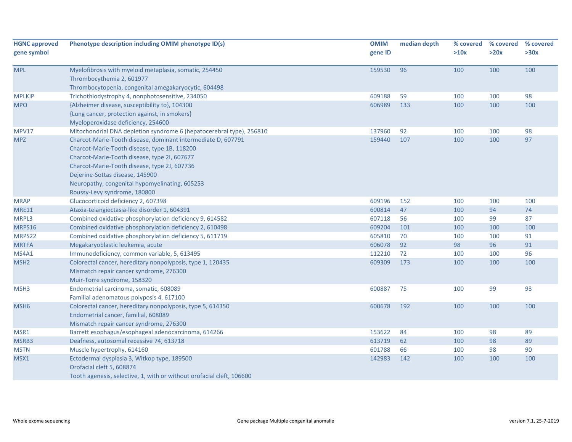| <b>HGNC approved</b><br>gene symbol | Phenotype description including OMIM phenotype ID(s)                                                                                                                                                                                                                                                                              | <b>OMIM</b><br>gene ID | median depth | % covered<br>>10x | % covered<br>>20x | % covered<br>>30x |
|-------------------------------------|-----------------------------------------------------------------------------------------------------------------------------------------------------------------------------------------------------------------------------------------------------------------------------------------------------------------------------------|------------------------|--------------|-------------------|-------------------|-------------------|
| <b>MPL</b>                          | Myelofibrosis with myeloid metaplasia, somatic, 254450<br>Thrombocythemia 2, 601977<br>Thrombocytopenia, congenital amegakaryocytic, 604498                                                                                                                                                                                       | 159530                 | 96           | 100               | 100               | 100               |
| <b>MPLKIP</b>                       | Trichothiodystrophy 4, nonphotosensitive, 234050                                                                                                                                                                                                                                                                                  | 609188                 | 59           | 100               | 100               | 98                |
| <b>MPO</b>                          | {Alzheimer disease, susceptibility to}, 104300<br>{Lung cancer, protection against, in smokers}<br>Myeloperoxidase deficiency, 254600                                                                                                                                                                                             | 606989                 | 133          | 100               | 100               | 100               |
| MPV17                               | Mitochondrial DNA depletion syndrome 6 (hepatocerebral type), 256810                                                                                                                                                                                                                                                              | 137960                 | 92           | 100               | 100               | 98                |
| <b>MPZ</b>                          | Charcot-Marie-Tooth disease, dominant intermediate D, 607791<br>Charcot-Marie-Tooth disease, type 1B, 118200<br>Charcot-Marie-Tooth disease, type 2I, 607677<br>Charcot-Marie-Tooth disease, type 2J, 607736<br>Dejerine-Sottas disease, 145900<br>Neuropathy, congenital hypomyelinating, 605253<br>Roussy-Levy syndrome, 180800 | 159440                 | 107          | 100               | 100               | 97                |
| <b>MRAP</b>                         | Glucocorticoid deficiency 2, 607398                                                                                                                                                                                                                                                                                               | 609196                 | 152          | 100               | 100               | 100               |
| <b>MRE11</b>                        | Ataxia-telangiectasia-like disorder 1, 604391                                                                                                                                                                                                                                                                                     | 600814                 | 47           | 100               | 94                | 74                |
| MRPL3                               | Combined oxidative phosphorylation deficiency 9, 614582                                                                                                                                                                                                                                                                           | 607118                 | 56           | 100               | 99                | 87                |
| MRPS16                              | Combined oxidative phosphorylation deficiency 2, 610498                                                                                                                                                                                                                                                                           | 609204                 | 101          | 100               | 100               | 100               |
| MRPS22                              | Combined oxidative phosphorylation deficiency 5, 611719                                                                                                                                                                                                                                                                           | 605810                 | 70           | 100               | 100               | 91                |
| <b>MRTFA</b>                        | Megakaryoblastic leukemia, acute                                                                                                                                                                                                                                                                                                  | 606078                 | 92           | 98                | 96                | 91                |
| MS4A1                               | Immunodeficiency, common variable, 5, 613495                                                                                                                                                                                                                                                                                      | 112210                 | 72           | 100               | 100               | 96                |
| MSH <sub>2</sub>                    | Colorectal cancer, hereditary nonpolyposis, type 1, 120435<br>Mismatch repair cancer syndrome, 276300<br>Muir-Torre syndrome, 158320                                                                                                                                                                                              | 609309                 | 173          | 100               | 100               | 100               |
| MSH3                                | Endometrial carcinoma, somatic, 608089<br>Familial adenomatous polyposis 4, 617100                                                                                                                                                                                                                                                | 600887                 | 75           | 100               | 99                | 93                |
| MSH <sub>6</sub>                    | Colorectal cancer, hereditary nonpolyposis, type 5, 614350<br>Endometrial cancer, familial, 608089<br>Mismatch repair cancer syndrome, 276300                                                                                                                                                                                     | 600678                 | 192          | 100               | 100               | 100               |
| MSR1                                | Barrett esophagus/esophageal adenocarcinoma, 614266                                                                                                                                                                                                                                                                               | 153622                 | 84           | 100               | 98                | 89                |
| MSRB3                               | Deafness, autosomal recessive 74, 613718                                                                                                                                                                                                                                                                                          | 613719                 | 62           | 100               | 98                | 89                |
| <b>MSTN</b>                         | Muscle hypertrophy, 614160                                                                                                                                                                                                                                                                                                        | 601788                 | 66           | 100               | 98                | 90                |
| MSX1                                | Ectodermal dysplasia 3, Witkop type, 189500<br>Orofacial cleft 5, 608874<br>Tooth agenesis, selective, 1, with or without orofacial cleft, 106600                                                                                                                                                                                 | 142983                 | 142          | 100               | 100               | 100               |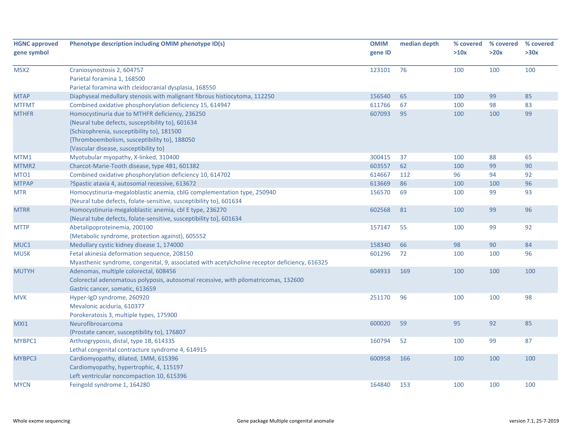| <b>HGNC approved</b><br>gene symbol | Phenotype description including OMIM phenotype ID(s)                                                                                                                                                                                      | <b>OMIM</b><br>gene ID | median depth | % covered<br>>10x | % covered<br>>20x | % covered<br>>30x |
|-------------------------------------|-------------------------------------------------------------------------------------------------------------------------------------------------------------------------------------------------------------------------------------------|------------------------|--------------|-------------------|-------------------|-------------------|
| MSX2                                | Craniosynostosis 2, 604757<br>Parietal foramina 1, 168500<br>Parietal foramina with cleidocranial dysplasia, 168550                                                                                                                       | 123101                 | 76           | 100               | 100               | 100               |
| <b>MTAP</b>                         | Diaphyseal medullary stenosis with malignant fibrous histiocytoma, 112250                                                                                                                                                                 | 156540                 | 65           | 100               | 99                | 85                |
| <b>MTFMT</b>                        | Combined oxidative phosphorylation deficiency 15, 614947                                                                                                                                                                                  | 611766                 | 67           | 100               | 98                | 83                |
| <b>MTHFR</b>                        | Homocystinuria due to MTHFR deficiency, 236250<br>{Neural tube defects, susceptibility to}, 601634<br>{Schizophrenia, susceptibility to}, 181500<br>{Thromboembolism, susceptibility to}, 188050<br>{Vascular disease, susceptibility to} | 607093                 | 95           | 100               | 100               | 99                |
| MTM1                                | Myotubular myopathy, X-linked, 310400                                                                                                                                                                                                     | 300415                 | 37           | 100               | 88                | 65                |
| MTMR2                               | Charcot-Marie-Tooth disease, type 4B1, 601382                                                                                                                                                                                             | 603557                 | 62           | 100               | 99                | 90                |
| MTO1                                | Combined oxidative phosphorylation deficiency 10, 614702                                                                                                                                                                                  | 614667                 | 112          | 96                | 94                | 92                |
| <b>MTPAP</b>                        | ?Spastic ataxia 4, autosomal recessive, 613672                                                                                                                                                                                            | 613669                 | 86           | 100               | 100               | 96                |
| <b>MTR</b>                          | Homocystinuria-megaloblastic anemia, cblG complementation type, 250940<br>{Neural tube defects, folate-sensitive, susceptibility to}, 601634                                                                                              | 156570                 | 69           | 100               | 99                | 93                |
| <b>MTRR</b>                         | Homocystinuria-megaloblastic anemia, cbl E type, 236270<br>{Neural tube defects, folate-sensitive, susceptibility to}, 601634                                                                                                             | 602568                 | 81           | 100               | 99                | 96                |
| <b>MTTP</b>                         | Abetalipoproteinemia, 200100<br>{Metabolic syndrome, protection against}, 605552                                                                                                                                                          | 157147                 | 55           | 100               | 99                | 92                |
| MUC1                                | Medullary cystic kidney disease 1, 174000                                                                                                                                                                                                 | 158340                 | 66           | 98                | 90                | 84                |
| <b>MUSK</b>                         | Fetal akinesia deformation sequence, 208150<br>Myasthenic syndrome, congenital, 9, associated with acetylcholine receptor deficiency, 616325                                                                                              | 601296                 | 72           | 100               | 100               | 96                |
| <b>MUTYH</b>                        | Adenomas, multiple colorectal, 608456<br>Colorectal adenomatous polyposis, autosomal recessive, with pilomatricomas, 132600<br>Gastric cancer, somatic, 613659                                                                            | 604933                 | 169          | 100               | 100               | 100               |
| <b>MVK</b>                          | Hyper-IgD syndrome, 260920<br>Mevalonic aciduria, 610377<br>Porokeratosis 3, multiple types, 175900                                                                                                                                       | 251170                 | 96           | 100               | 100               | 98                |
| MXI1                                | Neurofibrosarcoma<br>{Prostate cancer, susceptibility to}, 176807                                                                                                                                                                         | 600020                 | 59           | 95                | 92                | 85                |
| MYBPC1                              | Arthrogryposis, distal, type 1B, 614335<br>Lethal congenital contracture syndrome 4, 614915                                                                                                                                               | 160794                 | 52           | 100               | 99                | 87                |
| MYBPC3                              | Cardiomyopathy, dilated, 1MM, 615396<br>Cardiomyopathy, hypertrophic, 4, 115197<br>Left ventricular noncompaction 10, 615396                                                                                                              | 600958                 | 166          | 100               | 100               | 100               |
| <b>MYCN</b>                         | Feingold syndrome 1, 164280                                                                                                                                                                                                               | 164840                 | 153          | 100               | 100               | 100               |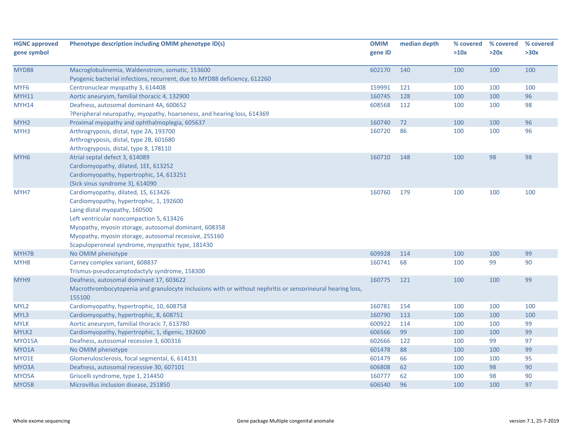| <b>HGNC approved</b> | Phenotype description including OMIM phenotype ID(s)                                                      | <b>OMIM</b> | median depth | % covered | % covered | % covered |
|----------------------|-----------------------------------------------------------------------------------------------------------|-------------|--------------|-----------|-----------|-----------|
| gene symbol          |                                                                                                           | gene ID     |              | >10x      | >20x      | >30x      |
| MYD88                | Macroglobulinemia, Waldenstrom, somatic, 153600                                                           | 602170      | 140          | 100       | 100       | 100       |
|                      | Pyogenic bacterial infections, recurrent, due to MYD88 deficiency, 612260                                 |             |              |           |           |           |
| MYF <sub>6</sub>     | Centronuclear myopathy 3, 614408                                                                          | 159991      | 121          | 100       | 100       | 100       |
| <b>MYH11</b>         | Aortic aneurysm, familial thoracic 4, 132900                                                              | 160745      | 128          | 100       | 100       | 96        |
| MYH14                | Deafness, autosomal dominant 4A, 600652                                                                   | 608568      | 112          | 100       | 100       | 98        |
|                      | ?Peripheral neuropathy, myopathy, hoarseness, and hearing loss, 614369                                    |             |              |           |           |           |
| MYH <sub>2</sub>     | Proximal myopathy and ophthalmoplegia, 605637                                                             | 160740      | 72           | 100       | 100       | 96        |
| MYH3                 | Arthrogryposis, distal, type 2A, 193700                                                                   | 160720      | 86           | 100       | 100       | 96        |
|                      | Arthrogryposis, distal, type 2B, 601680                                                                   |             |              |           |           |           |
|                      | Arthrogryposis, distal, type 8, 178110                                                                    |             |              |           |           |           |
| MYH <sub>6</sub>     | Atrial septal defect 3, 614089                                                                            | 160710      | 148          | 100       | 98        | 98        |
|                      | Cardiomyopathy, dilated, 1EE, 613252                                                                      |             |              |           |           |           |
|                      | Cardiomyopathy, hypertrophic, 14, 613251                                                                  |             |              |           |           |           |
|                      | {Sick sinus syndrome 3}, 614090                                                                           |             |              |           |           |           |
| MYH7                 | Cardiomyopathy, dilated, 1S, 613426                                                                       | 160760      | 179          | 100       | 100       | 100       |
|                      | Cardiomyopathy, hypertrophic, 1, 192600                                                                   |             |              |           |           |           |
|                      | Laing distal myopathy, 160500                                                                             |             |              |           |           |           |
|                      | Left ventricular noncompaction 5, 613426                                                                  |             |              |           |           |           |
|                      | Myopathy, myosin storage, autosomal dominant, 608358                                                      |             |              |           |           |           |
|                      | Myopathy, myosin storage, autosomal recessive, 255160                                                     |             |              |           |           |           |
|                      | Scapuloperoneal syndrome, myopathic type, 181430                                                          |             |              |           |           |           |
| MYH7B                | No OMIM phenotype                                                                                         | 609928      | 114          | 100       | 100       | 99        |
| MYH <sub>8</sub>     | Carney complex variant, 608837                                                                            | 160741      | 68           | 100       | 99        | 90        |
|                      | Trismus-pseudocamptodactyly syndrome, 158300                                                              |             |              |           |           |           |
| MYH9                 | Deafness, autosomal dominant 17, 603622                                                                   | 160775      | 121          | 100       | 100       | 99        |
|                      | Macrothrombocytopenia and granulocyte inclusions with or without nephritis or sensorineural hearing loss, |             |              |           |           |           |
|                      | 155100                                                                                                    |             |              |           |           |           |
| MYL <sub>2</sub>     | Cardiomyopathy, hypertrophic, 10, 608758                                                                  | 160781      | 154          | 100       | 100       | 100       |
| MYL3                 | Cardiomyopathy, hypertrophic, 8, 608751                                                                   | 160790      | 113          | 100       | 100       | 100       |
| <b>MYLK</b>          | Aortic aneurysm, familial thoracic 7, 613780                                                              | 600922      | 114          | 100       | 100       | 99        |
| MYLK2                | Cardiomyopathy, hypertrophic, 1, digenic, 192600                                                          | 606566      | 99           | 100       | 100       | 99        |
| <b>MYO15A</b>        | Deafness, autosomal recessive 3, 600316                                                                   | 602666      | 122          | 100       | 99        | 97        |
| MYO1A                | No OMIM phenotype                                                                                         | 601478      | 88           | 100       | 100       | 99        |
| MYO1E                | Glomerulosclerosis, focal segmental, 6, 614131                                                            | 601479      | 66           | 100       | 100       | 95        |
| MYO3A                | Deafness, autosomal recessive 30, 607101                                                                  | 606808      | 62           | 100       | 98        | 90        |
| MYO5A                | Griscelli syndrome, type 1, 214450                                                                        | 160777      | 62           | 100       | 98        | 90        |
| MYO5B                | Microvillus inclusion disease, 251850                                                                     | 606540      | 96           | 100       | 100       | 97        |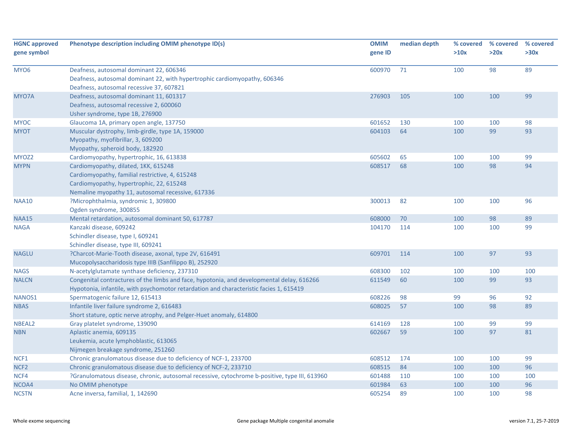| <b>HGNC approved</b><br>gene symbol | Phenotype description including OMIM phenotype ID(s)                                                                                                                                     | <b>OMIM</b><br>gene ID | median depth | % covered<br>>10x | % covered<br>>20x | % covered<br>>30x |
|-------------------------------------|------------------------------------------------------------------------------------------------------------------------------------------------------------------------------------------|------------------------|--------------|-------------------|-------------------|-------------------|
| MYO <sub>6</sub>                    | Deafness, autosomal dominant 22, 606346<br>Deafness, autosomal dominant 22, with hypertrophic cardiomyopathy, 606346<br>Deafness, autosomal recessive 37, 607821                         | 600970                 | 71           | 100               | 98                | 89                |
| MYO7A                               | Deafness, autosomal dominant 11, 601317<br>Deafness, autosomal recessive 2, 600060<br>Usher syndrome, type 1B, 276900                                                                    | 276903                 | 105          | 100               | 100               | 99                |
| <b>MYOC</b>                         | Glaucoma 1A, primary open angle, 137750                                                                                                                                                  | 601652                 | 130          | 100               | 100               | 98                |
| <b>MYOT</b>                         | Muscular dystrophy, limb-girdle, type 1A, 159000<br>Myopathy, myofibrillar, 3, 609200<br>Myopathy, spheroid body, 182920                                                                 | 604103                 | 64           | 100               | 99                | 93                |
| MYOZ2                               | Cardiomyopathy, hypertrophic, 16, 613838                                                                                                                                                 | 605602                 | 65           | 100               | 100               | 99                |
| <b>MYPN</b>                         | Cardiomyopathy, dilated, 1KK, 615248<br>Cardiomyopathy, familial restrictive, 4, 615248<br>Cardiomyopathy, hypertrophic, 22, 615248<br>Nemaline myopathy 11, autosomal recessive, 617336 | 608517                 | 68           | 100               | 98                | 94                |
| <b>NAA10</b>                        | ?Microphthalmia, syndromic 1, 309800                                                                                                                                                     | 300013                 | 82           | 100               | 100               | 96                |
|                                     | Ogden syndrome, 300855                                                                                                                                                                   |                        |              |                   |                   |                   |
| <b>NAA15</b>                        | Mental retardation, autosomal dominant 50, 617787                                                                                                                                        | 608000                 | 70           | 100               | 98                | 89                |
| <b>NAGA</b>                         | Kanzaki disease, 609242<br>Schindler disease, type I, 609241<br>Schindler disease, type III, 609241                                                                                      | 104170                 | 114          | 100               | 100               | 99                |
| <b>NAGLU</b>                        | ?Charcot-Marie-Tooth disease, axonal, type 2V, 616491<br>Mucopolysaccharidosis type IIIB (Sanfilippo B), 252920                                                                          | 609701                 | 114          | 100               | 97                | 93                |
| <b>NAGS</b>                         | N-acetylglutamate synthase deficiency, 237310                                                                                                                                            | 608300                 | 102          | 100               | 100               | 100               |
| <b>NALCN</b>                        | Congenital contractures of the limbs and face, hypotonia, and developmental delay, 616266<br>Hypotonia, infantile, with psychomotor retardation and characteristic facies 1, 615419      | 611549                 | 60           | 100               | 99                | 93                |
| NANOS1                              | Spermatogenic failure 12, 615413                                                                                                                                                         | 608226                 | 98           | 99                | 96                | 92                |
| <b>NBAS</b>                         | Infantile liver failure syndrome 2, 616483<br>Short stature, optic nerve atrophy, and Pelger-Huet anomaly, 614800                                                                        | 608025                 | 57           | 100               | 98                | 89                |
| NBEAL2                              | Gray platelet syndrome, 139090                                                                                                                                                           | 614169                 | 128          | 100               | 99                | 99                |
| <b>NBN</b>                          | Aplastic anemia, 609135<br>Leukemia, acute lymphoblastic, 613065<br>Nijmegen breakage syndrome, 251260                                                                                   | 602667                 | 59           | 100               | 97                | 81                |
| NCF1                                | Chronic granulomatous disease due to deficiency of NCF-1, 233700                                                                                                                         | 608512                 | 174          | 100               | 100               | 99                |
| NCF <sub>2</sub>                    | Chronic granulomatous disease due to deficiency of NCF-2, 233710                                                                                                                         | 608515                 | 84           | 100               | 100               | 96                |
| NCF4                                | ?Granulomatous disease, chronic, autosomal recessive, cytochrome b-positive, type III, 613960                                                                                            | 601488                 | 110          | 100               | 100               | 100               |
| NCOA4                               | No OMIM phenotype                                                                                                                                                                        | 601984                 | 63           | 100               | 100               | 96                |
| <b>NCSTN</b>                        | Acne inversa, familial, 1, 142690                                                                                                                                                        | 605254                 | 89           | 100               | 100               | 98                |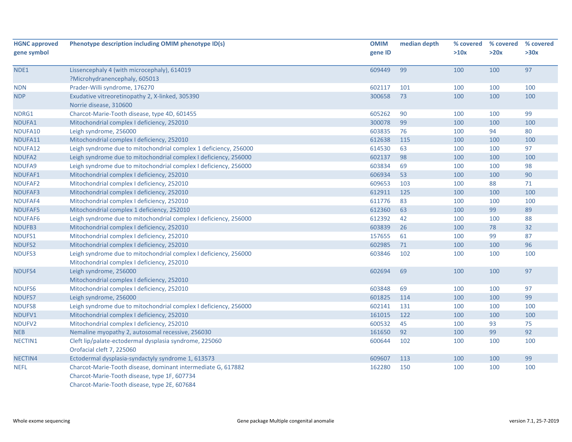| <b>HGNC approved</b> | Phenotype description including OMIM phenotype ID(s)                                                           | <b>OMIM</b> | median depth | % covered | % covered | % covered |
|----------------------|----------------------------------------------------------------------------------------------------------------|-------------|--------------|-----------|-----------|-----------|
| gene symbol          |                                                                                                                | gene ID     |              | >10x      | >20x      | >30x      |
| NDE1                 | Lissencephaly 4 (with microcephaly), 614019                                                                    | 609449      | 99           | 100       | 100       | 97        |
|                      | ?Microhydranencephaly, 605013                                                                                  |             |              |           |           |           |
| <b>NDN</b>           | Prader-Willi syndrome, 176270                                                                                  | 602117      | 101          | 100       | 100       | 100       |
| <b>NDP</b>           | Exudative vitreoretinopathy 2, X-linked, 305390<br>Norrie disease, 310600                                      | 300658      | 73           | 100       | 100       | 100       |
| NDRG1                | Charcot-Marie-Tooth disease, type 4D, 601455                                                                   | 605262      | 90           | 100       | 100       | 99        |
| NDUFA1               | Mitochondrial complex I deficiency, 252010                                                                     | 300078      | 99           | 100       | 100       | 100       |
| NDUFA10              | Leigh syndrome, 256000                                                                                         | 603835      | 76           | 100       | 94        | 80        |
| NDUFA11              | Mitochondrial complex I deficiency, 252010                                                                     | 612638      | 115          | 100       | 100       | 100       |
| NDUFA12              | Leigh syndrome due to mitochondrial complex 1 deficiency, 256000                                               | 614530      | 63           | 100       | 100       | 97        |
| NDUFA2               | Leigh syndrome due to mitochondrial complex I deficiency, 256000                                               | 602137      | 98           | 100       | 100       | 100       |
| NDUFA9               | Leigh syndrome due to mitochondrial complex I deficiency, 256000                                               | 603834      | 69           | 100       | 100       | 98        |
| NDUFAF1              | Mitochondrial complex I deficiency, 252010                                                                     | 606934      | 53           | 100       | 100       | 90        |
| NDUFAF2              | Mitochondrial complex I deficiency, 252010                                                                     | 609653      | 103          | 100       | 88        | 71        |
| NDUFAF3              | Mitochondrial complex I deficiency, 252010                                                                     | 612911      | 125          | 100       | 100       | 100       |
| NDUFAF4              | Mitochondrial complex I deficiency, 252010                                                                     | 611776      | 83           | 100       | 100       | 100       |
| <b>NDUFAF5</b>       | Mitochondrial complex 1 deficiency, 252010                                                                     | 612360      | 63           | 100       | 99        | 89        |
| NDUFAF6              | Leigh syndrome due to mitochondrial complex I deficiency, 256000                                               | 612392      | 42           | 100       | 100       | 88        |
| NDUFB3               | Mitochondrial complex I deficiency, 252010                                                                     | 603839      | 26           | 100       | 78        | 32        |
| NDUFS1               | Mitochondrial complex I deficiency, 252010                                                                     | 157655      | 61           | 100       | 99        | 87        |
| NDUFS2               | Mitochondrial complex I deficiency, 252010                                                                     | 602985      | 71           | 100       | 100       | 96        |
| NDUFS3               | Leigh syndrome due to mitochondrial complex I deficiency, 256000<br>Mitochondrial complex I deficiency, 252010 | 603846      | 102          | 100       | 100       | 100       |
| NDUFS4               | Leigh syndrome, 256000                                                                                         | 602694      | 69           | 100       | 100       | 97        |
|                      | Mitochondrial complex I deficiency, 252010                                                                     |             |              |           |           |           |
| NDUFS6               | Mitochondrial complex I deficiency, 252010                                                                     | 603848      | 69           | 100       | 100       | 97        |
| NDUFS7               | Leigh syndrome, 256000                                                                                         | 601825      | 114          | 100       | 100       | 99        |
| <b>NDUFS8</b>        | Leigh syndrome due to mitochondrial complex I deficiency, 256000                                               | 602141      | 131          | 100       | 100       | 100       |
| NDUFV1               | Mitochondrial complex I deficiency, 252010                                                                     | 161015      | 122          | 100       | 100       | 100       |
| NDUFV2               | Mitochondrial complex I deficiency, 252010                                                                     | 600532      | 45           | 100       | 93        | 75        |
| <b>NEB</b>           | Nemaline myopathy 2, autosomal recessive, 256030                                                               | 161650      | 92           | 100       | 99        | 92        |
| NECTIN1              | Cleft lip/palate-ectodermal dysplasia syndrome, 225060<br>Orofacial cleft 7, 225060                            | 600644      | 102          | 100       | 100       | 100       |
| NECTIN4              | Ectodermal dysplasia-syndactyly syndrome 1, 613573                                                             | 609607      | 113          | 100       | 100       | 99        |
| <b>NEFL</b>          | Charcot-Marie-Tooth disease, dominant intermediate G, 617882                                                   | 162280      | 150          | 100       | 100       | 100       |
|                      | Charcot-Marie-Tooth disease, type 1F, 607734<br>Charcot-Marie-Tooth disease, type 2E, 607684                   |             |              |           |           |           |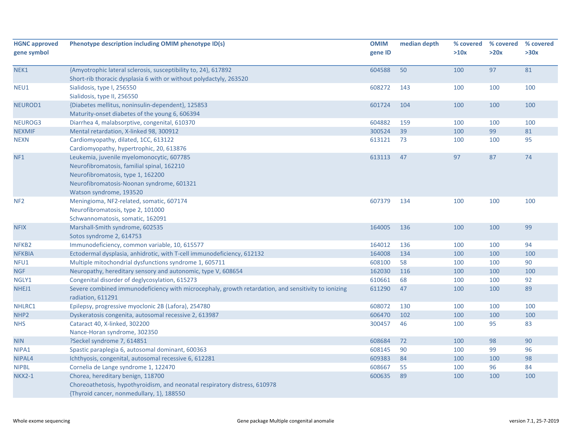| <b>HGNC approved</b><br>gene symbol | Phenotype description including OMIM phenotype ID(s)                                                                                                                                                 | <b>OMIM</b><br>gene ID | median depth | % covered<br>>10x | % covered<br>>20x | % covered<br>>30x |
|-------------------------------------|------------------------------------------------------------------------------------------------------------------------------------------------------------------------------------------------------|------------------------|--------------|-------------------|-------------------|-------------------|
| NEK1                                | {Amyotrophic lateral sclerosis, susceptibility to, 24}, 617892<br>Short-rib thoracic dysplasia 6 with or without polydactyly, 263520                                                                 | 604588                 | 50           | 100               | 97                | 81                |
| NEU1                                | Sialidosis, type I, 256550<br>Sialidosis, type II, 256550                                                                                                                                            | 608272                 | 143          | 100               | 100               | 100               |
| NEUROD1                             | {Diabetes mellitus, noninsulin-dependent}, 125853<br>Maturity-onset diabetes of the young 6, 606394                                                                                                  | 601724                 | 104          | 100               | 100               | 100               |
| NEUROG3                             | Diarrhea 4, malabsorptive, congenital, 610370                                                                                                                                                        | 604882                 | 159          | 100               | 100               | 100               |
| <b>NEXMIF</b>                       | Mental retardation, X-linked 98, 300912                                                                                                                                                              | 300524                 | 39           | 100               | 99                | 81                |
| <b>NEXN</b>                         | Cardiomyopathy, dilated, 1CC, 613122<br>Cardiomyopathy, hypertrophic, 20, 613876                                                                                                                     | 613121                 | 73           | 100               | 100               | 95                |
| NF1                                 | Leukemia, juvenile myelomonocytic, 607785<br>Neurofibromatosis, familial spinal, 162210<br>Neurofibromatosis, type 1, 162200<br>Neurofibromatosis-Noonan syndrome, 601321<br>Watson syndrome, 193520 | 613113                 | 47           | 97                | 87                | 74                |
| NF <sub>2</sub>                     | Meningioma, NF2-related, somatic, 607174<br>Neurofibromatosis, type 2, 101000<br>Schwannomatosis, somatic, 162091                                                                                    | 607379                 | 134          | 100               | 100               | 100               |
| <b>NFIX</b>                         | Marshall-Smith syndrome, 602535<br>Sotos syndrome 2, 614753                                                                                                                                          | 164005                 | 136          | 100               | 100               | 99                |
| NFKB <sub>2</sub>                   | Immunodeficiency, common variable, 10, 615577                                                                                                                                                        | 164012                 | 136          | 100               | 100               | 94                |
| <b>NFKBIA</b>                       | Ectodermal dysplasia, anhidrotic, with T-cell immunodeficiency, 612132                                                                                                                               | 164008                 | 134          | 100               | 100               | 100               |
| NFU1                                | Multiple mitochondrial dysfunctions syndrome 1, 605711                                                                                                                                               | 608100                 | 58           | 100               | 100               | 90                |
| <b>NGF</b>                          | Neuropathy, hereditary sensory and autonomic, type V, 608654                                                                                                                                         | 162030                 | 116          | 100               | 100               | 100               |
| NGLY1                               | Congenital disorder of deglycosylation, 615273                                                                                                                                                       | 610661                 | 68           | 100               | 100               | 92                |
| NHEJ1                               | Severe combined immunodeficiency with microcephaly, growth retardation, and sensitivity to ionizing<br>radiation, 611291                                                                             | 611290                 | 47           | 100               | 100               | 89                |
| NHLRC1                              | Epilepsy, progressive myoclonic 2B (Lafora), 254780                                                                                                                                                  | 608072                 | 130          | 100               | 100               | 100               |
| NHP <sub>2</sub>                    | Dyskeratosis congenita, autosomal recessive 2, 613987                                                                                                                                                | 606470                 | 102          | 100               | 100               | 100               |
| <b>NHS</b>                          | Cataract 40, X-linked, 302200<br>Nance-Horan syndrome, 302350                                                                                                                                        | 300457                 | 46           | 100               | 95                | 83                |
| <b>NIN</b>                          | ?Seckel syndrome 7, 614851                                                                                                                                                                           | 608684                 | 72           | 100               | 98                | 90                |
| NIPA1                               | Spastic paraplegia 6, autosomal dominant, 600363                                                                                                                                                     | 608145                 | 90           | 100               | 99                | 96                |
| NIPAL4                              | Ichthyosis, congenital, autosomal recessive 6, 612281                                                                                                                                                | 609383                 | 84           | 100               | 100               | 98                |
| <b>NIPBL</b>                        | Cornelia de Lange syndrome 1, 122470                                                                                                                                                                 | 608667                 | 55           | 100               | 96                | 84                |
| <b>NKX2-1</b>                       | Chorea, hereditary benign, 118700<br>Choreoathetosis, hypothyroidism, and neonatal respiratory distress, 610978<br>{Thyroid cancer, nonmedullary, 1}, 188550                                         | 600635                 | 89           | 100               | 100               | 100               |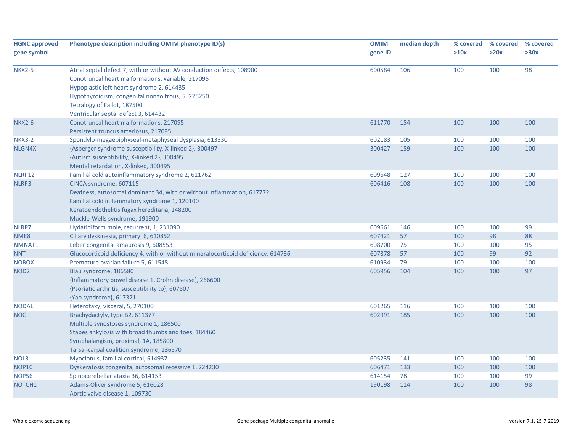| <b>HGNC approved</b> | Phenotype description including OMIM phenotype ID(s)                                                                                                                                                                                                        | <b>OMIM</b> | median depth | % covered<br>>10x | % covered<br>>20x | % covered<br>>30x |
|----------------------|-------------------------------------------------------------------------------------------------------------------------------------------------------------------------------------------------------------------------------------------------------------|-------------|--------------|-------------------|-------------------|-------------------|
| gene symbol          |                                                                                                                                                                                                                                                             | gene ID     |              |                   |                   |                   |
| <b>NKX2-5</b>        | Atrial septal defect 7, with or without AV conduction defects, 108900<br>Conotruncal heart malformations, variable, 217095<br>Hypoplastic left heart syndrome 2, 614435<br>Hypothyroidism, congenital nongoitrous, 5, 225250<br>Tetralogy of Fallot, 187500 | 600584      | 106          | 100               | 100               | 98                |
|                      | Ventricular septal defect 3, 614432                                                                                                                                                                                                                         |             |              |                   |                   |                   |
| <b>NKX2-6</b>        | Conotruncal heart malformations, 217095<br>Persistent truncus arteriosus, 217095                                                                                                                                                                            | 611770      | 154          | 100               | 100               | 100               |
| <b>NKX3-2</b>        | Spondylo-megaepiphyseal-metaphyseal dysplasia, 613330                                                                                                                                                                                                       | 602183      | 105          | 100               | 100               | 100               |
| NLGN4X               | {Asperger syndrome susceptibility, X-linked 2}, 300497<br>{Autism susceptibility, X-linked 2}, 300495<br>Mental retardation, X-linked, 300495                                                                                                               | 300427      | 159          | 100               | 100               | 100               |
| NLRP12               | Familial cold autoinflammatory syndrome 2, 611762                                                                                                                                                                                                           | 609648      | 127          | 100               | 100               | 100               |
| NLRP3                | CINCA syndrome, 607115<br>Deafness, autosomal dominant 34, with or without inflammation, 617772<br>Familial cold inflammatory syndrome 1, 120100<br>Keratoendothelitis fugax hereditaria, 148200<br>Muckle-Wells syndrome, 191900                           | 606416      | 108          | 100               | 100               | 100               |
| NLRP7                | Hydatidiform mole, recurrent, 1, 231090                                                                                                                                                                                                                     | 609661      | 146          | 100               | 100               | 99                |
| NME8                 | Ciliary dyskinesia, primary, 6, 610852                                                                                                                                                                                                                      | 607421      | 57           | 100               | 98                | 88                |
| NMNAT1               | Leber congenital amaurosis 9, 608553                                                                                                                                                                                                                        | 608700      | 75           | 100               | 100               | 95                |
| <b>NNT</b>           | Glucocorticoid deficiency 4, with or without mineralocorticoid deficiency, 614736                                                                                                                                                                           | 607878      | 57           | 100               | 99                | 92                |
| <b>NOBOX</b>         | Premature ovarian failure 5, 611548                                                                                                                                                                                                                         | 610934      | 79           | 100               | 100               | 100               |
| NOD <sub>2</sub>     | Blau syndrome, 186580<br>{Inflammatory bowel disease 1, Crohn disease}, 266600<br>{Psoriatic arthritis, susceptibility to}, 607507<br>{Yao syndrome}, 617321                                                                                                | 605956      | 104          | 100               | 100               | 97                |
| <b>NODAL</b>         | Heterotaxy, visceral, 5, 270100                                                                                                                                                                                                                             | 601265      | 116          | 100               | 100               | 100               |
| <b>NOG</b>           | Brachydactyly, type B2, 611377<br>Multiple synostoses syndrome 1, 186500<br>Stapes ankylosis with broad thumbs and toes, 184460<br>Symphalangism, proximal, 1A, 185800<br>Tarsal-carpal coalition syndrome, 186570                                          | 602991      | 185          | 100               | 100               | 100               |
| NOL3                 | Myoclonus, familial cortical, 614937                                                                                                                                                                                                                        | 605235      | 141          | 100               | 100               | 100               |
| <b>NOP10</b>         | Dyskeratosis congenita, autosomal recessive 1, 224230                                                                                                                                                                                                       | 606471      | 133          | 100               | 100               | 100               |
| <b>NOP56</b>         | Spinocerebellar ataxia 36, 614153                                                                                                                                                                                                                           | 614154      | 78           | 100               | 100               | 99                |
| NOTCH1               | Adams-Oliver syndrome 5, 616028<br>Aortic valve disease 1, 109730                                                                                                                                                                                           | 190198      | 114          | 100               | 100               | 98                |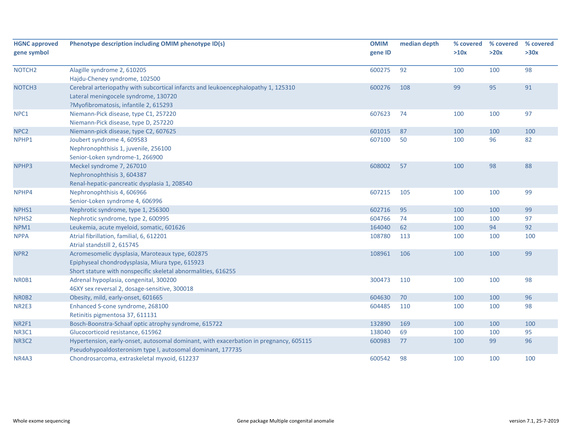| <b>HGNC approved</b><br>gene symbol | Phenotype description including OMIM phenotype ID(s)                                  | <b>OMIM</b><br>gene ID | median depth | % covered<br>>10x | % covered<br>>20x | % covered<br>>30x |
|-------------------------------------|---------------------------------------------------------------------------------------|------------------------|--------------|-------------------|-------------------|-------------------|
| NOTCH <sub>2</sub>                  | Alagille syndrome 2, 610205                                                           | 600275                 | 92           | 100               | 100               | 98                |
|                                     | Hajdu-Cheney syndrome, 102500                                                         |                        |              |                   |                   |                   |
| NOTCH <sub>3</sub>                  | Cerebral arteriopathy with subcortical infarcts and leukoencephalopathy 1, 125310     | 600276                 | 108          | 99                | 95                | 91                |
|                                     | Lateral meningocele syndrome, 130720                                                  |                        |              |                   |                   |                   |
|                                     | ?Myofibromatosis, infantile 2, 615293                                                 |                        |              |                   |                   |                   |
| NPC1                                | Niemann-Pick disease, type C1, 257220                                                 | 607623                 | 74           | 100               | 100               | 97                |
|                                     | Niemann-Pick disease, type D, 257220                                                  |                        |              |                   |                   |                   |
| NPC <sub>2</sub>                    | Niemann-pick disease, type C2, 607625                                                 | 601015                 | 87           | 100               | 100               | 100               |
| NPHP1                               | Joubert syndrome 4, 609583                                                            | 607100                 | 50           | 100               | 96                | 82                |
|                                     | Nephronophthisis 1, juvenile, 256100                                                  |                        |              |                   |                   |                   |
|                                     | Senior-Loken syndrome-1, 266900                                                       |                        |              |                   |                   |                   |
| NPHP3                               | Meckel syndrome 7, 267010                                                             | 608002                 | 57           | 100               | 98                | 88                |
|                                     | Nephronophthisis 3, 604387                                                            |                        |              |                   |                   |                   |
|                                     | Renal-hepatic-pancreatic dysplasia 1, 208540                                          |                        |              |                   |                   |                   |
| NPHP4                               | Nephronophthisis 4, 606966                                                            | 607215                 | 105          | 100               | 100               | 99                |
|                                     | Senior-Loken syndrome 4, 606996                                                       |                        |              |                   |                   |                   |
| NPHS1                               | Nephrotic syndrome, type 1, 256300                                                    | 602716                 | 95           | 100               | 100               | 99                |
| NPHS <sub>2</sub>                   | Nephrotic syndrome, type 2, 600995                                                    | 604766                 | 74           | 100               | 100               | 97                |
| NPM1                                | Leukemia, acute myeloid, somatic, 601626                                              | 164040                 | 62           | 100               | 94                | 92                |
| <b>NPPA</b>                         | Atrial fibrillation, familial, 6, 612201                                              | 108780                 | 113          | 100               | 100               | 100               |
|                                     | Atrial standstill 2, 615745                                                           |                        |              |                   |                   |                   |
| NPR <sub>2</sub>                    | Acromesomelic dysplasia, Maroteaux type, 602875                                       | 108961                 | 106          | 100               | 100               | 99                |
|                                     | Epiphyseal chondrodysplasia, Miura type, 615923                                       |                        |              |                   |                   |                   |
|                                     | Short stature with nonspecific skeletal abnormalities, 616255                         |                        |              |                   |                   |                   |
| NR0B1                               | Adrenal hypoplasia, congenital, 300200                                                | 300473                 | 110          | 100               | 100               | 98                |
|                                     | 46XY sex reversal 2, dosage-sensitive, 300018                                         |                        |              |                   |                   |                   |
| NR0B2                               | Obesity, mild, early-onset, 601665                                                    | 604630                 | 70           | 100               | 100               | 96                |
| NR2E3                               | Enhanced S-cone syndrome, 268100                                                      | 604485                 | 110          | 100               | 100               | 98                |
|                                     | Retinitis pigmentosa 37, 611131                                                       |                        |              |                   |                   |                   |
| NR2F1                               | Bosch-Boonstra-Schaaf optic atrophy syndrome, 615722                                  | 132890                 | 169          | 100               | 100               | 100               |
| NR3C1                               | Glucocorticoid resistance, 615962                                                     | 138040                 | 69           | 100               | 100               | 95                |
| NR3C2                               | Hypertension, early-onset, autosomal dominant, with exacerbation in pregnancy, 605115 | 600983                 | 77           | 100               | 99                | 96                |
|                                     | Pseudohypoaldosteronism type I, autosomal dominant, 177735                            |                        |              |                   |                   |                   |
| NR4A3                               | Chondrosarcoma, extraskeletal myxoid, 612237                                          | 600542                 | 98           | 100               | 100               | 100               |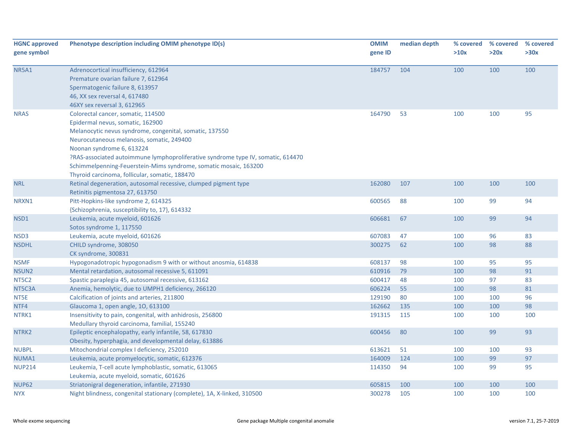| <b>HGNC approved</b><br>gene symbol | Phenotype description including OMIM phenotype ID(s)                                                                                                                                                                                                                                                                                                                                                                  | <b>OMIM</b><br>gene ID | median depth | % covered<br>>10x | % covered<br>>20x | % covered<br>>30x |
|-------------------------------------|-----------------------------------------------------------------------------------------------------------------------------------------------------------------------------------------------------------------------------------------------------------------------------------------------------------------------------------------------------------------------------------------------------------------------|------------------------|--------------|-------------------|-------------------|-------------------|
| <b>NR5A1</b>                        | Adrenocortical insufficiency, 612964<br>Premature ovarian failure 7, 612964<br>Spermatogenic failure 8, 613957<br>46, XX sex reversal 4, 617480<br>46XY sex reversal 3, 612965                                                                                                                                                                                                                                        | 184757                 | 104          | 100               | 100               | 100               |
| <b>NRAS</b>                         | Colorectal cancer, somatic, 114500<br>Epidermal nevus, somatic, 162900<br>Melanocytic nevus syndrome, congenital, somatic, 137550<br>Neurocutaneous melanosis, somatic, 249400<br>Noonan syndrome 6, 613224<br>PRAS-associated autoimmune lymphoproliferative syndrome type IV, somatic, 614470<br>Schimmelpenning-Feuerstein-Mims syndrome, somatic mosaic, 163200<br>Thyroid carcinoma, follicular, somatic, 188470 | 164790                 | 53           | 100               | 100               | 95                |
| <b>NRL</b>                          | Retinal degeneration, autosomal recessive, clumped pigment type<br>Retinitis pigmentosa 27, 613750                                                                                                                                                                                                                                                                                                                    | 162080                 | 107          | 100               | 100               | 100               |
| NRXN1                               | Pitt-Hopkins-like syndrome 2, 614325<br>{Schizophrenia, susceptibility to, 17}, 614332                                                                                                                                                                                                                                                                                                                                | 600565                 | 88           | 100               | 99                | 94                |
| NSD1                                | Leukemia, acute myeloid, 601626<br>Sotos syndrome 1, 117550                                                                                                                                                                                                                                                                                                                                                           | 606681                 | 67           | 100               | 99                | 94                |
| NSD3                                | Leukemia, acute myeloid, 601626                                                                                                                                                                                                                                                                                                                                                                                       | 607083                 | 47           | 100               | 96                | 83                |
| <b>NSDHL</b>                        | CHILD syndrome, 308050<br>CK syndrome, 300831                                                                                                                                                                                                                                                                                                                                                                         | 300275                 | 62           | 100               | 98                | 88                |
| NSMF                                | Hypogonadotropic hypogonadism 9 with or without anosmia, 614838                                                                                                                                                                                                                                                                                                                                                       | 608137                 | 98           | 100               | 95                | 95                |
| NSUN <sub>2</sub>                   | Mental retardation, autosomal recessive 5, 611091                                                                                                                                                                                                                                                                                                                                                                     | 610916                 | 79           | 100               | 98                | 91                |
| NT5C2                               | Spastic paraplegia 45, autosomal recessive, 613162                                                                                                                                                                                                                                                                                                                                                                    | 600417                 | 48           | 100               | 97                | 83                |
| NT5C3A                              | Anemia, hemolytic, due to UMPH1 deficiency, 266120                                                                                                                                                                                                                                                                                                                                                                    | 606224                 | 55           | 100               | 98                | 81                |
| NT5E                                | Calcification of joints and arteries, 211800                                                                                                                                                                                                                                                                                                                                                                          | 129190                 | 80           | 100               | 100               | 96                |
| NTF4                                | Glaucoma 1, open angle, 10, 613100                                                                                                                                                                                                                                                                                                                                                                                    | 162662                 | 135          | 100               | 100               | 98                |
| NTRK1                               | Insensitivity to pain, congenital, with anhidrosis, 256800<br>Medullary thyroid carcinoma, familial, 155240                                                                                                                                                                                                                                                                                                           | 191315                 | 115          | 100               | 100               | 100               |
| NTRK2                               | Epileptic encephalopathy, early infantile, 58, 617830<br>Obesity, hyperphagia, and developmental delay, 613886                                                                                                                                                                                                                                                                                                        | 600456                 | 80           | 100               | 99                | 93                |
| <b>NUBPL</b>                        | Mitochondrial complex I deficiency, 252010                                                                                                                                                                                                                                                                                                                                                                            | 613621                 | 51           | 100               | 100               | 93                |
| NUMA1                               | Leukemia, acute promyelocytic, somatic, 612376                                                                                                                                                                                                                                                                                                                                                                        | 164009                 | 124          | 100               | 99                | 97                |
| <b>NUP214</b>                       | Leukemia, T-cell acute lymphoblastic, somatic, 613065<br>Leukemia, acute myeloid, somatic, 601626                                                                                                                                                                                                                                                                                                                     | 114350                 | 94           | 100               | 99                | 95                |
| <b>NUP62</b>                        | Striatonigral degeneration, infantile, 271930                                                                                                                                                                                                                                                                                                                                                                         | 605815                 | 100          | 100               | 100               | 100               |
| <b>NYX</b>                          | Night blindness, congenital stationary (complete), 1A, X-linked, 310500                                                                                                                                                                                                                                                                                                                                               | 300278                 | 105          | 100               | 100               | 100               |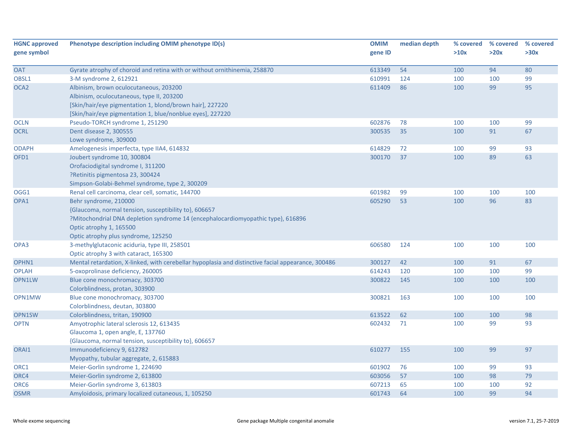| <b>HGNC approved</b><br>gene symbol | Phenotype description including OMIM phenotype ID(s)                                                                                                                                                                                 | <b>OMIM</b><br>gene ID | median depth | % covered<br>>10x | % covered<br>>20x | % covered<br>>30x |
|-------------------------------------|--------------------------------------------------------------------------------------------------------------------------------------------------------------------------------------------------------------------------------------|------------------------|--------------|-------------------|-------------------|-------------------|
| <b>OAT</b>                          | Gyrate atrophy of choroid and retina with or without ornithinemia, 258870                                                                                                                                                            | 613349                 | 54           | 100               | 94                | 80                |
| OBSL1                               | 3-M syndrome 2, 612921                                                                                                                                                                                                               | 610991                 | 124          | 100               | 100               | 99                |
| OCA <sub>2</sub>                    | Albinism, brown oculocutaneous, 203200<br>Albinism, oculocutaneous, type II, 203200                                                                                                                                                  | 611409                 | 86           | 100               | 99                | 95                |
|                                     | [Skin/hair/eye pigmentation 1, blond/brown hair], 227220<br>[Skin/hair/eye pigmentation 1, blue/nonblue eyes], 227220                                                                                                                |                        |              |                   |                   |                   |
| <b>OCLN</b>                         | Pseudo-TORCH syndrome 1, 251290                                                                                                                                                                                                      | 602876                 | 78           | 100               | 100               | 99                |
| <b>OCRL</b>                         | Dent disease 2, 300555<br>Lowe syndrome, 309000                                                                                                                                                                                      | 300535                 | 35           | 100               | 91                | 67                |
| <b>ODAPH</b>                        | Amelogenesis imperfecta, type IIA4, 614832                                                                                                                                                                                           | 614829                 | 72           | 100               | 99                | 93                |
| OFD1                                | Joubert syndrome 10, 300804<br>Orofaciodigital syndrome I, 311200<br>?Retinitis pigmentosa 23, 300424<br>Simpson-Golabi-Behmel syndrome, type 2, 300209                                                                              | 300170                 | 37           | 100               | 89                | 63                |
| OGG1                                | Renal cell carcinoma, clear cell, somatic, 144700                                                                                                                                                                                    | 601982                 | 99           | 100               | 100               | 100               |
| OPA1                                | Behr syndrome, 210000<br>{Glaucoma, normal tension, susceptibility to}, 606657<br>?Mitochondrial DNA depletion syndrome 14 (encephalocardiomyopathic type), 616896<br>Optic atrophy 1, 165500<br>Optic atrophy plus syndrome, 125250 | 605290                 | 53           | 100               | 96                | 83                |
| OPA3                                | 3-methylglutaconic aciduria, type III, 258501<br>Optic atrophy 3 with cataract, 165300                                                                                                                                               | 606580                 | 124          | 100               | 100               | 100               |
| OPHN1                               | Mental retardation, X-linked, with cerebellar hypoplasia and distinctive facial appearance, 300486                                                                                                                                   | 300127                 | 42           | 100               | 91                | 67                |
| <b>OPLAH</b>                        | 5-oxoprolinase deficiency, 260005                                                                                                                                                                                                    | 614243                 | 120          | 100               | 100               | 99                |
| OPN1LW                              | Blue cone monochromacy, 303700<br>Colorblindness, protan, 303900                                                                                                                                                                     | 300822                 | 145          | 100               | 100               | 100               |
| OPN1MW                              | Blue cone monochromacy, 303700<br>Colorblindness, deutan, 303800                                                                                                                                                                     | 300821                 | 163          | 100               | 100               | 100               |
| OPN1SW                              | Colorblindness, tritan, 190900                                                                                                                                                                                                       | 613522                 | 62           | 100               | 100               | 98                |
| <b>OPTN</b>                         | Amyotrophic lateral sclerosis 12, 613435<br>Glaucoma 1, open angle, E, 137760<br>{Glaucoma, normal tension, susceptibility to}, 606657                                                                                               | 602432                 | 71           | 100               | 99                | 93                |
| ORAI1                               | Immunodeficiency 9, 612782<br>Myopathy, tubular aggregate, 2, 615883                                                                                                                                                                 | 610277                 | 155          | 100               | 99                | 97                |
| ORC1                                | Meier-Gorlin syndrome 1, 224690                                                                                                                                                                                                      | 601902                 | 76           | 100               | 99                | 93                |
| ORC4                                | Meier-Gorlin syndrome 2, 613800                                                                                                                                                                                                      | 603056                 | 57           | 100               | 98                | 79                |
| ORC6                                | Meier-Gorlin syndrome 3, 613803                                                                                                                                                                                                      | 607213                 | 65           | 100               | 100               | 92                |
| <b>OSMR</b>                         | Amyloidosis, primary localized cutaneous, 1, 105250                                                                                                                                                                                  | 601743                 | 64           | 100               | 99                | 94                |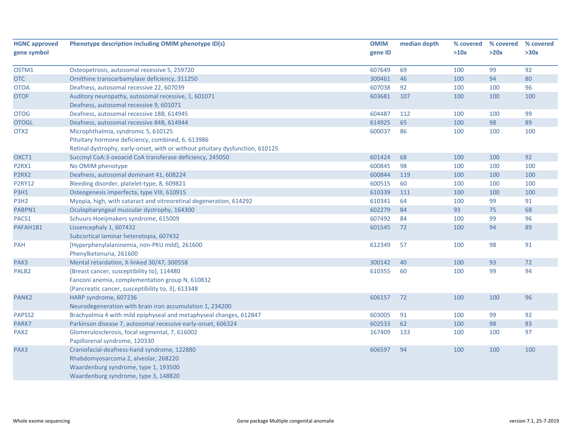| <b>HGNC approved</b> | Phenotype description including OMIM phenotype ID(s)                          | <b>OMIM</b> | median depth | % covered | % covered | % covered |
|----------------------|-------------------------------------------------------------------------------|-------------|--------------|-----------|-----------|-----------|
| gene symbol          |                                                                               | gene ID     |              | >10x      | >20x      | >30x      |
|                      |                                                                               |             |              |           |           |           |
| OSTM1                | Osteopetrosis, autosomal recessive 5, 259720                                  | 607649      | 69           | 100       | 99        | 92        |
| <b>OTC</b>           | Ornithine transcarbamylase deficiency, 311250                                 | 300461      | 46           | 100       | 94        | 80        |
| <b>OTOA</b>          | Deafness, autosomal recessive 22, 607039                                      | 607038      | 92           | 100       | 100       | 96        |
| <b>OTOF</b>          | Auditory neuropathy, autosomal recessive, 1, 601071                           | 603681      | 107          | 100       | 100       | 100       |
|                      | Deafness, autosomal recessive 9, 601071                                       |             |              |           |           |           |
| <b>OTOG</b>          | Deafness, autosomal recessive 18B, 614945                                     | 604487      | 112          | 100       | 100       | 99        |
| <b>OTOGL</b>         | Deafness, autosomal recessive 84B, 614944                                     | 614925      | 65           | 100       | 98        | 89        |
| OTX <sub>2</sub>     | Microphthalmia, syndromic 5, 610125                                           | 600037      | 86           | 100       | 100       | 100       |
|                      | Pituitary hormone deficiency, combined, 6, 613986                             |             |              |           |           |           |
|                      | Retinal dystrophy, early-onset, with or without pituitary dysfunction, 610125 |             |              |           |           |           |
| OXCT1                | Succinyl CoA:3-oxoacid CoA transferase deficiency, 245050                     | 601424      | 68           | 100       | 100       | 92        |
| P2RX1                | No OMIM phenotype                                                             | 600845      | 98           | 100       | 100       | 100       |
| P2RX2                | Deafness, autosomal dominant 41, 608224                                       | 600844      | 119          | 100       | 100       | 100       |
| <b>P2RY12</b>        | Bleeding disorder, platelet-type, 8, 609821                                   | 600515      | 60           | 100       | 100       | 100       |
| P3H1                 | Osteogenesis imperfecta, type VIII, 610915                                    | 610339      | 111          | 100       | 100       | 100       |
| P3H <sub>2</sub>     | Myopia, high, with cataract and vitreoretinal degeneration, 614292            | 610341      | 64           | 100       | 99        | 91        |
| PABPN1               | Oculopharyngeal muscular dystrophy, 164300                                    | 602279      | 84           | 93        | 75        | 68        |
| PACS1                | Schuurs-Hoeijmakers syndrome, 615009                                          | 607492      | 84           | 100       | 99        | 96        |
| PAFAH1B1             | Lissencephaly 1, 607432                                                       | 601545      | 72           | 100       | 94        | 89        |
|                      | Subcortical laminar heterotopia, 607432                                       |             |              |           |           |           |
| PAH                  | [Hyperphenylalaninemia, non-PKU mild], 261600                                 | 612349      | 57           | 100       | 98        | 91        |
|                      | Phenylketonuria, 261600                                                       |             |              |           |           |           |
| PAK3                 | Mental retardation, X-linked 30/47, 300558                                    | 300142      | 40           | 100       | 93        | 72        |
| PALB <sub>2</sub>    | {Breast cancer, susceptibility to}, 114480                                    | 610355      | 60           | 100       | 99        | 94        |
|                      | Fanconi anemia, complementation group N, 610832                               |             |              |           |           |           |
|                      | {Pancreatic cancer, susceptibility to, 3}, 613348                             |             |              |           |           |           |
| PANK <sub>2</sub>    | HARP syndrome, 607236                                                         | 606157      | 72           | 100       | 100       | 96        |
|                      | Neurodegeneration with brain iron accumulation 1, 234200                      |             |              |           |           |           |
| PAPSS2               | Brachyolmia 4 with mild epiphyseal and metaphyseal changes, 612847            | 603005      | 91           | 100       | 99        | 92        |
| PARK7                | Parkinson disease 7, autosomal recessive early-onset, 606324                  | 602533      | 62           | 100       | 98        | 83        |
| PAX <sub>2</sub>     | Glomerulosclerosis, focal segmental, 7, 616002                                | 167409      | 133          | 100       | 100       | 97        |
|                      | Papillorenal syndrome, 120330                                                 |             |              |           |           |           |
| PAX3                 | Craniofacial-deafness-hand syndrome, 122880                                   | 606597      | 94           | 100       | 100       | 100       |
|                      | Rhabdomyosarcoma 2, alveolar, 268220                                          |             |              |           |           |           |
|                      | Waardenburg syndrome, type 1, 193500                                          |             |              |           |           |           |
|                      | Waardenburg syndrome, type 3, 148820                                          |             |              |           |           |           |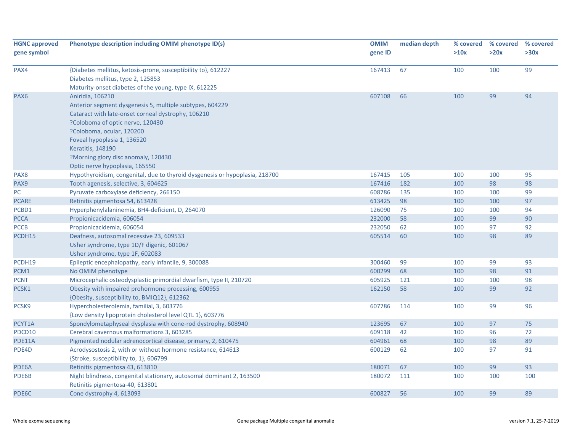| <b>HGNC approved</b> | Phenotype description including OMIM phenotype ID(s)                        | <b>OMIM</b> | median depth | % covered | % covered | % covered |
|----------------------|-----------------------------------------------------------------------------|-------------|--------------|-----------|-----------|-----------|
| gene symbol          |                                                                             | gene ID     |              | >10x      | >20x      | >30x      |
|                      |                                                                             |             |              |           |           |           |
| PAX4                 | {Diabetes mellitus, ketosis-prone, susceptibility to}, 612227               | 167413      | 67           | 100       | 100       | 99        |
|                      | Diabetes mellitus, type 2, 125853                                           |             |              |           |           |           |
|                      | Maturity-onset diabetes of the young, type IX, 612225                       |             |              |           |           |           |
| PAX <sub>6</sub>     | Aniridia, 106210                                                            | 607108      | 66           | 100       | 99        | 94        |
|                      | Anterior segment dysgenesis 5, multiple subtypes, 604229                    |             |              |           |           |           |
|                      | Cataract with late-onset corneal dystrophy, 106210                          |             |              |           |           |           |
|                      | ?Coloboma of optic nerve, 120430                                            |             |              |           |           |           |
|                      | ?Coloboma, ocular, 120200                                                   |             |              |           |           |           |
|                      | Foveal hypoplasia 1, 136520                                                 |             |              |           |           |           |
|                      | Keratitis, 148190                                                           |             |              |           |           |           |
|                      | ?Morning glory disc anomaly, 120430                                         |             |              |           |           |           |
|                      | Optic nerve hypoplasia, 165550                                              |             |              |           |           |           |
| PAX8                 | Hypothyroidism, congenital, due to thyroid dysgenesis or hypoplasia, 218700 | 167415      | 105          | 100       | 100       | 95        |
| PAX9                 | Tooth agenesis, selective, 3, 604625                                        | 167416      | 182          | 100       | 98        | 98        |
| PC                   | Pyruvate carboxylase deficiency, 266150                                     | 608786      | 135          | 100       | 100       | 99        |
| <b>PCARE</b>         | Retinitis pigmentosa 54, 613428                                             | 613425      | 98           | 100       | 100       | 97        |
| PCBD1                | Hyperphenylalaninemia, BH4-deficient, D, 264070                             | 126090      | 75           | 100       | 100       | 94        |
| <b>PCCA</b>          | Propionicacidemia, 606054                                                   | 232000      | 58           | 100       | 99        | 90        |
| <b>PCCB</b>          | Propionicacidemia, 606054                                                   | 232050      | 62           | 100       | 97        | 92        |
| PCDH15               | Deafness, autosomal recessive 23, 609533                                    | 605514      | 60           | 100       | 98        | 89        |
|                      | Usher syndrome, type 1D/F digenic, 601067                                   |             |              |           |           |           |
|                      | Usher syndrome, type 1F, 602083                                             |             |              |           |           |           |
| PCDH19               | Epileptic encephalopathy, early infantile, 9, 300088                        | 300460      | 99           | 100       | 99        | 93        |
| PCM1                 | No OMIM phenotype                                                           | 600299      | 68           | 100       | 98        | 91        |
| <b>PCNT</b>          | Microcephalic osteodysplastic primordial dwarfism, type II, 210720          | 605925      | 121          | 100       | 100       | 98        |
| PCSK1                | Obesity with impaired prohormone processing, 600955                         | 162150      | 58           | 100       | 99        | 92        |
|                      | {Obesity, susceptibility to, BMIQ12}, 612362                                |             |              |           |           |           |
| PCSK9                | Hypercholesterolemia, familial, 3, 603776                                   | 607786      | 114          | 100       | 99        | 96        |
|                      | {Low density lipoprotein cholesterol level QTL 1}, 603776                   |             |              |           |           |           |
| PCYT1A               | Spondylometaphyseal dysplasia with cone-rod dystrophy, 608940               | 123695      | 67           | 100       | 97        | 75        |
| PDCD10               | Cerebral cavernous malformations 3, 603285                                  | 609118      | 42           | 100       | 96        | 72        |
| PDE11A               | Pigmented nodular adrenocortical disease, primary, 2, 610475                | 604961      | 68           | 100       | 98        | 89        |
| PDE4D                | Acrodysostosis 2, with or without hormone resistance, 614613                | 600129      | 62           | 100       | 97        | 91        |
|                      | {Stroke, susceptibility to, 1}, 606799                                      |             |              |           |           |           |
| PDE6A                | Retinitis pigmentosa 43, 613810                                             | 180071      | 67           | 100       | 99        | 93        |
| PDE6B                | Night blindness, congenital stationary, autosomal dominant 2, 163500        | 180072      | 111          | 100       | 100       | 100       |
|                      | Retinitis pigmentosa-40, 613801                                             |             |              |           |           |           |
| PDE6C                | Cone dystrophy 4, 613093                                                    | 600827      | 56           | 100       | 99        | 89        |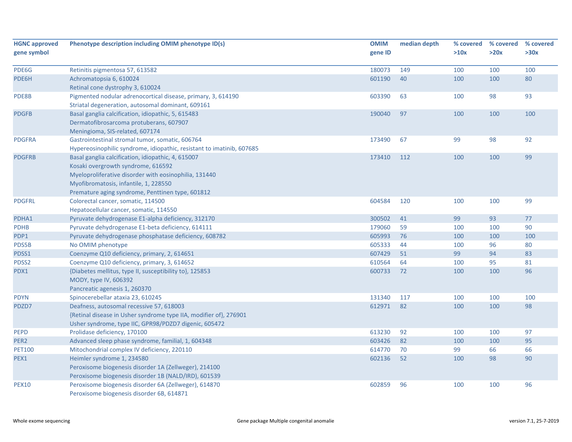| <b>HGNC approved</b><br>gene symbol | Phenotype description including OMIM phenotype ID(s)                  | <b>OMIM</b><br>gene ID | median depth | % covered<br>>10x | % covered<br>>20x | % covered<br>>30x |
|-------------------------------------|-----------------------------------------------------------------------|------------------------|--------------|-------------------|-------------------|-------------------|
|                                     |                                                                       |                        |              |                   |                   |                   |
| PDE6G                               | Retinitis pigmentosa 57, 613582                                       | 180073                 | 149          | 100               | 100               | 100               |
| PDE6H                               | Achromatopsia 6, 610024                                               | 601190                 | 40           | 100               | 100               | 80                |
|                                     | Retinal cone dystrophy 3, 610024                                      |                        |              |                   |                   |                   |
| PDE8B                               | Pigmented nodular adrenocortical disease, primary, 3, 614190          | 603390                 | 63           | 100               | 98                | 93                |
|                                     | Striatal degeneration, autosomal dominant, 609161                     |                        |              |                   |                   |                   |
| <b>PDGFB</b>                        | Basal ganglia calcification, idiopathic, 5, 615483                    | 190040                 | 97           | 100               | 100               | 100               |
|                                     | Dermatofibrosarcoma protuberans, 607907                               |                        |              |                   |                   |                   |
|                                     | Meningioma, SIS-related, 607174                                       |                        |              |                   |                   |                   |
| <b>PDGFRA</b>                       | Gastrointestinal stromal tumor, somatic, 606764                       | 173490                 | 67           | 99                | 98                | 92                |
|                                     | Hypereosinophilic syndrome, idiopathic, resistant to imatinib, 607685 |                        |              |                   |                   |                   |
| <b>PDGFRB</b>                       | Basal ganglia calcification, idiopathic, 4, 615007                    | 173410                 | 112          | 100               | 100               | 99                |
|                                     | Kosaki overgrowth syndrome, 616592                                    |                        |              |                   |                   |                   |
|                                     | Myeloproliferative disorder with eosinophilia, 131440                 |                        |              |                   |                   |                   |
|                                     | Myofibromatosis, infantile, 1, 228550                                 |                        |              |                   |                   |                   |
|                                     | Premature aging syndrome, Penttinen type, 601812                      |                        |              |                   |                   |                   |
| <b>PDGFRL</b>                       | Colorectal cancer, somatic, 114500                                    | 604584                 | 120          | 100               | 100               | 99                |
|                                     | Hepatocellular cancer, somatic, 114550                                |                        |              |                   |                   |                   |
| PDHA1                               | Pyruvate dehydrogenase E1-alpha deficiency, 312170                    | 300502                 | 41           | 99                | 93                | 77                |
| <b>PDHB</b>                         | Pyruvate dehydrogenase E1-beta deficiency, 614111                     | 179060                 | 59           | 100               | 100               | 90                |
| PDP1                                | Pyruvate dehydrogenase phosphatase deficiency, 608782                 | 605993                 | 76           | 100               | 100               | 100               |
| PDS5B                               | No OMIM phenotype                                                     | 605333                 | 44           | 100               | 96                | 80                |
| PDSS1                               | Coenzyme Q10 deficiency, primary, 2, 614651                           | 607429                 | 51           | 99                | 94                | 83                |
| PDSS2                               | Coenzyme Q10 deficiency, primary, 3, 614652                           | 610564                 | 64           | 100               | 95                | 81                |
| PDX1                                | {Diabetes mellitus, type II, susceptibility to}, 125853               | 600733                 | 72           | 100               | 100               | 96                |
|                                     | MODY, type IV, 606392                                                 |                        |              |                   |                   |                   |
|                                     | Pancreatic agenesis 1, 260370                                         |                        |              |                   |                   |                   |
| <b>PDYN</b>                         | Spinocerebellar ataxia 23, 610245                                     | 131340                 | 117          | 100               | 100               | 100               |
| PDZD7                               | Deafness, autosomal recessive 57, 618003                              | 612971                 | 82           | 100               | 100               | 98                |
|                                     | {Retinal disease in Usher syndrome type IIA, modifier of}, 276901     |                        |              |                   |                   |                   |
|                                     | Usher syndrome, type IIC, GPR98/PDZD7 digenic, 605472                 |                        |              |                   |                   |                   |
| <b>PEPD</b>                         | Prolidase deficiency, 170100                                          | 613230                 | 92           | 100               | 100               | 97                |
| PER <sub>2</sub>                    | Advanced sleep phase syndrome, familial, 1, 604348                    | 603426                 | 82           | 100               | 100               | 95                |
| <b>PET100</b>                       | Mitochondrial complex IV deficiency, 220110                           | 614770                 | 70           | 99                | 66                | 66                |
| PEX1                                | Heimler syndrome 1, 234580                                            | 602136                 | 52           | 100               | 98                | 90                |
|                                     | Peroxisome biogenesis disorder 1A (Zellweger), 214100                 |                        |              |                   |                   |                   |
|                                     | Peroxisome biogenesis disorder 1B (NALD/IRD), 601539                  |                        |              |                   |                   |                   |
| <b>PEX10</b>                        | Peroxisome biogenesis disorder 6A (Zellweger), 614870                 | 602859                 | 96           | 100               | 100               | 96                |
|                                     | Peroxisome biogenesis disorder 6B, 614871                             |                        |              |                   |                   |                   |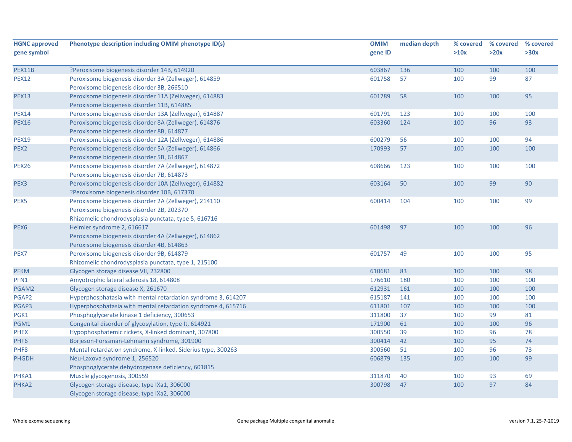| <b>HGNC approved</b> | Phenotype description including OMIM phenotype ID(s)                                                  | <b>OMIM</b> | median depth | % covered | % covered | % covered |
|----------------------|-------------------------------------------------------------------------------------------------------|-------------|--------------|-----------|-----------|-----------|
| gene symbol          |                                                                                                       | gene ID     |              | >10x      | >20x      | >30x      |
| PEX11B               | ?Peroxisome biogenesis disorder 14B, 614920                                                           | 603867      | 136          | 100       | 100       | 100       |
| <b>PEX12</b>         | Peroxisome biogenesis disorder 3A (Zellweger), 614859<br>Peroxisome biogenesis disorder 3B, 266510    | 601758      | 57           | 100       | 99        | 87        |
| <b>PEX13</b>         | Peroxisome biogenesis disorder 11A (Zellweger), 614883<br>Peroxisome biogenesis disorder 11B, 614885  | 601789      | 58           | 100       | 100       | 95        |
| <b>PEX14</b>         | Peroxisome biogenesis disorder 13A (Zellweger), 614887                                                | 601791      | 123          | 100       | 100       | 100       |
| <b>PEX16</b>         | Peroxisome biogenesis disorder 8A (Zellweger), 614876                                                 | 603360      | 124          | 100       | 96        | 93        |
|                      | Peroxisome biogenesis disorder 8B, 614877                                                             |             |              |           |           |           |
| <b>PEX19</b>         | Peroxisome biogenesis disorder 12A (Zellweger), 614886                                                | 600279      | 56           | 100       | 100       | 94        |
| PEX <sub>2</sub>     | Peroxisome biogenesis disorder 5A (Zellweger), 614866                                                 | 170993      | 57           | 100       | 100       | 100       |
|                      | Peroxisome biogenesis disorder 5B, 614867                                                             |             |              |           |           |           |
| <b>PEX26</b>         | Peroxisome biogenesis disorder 7A (Zellweger), 614872<br>Peroxisome biogenesis disorder 7B, 614873    | 608666      | 123          | 100       | 100       | 100       |
| PEX <sub>3</sub>     | Peroxisome biogenesis disorder 10A (Zellweger), 614882<br>?Peroxisome biogenesis disorder 10B, 617370 | 603164      | 50           | 100       | 99        | 90        |
| PEX5                 | Peroxisome biogenesis disorder 2A (Zellweger), 214110<br>Peroxisome biogenesis disorder 2B, 202370    | 600414      | 104          | 100       | 100       | 99        |
|                      | Rhizomelic chondrodysplasia punctata, type 5, 616716                                                  |             |              |           |           |           |
| PEX <sub>6</sub>     | Heimler syndrome 2, 616617                                                                            | 601498      | 97           | 100       | 100       | 96        |
|                      | Peroxisome biogenesis disorder 4A (Zellweger), 614862                                                 |             |              |           |           |           |
|                      | Peroxisome biogenesis disorder 4B, 614863                                                             |             |              |           |           |           |
| PEX7                 | Peroxisome biogenesis disorder 9B, 614879                                                             | 601757      | 49           | 100       | 100       | 95        |
|                      | Rhizomelic chondrodysplasia punctata, type 1, 215100                                                  |             |              |           |           |           |
| <b>PFKM</b>          | Glycogen storage disease VII, 232800                                                                  | 610681      | 83           | 100       | 100       | 98        |
| PFN1                 | Amyotrophic lateral sclerosis 18, 614808                                                              | 176610      | 180          | 100       | 100       | 100       |
| PGAM2                | Glycogen storage disease X, 261670                                                                    | 612931      | 161          | 100       | 100       | 100       |
| PGAP2                | Hyperphosphatasia with mental retardation syndrome 3, 614207                                          | 615187      | 141          | 100       | 100       | 100       |
| PGAP3                | Hyperphosphatasia with mental retardation syndrome 4, 615716                                          | 611801      | 107          | 100       | 100       | 100       |
| PGK1                 | Phosphoglycerate kinase 1 deficiency, 300653                                                          | 311800      | 37           | 100       | 99        | 81        |
| PGM1                 | Congenital disorder of glycosylation, type It, 614921                                                 | 171900      | 61           | 100       | 100       | 96        |
| <b>PHEX</b>          | Hypophosphatemic rickets, X-linked dominant, 307800                                                   | 300550      | 39           | 100       | 96        | 78        |
| PHF <sub>6</sub>     | Borjeson-Forssman-Lehmann syndrome, 301900                                                            | 300414      | 42           | 100       | 95        | 74        |
| PHF8                 | Mental retardation syndrome, X-linked, Siderius type, 300263                                          | 300560      | 51           | 100       | 96        | 73        |
| <b>PHGDH</b>         | Neu-Laxova syndrome 1, 256520                                                                         | 606879      | 135          | 100       | 100       | 99        |
|                      | Phosphoglycerate dehydrogenase deficiency, 601815                                                     |             |              |           |           |           |
| PHKA1                | Muscle glycogenosis, 300559                                                                           | 311870      | 40           | 100       | 93        | 69        |
| PHKA2                | Glycogen storage disease, type IXa1, 306000                                                           | 300798      | 47           | 100       | 97        | 84        |
|                      | Glycogen storage disease, type IXa2, 306000                                                           |             |              |           |           |           |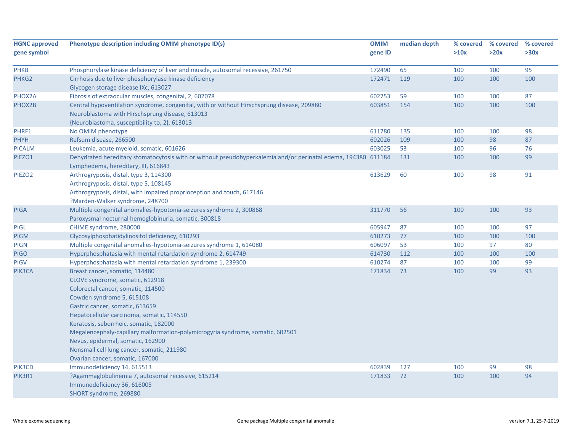| <b>HGNC approved</b> | Phenotype description including OMIM phenotype ID(s)                                                          | <b>OMIM</b> | median depth | % covered | % covered | % covered |
|----------------------|---------------------------------------------------------------------------------------------------------------|-------------|--------------|-----------|-----------|-----------|
| gene symbol          |                                                                                                               | gene ID     |              | >10x      | >20x      | >30x      |
| <b>PHKB</b>          | Phosphorylase kinase deficiency of liver and muscle, autosomal recessive, 261750                              | 172490      | 65           | 100       | 100       | 95        |
| PHKG2                | Cirrhosis due to liver phosphorylase kinase deficiency                                                        | 172471      | 119          | 100       | 100       | 100       |
|                      | Glycogen storage disease IXc, 613027                                                                          |             |              |           |           |           |
| PHOX2A               | Fibrosis of extraocular muscles, congenital, 2, 602078                                                        | 602753      | 59           | 100       | 100       | 87        |
| PHOX2B               | Central hypoventilation syndrome, congenital, with or without Hirschsprung disease, 209880                    | 603851      | 154          | 100       | 100       | 100       |
|                      | Neuroblastoma with Hirschsprung disease, 613013                                                               |             |              |           |           |           |
|                      | {Neuroblastoma, susceptibility to, 2}, 613013                                                                 |             |              |           |           |           |
| PHRF1                | No OMIM phenotype                                                                                             | 611780      | 135          | 100       | 100       | 98        |
| PHYH                 | Refsum disease, 266500                                                                                        | 602026      | 109          | 100       | 98        | 87        |
| <b>PICALM</b>        | Leukemia, acute myeloid, somatic, 601626                                                                      | 603025      | 53           | 100       | 96        | 76        |
| PIEZO1               | Dehydrated hereditary stomatocytosis with or without pseudohyperkalemia and/or perinatal edema, 194380 611184 |             | 131          | 100       | 100       | 99        |
|                      | Lymphedema, hereditary, III, 616843                                                                           |             |              |           |           |           |
| PIEZO <sub>2</sub>   | Arthrogryposis, distal, type 3, 114300                                                                        | 613629      | 60           | 100       | 98        | 91        |
|                      | Arthrogryposis, distal, type 5, 108145                                                                        |             |              |           |           |           |
|                      | Arthrogryposis, distal, with impaired proprioception and touch, 617146                                        |             |              |           |           |           |
|                      | ?Marden-Walker syndrome, 248700                                                                               |             |              |           |           |           |
| <b>PIGA</b>          | Multiple congenital anomalies-hypotonia-seizures syndrome 2, 300868                                           | 311770      | 56           | 100       | 100       | 93        |
|                      | Paroxysmal nocturnal hemoglobinuria, somatic, 300818                                                          |             |              |           |           |           |
| <b>PIGL</b>          | CHIME syndrome, 280000                                                                                        | 605947      | 87           | 100       | 100       | 97        |
| <b>PIGM</b>          | Glycosylphosphatidylinositol deficiency, 610293                                                               | 610273      | 77           | 100       | 100       | 100       |
| <b>PIGN</b>          | Multiple congenital anomalies-hypotonia-seizures syndrome 1, 614080                                           | 606097      | 53           | 100       | 97        | 80        |
| <b>PIGO</b>          | Hyperphosphatasia with mental retardation syndrome 2, 614749                                                  | 614730      | 112          | 100       | 100       | 100       |
| <b>PIGV</b>          | Hyperphosphatasia with mental retardation syndrome 1, 239300                                                  | 610274      | 87           | 100       | 100       | 99        |
| PIK3CA               | Breast cancer, somatic, 114480                                                                                | 171834      | 73           | 100       | 99        | 93        |
|                      | CLOVE syndrome, somatic, 612918                                                                               |             |              |           |           |           |
|                      | Colorectal cancer, somatic, 114500                                                                            |             |              |           |           |           |
|                      | Cowden syndrome 5, 615108                                                                                     |             |              |           |           |           |
|                      | Gastric cancer, somatic, 613659                                                                               |             |              |           |           |           |
|                      | Hepatocellular carcinoma, somatic, 114550                                                                     |             |              |           |           |           |
|                      | Keratosis, seborrheic, somatic, 182000                                                                        |             |              |           |           |           |
|                      | Megalencephaly-capillary malformation-polymicrogyria syndrome, somatic, 602501                                |             |              |           |           |           |
|                      | Nevus, epidermal, somatic, 162900                                                                             |             |              |           |           |           |
|                      | Nonsmall cell lung cancer, somatic, 211980                                                                    |             |              |           |           |           |
|                      | Ovarian cancer, somatic, 167000                                                                               |             |              |           |           |           |
| PIK3CD               | Immunodeficiency 14, 615513                                                                                   | 602839      | 127          | 100       | 99        | 98        |
| PIK3R1               | ?Agammaglobulinemia 7, autosomal recessive, 615214                                                            | 171833      | 72           | 100       | 100       | 94        |
|                      | Immunodeficiency 36, 616005                                                                                   |             |              |           |           |           |
|                      | SHORT syndrome, 269880                                                                                        |             |              |           |           |           |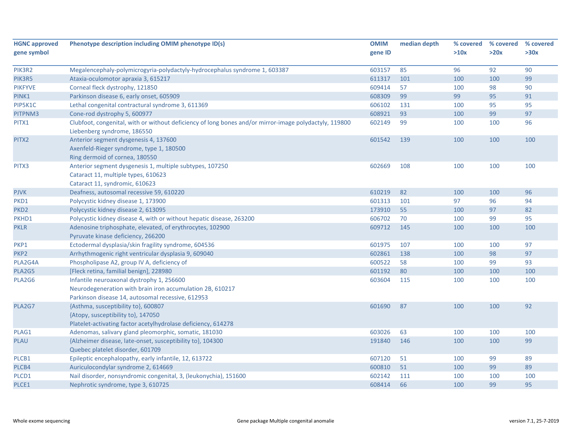| <b>HGNC approved</b> | Phenotype description including OMIM phenotype ID(s)                                                                                                        | <b>OMIM</b> | median depth | % covered | % covered | % covered |
|----------------------|-------------------------------------------------------------------------------------------------------------------------------------------------------------|-------------|--------------|-----------|-----------|-----------|
| gene symbol          |                                                                                                                                                             | gene ID     |              | >10x      | >20x      | >30x      |
| PIK3R2               | Megalencephaly-polymicrogyria-polydactyly-hydrocephalus syndrome 1, 603387                                                                                  | 603157      | 85           | 96        | 92        | 90        |
| PIK3R5               | Ataxia-oculomotor apraxia 3, 615217                                                                                                                         | 611317      | 101          | 100       | 100       | 99        |
| <b>PIKFYVE</b>       | Corneal fleck dystrophy, 121850                                                                                                                             | 609414      | 57           | 100       | 98        | 90        |
| PINK1                | Parkinson disease 6, early onset, 605909                                                                                                                    | 608309      | 99           | 99        | 95        | 91        |
| PIP5K1C              | Lethal congenital contractural syndrome 3, 611369                                                                                                           | 606102      | 131          | 100       | 95        | 95        |
| PITPNM3              | Cone-rod dystrophy 5, 600977                                                                                                                                | 608921      | 93           | 100       | 99        | 97        |
| PITX1                | Clubfoot, congenital, with or without deficiency of long bones and/or mirror-image polydactyly, 119800<br>Liebenberg syndrome, 186550                       | 602149      | 99           | 100       | 100       | 96        |
| PITX2                | Anterior segment dysgenesis 4, 137600<br>Axenfeld-Rieger syndrome, type 1, 180500<br>Ring dermoid of cornea, 180550                                         | 601542      | 139          | 100       | 100       | 100       |
| PITX3                | Anterior segment dysgenesis 1, multiple subtypes, 107250<br>Cataract 11, multiple types, 610623<br>Cataract 11, syndromic, 610623                           | 602669      | 108          | 100       | 100       | 100       |
| <b>PJVK</b>          | Deafness, autosomal recessive 59, 610220                                                                                                                    | 610219      | 82           | 100       | 100       | 96        |
| PKD1                 | Polycystic kidney disease 1, 173900                                                                                                                         | 601313      | 101          | 97        | 96        | 94        |
| PKD <sub>2</sub>     | Polycystic kidney disease 2, 613095                                                                                                                         | 173910      | 55           | 100       | 97        | 82        |
| PKHD1                | Polycystic kidney disease 4, with or without hepatic disease, 263200                                                                                        | 606702      | 70           | 100       | 99        | 95        |
| <b>PKLR</b>          | Adenosine triphosphate, elevated, of erythrocytes, 102900                                                                                                   | 609712      | 145          | 100       | 100       | 100       |
|                      | Pyruvate kinase deficiency, 266200                                                                                                                          |             |              |           |           |           |
| PKP1                 | Ectodermal dysplasia/skin fragility syndrome, 604536                                                                                                        | 601975      | 107          | 100       | 100       | 97        |
| PKP <sub>2</sub>     | Arrhythmogenic right ventricular dysplasia 9, 609040                                                                                                        | 602861      | 138          | 100       | 98        | 97        |
| PLA2G4A              | Phospholipase A2, group IV A, deficiency of                                                                                                                 | 600522      | 58           | 100       | 99        | 93        |
| PLA2G5               | [Fleck retina, familial benign], 228980                                                                                                                     | 601192      | 80           | 100       | 100       | 100       |
| PLA2G6               | Infantile neuroaxonal dystrophy 1, 256600<br>Neurodegeneration with brain iron accumulation 2B, 610217<br>Parkinson disease 14, autosomal recessive, 612953 | 603604      | 115          | 100       | 100       | 100       |
| PLA2G7               | {Asthma, susceptibility to}, 600807<br>{Atopy, susceptibility to}, 147050<br>Platelet-activating factor acetylhydrolase deficiency, 614278                  | 601690      | 87           | 100       | 100       | 92        |
| PLAG1                | Adenomas, salivary gland pleomorphic, somatic, 181030                                                                                                       | 603026      | 63           | 100       | 100       | 100       |
| PLAU                 | {Alzheimer disease, late-onset, susceptibility to}, 104300<br>Quebec platelet disorder, 601709                                                              | 191840      | 146          | 100       | 100       | 99        |
| PLCB1                | Epileptic encephalopathy, early infantile, 12, 613722                                                                                                       | 607120      | 51           | 100       | 99        | 89        |
| PLCB4                | Auriculocondylar syndrome 2, 614669                                                                                                                         | 600810      | 51           | 100       | 99        | 89        |
| PLCD1                | Nail disorder, nonsyndromic congenital, 3, (leukonychia), 151600                                                                                            | 602142      | 111          | 100       | 100       | 100       |
| PLCE1                | Nephrotic syndrome, type 3, 610725                                                                                                                          | 608414      | 66           | 100       | 99        | 95        |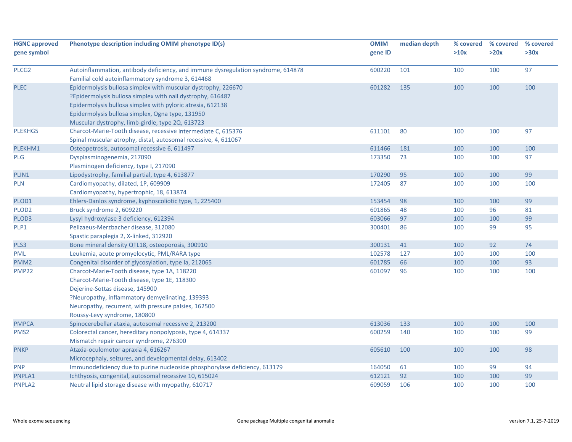| <b>HGNC approved</b> | Phenotype description including OMIM phenotype ID(s)                                                 | <b>OMIM</b> | median depth | % covered | % covered | % covered |
|----------------------|------------------------------------------------------------------------------------------------------|-------------|--------------|-----------|-----------|-----------|
| gene symbol          |                                                                                                      | gene ID     |              | >10x      | >20x      | >30x      |
| PLCG <sub>2</sub>    | Autoinflammation, antibody deficiency, and immune dysregulation syndrome, 614878                     | 600220      | 101          | 100       | 100       | 97        |
|                      | Familial cold autoinflammatory syndrome 3, 614468                                                    |             |              |           |           |           |
| <b>PLEC</b>          | Epidermolysis bullosa simplex with muscular dystrophy, 226670                                        | 601282      | 135          | 100       | 100       | 100       |
|                      | ?Epidermolysis bullosa simplex with nail dystrophy, 616487                                           |             |              |           |           |           |
|                      | Epidermolysis bullosa simplex with pyloric atresia, 612138                                           |             |              |           |           |           |
|                      | Epidermolysis bullosa simplex, Ogna type, 131950<br>Muscular dystrophy, limb-girdle, type 2Q, 613723 |             |              |           |           |           |
| PLEKHG5              | Charcot-Marie-Tooth disease, recessive intermediate C, 615376                                        | 611101      | 80           | 100       | 100       | 97        |
|                      | Spinal muscular atrophy, distal, autosomal recessive, 4, 611067                                      |             |              |           |           |           |
| PLEKHM1              | Osteopetrosis, autosomal recessive 6, 611497                                                         | 611466      | 181          | 100       | 100       | 100       |
| <b>PLG</b>           | Dysplasminogenemia, 217090                                                                           | 173350      | 73           | 100       | 100       | 97        |
|                      | Plasminogen deficiency, type I, 217090                                                               |             |              |           |           |           |
| PLIN1                | Lipodystrophy, familial partial, type 4, 613877                                                      | 170290      | 95           | 100       | 100       | 99        |
| <b>PLN</b>           | Cardiomyopathy, dilated, 1P, 609909                                                                  | 172405      | 87           | 100       | 100       | 100       |
|                      | Cardiomyopathy, hypertrophic, 18, 613874                                                             |             |              |           |           |           |
| PLOD1                | Ehlers-Danlos syndrome, kyphoscoliotic type, 1, 225400                                               | 153454      | 98           | 100       | 100       | 99        |
| PLOD <sub>2</sub>    | Bruck syndrome 2, 609220                                                                             | 601865      | 48           | 100       | 96        | 81        |
| PLOD3                | Lysyl hydroxylase 3 deficiency, 612394                                                               | 603066      | 97           | 100       | 100       | 99        |
| PLP1                 | Pelizaeus-Merzbacher disease, 312080                                                                 | 300401      | 86           | 100       | 99        | 95        |
|                      | Spastic paraplegia 2, X-linked, 312920                                                               |             |              |           |           |           |
| PLS3                 | Bone mineral density QTL18, osteoporosis, 300910                                                     | 300131      | 41           | 100       | 92        | 74        |
| PML                  | Leukemia, acute promyelocytic, PML/RARA type                                                         | 102578      | 127          | 100       | 100       | 100       |
| PMM <sub>2</sub>     | Congenital disorder of glycosylation, type Ia, 212065                                                | 601785      | 66           | 100       | 100       | 93        |
| <b>PMP22</b>         | Charcot-Marie-Tooth disease, type 1A, 118220                                                         | 601097      | 96           | 100       | 100       | 100       |
|                      | Charcot-Marie-Tooth disease, type 1E, 118300                                                         |             |              |           |           |           |
|                      | Dejerine-Sottas disease, 145900                                                                      |             |              |           |           |           |
|                      | ?Neuropathy, inflammatory demyelinating, 139393                                                      |             |              |           |           |           |
|                      | Neuropathy, recurrent, with pressure palsies, 162500                                                 |             |              |           |           |           |
|                      | Roussy-Levy syndrome, 180800                                                                         |             |              |           |           |           |
| <b>PMPCA</b>         | Spinocerebellar ataxia, autosomal recessive 2, 213200                                                | 613036      | 133          | 100       | 100       | 100       |
| PMS <sub>2</sub>     | Colorectal cancer, hereditary nonpolyposis, type 4, 614337                                           | 600259      | 140          | 100       | 100       | 99        |
|                      | Mismatch repair cancer syndrome, 276300                                                              |             |              |           |           |           |
| <b>PNKP</b>          | Ataxia-oculomotor apraxia 4, 616267                                                                  | 605610      | 100          | 100       | 100       | 98        |
|                      | Microcephaly, seizures, and developmental delay, 613402                                              |             |              |           |           |           |
| <b>PNP</b>           | Immunodeficiency due to purine nucleoside phosphorylase deficiency, 613179                           | 164050      | 61           | 100       | 99        | 94        |
| PNPLA1               | Ichthyosis, congenital, autosomal recessive 10, 615024                                               | 612121      | 92           | 100       | 100       | 99        |
| PNPLA2               | Neutral lipid storage disease with myopathy, 610717                                                  | 609059      | 106          | 100       | 100       | 100       |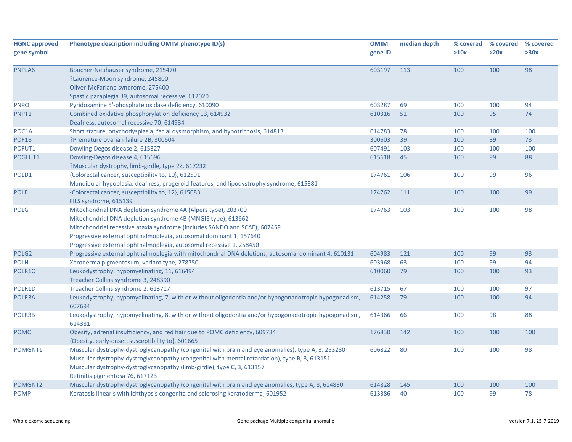| <b>HGNC approved</b> | Phenotype description including OMIM phenotype ID(s)                                                  | <b>OMIM</b> | median depth | % covered | % covered | % covered |
|----------------------|-------------------------------------------------------------------------------------------------------|-------------|--------------|-----------|-----------|-----------|
| gene symbol          |                                                                                                       | gene ID     |              | >10x      | >20x      | >30x      |
|                      |                                                                                                       |             |              |           |           |           |
| PNPLA6               | Boucher-Neuhauser syndrome, 215470                                                                    | 603197      | 113          | 100       | 100       | 98        |
|                      | ?Laurence-Moon syndrome, 245800                                                                       |             |              |           |           |           |
|                      | Oliver-McFarlane syndrome, 275400                                                                     |             |              |           |           |           |
|                      | Spastic paraplegia 39, autosomal recessive, 612020                                                    |             |              |           |           |           |
| <b>PNPO</b>          | Pyridoxamine 5'-phosphate oxidase deficiency, 610090                                                  | 603287      | 69           | 100       | 100       | 94        |
| PNPT1                | Combined oxidative phosphorylation deficiency 13, 614932                                              | 610316      | 51           | 100       | 95        | 74        |
|                      | Deafness, autosomal recessive 70, 614934                                                              |             |              |           |           |           |
| POC1A                | Short stature, onychodysplasia, facial dysmorphism, and hypotrichosis, 614813                         | 614783      | 78           | 100       | 100       | 100       |
| POF1B                | ?Premature ovarian failure 2B, 300604                                                                 | 300603      | 39           | 100       | 89        | 73        |
| POFUT1               | Dowling-Degos disease 2, 615327                                                                       | 607491      | 103          | 100       | 100       | 100       |
| POGLUT1              | Dowling-Degos disease 4, 615696                                                                       | 615618      | 45           | 100       | 99        | 88        |
|                      | ?Muscular dystrophy, limb-girdle, type 2Z, 617232                                                     |             |              |           |           |           |
| POLD1                | {Colorectal cancer, susceptibility to, 10}, 612591                                                    | 174761      | 106          | 100       | 99        | 96        |
|                      | Mandibular hypoplasia, deafness, progeroid features, and lipodystrophy syndrome, 615381               |             |              |           |           |           |
| <b>POLE</b>          | {Colorectal cancer, susceptibility to, 12}, 615083                                                    | 174762      | 111          | 100       | 100       | 99        |
|                      | FILS syndrome, 615139                                                                                 |             |              |           |           |           |
| <b>POLG</b>          | Mitochondrial DNA depletion syndrome 4A (Alpers type), 203700                                         | 174763      | 103          | 100       | 100       | 98        |
|                      | Mitochondrial DNA depletion syndrome 4B (MNGIE type), 613662                                          |             |              |           |           |           |
|                      | Mitochondrial recessive ataxia syndrome (includes SANDO and SCAE), 607459                             |             |              |           |           |           |
|                      | Progressive external ophthalmoplegia, autosomal dominant 1, 157640                                    |             |              |           |           |           |
|                      | Progressive external ophthalmoplegia, autosomal recessive 1, 258450                                   |             |              |           |           |           |
| POLG <sub>2</sub>    | Progressive external ophthalmoplegia with mitochondrial DNA deletions, autosomal dominant 4, 610131   | 604983      | 121          | 100       | 99        | 93        |
| <b>POLH</b>          | Xeroderma pigmentosum, variant type, 278750                                                           | 603968      | 63           | 100       | 99        | 94        |
| POLR1C               | Leukodystrophy, hypomyelinating, 11, 616494                                                           | 610060      | 79           | 100       | 100       | 93        |
|                      | Treacher Collins syndrome 3, 248390                                                                   |             |              |           |           |           |
| POLR1D               | Treacher Collins syndrome 2, 613717                                                                   | 613715      | 67           | 100       | 100       | 97        |
| POLR3A               | Leukodystrophy, hypomyelinating, 7, with or without oligodontia and/or hypogonadotropic hypogonadism, | 614258      | 79           | 100       | 100       | 94        |
|                      | 607694                                                                                                |             |              |           |           |           |
| POLR3B               | Leukodystrophy, hypomyelinating, 8, with or without oligodontia and/or hypogonadotropic hypogonadism, | 614366      | 66           | 100       | 98        | 88        |
|                      | 614381                                                                                                |             |              |           |           |           |
| <b>POMC</b>          | Obesity, adrenal insufficiency, and red hair due to POMC deficiency, 609734                           | 176830      | 142          | 100       | 100       | 100       |
|                      | {Obesity, early-onset, susceptibility to}, 601665                                                     |             |              |           |           |           |
| POMGNT1              | Muscular dystrophy-dystroglycanopathy (congenital with brain and eye anomalies), type A, 3, 253280    | 606822      | 80           | 100       | 100       | 98        |
|                      | Muscular dystrophy-dystroglycanopathy (congenital with mental retardation), type B, 3, 613151         |             |              |           |           |           |
|                      | Muscular dystrophy-dystroglycanopathy (limb-girdle), type C, 3, 613157                                |             |              |           |           |           |
|                      | Retinitis pigmentosa 76, 617123                                                                       |             |              |           |           |           |
| POMGNT2              | Muscular dystrophy-dystroglycanopathy (congenital with brain and eye anomalies, type A, 8, 614830     | 614828      | 145          | 100       | 100       | 100       |
| <b>POMP</b>          | Keratosis linearis with ichthyosis congenita and sclerosing keratoderma, 601952                       | 613386      | 40           | 100       | 99        | 78        |
|                      |                                                                                                       |             |              |           |           |           |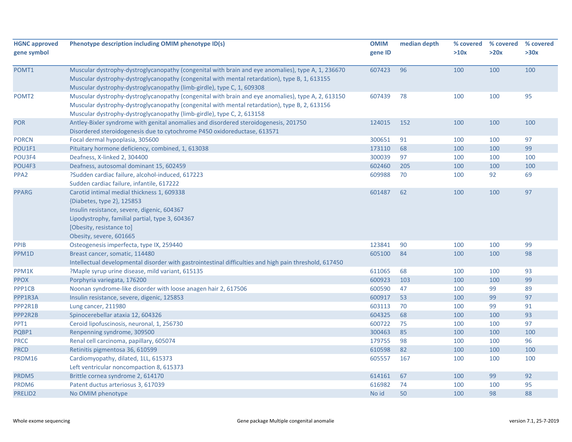| <b>HGNC approved</b>       | Phenotype description including OMIM phenotype ID(s)                                                   | <b>OMIM</b>      | median depth | % covered | % covered | % covered |
|----------------------------|--------------------------------------------------------------------------------------------------------|------------------|--------------|-----------|-----------|-----------|
| gene symbol                |                                                                                                        | gene ID          |              | >10x      | >20x      | >30x      |
|                            |                                                                                                        |                  |              |           |           |           |
| POMT1                      | Muscular dystrophy-dystroglycanopathy (congenital with brain and eye anomalies), type A, 1, 236670     | 607423           | 96           | 100       | 100       | 100       |
|                            | Muscular dystrophy-dystroglycanopathy (congenital with mental retardation), type B, 1, 613155          |                  |              |           |           |           |
|                            | Muscular dystrophy-dystroglycanopathy (limb-girdle), type C, 1, 609308                                 |                  |              |           |           |           |
| POMT <sub>2</sub>          | Muscular dystrophy-dystroglycanopathy (congenital with brain and eye anomalies), type A, 2, 613150     | 607439           | 78           | 100       | 100       | 95        |
|                            | Muscular dystrophy-dystroglycanopathy (congenital with mental retardation), type B, 2, 613156          |                  |              |           |           |           |
|                            | Muscular dystrophy-dystroglycanopathy (limb-girdle), type C, 2, 613158                                 |                  |              |           |           |           |
| <b>POR</b>                 | Antley-Bixler syndrome with genital anomalies and disordered steroidogenesis, 201750                   | 124015           | 152          | 100       | 100       | 100       |
|                            | Disordered steroidogenesis due to cytochrome P450 oxidoreductase, 613571                               |                  |              |           |           |           |
| <b>PORCN</b>               | Focal dermal hypoplasia, 305600                                                                        | 300651           | 91           | 100       | 100       | 97        |
| POU1F1                     | Pituitary hormone deficiency, combined, 1, 613038                                                      | 173110           | 68           | 100       | 100       | 99        |
| POU3F4                     | Deafness, X-linked 2, 304400                                                                           | 300039           | 97           | 100       | 100       | 100       |
| POU4F3<br>PPA <sub>2</sub> | Deafness, autosomal dominant 15, 602459                                                                | 602460<br>609988 | 205<br>70    | 100       | 100<br>92 | 100<br>69 |
|                            | ?Sudden cardiac failure, alcohol-induced, 617223<br>Sudden cardiac failure, infantile, 617222          |                  |              | 100       |           |           |
| <b>PPARG</b>               | Carotid intimal medial thickness 1, 609338                                                             | 601487           | 62           | 100       | 100       | 97        |
|                            | {Diabetes, type 2}, 125853                                                                             |                  |              |           |           |           |
|                            | Insulin resistance, severe, digenic, 604367                                                            |                  |              |           |           |           |
|                            | Lipodystrophy, familial partial, type 3, 604367                                                        |                  |              |           |           |           |
|                            | [Obesity, resistance to]                                                                               |                  |              |           |           |           |
|                            | Obesity, severe, 601665                                                                                |                  |              |           |           |           |
| PPIB                       | Osteogenesis imperfecta, type IX, 259440                                                               | 123841           | 90           | 100       | 100       | 99        |
| PPM1D                      | Breast cancer, somatic, 114480                                                                         | 605100           | 84           | 100       | 100       | 98        |
|                            | Intellectual developmental disorder with gastrointestinal difficulties and high pain threshold, 617450 |                  |              |           |           |           |
| PPM1K                      | ?Maple syrup urine disease, mild variant, 615135                                                       | 611065           | 68           | 100       | 100       | 93        |
| <b>PPOX</b>                | Porphyria variegata, 176200                                                                            | 600923           | 103          | 100       | 100       | 99        |
| PPP1CB                     | Noonan syndrome-like disorder with loose anagen hair 2, 617506                                         | 600590           | 47           | 100       | 99        | 89        |
| PPP1R3A                    | Insulin resistance, severe, digenic, 125853                                                            | 600917           | 53           | 100       | 99        | 97        |
| PPP2R1B                    | Lung cancer, 211980                                                                                    | 603113           | 70           | 100       | 99        | 91        |
| PPP2R2B                    | Spinocerebellar ataxia 12, 604326                                                                      | 604325           | 68           | 100       | 100       | 93        |
| PPT1                       | Ceroid lipofuscinosis, neuronal, 1, 256730                                                             | 600722           | 75           | 100       | 100       | 97        |
| PQBP1                      | Renpenning syndrome, 309500                                                                            | 300463           | 85           | 100       | 100       | 100       |
| <b>PRCC</b>                | Renal cell carcinoma, papillary, 605074                                                                | 179755           | 98           | 100       | 100       | 96        |
| <b>PRCD</b>                | Retinitis pigmentosa 36, 610599                                                                        | 610598           | 82           | 100       | 100       | 100       |
| PRDM16                     | Cardiomyopathy, dilated, 1LL, 615373                                                                   | 605557           | 167          | 100       | 100       | 100       |
|                            | Left ventricular noncompaction 8, 615373                                                               |                  |              |           |           |           |
| PRDM5                      | Brittle cornea syndrome 2, 614170                                                                      | 614161           | 67           | 100       | 99        | 92        |
| PRDM6                      | Patent ductus arteriosus 3, 617039                                                                     | 616982           | 74           | 100       | 100       | 95        |
| PRELID2                    | No OMIM phenotype                                                                                      | No id            | 50           | 100       | 98        | 88        |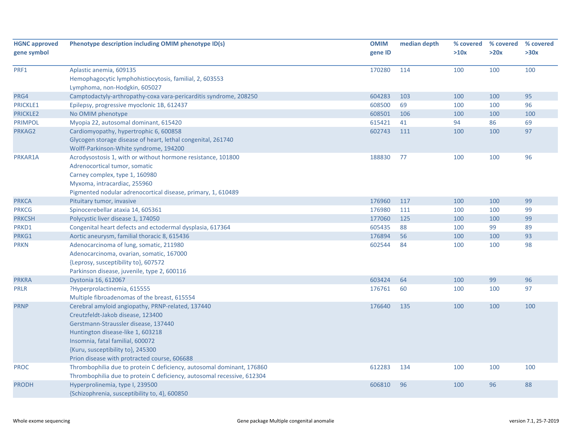| <b>HGNC approved</b> | Phenotype description including OMIM phenotype ID(s)                   | <b>OMIM</b> | median depth | % covered | % covered | % covered |
|----------------------|------------------------------------------------------------------------|-------------|--------------|-----------|-----------|-----------|
| gene symbol          |                                                                        | gene ID     |              | >10x      | >20x      | >30x      |
|                      |                                                                        |             |              |           |           |           |
| PRF1                 | Aplastic anemia, 609135                                                | 170280      | 114          | 100       | 100       | 100       |
|                      | Hemophagocytic lymphohistiocytosis, familial, 2, 603553                |             |              |           |           |           |
|                      | Lymphoma, non-Hodgkin, 605027                                          |             |              |           |           |           |
| PRG4                 | Camptodactyly-arthropathy-coxa vara-pericarditis syndrome, 208250      | 604283      | 103          | 100       | 100       | 95        |
| <b>PRICKLE1</b>      | Epilepsy, progressive myoclonic 1B, 612437                             | 608500      | 69           | 100       | 100       | 96        |
| <b>PRICKLE2</b>      | No OMIM phenotype                                                      | 608501      | 106          | 100       | 100       | 100       |
| <b>PRIMPOL</b>       | Myopia 22, autosomal dominant, 615420                                  | 615421      | 41           | 94        | 86        | 69        |
| PRKAG2               | Cardiomyopathy, hypertrophic 6, 600858                                 | 602743      | 111          | 100       | 100       | 97        |
|                      | Glycogen storage disease of heart, lethal congenital, 261740           |             |              |           |           |           |
|                      | Wolff-Parkinson-White syndrome, 194200                                 |             |              |           |           |           |
| PRKAR1A              | Acrodysostosis 1, with or without hormone resistance, 101800           | 188830      | 77           | 100       | 100       | 96        |
|                      | Adrenocortical tumor, somatic                                          |             |              |           |           |           |
|                      | Carney complex, type 1, 160980                                         |             |              |           |           |           |
|                      | Myxoma, intracardiac, 255960                                           |             |              |           |           |           |
|                      | Pigmented nodular adrenocortical disease, primary, 1, 610489           |             |              |           |           |           |
| <b>PRKCA</b>         | Pituitary tumor, invasive                                              | 176960      | 117          | 100       | 100       | 99        |
| <b>PRKCG</b>         | Spinocerebellar ataxia 14, 605361                                      | 176980      | 111          | 100       | 100       | 99        |
| <b>PRKCSH</b>        | Polycystic liver disease 1, 174050                                     | 177060      | 125          | 100       | 100       | 99        |
| PRKD1                | Congenital heart defects and ectodermal dysplasia, 617364              | 605435      | 88           | 100       | 99        | 89        |
| PRKG1                | Aortic aneurysm, familial thoracic 8, 615436                           | 176894      | 56           | 100       | 100       | 93        |
| <b>PRKN</b>          | Adenocarcinoma of lung, somatic, 211980                                | 602544      | 84           | 100       | 100       | 98        |
|                      | Adenocarcinoma, ovarian, somatic, 167000                               |             |              |           |           |           |
|                      | {Leprosy, susceptibility to}, 607572                                   |             |              |           |           |           |
|                      | Parkinson disease, juvenile, type 2, 600116                            |             |              |           |           |           |
| <b>PRKRA</b>         | Dystonia 16, 612067                                                    | 603424      | 64           | 100       | 99        | 96        |
| PRLR                 | ?Hyperprolactinemia, 615555                                            | 176761      | 60           | 100       | 100       | 97        |
|                      | Multiple fibroadenomas of the breast, 615554                           |             |              |           |           |           |
| <b>PRNP</b>          | Cerebral amyloid angiopathy, PRNP-related, 137440                      | 176640      | 135          | 100       | 100       | 100       |
|                      | Creutzfeldt-Jakob disease, 123400                                      |             |              |           |           |           |
|                      | Gerstmann-Straussler disease, 137440                                   |             |              |           |           |           |
|                      | Huntington disease-like 1, 603218                                      |             |              |           |           |           |
|                      | Insomnia, fatal familial, 600072                                       |             |              |           |           |           |
|                      | {Kuru, susceptibility to}, 245300                                      |             |              |           |           |           |
|                      | Prion disease with protracted course, 606688                           |             |              |           |           |           |
| <b>PROC</b>          | Thrombophilia due to protein C deficiency, autosomal dominant, 176860  | 612283      | 134          | 100       | 100       | 100       |
|                      | Thrombophilia due to protein C deficiency, autosomal recessive, 612304 |             |              |           |           |           |
| <b>PRODH</b>         | Hyperprolinemia, type I, 239500                                        | 606810      | 96           | 100       | 96        | 88        |
|                      | {Schizophrenia, susceptibility to, 4}, 600850                          |             |              |           |           |           |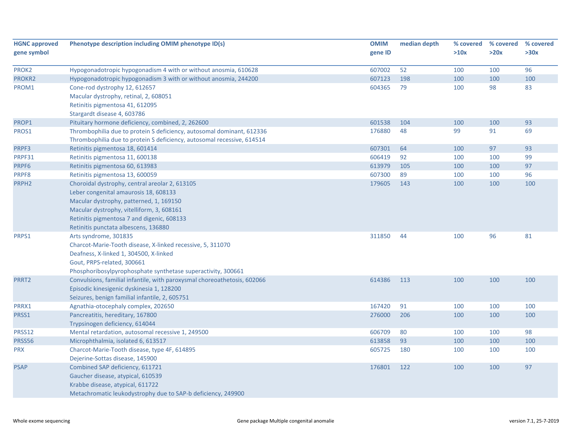| <b>HGNC approved</b> | Phenotype description including OMIM phenotype ID(s)                     | <b>OMIM</b> | median depth | % covered | % covered | % covered |
|----------------------|--------------------------------------------------------------------------|-------------|--------------|-----------|-----------|-----------|
| gene symbol          |                                                                          | gene ID     |              | >10x      | >20x      | >30x      |
| PROK2                | Hypogonadotropic hypogonadism 4 with or without anosmia, 610628          | 607002      | 52           | 100       | 100       | 96        |
| PROKR2               | Hypogonadotropic hypogonadism 3 with or without anosmia, 244200          | 607123      | 198          | 100       | 100       | 100       |
| PROM1                | Cone-rod dystrophy 12, 612657                                            | 604365      | 79           | 100       | 98        | 83        |
|                      | Macular dystrophy, retinal, 2, 608051                                    |             |              |           |           |           |
|                      | Retinitis pigmentosa 41, 612095                                          |             |              |           |           |           |
|                      | Stargardt disease 4, 603786                                              |             |              |           |           |           |
| PROP1                | Pituitary hormone deficiency, combined, 2, 262600                        | 601538      | 104          | 100       | 100       | 93        |
| PROS1                | Thrombophilia due to protein S deficiency, autosomal dominant, 612336    | 176880      | 48           | 99        | 91        | 69        |
|                      | Thrombophilia due to protein S deficiency, autosomal recessive, 614514   |             |              |           |           |           |
| PRPF3                | Retinitis pigmentosa 18, 601414                                          | 607301      | 64           | 100       | 97        | 93        |
| PRPF31               | Retinitis pigmentosa 11, 600138                                          | 606419      | 92           | 100       | 100       | 99        |
| PRPF6                | Retinitis pigmentosa 60, 613983                                          | 613979      | 105          | 100       | 100       | 97        |
| PRPF8                | Retinitis pigmentosa 13, 600059                                          | 607300      | 89           | 100       | 100       | 96        |
| PRPH <sub>2</sub>    | Choroidal dystrophy, central areolar 2, 613105                           | 179605      | 143          | 100       | 100       | 100       |
|                      | Leber congenital amaurosis 18, 608133                                    |             |              |           |           |           |
|                      | Macular dystrophy, patterned, 1, 169150                                  |             |              |           |           |           |
|                      | Macular dystrophy, vitelliform, 3, 608161                                |             |              |           |           |           |
|                      | Retinitis pigmentosa 7 and digenic, 608133                               |             |              |           |           |           |
|                      | Retinitis punctata albescens, 136880                                     |             |              |           |           |           |
| PRPS1                | Arts syndrome, 301835                                                    | 311850      | 44           | 100       | 96        | 81        |
|                      | Charcot-Marie-Tooth disease, X-linked recessive, 5, 311070               |             |              |           |           |           |
|                      | Deafness, X-linked 1, 304500, X-linked                                   |             |              |           |           |           |
|                      | Gout, PRPS-related, 300661                                               |             |              |           |           |           |
|                      | Phosphoribosylpyrophosphate synthetase superactivity, 300661             |             |              |           |           |           |
| PRRT2                | Convulsions, familial infantile, with paroxysmal choreoathetosis, 602066 | 614386      | 113          | 100       | 100       | 100       |
|                      | Episodic kinesigenic dyskinesia 1, 128200                                |             |              |           |           |           |
|                      | Seizures, benign familial infantile, 2, 605751                           |             |              |           |           |           |
| PRRX1                | Agnathia-otocephaly complex, 202650                                      | 167420      | 91           | 100       | 100       | 100       |
| PRSS1                | Pancreatitis, hereditary, 167800                                         | 276000      | 206          | 100       | 100       | 100       |
|                      | Trypsinogen deficiency, 614044                                           |             |              |           |           |           |
| PRSS12               | Mental retardation, autosomal recessive 1, 249500                        | 606709      | 80           | 100       | 100       | 98        |
| PRSS56               | Microphthalmia, isolated 6, 613517                                       | 613858      | 93           | 100       | 100       | 100       |
| <b>PRX</b>           | Charcot-Marie-Tooth disease, type 4F, 614895                             | 605725      | 180          | 100       | 100       | 100       |
|                      | Dejerine-Sottas disease, 145900                                          |             |              |           |           |           |
| <b>PSAP</b>          | Combined SAP deficiency, 611721                                          | 176801      | 122          | 100       | 100       | 97        |
|                      | Gaucher disease, atypical, 610539                                        |             |              |           |           |           |
|                      | Krabbe disease, atypical, 611722                                         |             |              |           |           |           |
|                      | Metachromatic leukodystrophy due to SAP-b deficiency, 249900             |             |              |           |           |           |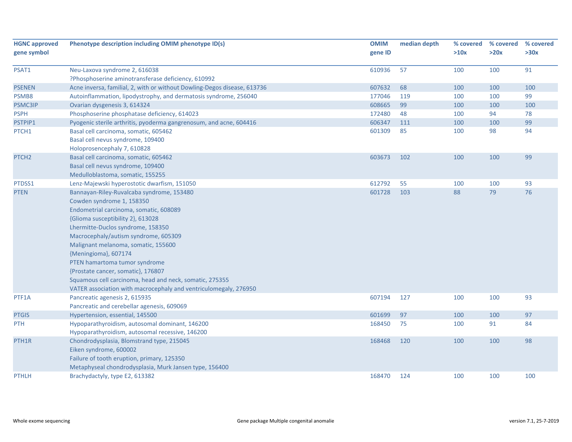| <b>HGNC approved</b><br>gene symbol | Phenotype description including OMIM phenotype ID(s)                                                                                                                                                                                                                                                                                                                                                                                                                                                    | <b>OMIM</b><br>gene ID | median depth | % covered<br>>10x | % covered<br>>20x | % covered<br>>30x |
|-------------------------------------|---------------------------------------------------------------------------------------------------------------------------------------------------------------------------------------------------------------------------------------------------------------------------------------------------------------------------------------------------------------------------------------------------------------------------------------------------------------------------------------------------------|------------------------|--------------|-------------------|-------------------|-------------------|
| PSAT1                               | Neu-Laxova syndrome 2, 616038<br>?Phosphoserine aminotransferase deficiency, 610992                                                                                                                                                                                                                                                                                                                                                                                                                     | 610936                 | 57           | 100               | 100               | 91                |
| <b>PSENEN</b>                       | Acne inversa, familial, 2, with or without Dowling-Degos disease, 613736                                                                                                                                                                                                                                                                                                                                                                                                                                | 607632                 | 68           | 100               | 100               | 100               |
| PSMB8                               | Autoinflammation, lipodystrophy, and dermatosis syndrome, 256040                                                                                                                                                                                                                                                                                                                                                                                                                                        | 177046                 | 119          | 100               | 100               | 99                |
| PSMC3IP                             | Ovarian dysgenesis 3, 614324                                                                                                                                                                                                                                                                                                                                                                                                                                                                            | 608665                 | 99           | 100               | 100               | 100               |
| <b>PSPH</b>                         | Phosphoserine phosphatase deficiency, 614023                                                                                                                                                                                                                                                                                                                                                                                                                                                            | 172480                 | 48           | 100               | 94                | 78                |
| PSTPIP1                             | Pyogenic sterile arthritis, pyoderma gangrenosum, and acne, 604416                                                                                                                                                                                                                                                                                                                                                                                                                                      | 606347                 | 111          | 100               | 100               | 99                |
| PTCH1                               | Basal cell carcinoma, somatic, 605462<br>Basal cell nevus syndrome, 109400<br>Holoprosencephaly 7, 610828                                                                                                                                                                                                                                                                                                                                                                                               | 601309                 | 85           | 100               | 98                | 94                |
| PTCH <sub>2</sub>                   | Basal cell carcinoma, somatic, 605462<br>Basal cell nevus syndrome, 109400<br>Medulloblastoma, somatic, 155255                                                                                                                                                                                                                                                                                                                                                                                          | 603673                 | 102          | 100               | 100               | 99                |
| PTDSS1                              | Lenz-Majewski hyperostotic dwarfism, 151050                                                                                                                                                                                                                                                                                                                                                                                                                                                             | 612792                 | 55           | 100               | 100               | 93                |
| <b>PTEN</b>                         | Bannayan-Riley-Ruvalcaba syndrome, 153480<br>Cowden syndrome 1, 158350<br>Endometrial carcinoma, somatic, 608089<br>{Glioma susceptibility 2}, 613028<br>Lhermitte-Duclos syndrome, 158350<br>Macrocephaly/autism syndrome, 605309<br>Malignant melanoma, somatic, 155600<br>{Meningioma}, 607174<br>PTEN hamartoma tumor syndrome<br>{Prostate cancer, somatic}, 176807<br>Squamous cell carcinoma, head and neck, somatic, 275355<br>VATER association with macrocephaly and ventriculomegaly, 276950 | 601728                 | 103          | 88                | 79                | 76                |
| PTF1A                               | Pancreatic agenesis 2, 615935<br>Pancreatic and cerebellar agenesis, 609069                                                                                                                                                                                                                                                                                                                                                                                                                             | 607194                 | 127          | 100               | 100               | 93                |
| <b>PTGIS</b>                        | Hypertension, essential, 145500                                                                                                                                                                                                                                                                                                                                                                                                                                                                         | 601699                 | 97           | 100               | 100               | 97                |
| <b>PTH</b>                          | Hypoparathyroidism, autosomal dominant, 146200<br>Hypoparathyroidism, autosomal recessive, 146200                                                                                                                                                                                                                                                                                                                                                                                                       | 168450                 | 75           | 100               | 91                | 84                |
| PTH1R                               | Chondrodysplasia, Blomstrand type, 215045<br>Eiken syndrome, 600002<br>Failure of tooth eruption, primary, 125350<br>Metaphyseal chondrodysplasia, Murk Jansen type, 156400                                                                                                                                                                                                                                                                                                                             | 168468                 | 120          | 100               | 100               | 98                |
| <b>PTHLH</b>                        | Brachydactyly, type E2, 613382                                                                                                                                                                                                                                                                                                                                                                                                                                                                          | 168470                 | 124          | 100               | 100               | 100               |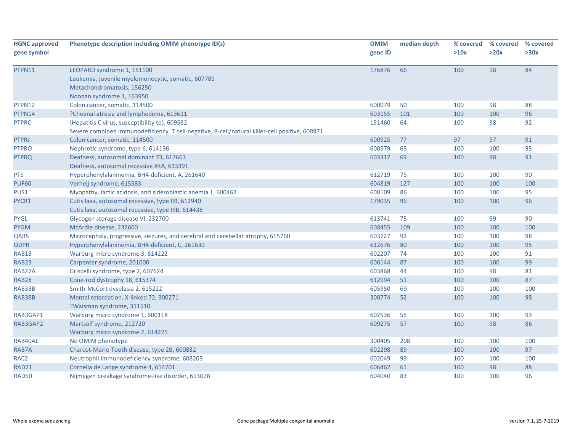| <b>HGNC approved</b> | Phenotype description including OMIM phenotype ID(s)                                           | <b>OMIM</b> | median depth | % covered | % covered | % covered |
|----------------------|------------------------------------------------------------------------------------------------|-------------|--------------|-----------|-----------|-----------|
| gene symbol          |                                                                                                | gene ID     |              | >10x      | >20x      | >30x      |
| PTPN11               | LEOPARD syndrome 1, 151100                                                                     | 176876      | 66           | 100       | 98        | 84        |
|                      | Leukemia, juvenile myelomonocytic, somatic, 607785                                             |             |              |           |           |           |
|                      | Metachondromatosis, 156250                                                                     |             |              |           |           |           |
|                      | Noonan syndrome 1, 163950                                                                      |             |              |           |           |           |
| PTPN12               | Colon cancer, somatic, 114500                                                                  | 600079      | 50           | 100       | 98        | 88        |
| PTPN14               | ?Choanal atresia and lymphedema, 613611                                                        | 603155      | 101          | 100       | 100       | 96        |
| <b>PTPRC</b>         | {Hepatitis C virus, susceptibility to}, 609532                                                 | 151460      | 64           | 100       | 98        | 92        |
|                      | Severe combined immunodeficiency, T cell-negative, B-cell/natural killer-cell positive, 608971 |             |              |           |           |           |
| <b>PTPRJ</b>         | Colon cancer, somatic, 114500                                                                  | 600925      | 77           | 97        | 97        | 91        |
| <b>PTPRO</b>         | Nephrotic syndrome, type 6, 614196                                                             | 600579      | 63           | 100       | 100       | 95        |
| <b>PTPRQ</b>         | Deafness, autosomal dominant 73, 617663                                                        | 603317      | 69           | 100       | 98        | 91        |
|                      | Deafness, autosomal recessive 84A, 613391                                                      |             |              |           |           |           |
| <b>PTS</b>           | Hyperphenylalaninemia, BH4-deficient, A, 261640                                                | 612719      | 75           | 100       | 100       | 90        |
| <b>PUF60</b>         | Verheij syndrome, 615583                                                                       | 604819      | 127          | 100       | 100       | 100       |
| PUS1                 | Myopathy, lactic acidosis, and sideroblastic anemia 1, 600462                                  | 608109      | 86           | 100       | 100       | 95        |
| PYCR1                | Cutis laxa, autosomal recessive, type IIB, 612940                                              | 179035      | 96           | 100       | 100       | 96        |
|                      | Cutis laxa, autosomal recessive, type IIIB, 614438                                             |             |              |           |           |           |
| <b>PYGL</b>          | Glycogen storage disease VI, 232700                                                            | 613741      | 75           | 100       | 99        | 90        |
| <b>PYGM</b>          | McArdle disease, 232600                                                                        | 608455      | 109          | 100       | 100       | 100       |
| QARS                 | Microcephaly, progressive, seizures, and cerebral and cerebellar atrophy, 615760               | 603727      | 92           | 100       | 100       | 98        |
| <b>QDPR</b>          | Hyperphenylalaninemia, BH4-deficient, C, 261630                                                | 612676      | 80           | 100       | 100       | 95        |
| <b>RAB18</b>         | Warburg micro syndrome 3, 614222                                                               | 602207      | 74           | 100       | 100       | 91        |
| RAB23                | Carpenter syndrome, 201000                                                                     | 606144      | 87           | 100       | 100       | 99        |
| RAB27A               | Griscelli syndrome, type 2, 607624                                                             | 603868      | 44           | 100       | 98        | 81        |
| <b>RAB28</b>         | Cone-rod dystrophy 18, 615374                                                                  | 612994      | 51           | 100       | 100       | 87        |
| RAB33B               | Smith-McCort dysplasia 2, 615222                                                               | 605950      | 69           | 100       | 100       | 100       |
| RAB39B               | Mental retardation, X-linked 72, 300271                                                        | 300774      | 52           | 100       | 100       | 98        |
|                      | ?Waisman syndrome, 311510                                                                      |             |              |           |           |           |
| RAB3GAP1             | Warburg micro syndrome 1, 600118                                                               | 602536      | 55           | 100       | 100       | 93        |
| RAB3GAP2             | Martsolf syndrome, 212720                                                                      | 609275      | 57           | 100       | 98        | 86        |
|                      | Warburg micro syndrome 2, 614225                                                               |             |              |           |           |           |
| RAB40AL              | No OMIM phenotype                                                                              | 300405      | 208          | 100       | 100       | 100       |
| RAB7A                | Charcot-Marie-Tooth disease, type 2B, 600882                                                   | 602298      | 89           | 100       | 100       | 97        |
| RAC <sub>2</sub>     | Neutrophil immunodeficiency syndrome, 608203                                                   | 602049      | 99           | 100       | 100       | 100       |
| RAD21                | Cornelia de Lange syndrome 4, 614701                                                           | 606462      | 61           | 100       | 98        | 88        |
| <b>RAD50</b>         | Nijmegen breakage syndrome-like disorder, 613078                                               | 604040      | 83           | 100       | 100       | 96        |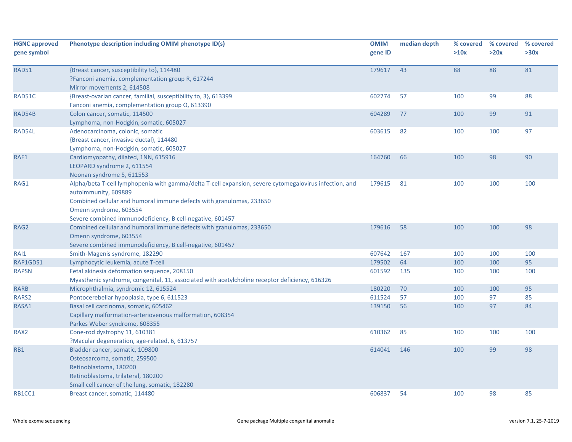| <b>HGNC approved</b><br>gene symbol | Phenotype description including OMIM phenotype ID(s)                                                                                                                                                                                                                                          | <b>OMIM</b><br>gene ID | median depth | % covered<br>>10x | % covered<br>>20x | % covered<br>>30x |
|-------------------------------------|-----------------------------------------------------------------------------------------------------------------------------------------------------------------------------------------------------------------------------------------------------------------------------------------------|------------------------|--------------|-------------------|-------------------|-------------------|
| <b>RAD51</b>                        | {Breast cancer, susceptibility to}, 114480<br>?Fanconi anemia, complementation group R, 617244<br>Mirror movements 2, 614508                                                                                                                                                                  | 179617                 | 43           | 88                | 88                | 81                |
| RAD51C                              | {Breast-ovarian cancer, familial, susceptibility to, 3}, 613399<br>Fanconi anemia, complementation group O, 613390                                                                                                                                                                            | 602774                 | 57           | 100               | 99                | 88                |
| RAD54B                              | Colon cancer, somatic, 114500<br>Lymphoma, non-Hodgkin, somatic, 605027                                                                                                                                                                                                                       | 604289                 | 77           | 100               | 99                | 91                |
| RAD54L                              | Adenocarcinoma, colonic, somatic<br>{Breast cancer, invasive ductal}, 114480<br>Lymphoma, non-Hodgkin, somatic, 605027                                                                                                                                                                        | 603615                 | 82           | 100               | 100               | 97                |
| RAF1                                | Cardiomyopathy, dilated, 1NN, 615916<br>LEOPARD syndrome 2, 611554<br>Noonan syndrome 5, 611553                                                                                                                                                                                               | 164760                 | 66           | 100               | 98                | 90                |
| RAG1                                | Alpha/beta T-cell lymphopenia with gamma/delta T-cell expansion, severe cytomegalovirus infection, and<br>autoimmunity, 609889<br>Combined cellular and humoral immune defects with granulomas, 233650<br>Omenn syndrome, 603554<br>Severe combined immunodeficiency, B cell-negative, 601457 | 179615                 | 81           | 100               | 100               | 100               |
| RAG2                                | Combined cellular and humoral immune defects with granulomas, 233650<br>Omenn syndrome, 603554<br>Severe combined immunodeficiency, B cell-negative, 601457                                                                                                                                   | 179616                 | 58           | 100               | 100               | 98                |
| RAI1                                | Smith-Magenis syndrome, 182290                                                                                                                                                                                                                                                                | 607642                 | 167          | 100               | 100               | 100               |
| RAP1GDS1                            | Lymphocytic leukemia, acute T-cell                                                                                                                                                                                                                                                            | 179502                 | 64           | 100               | 100               | 95                |
| <b>RAPSN</b>                        | Fetal akinesia deformation sequence, 208150<br>Myasthenic syndrome, congenital, 11, associated with acetylcholine receptor deficiency, 616326                                                                                                                                                 | 601592                 | 135          | 100               | 100               | 100               |
| <b>RARB</b>                         | Microphthalmia, syndromic 12, 615524                                                                                                                                                                                                                                                          | 180220                 | 70           | 100               | 100               | 95                |
| RARS2                               | Pontocerebellar hypoplasia, type 6, 611523                                                                                                                                                                                                                                                    | 611524                 | 57           | 100               | 97                | 85                |
| RASA1                               | Basal cell carcinoma, somatic, 605462<br>Capillary malformation-arteriovenous malformation, 608354<br>Parkes Weber syndrome, 608355                                                                                                                                                           | 139150                 | 56           | 100               | 97                | 84                |
| RAX <sub>2</sub>                    | Cone-rod dystrophy 11, 610381<br>?Macular degeneration, age-related, 6, 613757                                                                                                                                                                                                                | 610362                 | 85           | 100               | 100               | 100               |
| RB1                                 | Bladder cancer, somatic, 109800<br>Osteosarcoma, somatic, 259500<br>Retinoblastoma, 180200<br>Retinoblastoma, trilateral, 180200<br>Small cell cancer of the lung, somatic, 182280                                                                                                            | 614041                 | 146          | 100               | 99                | 98                |
| RB1CC1                              | Breast cancer, somatic, 114480                                                                                                                                                                                                                                                                | 606837                 | 54           | 100               | 98                | 85                |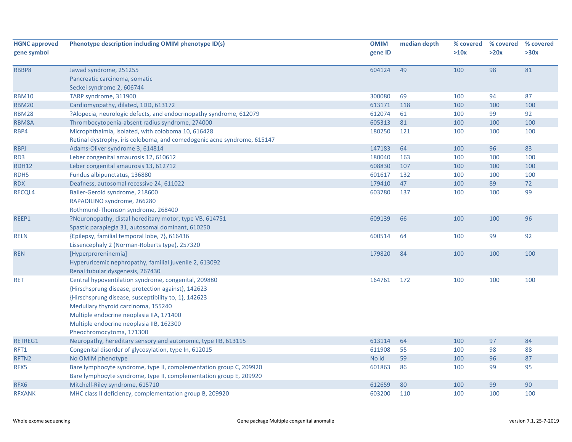| <b>HGNC approved</b> | Phenotype description including OMIM phenotype ID(s)                    | <b>OMIM</b> | median depth | % covered | % covered<br>>20x | % covered<br>>30x |
|----------------------|-------------------------------------------------------------------------|-------------|--------------|-----------|-------------------|-------------------|
| gene symbol          |                                                                         | gene ID     |              | >10x      |                   |                   |
| RBBP8                | Jawad syndrome, 251255                                                  | 604124      | 49           | 100       | 98                | 81                |
|                      | Pancreatic carcinoma, somatic                                           |             |              |           |                   |                   |
|                      | Seckel syndrome 2, 606744                                               |             |              |           |                   |                   |
| <b>RBM10</b>         | TARP syndrome, 311900                                                   | 300080      | 69           | 100       | 94                | 87                |
| <b>RBM20</b>         | Cardiomyopathy, dilated, 1DD, 613172                                    | 613171      | 118          | 100       | 100               | 100               |
| <b>RBM28</b>         | ?Alopecia, neurologic defects, and endocrinopathy syndrome, 612079      | 612074      | 61           | 100       | 99                | 92                |
| RBM8A                | Thrombocytopenia-absent radius syndrome, 274000                         | 605313      | 81           | 100       | 100               | 100               |
| RBP4                 | Microphthalmia, isolated, with coloboma 10, 616428                      | 180250      | 121          | 100       | 100               | 100               |
|                      | Retinal dystrophy, iris coloboma, and comedogenic acne syndrome, 615147 |             |              |           |                   |                   |
| <b>RBPJ</b>          | Adams-Oliver syndrome 3, 614814                                         | 147183      | 64           | 100       | 96                | 83                |
| RD3                  | Leber congenital amaurosis 12, 610612                                   | 180040      | 163          | 100       | 100               | 100               |
| <b>RDH12</b>         | Leber congenital amaurosis 13, 612712                                   | 608830      | 107          | 100       | 100               | 100               |
| RDH5                 | Fundus albipunctatus, 136880                                            | 601617      | 132          | 100       | 100               | 100               |
| <b>RDX</b>           | Deafness, autosomal recessive 24, 611022                                | 179410      | 47           | 100       | 89                | 72                |
| RECQL4               | Baller-Gerold syndrome, 218600                                          | 603780      | 137          | 100       | 100               | 99                |
|                      | RAPADILINO syndrome, 266280                                             |             |              |           |                   |                   |
|                      | Rothmund-Thomson syndrome, 268400                                       |             |              |           |                   |                   |
| REEP1                | ?Neuronopathy, distal hereditary motor, type VB, 614751                 | 609139      | 66           | 100       | 100               | 96                |
|                      | Spastic paraplegia 31, autosomal dominant, 610250                       |             |              |           |                   |                   |
| <b>RELN</b>          | {Epilepsy, familial temporal lobe, 7}, 616436                           | 600514      | 64           | 100       | 99                | 92                |
|                      | Lissencephaly 2 (Norman-Roberts type), 257320                           |             |              |           |                   |                   |
| <b>REN</b>           | [Hyperproreninemia]                                                     | 179820      | 84           | 100       | 100               | 100               |
|                      | Hyperuricemic nephropathy, familial juvenile 2, 613092                  |             |              |           |                   |                   |
|                      | Renal tubular dysgenesis, 267430                                        |             |              |           |                   |                   |
| <b>RET</b>           | Central hypoventilation syndrome, congenital, 209880                    | 164761      | 172          | 100       | 100               | 100               |
|                      | {Hirschsprung disease, protection against}, 142623                      |             |              |           |                   |                   |
|                      | {Hirschsprung disease, susceptibility to, 1}, 142623                    |             |              |           |                   |                   |
|                      | Medullary thyroid carcinoma, 155240                                     |             |              |           |                   |                   |
|                      | Multiple endocrine neoplasia IIA, 171400                                |             |              |           |                   |                   |
|                      | Multiple endocrine neoplasia IIB, 162300                                |             |              |           |                   |                   |
|                      | Pheochromocytoma, 171300                                                |             |              |           |                   |                   |
| RETREG1              | Neuropathy, hereditary sensory and autonomic, type IIB, 613115          | 613114      | 64           | 100       | 97                | 84                |
| RFT1                 | Congenital disorder of glycosylation, type In, 612015                   | 611908      | 55           | 100       | 98                | 88                |
| RFTN2                | No OMIM phenotype                                                       | No id       | 59           | 100       | 96                | 87                |
| RFX5                 | Bare lymphocyte syndrome, type II, complementation group C, 209920      | 601863      | 86           | 100       | 99                | 95                |
|                      | Bare lymphocyte syndrome, type II, complementation group E, 209920      |             |              |           |                   |                   |
| RFX6                 | Mitchell-Riley syndrome, 615710                                         | 612659      | 80           | 100       | 99                | 90                |
| <b>RFXANK</b>        | MHC class II deficiency, complementation group B, 209920                | 603200      | 110          | 100       | 100               | 100               |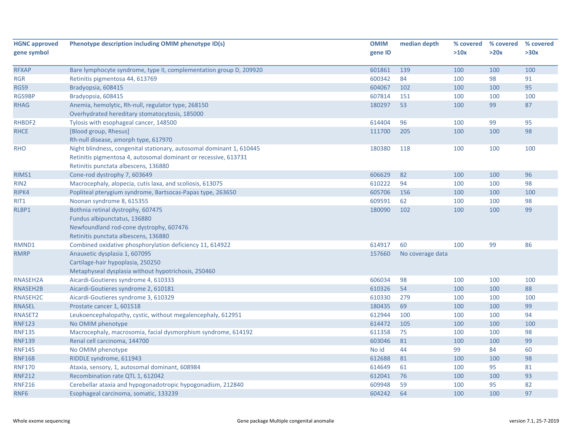| <b>HGNC approved</b> | Phenotype description including OMIM phenotype ID(s)                 | <b>OMIM</b> | median depth     | % covered | % covered | % covered |
|----------------------|----------------------------------------------------------------------|-------------|------------------|-----------|-----------|-----------|
| gene symbol          |                                                                      | gene ID     |                  | >10x      | >20x      | >30x      |
|                      |                                                                      |             |                  |           |           |           |
| <b>RFXAP</b>         | Bare lymphocyte syndrome, type II, complementation group D, 209920   | 601861      | 139              | 100       | 100       | 100       |
| <b>RGR</b>           | Retinitis pigmentosa 44, 613769                                      | 600342      | 84               | 100       | 98        | 91        |
| RGS9                 | Bradyopsia, 608415                                                   | 604067      | 102              | 100       | 100       | 95        |
| RGS9BP               | Bradyopsia, 608415                                                   | 607814      | 151              | 100       | 100       | 100       |
| <b>RHAG</b>          | Anemia, hemolytic, Rh-null, regulator type, 268150                   | 180297      | 53               | 100       | 99        | 87        |
|                      | Overhydrated hereditary stomatocytosis, 185000                       |             |                  |           |           |           |
| RHBDF2               | Tylosis with esophageal cancer, 148500                               | 614404      | 96               | 100       | 99        | 95        |
| <b>RHCE</b>          | [Blood group, Rhesus]                                                | 111700      | 205              | 100       | 100       | 98        |
|                      | Rh-null disease, amorph type, 617970                                 |             |                  |           |           |           |
| <b>RHO</b>           | Night blindness, congenital stationary, autosomal dominant 1, 610445 | 180380      | 118              | 100       | 100       | 100       |
|                      | Retinitis pigmentosa 4, autosomal dominant or recessive, 613731      |             |                  |           |           |           |
|                      | Retinitis punctata albescens, 136880                                 |             |                  |           |           |           |
| RIMS1                | Cone-rod dystrophy 7, 603649                                         | 606629      | 82               | 100       | 100       | 96        |
| RIN <sub>2</sub>     | Macrocephaly, alopecia, cutis laxa, and scoliosis, 613075            | 610222      | 94               | 100       | 100       | 98        |
| RIPK4                | Popliteal pterygium syndrome, Bartsocas-Papas type, 263650           | 605706      | 156              | 100       | 100       | 100       |
| RIT1                 | Noonan syndrome 8, 615355                                            | 609591      | 62               | 100       | 100       | 98        |
| RLBP1                | Bothnia retinal dystrophy, 607475                                    | 180090      | 102              | 100       | 100       | 99        |
|                      | Fundus albipunctatus, 136880                                         |             |                  |           |           |           |
|                      | Newfoundland rod-cone dystrophy, 607476                              |             |                  |           |           |           |
|                      | Retinitis punctata albescens, 136880                                 |             |                  |           |           |           |
| RMND1                | Combined oxidative phosphorylation deficiency 11, 614922             | 614917      | 60               | 100       | 99        | 86        |
| <b>RMRP</b>          | Anauxetic dysplasia 1, 607095                                        | 157660      | No coverage data |           |           |           |
|                      | Cartilage-hair hypoplasia, 250250                                    |             |                  |           |           |           |
|                      | Metaphyseal dysplasia without hypotrichosis, 250460                  |             |                  |           |           |           |
| RNASEH2A             | Aicardi-Goutieres syndrome 4, 610333                                 | 606034      | 98               | 100       | 100       | 100       |
| RNASEH2B             | Aicardi-Goutieres syndrome 2, 610181                                 | 610326      | 54               | 100       | 100       | 88        |
| RNASEH2C             | Aicardi-Goutieres syndrome 3, 610329                                 | 610330      | 279              | 100       | 100       | 100       |
| <b>RNASEL</b>        | Prostate cancer 1, 601518                                            | 180435      | 69               | 100       | 100       | 99        |
| RNASET2              | Leukoencephalopathy, cystic, without megalencephaly, 612951          | 612944      | 100              | 100       | 100       | 94        |
| <b>RNF123</b>        | No OMIM phenotype                                                    | 614472      | 105              | 100       | 100       | 100       |
| <b>RNF135</b>        | Macrocephaly, macrosomia, facial dysmorphism syndrome, 614192        | 611358      | 75               | 100       | 100       | 98        |
| <b>RNF139</b>        | Renal cell carcinoma, 144700                                         | 603046      | 81               | 100       | 100       | 99        |
| <b>RNF145</b>        | No OMIM phenotype                                                    | No id       | 44               | 99        | 84        | 60        |
| <b>RNF168</b>        | RIDDLE syndrome, 611943                                              | 612688      | 81               | 100       | 100       | 98        |
| <b>RNF170</b>        | Ataxia, sensory, 1, autosomal dominant, 608984                       | 614649      | 61               | 100       | 95        | 81        |
| <b>RNF212</b>        | Recombination rate QTL 1, 612042                                     | 612041      | 76               | 100       | 100       | 93        |
| <b>RNF216</b>        | Cerebellar ataxia and hypogonadotropic hypogonadism, 212840          | 609948      | 59               | 100       | 95        | 82        |
| RNF6                 | Esophageal carcinoma, somatic, 133239                                | 604242      | 64               | 100       | 100       | 97        |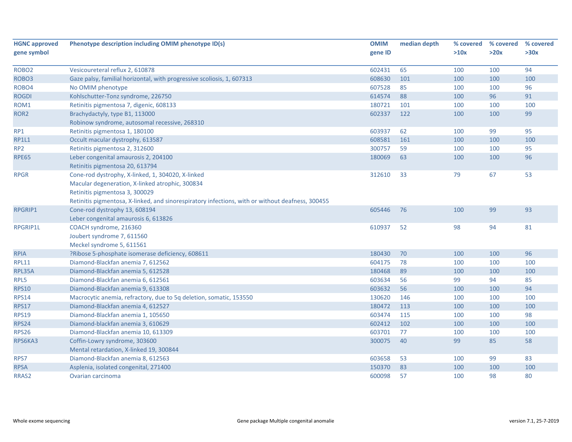| <b>HGNC approved</b> | Phenotype description including OMIM phenotype ID(s)                                             | <b>OMIM</b> | median depth | % covered | % covered | % covered |
|----------------------|--------------------------------------------------------------------------------------------------|-------------|--------------|-----------|-----------|-----------|
| gene symbol          |                                                                                                  | gene ID     |              | >10x      | >20x      | >30x      |
|                      |                                                                                                  |             |              |           |           |           |
| ROBO <sub>2</sub>    | Vesicoureteral reflux 2, 610878                                                                  | 602431      | 65           | 100       | 100       | 94        |
| ROBO <sub>3</sub>    | Gaze palsy, familial horizontal, with progressive scoliosis, 1, 607313                           | 608630      | 101          | 100       | 100       | 100       |
| ROBO4                | No OMIM phenotype                                                                                | 607528      | 85           | 100       | 100       | 96        |
| <b>ROGDI</b>         | Kohlschutter-Tonz syndrome, 226750                                                               | 614574      | 88           | 100       | 96        | 91        |
| ROM1                 | Retinitis pigmentosa 7, digenic, 608133                                                          | 180721      | 101          | 100       | 100       | 100       |
| ROR <sub>2</sub>     | Brachydactyly, type B1, 113000                                                                   | 602337      | 122          | 100       | 100       | 99        |
|                      | Robinow syndrome, autosomal recessive, 268310                                                    |             |              |           |           |           |
| RP1                  | Retinitis pigmentosa 1, 180100                                                                   | 603937      | 62           | 100       | 99        | 95        |
| <b>RP1L1</b>         | Occult macular dystrophy, 613587                                                                 | 608581      | 161          | 100       | 100       | 100       |
| RP <sub>2</sub>      | Retinitis pigmentosa 2, 312600                                                                   | 300757      | 59           | 100       | 100       | 95        |
| <b>RPE65</b>         | Leber congenital amaurosis 2, 204100                                                             | 180069      | 63           | 100       | 100       | 96        |
|                      | Retinitis pigmentosa 20, 613794                                                                  |             |              |           |           |           |
| <b>RPGR</b>          | Cone-rod dystrophy, X-linked, 1, 304020, X-linked                                                | 312610      | 33           | 79        | 67        | 53        |
|                      | Macular degeneration, X-linked atrophic, 300834                                                  |             |              |           |           |           |
|                      | Retinitis pigmentosa 3, 300029                                                                   |             |              |           |           |           |
|                      | Retinitis pigmentosa, X-linked, and sinorespiratory infections, with or without deafness, 300455 |             |              |           |           |           |
| <b>RPGRIP1</b>       | Cone-rod dystrophy 13, 608194                                                                    | 605446      | 76           | 100       | 99        | 93        |
|                      | Leber congenital amaurosis 6, 613826                                                             |             |              |           |           |           |
| RPGRIP1L             | COACH syndrome, 216360                                                                           | 610937      | 52           | 98        | 94        | 81        |
|                      | Joubert syndrome 7, 611560                                                                       |             |              |           |           |           |
|                      | Meckel syndrome 5, 611561                                                                        |             |              |           |           |           |
| <b>RPIA</b>          | ?Ribose 5-phosphate isomerase deficiency, 608611                                                 | 180430      | 70           | 100       | 100       | 96        |
| <b>RPL11</b>         | Diamond-Blackfan anemia 7, 612562                                                                | 604175      | 78           | 100       | 100       | 100       |
| RPL35A               | Diamond-Blackfan anemia 5, 612528                                                                | 180468      | 89           | 100       | 100       | 100       |
| RPL5                 | Diamond-Blackfan anemia 6, 612561                                                                | 603634      | 56           | 99        | 94        | 85        |
| <b>RPS10</b>         | Diamond-Blackfan anemia 9, 613308                                                                | 603632      | 56           | 100       | 100       | 94        |
| <b>RPS14</b>         | Macrocytic anemia, refractory, due to 5q deletion, somatic, 153550                               | 130620      | 146          | 100       | 100       | 100       |
| <b>RPS17</b>         | Diamond-Blackfan anemia 4, 612527                                                                | 180472      | 113          | 100       | 100       | 100       |
| <b>RPS19</b>         | Diamond-Blackfan anemia 1, 105650                                                                | 603474      | 115          | 100       | 100       | 98        |
| <b>RPS24</b>         | Diamond-blackfan anemia 3, 610629                                                                | 602412      | 102          | 100       | 100       | 100       |
| <b>RPS26</b>         | Diamond-Blackfan anemia 10, 613309                                                               | 603701      | 77           | 100       | 100       | 100       |
| RPS6KA3              | Coffin-Lowry syndrome, 303600                                                                    | 300075      | 40           | 99        | 85        | 58        |
|                      | Mental retardation, X-linked 19, 300844                                                          |             |              |           |           |           |
| RPS7                 | Diamond-Blackfan anemia 8, 612563                                                                | 603658      | 53           | 100       | 99        | 83        |
| <b>RPSA</b>          | Asplenia, isolated congenital, 271400                                                            | 150370      | 83           | 100       | 100       | 100       |
| RRAS2                | Ovarian carcinoma                                                                                | 600098      | 57           | 100       | 98        | 80        |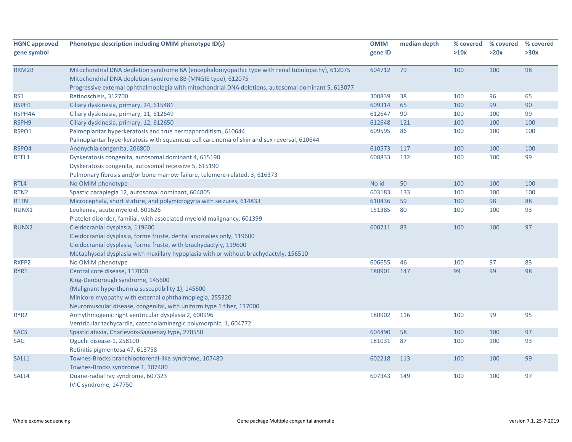| <b>HGNC approved</b> | Phenotype description including OMIM phenotype ID(s)                                                                                                                                                                                                     | <b>OMIM</b> | median depth | % covered | % covered | % covered |
|----------------------|----------------------------------------------------------------------------------------------------------------------------------------------------------------------------------------------------------------------------------------------------------|-------------|--------------|-----------|-----------|-----------|
| gene symbol          |                                                                                                                                                                                                                                                          | gene ID     |              | >10x      | >20x      | >30x      |
| RRM2B                | Mitochondrial DNA depletion syndrome 8A (encephalomyopathic type with renal tubulopathy), 612075<br>Mitochondrial DNA depletion syndrome 8B (MNGIE type), 612075                                                                                         | 604712      | 79           | 100       | 100       | 98        |
|                      | Progressive external ophthalmoplegia with mitochondrial DNA deletions, autosomal dominant 5, 613077                                                                                                                                                      |             |              |           |           |           |
| RS1                  | Retinoschisis, 312700                                                                                                                                                                                                                                    | 300839      | 38<br>65     | 100       | 96<br>99  | 65<br>90  |
| RSPH1                | Ciliary dyskinesia, primary, 24, 615481                                                                                                                                                                                                                  | 609314      |              | 100       |           |           |
| RSPH4A               | Ciliary dyskinesia, primary, 11, 612649                                                                                                                                                                                                                  | 612647      | 90           | 100       | 100       | 99        |
| RSPH9                | Ciliary dyskinesia, primary, 12, 612650                                                                                                                                                                                                                  | 612648      | 121          | 100       | 100       | 100       |
| RSPO1                | Palmoplantar hyperkeratosis and true hermaphroditism, 610644<br>Palmoplantar hyperkeratosis with squamous cell carcinoma of skin and sex reversal, 610644                                                                                                | 609595      | 86           | 100       | 100       | 100       |
| RSPO4                | Anonychia congenita, 206800                                                                                                                                                                                                                              | 610573      | 117          | 100       | 100       | 100       |
| RTEL1                | Dyskeratosis congenita, autosomal dominant 4, 615190<br>Dyskeratosis congenita, autosomal recessive 5, 615190<br>Pulmonary fibrosis and/or bone marrow failure, telomere-related, 3, 616373                                                              | 608833      | 132          | 100       | 100       | 99        |
| RTL4                 | No OMIM phenotype                                                                                                                                                                                                                                        | No id       | 50           | 100       | 100       | 100       |
| RTN <sub>2</sub>     | Spastic paraplegia 12, autosomal dominant, 604805                                                                                                                                                                                                        | 603183      | 133          | 100       | 100       | 100       |
| <b>RTTN</b>          | Microcephaly, short stature, and polymicrogyria with seizures, 614833                                                                                                                                                                                    | 610436      | 59           | 100       | 98        | 88        |
| RUNX1                | Leukemia, acute myeloid, 601626<br>Platelet disorder, familial, with associated myeloid malignancy, 601399                                                                                                                                               | 151385      | 80           | 100       | 100       | 93        |
| RUNX2                | Cleidocranial dysplasia, 119600                                                                                                                                                                                                                          | 600211      | 83           | 100       | 100       | 97        |
|                      | Cleidocranial dysplasia, forme fruste, dental anomalies only, 119600<br>Cleidocranial dysplasia, forme fruste, with brachydactyly, 119600<br>Metaphyseal dysplasia with maxillary hypoplasia with or without brachydactyly, 156510                       |             |              |           |           |           |
| RXFP2                | No OMIM phenotype                                                                                                                                                                                                                                        | 606655      | 46           | 100       | 97        | 83        |
| RYR1                 | Central core disease, 117000<br>King-Denborough syndrome, 145600<br>{Malignant hyperthermia susceptibility 1}, 145600<br>Minicore myopathy with external ophthalmoplegia, 255320<br>Neuromuscular disease, congenital, with uniform type 1 fiber, 117000 | 180901      | 147          | 99        | 99        | 98        |
| RYR <sub>2</sub>     | Arrhythmogenic right ventricular dysplasia 2, 600996<br>Ventricular tachycardia, catecholaminergic polymorphic, 1, 604772                                                                                                                                | 180902      | 116          | 100       | 99        | 95        |
| <b>SACS</b>          | Spastic ataxia, Charlevoix-Saguenay type, 270550                                                                                                                                                                                                         | 604490      | 58           | 100       | 100       | 97        |
| SAG                  | Oguchi disease-1, 258100<br>Retinitis pigmentosa 47, 613758                                                                                                                                                                                              | 181031      | 87           | 100       | 100       | 93        |
| SALL1                | Townes-Brocks branchiootorenal-like syndrome, 107480<br>Townes-Brocks syndrome 1, 107480                                                                                                                                                                 | 602218      | 113          | 100       | 100       | 99        |
| SALL4                | Duane-radial ray syndrome, 607323<br>IVIC syndrome, 147750                                                                                                                                                                                               | 607343      | 149          | 100       | 100       | 97        |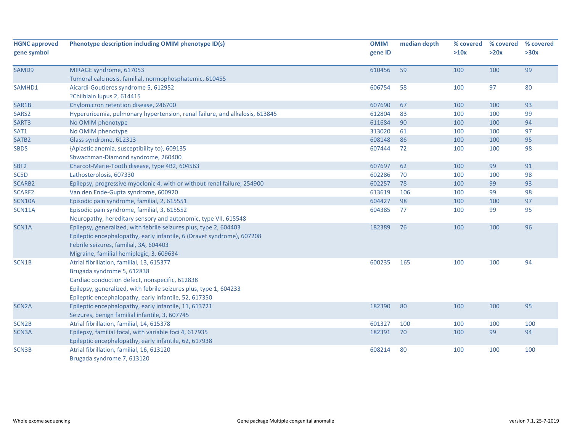| <b>HGNC approved</b><br>gene symbol | Phenotype description including OMIM phenotype ID(s)                        | <b>OMIM</b><br>gene ID | median depth | % covered<br>>10x | % covered<br>>20x | % covered<br>>30x |
|-------------------------------------|-----------------------------------------------------------------------------|------------------------|--------------|-------------------|-------------------|-------------------|
| SAMD9                               | MIRAGE syndrome, 617053                                                     | 610456                 | 59           | 100               | 100               | 99                |
|                                     | Tumoral calcinosis, familial, normophosphatemic, 610455                     |                        |              |                   |                   |                   |
| SAMHD1                              | Aicardi-Goutieres syndrome 5, 612952                                        | 606754                 | 58           | 100               | 97                | 80                |
|                                     | ?Chilblain lupus 2, 614415                                                  |                        |              |                   |                   |                   |
| SAR1B                               | Chylomicron retention disease, 246700                                       | 607690                 | 67           | 100               | 100               | 93                |
| SARS <sub>2</sub>                   | Hyperuricemia, pulmonary hypertension, renal failure, and alkalosis, 613845 | 612804                 | 83           | 100               | 100               | 99                |
| SART3                               | No OMIM phenotype                                                           | 611684                 | 90           | 100               | 100               | 94                |
| SAT1                                | No OMIM phenotype                                                           | 313020                 | 61           | 100               | 100               | 97                |
| SATB <sub>2</sub>                   | Glass syndrome, 612313                                                      | 608148                 | 86           | 100               | 100               | 95                |
| <b>SBDS</b>                         | {Aplastic anemia, susceptibility to}, 609135                                | 607444                 | 72           | 100               | 100               | 98                |
|                                     | Shwachman-Diamond syndrome, 260400                                          |                        |              |                   |                   |                   |
| SBF <sub>2</sub>                    | Charcot-Marie-Tooth disease, type 4B2, 604563                               | 607697                 | 62           | 100               | 99                | 91                |
| SC5D                                | Lathosterolosis, 607330                                                     | 602286                 | 70           | 100               | 100               | 98                |
| SCARB2                              | Epilepsy, progressive myoclonic 4, with or without renal failure, 254900    | 602257                 | 78           | 100               | 99                | 93                |
| SCARF2                              | Van den Ende-Gupta syndrome, 600920                                         | 613619                 | 106          | 100               | 99                | 98                |
| <b>SCN10A</b>                       | Episodic pain syndrome, familial, 2, 615551                                 | 604427                 | 98           | 100               | 100               | 97                |
| <b>SCN11A</b>                       | Episodic pain syndrome, familial, 3, 615552                                 | 604385                 | 77           | 100               | 99                | 95                |
|                                     | Neuropathy, hereditary sensory and autonomic, type VII, 615548              |                        |              |                   |                   |                   |
| SCN1A                               | Epilepsy, generalized, with febrile seizures plus, type 2, 604403           | 182389                 | 76           | 100               | 100               | 96                |
|                                     | Epileptic encephalopathy, early infantile, 6 (Dravet syndrome), 607208      |                        |              |                   |                   |                   |
|                                     | Febrile seizures, familial, 3A, 604403                                      |                        |              |                   |                   |                   |
|                                     | Migraine, familial hemiplegic, 3, 609634                                    |                        |              |                   |                   |                   |
| SCN1B                               | Atrial fibrillation, familial, 13, 615377                                   | 600235                 | 165          | 100               | 100               | 94                |
|                                     | Brugada syndrome 5, 612838                                                  |                        |              |                   |                   |                   |
|                                     | Cardiac conduction defect, nonspecific, 612838                              |                        |              |                   |                   |                   |
|                                     | Epilepsy, generalized, with febrile seizures plus, type 1, 604233           |                        |              |                   |                   |                   |
|                                     | Epileptic encephalopathy, early infantile, 52, 617350                       |                        |              |                   |                   |                   |
| SCN <sub>2</sub> A                  | Epileptic encephalopathy, early infantile, 11, 613721                       | 182390                 | 80           | 100               | 100               | 95                |
|                                     | Seizures, benign familial infantile, 3, 607745                              |                        |              |                   |                   |                   |
| SCN <sub>2</sub> B                  | Atrial fibrillation, familial, 14, 615378                                   | 601327                 | 100          | 100               | 100               | 100               |
| SCN3A                               | Epilepsy, familial focal, with variable foci 4, 617935                      | 182391                 | 70           | 100               | 99                | 94                |
|                                     | Epileptic encephalopathy, early infantile, 62, 617938                       |                        |              |                   |                   |                   |
| SCN3B                               | Atrial fibrillation, familial, 16, 613120                                   | 608214                 | 80           | 100               | 100               | 100               |
|                                     | Brugada syndrome 7, 613120                                                  |                        |              |                   |                   |                   |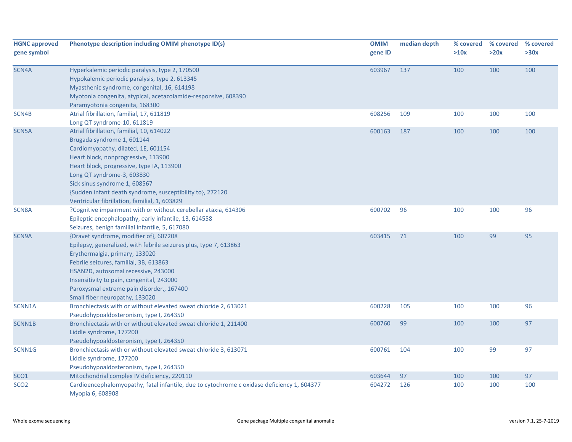| <b>HGNC approved</b><br>gene symbol | Phenotype description including OMIM phenotype ID(s)                                                                                                                                                                                                                                                                                                                            | <b>OMIM</b><br>gene ID | median depth | % covered<br>>10x | % covered<br>>20x | % covered<br>>30x |
|-------------------------------------|---------------------------------------------------------------------------------------------------------------------------------------------------------------------------------------------------------------------------------------------------------------------------------------------------------------------------------------------------------------------------------|------------------------|--------------|-------------------|-------------------|-------------------|
| SCN4A                               | Hyperkalemic periodic paralysis, type 2, 170500<br>Hypokalemic periodic paralysis, type 2, 613345<br>Myasthenic syndrome, congenital, 16, 614198<br>Myotonia congenita, atypical, acetazolamide-responsive, 608390<br>Paramyotonia congenita, 168300                                                                                                                            | 603967                 | 137          | 100               | 100               | 100               |
| SCN4B                               | Atrial fibrillation, familial, 17, 611819<br>Long QT syndrome-10, 611819                                                                                                                                                                                                                                                                                                        | 608256                 | 109          | 100               | 100               | 100               |
| SCN <sub>5</sub> A                  | Atrial fibrillation, familial, 10, 614022<br>Brugada syndrome 1, 601144<br>Cardiomyopathy, dilated, 1E, 601154<br>Heart block, nonprogressive, 113900<br>Heart block, progressive, type IA, 113900<br>Long QT syndrome-3, 603830<br>Sick sinus syndrome 1, 608567<br>{Sudden infant death syndrome, susceptibility to}, 272120<br>Ventricular fibrillation, familial, 1, 603829 | 600163                 | 187          | 100               | 100               | 100               |
| SCN8A                               | ?Cognitive impairment with or without cerebellar ataxia, 614306<br>Epileptic encephalopathy, early infantile, 13, 614558<br>Seizures, benign familial infantile, 5, 617080                                                                                                                                                                                                      | 600702                 | 96           | 100               | 100               | 96                |
| SCN9A                               | {Dravet syndrome, modifier of}, 607208<br>Epilepsy, generalized, with febrile seizures plus, type 7, 613863<br>Erythermalgia, primary, 133020<br>Febrile seizures, familial, 3B, 613863<br>HSAN2D, autosomal recessive, 243000<br>Insensitivity to pain, congenital, 243000<br>Paroxysmal extreme pain disorder,, 167400<br>Small fiber neuropathy, 133020                      | 603415                 | 71           | 100               | 99                | 95                |
| SCNN1A                              | Bronchiectasis with or without elevated sweat chloride 2, 613021<br>Pseudohypoaldosteronism, type I, 264350                                                                                                                                                                                                                                                                     | 600228                 | 105          | 100               | 100               | 96                |
| SCNN1B                              | Bronchiectasis with or without elevated sweat chloride 1, 211400<br>Liddle syndrome, 177200<br>Pseudohypoaldosteronism, type I, 264350                                                                                                                                                                                                                                          | 600760                 | 99           | 100               | 100               | 97                |
| SCNN1G                              | Bronchiectasis with or without elevated sweat chloride 3, 613071<br>Liddle syndrome, 177200<br>Pseudohypoaldosteronism, type I, 264350                                                                                                                                                                                                                                          | 600761                 | 104          | 100               | 99                | 97                |
| SCO <sub>1</sub>                    | Mitochondrial complex IV deficiency, 220110                                                                                                                                                                                                                                                                                                                                     | 603644                 | 97           | 100               | 100               | 97                |
| SCO <sub>2</sub>                    | Cardioencephalomyopathy, fatal infantile, due to cytochrome c oxidase deficiency 1, 604377<br>Myopia 6, 608908                                                                                                                                                                                                                                                                  | 604272                 | 126          | 100               | 100               | 100               |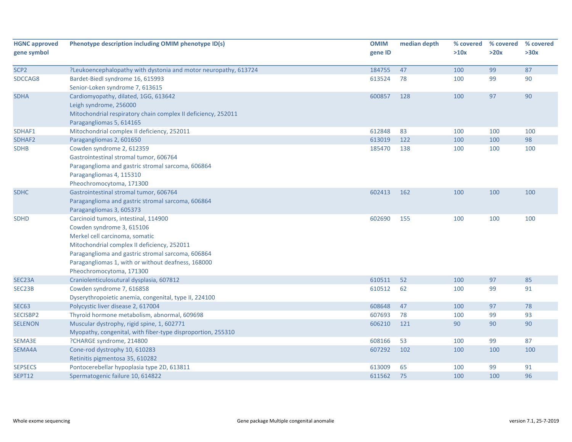| <b>HGNC approved</b><br>gene symbol | Phenotype description including OMIM phenotype ID(s)                                                      | <b>OMIM</b><br>gene ID | median depth | % covered<br>>10x | % covered<br>>20x | % covered<br>>30x |
|-------------------------------------|-----------------------------------------------------------------------------------------------------------|------------------------|--------------|-------------------|-------------------|-------------------|
| SCP <sub>2</sub>                    |                                                                                                           |                        | 47           | 100               |                   | 87                |
| SDCCAG8                             | ?Leukoencephalopathy with dystonia and motor neuropathy, 613724<br>Bardet-Biedl syndrome 16, 615993       | 184755<br>613524       | 78           | 100               | 99<br>99          | 90                |
|                                     | Senior-Loken syndrome 7, 613615                                                                           |                        |              |                   |                   |                   |
| <b>SDHA</b>                         | Cardiomyopathy, dilated, 1GG, 613642                                                                      | 600857                 | 128          | 100               | 97                | 90                |
|                                     | Leigh syndrome, 256000                                                                                    |                        |              |                   |                   |                   |
|                                     | Mitochondrial respiratory chain complex II deficiency, 252011                                             |                        |              |                   |                   |                   |
|                                     | Paragangliomas 5, 614165                                                                                  |                        |              |                   |                   |                   |
| SDHAF1                              | Mitochondrial complex II deficiency, 252011                                                               | 612848                 | 83           | 100               | 100               | 100               |
| SDHAF2                              | Paragangliomas 2, 601650                                                                                  | 613019                 | 122          | 100               | 100               | 98                |
| <b>SDHB</b>                         | Cowden syndrome 2, 612359                                                                                 | 185470                 | 138          | 100               | 100               | 100               |
|                                     | Gastrointestinal stromal tumor, 606764                                                                    |                        |              |                   |                   |                   |
|                                     | Paraganglioma and gastric stromal sarcoma, 606864                                                         |                        |              |                   |                   |                   |
|                                     | Paragangliomas 4, 115310                                                                                  |                        |              |                   |                   |                   |
|                                     | Pheochromocytoma, 171300                                                                                  |                        |              |                   |                   |                   |
| <b>SDHC</b>                         | Gastrointestinal stromal tumor, 606764                                                                    | 602413                 | 162          | 100               | 100               | 100               |
|                                     | Paraganglioma and gastric stromal sarcoma, 606864                                                         |                        |              |                   |                   |                   |
|                                     | Paragangliomas 3, 605373                                                                                  |                        |              |                   |                   |                   |
| <b>SDHD</b>                         | Carcinoid tumors, intestinal, 114900                                                                      | 602690                 | 155          | 100               | 100               | 100               |
|                                     | Cowden syndrome 3, 615106                                                                                 |                        |              |                   |                   |                   |
|                                     | Merkel cell carcinoma, somatic                                                                            |                        |              |                   |                   |                   |
|                                     | Mitochondrial complex II deficiency, 252011                                                               |                        |              |                   |                   |                   |
|                                     | Paraganglioma and gastric stromal sarcoma, 606864                                                         |                        |              |                   |                   |                   |
|                                     | Paragangliomas 1, with or without deafness, 168000                                                        |                        |              |                   |                   |                   |
|                                     | Pheochromocytoma, 171300                                                                                  |                        |              |                   |                   |                   |
| SEC23A                              | Craniolenticulosutural dysplasia, 607812                                                                  | 610511                 | 52           | 100               | 97                | 85                |
| SEC23B                              | Cowden syndrome 7, 616858                                                                                 | 610512                 | 62           | 100               | 99                | 91                |
|                                     | Dyserythropoietic anemia, congenital, type II, 224100                                                     |                        |              |                   |                   |                   |
| <b>SEC63</b>                        | Polycystic liver disease 2, 617004                                                                        | 608648                 | 47           | 100               | 97                | 78                |
| SECISBP2                            | Thyroid hormone metabolism, abnormal, 609698                                                              | 607693<br>606210       | 78<br>121    | 100<br>90         | 99<br>90          | 93<br>90          |
| <b>SELENON</b>                      | Muscular dystrophy, rigid spine, 1, 602771<br>Myopathy, congenital, with fiber-type disproportion, 255310 |                        |              |                   |                   |                   |
| SEMA3E                              | ?CHARGE syndrome, 214800                                                                                  | 608166                 | 53           | 100               | 99                | 87                |
|                                     | Cone-rod dystrophy 10, 610283                                                                             | 607292                 | 102          | 100               | 100               | 100               |
| SEMA4A                              | Retinitis pigmentosa 35, 610282                                                                           |                        |              |                   |                   |                   |
| <b>SEPSECS</b>                      | Pontocerebellar hypoplasia type 2D, 613811                                                                | 613009                 | 65           | 100               | 99                | 91                |
| SEPT12                              | Spermatogenic failure 10, 614822                                                                          | 611562                 | 75           | 100               | 100               | 96                |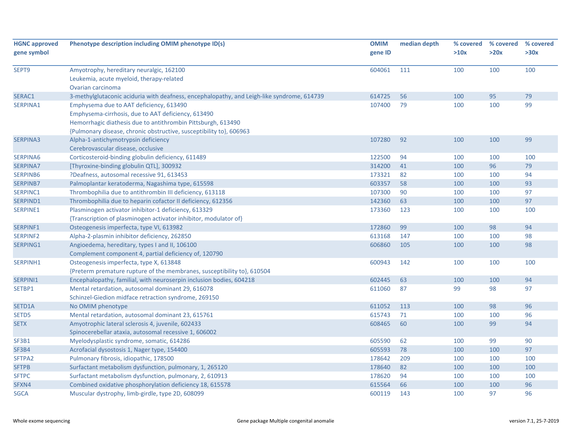| <b>HGNC approved</b><br>gene symbol | Phenotype description including OMIM phenotype ID(s)                                       | <b>OMIM</b><br>gene ID | median depth | % covered<br>>10x | % covered<br>>20x | % covered<br>>30x |
|-------------------------------------|--------------------------------------------------------------------------------------------|------------------------|--------------|-------------------|-------------------|-------------------|
|                                     |                                                                                            |                        |              |                   |                   |                   |
| SEPT9                               | Amyotrophy, hereditary neuralgic, 162100                                                   | 604061                 | 111          | 100               | 100               | 100               |
|                                     | Leukemia, acute myeloid, therapy-related                                                   |                        |              |                   |                   |                   |
|                                     | Ovarian carcinoma                                                                          |                        |              |                   |                   |                   |
| SERAC1                              | 3-methylglutaconic aciduria with deafness, encephalopathy, and Leigh-like syndrome, 614739 | 614725                 | 56           | 100               | 95                | 79                |
| SERPINA1                            | Emphysema due to AAT deficiency, 613490                                                    | 107400                 | 79           | 100               | 100               | 99                |
|                                     | Emphysema-cirrhosis, due to AAT deficiency, 613490                                         |                        |              |                   |                   |                   |
|                                     | Hemorrhagic diathesis due to antithrombin Pittsburgh, 613490                               |                        |              |                   |                   |                   |
|                                     | {Pulmonary disease, chronic obstructive, susceptibility to}, 606963                        |                        |              |                   |                   |                   |
| <b>SERPINA3</b>                     | Alpha-1-antichymotrypsin deficiency                                                        | 107280                 | 92           | 100               | 100               | 99                |
|                                     | Cerebrovascular disease, occlusive                                                         |                        |              |                   |                   |                   |
| SERPINA6                            | Corticosteroid-binding globulin deficiency, 611489                                         | 122500                 | 94           | 100               | 100               | 100               |
| <b>SERPINA7</b>                     | [Thyroxine-binding globulin QTL], 300932                                                   | 314200                 | 41           | 100               | 96                | 79                |
| SERPINB6                            | ?Deafness, autosomal recessive 91, 613453                                                  | 173321                 | 82           | 100               | 100               | 94                |
| <b>SERPINB7</b>                     | Palmoplantar keratoderma, Nagashima type, 615598                                           | 603357                 | 58           | 100               | 100               | 93                |
| SERPINC1                            | Thrombophilia due to antithrombin III deficiency, 613118                                   | 107300                 | 90           | 100               | 100               | 97                |
| SERPIND1                            | Thrombophilia due to heparin cofactor II deficiency, 612356                                | 142360                 | 63           | 100               | 100               | 97                |
| SERPINE1                            | Plasminogen activator inhibitor-1 deficiency, 613329                                       | 173360                 | 123          | 100               | 100               | 100               |
|                                     | {Transcription of plasminogen activator inhibitor, modulator of}                           |                        |              |                   |                   |                   |
| SERPINF1                            | Osteogenesis imperfecta, type VI, 613982                                                   | 172860                 | 99           | 100               | 98                | 94                |
| <b>SERPINF2</b>                     | Alpha-2-plasmin inhibitor deficiency, 262850                                               | 613168                 | 147          | 100               | 100               | 98                |
| SERPING1                            | Angioedema, hereditary, types I and II, 106100                                             | 606860                 | 105          | 100               | 100               | 98                |
|                                     | Complement component 4, partial deficiency of, 120790                                      |                        |              |                   |                   |                   |
| SERPINH1                            | Osteogenesis imperfecta, type X, 613848                                                    | 600943                 | 142          | 100               | 100               | 100               |
|                                     | {Preterm premature rupture of the membranes, susceptibility to}, 610504                    |                        |              |                   |                   |                   |
| SERPINI1                            | Encephalopathy, familial, with neuroserpin inclusion bodies, 604218                        | 602445                 | 63           | 100               | 100               | 94                |
| SETBP1                              | Mental retardation, autosomal dominant 29, 616078                                          | 611060                 | 87           | 99                | 98                | 97                |
|                                     | Schinzel-Giedion midface retraction syndrome, 269150                                       |                        |              |                   |                   |                   |
| SETD1A                              | No OMIM phenotype                                                                          | 611052                 | 113          | 100               | 98                | 96                |
| SETD5                               | Mental retardation, autosomal dominant 23, 615761                                          | 615743                 | 71           | 100               | 100               | 96                |
| <b>SETX</b>                         | Amyotrophic lateral sclerosis 4, juvenile, 602433                                          | 608465                 | 60           | 100               | 99                | 94                |
|                                     | Spinocerebellar ataxia, autosomal recessive 1, 606002                                      |                        |              |                   |                   |                   |
| SF3B1                               | Myelodysplastic syndrome, somatic, 614286                                                  | 605590                 | 62           | 100               | 99                | 90                |
| SF3B4                               | Acrofacial dysostosis 1, Nager type, 154400                                                | 605593                 | 78           | 100               | 100               | 97                |
| SFTPA2                              | Pulmonary fibrosis, idiopathic, 178500                                                     | 178642                 | 209          | 100               | 100               | 100               |
| <b>SFTPB</b>                        | Surfactant metabolism dysfunction, pulmonary, 1, 265120                                    | 178640                 | 82           | 100               | 100               | 100               |
| <b>SFTPC</b>                        | Surfactant metabolism dysfunction, pulmonary, 2, 610913                                    | 178620                 | 94           | 100               | 100               | 100               |
| SFXN4                               | Combined oxidative phosphorylation deficiency 18, 615578                                   | 615564                 | 66           | 100               | 100               | 96                |
| <b>SGCA</b>                         | Muscular dystrophy, limb-girdle, type 2D, 608099                                           | 600119                 | 143          | 100               | 97                | 96                |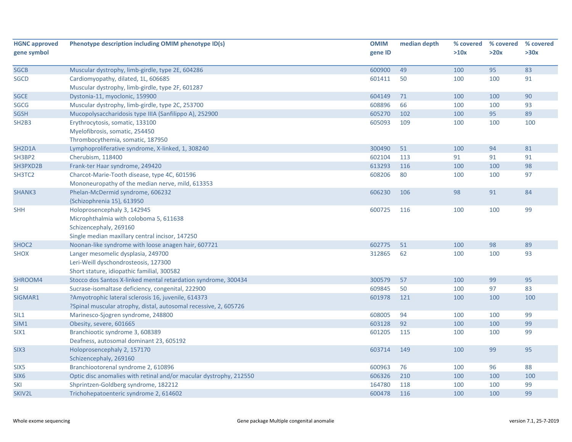| <b>HGNC approved</b>             | Phenotype description including OMIM phenotype ID(s)               | <b>OMIM</b> | median depth | % covered | % covered | % covered |
|----------------------------------|--------------------------------------------------------------------|-------------|--------------|-----------|-----------|-----------|
| gene symbol                      |                                                                    | gene ID     |              | >10x      | >20x      | >30x      |
|                                  |                                                                    |             |              |           |           |           |
| <b>SGCB</b>                      | Muscular dystrophy, limb-girdle, type 2E, 604286                   | 600900      | 49           | 100       | 95        | 83        |
| <b>SGCD</b>                      | Cardiomyopathy, dilated, 1L, 606685                                | 601411      | 50           | 100       | 100       | 91        |
|                                  | Muscular dystrophy, limb-girdle, type 2F, 601287                   |             |              |           |           |           |
| <b>SGCE</b>                      | Dystonia-11, myoclonic, 159900                                     | 604149      | 71           | 100       | 100       | 90        |
| <b>SGCG</b>                      | Muscular dystrophy, limb-girdle, type 2C, 253700                   | 608896      | 66           | 100       | 100       | 93        |
| <b>SGSH</b>                      | Mucopolysaccharidosis type IIIA (Sanfilippo A), 252900             | 605270      | 102          | 100       | 95        | 89        |
| SH <sub>2</sub> B <sub>3</sub>   | Erythrocytosis, somatic, 133100                                    | 605093      | 109          | 100       | 100       | 100       |
|                                  | Myelofibrosis, somatic, 254450                                     |             |              |           |           |           |
|                                  | Thrombocythemia, somatic, 187950                                   |             |              |           |           |           |
| SH <sub>2</sub> D <sub>1</sub> A | Lymphoproliferative syndrome, X-linked, 1, 308240                  | 300490      | 51           | 100       | 94        | 81        |
| SH3BP2                           | Cherubism, 118400                                                  | 602104      | 113          | 91        | 91        | 91        |
| SH3PXD2B                         | Frank-ter Haar syndrome, 249420                                    | 613293      | 116          | 100       | 100       | 98        |
| SH3TC2                           | Charcot-Marie-Tooth disease, type 4C, 601596                       | 608206      | 80           | 100       | 100       | 97        |
|                                  | Mononeuropathy of the median nerve, mild, 613353                   |             |              |           |           |           |
| SHANK3                           | Phelan-McDermid syndrome, 606232                                   | 606230      | 106          | 98        | 91        | 84        |
|                                  | {Schizophrenia 15}, 613950                                         |             |              |           |           |           |
| <b>SHH</b>                       | Holoprosencephaly 3, 142945                                        | 600725      | 116          | 100       | 100       | 99        |
|                                  | Microphthalmia with coloboma 5, 611638                             |             |              |           |           |           |
|                                  | Schizencephaly, 269160                                             |             |              |           |           |           |
|                                  | Single median maxillary central incisor, 147250                    |             |              |           |           |           |
| SHOC <sub>2</sub>                | Noonan-like syndrome with loose anagen hair, 607721                | 602775      | 51           | 100       | 98        | 89        |
| <b>SHOX</b>                      | Langer mesomelic dysplasia, 249700                                 | 312865      | 62           | 100       | 100       | 93        |
|                                  | Leri-Weill dyschondrosteosis, 127300                               |             |              |           |           |           |
|                                  | Short stature, idiopathic familial, 300582                         |             |              |           |           |           |
| SHROOM4                          | Stocco dos Santos X-linked mental retardation syndrome, 300434     | 300579      | 57           | 100       | 99        | 95        |
| <b>SI</b>                        | Sucrase-isomaltase deficiency, congenital, 222900                  | 609845      | 50           | 100       | 97        | 83        |
| SIGMAR1                          | ?Amyotrophic lateral sclerosis 16, juvenile, 614373                | 601978      | 121          | 100       | 100       | 100       |
|                                  | ?Spinal muscular atrophy, distal, autosomal recessive, 2, 605726   |             |              |           |           |           |
| SIL1                             | Marinesco-Sjogren syndrome, 248800                                 | 608005      | 94           | 100       | 100       | 99        |
| SIM1                             | Obesity, severe, 601665                                            | 603128      | 92           | 100       | 100       | 99        |
| SIX <sub>1</sub>                 | Branchiootic syndrome 3, 608389                                    | 601205      | 115          | 100       | 100       | 99        |
|                                  | Deafness, autosomal dominant 23, 605192                            |             |              |           |           |           |
| SIX <sub>3</sub>                 | Holoprosencephaly 2, 157170                                        | 603714      | 149          | 100       | 99        | 95        |
|                                  | Schizencephaly, 269160                                             |             |              |           |           |           |
| SIX <sub>5</sub>                 | Branchiootorenal syndrome 2, 610896                                | 600963      | 76           | 100       | 96        | 88        |
| SIX <sub>6</sub>                 | Optic disc anomalies with retinal and/or macular dystrophy, 212550 | 606326      | 210          | 100       | 100       | 100       |
| SKI                              | Shprintzen-Goldberg syndrome, 182212                               | 164780      | 118          | 100       | 100       | 99        |
| SKIV2L                           | Trichohepatoenteric syndrome 2, 614602                             | 600478      | 116          | 100       | 100       | 99        |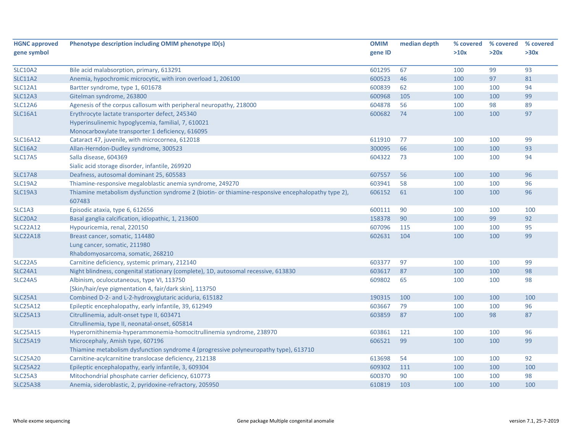| <b>HGNC approved</b> | Phenotype description including OMIM phenotype ID(s)                                                         | <b>OMIM</b> | median depth | % covered | % covered | % covered |
|----------------------|--------------------------------------------------------------------------------------------------------------|-------------|--------------|-----------|-----------|-----------|
| gene symbol          |                                                                                                              | gene ID     |              | >10x      | >20x      | >30x      |
| <b>SLC10A2</b>       | Bile acid malabsorption, primary, 613291                                                                     | 601295      | 67           | 100       | 99        | 93        |
| <b>SLC11A2</b>       | Anemia, hypochromic microcytic, with iron overload 1, 206100                                                 | 600523      | 46           | 100       | 97        | 81        |
| <b>SLC12A1</b>       | Bartter syndrome, type 1, 601678                                                                             | 600839      | 62           | 100       | 100       | 94        |
| <b>SLC12A3</b>       | Gitelman syndrome, 263800                                                                                    | 600968      | 105          | 100       | 100       | 99        |
| <b>SLC12A6</b>       | Agenesis of the corpus callosum with peripheral neuropathy, 218000                                           | 604878      | 56           | 100       | 98        | 89        |
| <b>SLC16A1</b>       | Erythrocyte lactate transporter defect, 245340                                                               | 600682      | 74           | 100       | 100       | 97        |
|                      | Hyperinsulinemic hypoglycemia, familial, 7, 610021                                                           |             |              |           |           |           |
|                      | Monocarboxylate transporter 1 deficiency, 616095                                                             |             |              |           |           |           |
| <b>SLC16A12</b>      | Cataract 47, juvenile, with microcornea, 612018                                                              | 611910      | 77           | 100       | 100       | 99        |
| <b>SLC16A2</b>       | Allan-Herndon-Dudley syndrome, 300523                                                                        | 300095      | 66           | 100       | 100       | 93        |
| <b>SLC17A5</b>       | Salla disease, 604369                                                                                        | 604322      | 73           | 100       | 100       | 94        |
|                      | Sialic acid storage disorder, infantile, 269920                                                              |             |              |           |           |           |
| SLC17A8              | Deafness, autosomal dominant 25, 605583                                                                      | 607557      | 56           | 100       | 100       | 96        |
| <b>SLC19A2</b>       | Thiamine-responsive megaloblastic anemia syndrome, 249270                                                    | 603941      | 58           | 100       | 100       | 96        |
| <b>SLC19A3</b>       | Thiamine metabolism dysfunction syndrome 2 (biotin- or thiamine-responsive encephalopathy type 2),<br>607483 | 606152      | 61           | 100       | 100       | 96        |
| SLC1A3               | Episodic ataxia, type 6, 612656                                                                              | 600111      | 90           | 100       | 100       | 100       |
| <b>SLC20A2</b>       | Basal ganglia calcification, idiopathic, 1, 213600                                                           | 158378      | 90           | 100       | 99        | 92        |
| <b>SLC22A12</b>      | Hypouricemia, renal, 220150                                                                                  | 607096      | 115          | 100       | 100       | 95        |
| <b>SLC22A18</b>      | Breast cancer, somatic, 114480                                                                               | 602631      | 104          | 100       | 100       | 99        |
|                      | Lung cancer, somatic, 211980                                                                                 |             |              |           |           |           |
|                      | Rhabdomyosarcoma, somatic, 268210                                                                            |             |              |           |           |           |
| SLC22A5              | Carnitine deficiency, systemic primary, 212140                                                               | 603377      | 97           | 100       | 100       | 99        |
| <b>SLC24A1</b>       | Night blindness, congenital stationary (complete), 1D, autosomal recessive, 613830                           | 603617      | 87           | 100       | 100       | 98        |
| <b>SLC24A5</b>       | Albinism, oculocutaneous, type VI, 113750                                                                    | 609802      | 65           | 100       | 100       | 98        |
|                      | [Skin/hair/eye pigmentation 4, fair/dark skin], 113750                                                       |             |              |           |           |           |
| <b>SLC25A1</b>       | Combined D-2- and L-2-hydroxyglutaric aciduria, 615182                                                       | 190315      | 100          | 100       | 100       | 100       |
| <b>SLC25A12</b>      | Epileptic encephalopathy, early infantile, 39, 612949                                                        | 603667      | 79           | 100       | 100       | 96        |
| <b>SLC25A13</b>      | Citrullinemia, adult-onset type II, 603471                                                                   | 603859      | 87           | 100       | 98        | 87        |
|                      | Citrullinemia, type II, neonatal-onset, 605814                                                               |             |              |           |           |           |
| <b>SLC25A15</b>      | Hyperornithinemia-hyperammonemia-homocitrullinemia syndrome, 238970                                          | 603861      | 121          | 100       | 100       | 96        |
| <b>SLC25A19</b>      | Microcephaly, Amish type, 607196                                                                             | 606521      | 99           | 100       | 100       | 99        |
|                      | Thiamine metabolism dysfunction syndrome 4 (progressive polyneuropathy type), 613710                         |             |              |           |           |           |
| <b>SLC25A20</b>      | Carnitine-acylcarnitine translocase deficiency, 212138                                                       | 613698      | 54           | 100       | 100       | 92        |
| <b>SLC25A22</b>      | Epileptic encephalopathy, early infantile, 3, 609304                                                         | 609302      | 111          | 100       | 100       | 100       |
| <b>SLC25A3</b>       | Mitochondrial phosphate carrier deficiency, 610773                                                           | 600370      | 90           | 100       | 100       | 98        |
| <b>SLC25A38</b>      | Anemia, sideroblastic, 2, pyridoxine-refractory, 205950                                                      | 610819      | 103          | 100       | 100       | 100       |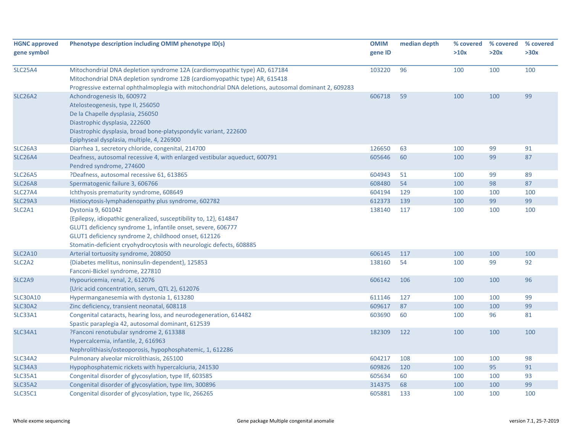| <b>HGNC approved</b>            | Phenotype description including OMIM phenotype ID(s)                                                | <b>OMIM</b> | median depth | % covered | % covered | % covered |
|---------------------------------|-----------------------------------------------------------------------------------------------------|-------------|--------------|-----------|-----------|-----------|
| gene symbol                     |                                                                                                     | gene ID     |              | >10x      | >20x      | >30x      |
|                                 |                                                                                                     |             |              |           |           |           |
| <b>SLC25A4</b>                  | Mitochondrial DNA depletion syndrome 12A (cardiomyopathic type) AD, 617184                          | 103220      | 96           | 100       | 100       | 100       |
|                                 | Mitochondrial DNA depletion syndrome 12B (cardiomyopathic type) AR, 615418                          |             |              |           |           |           |
|                                 | Progressive external ophthalmoplegia with mitochondrial DNA deletions, autosomal dominant 2, 609283 |             |              |           |           |           |
| <b>SLC26A2</b>                  | Achondrogenesis Ib, 600972                                                                          | 606718      | 59           | 100       | 100       | 99        |
|                                 | Atelosteogenesis, type II, 256050                                                                   |             |              |           |           |           |
|                                 | De la Chapelle dysplasia, 256050                                                                    |             |              |           |           |           |
|                                 | Diastrophic dysplasia, 222600                                                                       |             |              |           |           |           |
|                                 | Diastrophic dysplasia, broad bone-platyspondylic variant, 222600                                    |             |              |           |           |           |
|                                 | Epiphyseal dysplasia, multiple, 4, 226900                                                           |             |              |           |           |           |
| <b>SLC26A3</b>                  | Diarrhea 1, secretory chloride, congenital, 214700                                                  | 126650      | 63           | 100       | 99        | 91        |
| <b>SLC26A4</b>                  | Deafness, autosomal recessive 4, with enlarged vestibular aqueduct, 600791                          | 605646      | 60           | 100       | 99        | 87        |
|                                 | Pendred syndrome, 274600                                                                            |             |              |           |           |           |
| <b>SLC26A5</b>                  | ?Deafness, autosomal recessive 61, 613865                                                           | 604943      | 51           | 100       | 99        | 89        |
| <b>SLC26A8</b>                  | Spermatogenic failure 3, 606766                                                                     | 608480      | 54           | 100       | 98        | 87        |
| <b>SLC27A4</b>                  | Ichthyosis prematurity syndrome, 608649                                                             | 604194      | 129          | 100       | 100       | 100       |
| <b>SLC29A3</b>                  | Histiocytosis-lymphadenopathy plus syndrome, 602782                                                 | 612373      | 139          | 100       | 99        | 99        |
| SLC2A1                          | Dystonia 9, 601042                                                                                  | 138140      | 117          | 100       | 100       | 100       |
|                                 | {Epilepsy, idiopathic generalized, susceptibility to, 12}, 614847                                   |             |              |           |           |           |
|                                 | GLUT1 deficiency syndrome 1, infantile onset, severe, 606777                                        |             |              |           |           |           |
|                                 | GLUT1 deficiency syndrome 2, childhood onset, 612126                                                |             |              |           |           |           |
|                                 | Stomatin-deficient cryohydrocytosis with neurologic defects, 608885                                 |             |              |           |           |           |
| <b>SLC2A10</b>                  | Arterial tortuosity syndrome, 208050                                                                | 606145      | 117          | 100       | 100       | 100       |
| SLC <sub>2</sub> A <sub>2</sub> | {Diabetes mellitus, noninsulin-dependent}, 125853                                                   | 138160      | 54           | 100       | 99        | 92        |
|                                 | Fanconi-Bickel syndrome, 227810                                                                     |             |              |           |           |           |
| SLC <sub>2</sub> A <sub>9</sub> | Hypouricemia, renal, 2, 612076                                                                      | 606142      | 106          | 100       | 100       | 96        |
|                                 | {Uric acid concentration, serum, QTL 2}, 612076                                                     |             |              |           |           |           |
| <b>SLC30A10</b>                 | Hypermanganesemia with dystonia 1, 613280                                                           | 611146      | 127          | 100       | 100       | 99        |
| <b>SLC30A2</b>                  | Zinc deficiency, transient neonatal, 608118                                                         | 609617      | 87           | 100       | 100       | 99        |
| SLC33A1                         | Congenital cataracts, hearing loss, and neurodegeneration, 614482                                   | 603690      | 60           | 100       | 96        | 81        |
|                                 | Spastic paraplegia 42, autosomal dominant, 612539                                                   |             |              |           |           |           |
| <b>SLC34A1</b>                  | ?Fanconi renotubular syndrome 2, 613388                                                             | 182309      | 122          | 100       | 100       | 100       |
|                                 | Hypercalcemia, infantile, 2, 616963                                                                 |             |              |           |           |           |
|                                 | Nephrolithiasis/osteoporosis, hypophosphatemic, 1, 612286                                           |             |              |           |           |           |
| <b>SLC34A2</b>                  | Pulmonary alveolar microlithiasis, 265100                                                           | 604217      | 108          | 100       | 100       | 98        |
| <b>SLC34A3</b>                  | Hypophosphatemic rickets with hypercalciuria, 241530                                                | 609826      | 120          | 100       | 95        | 91        |
| <b>SLC35A1</b>                  | Congenital disorder of glycosylation, type IIf, 603585                                              | 605634      | 60           | 100       | 100       | 93        |
| <b>SLC35A2</b>                  | Congenital disorder of glycosylation, type IIm, 300896                                              | 314375      | 68           | 100       | 100       | 99        |
| <b>SLC35C1</b>                  | Congenital disorder of glycosylation, type IIc, 266265                                              | 605881      | 133          | 100       | 100       | 100       |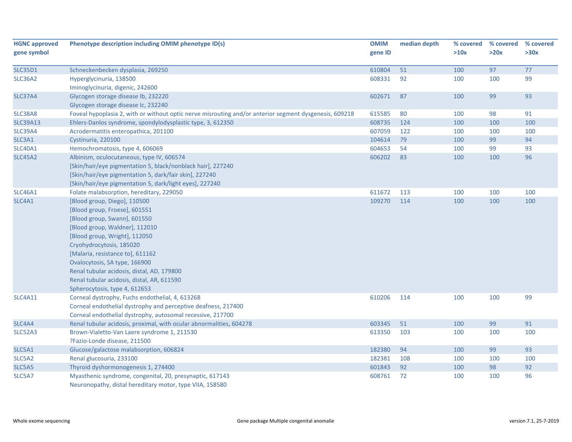| <b>HGNC approved</b> | Phenotype description including OMIM phenotype ID(s)                                                                  | <b>OMIM</b>      | median depth | % covered | % covered | % covered |
|----------------------|-----------------------------------------------------------------------------------------------------------------------|------------------|--------------|-----------|-----------|-----------|
| gene symbol          |                                                                                                                       | gene ID          |              | >10x      | >20x      | >30x      |
|                      |                                                                                                                       |                  |              |           |           | 77        |
| <b>SLC35D1</b>       | Schneckenbecken dysplasia, 269250                                                                                     | 610804<br>608331 | 51           | 100       | 97        | 99        |
| SLC36A2              | Hyperglycinuria, 138500<br>Iminoglycinuria, digenic, 242600                                                           |                  | 92           | 100       | 100       |           |
| <b>SLC37A4</b>       | Glycogen storage disease Ib, 232220                                                                                   | 602671           | 87           | 100       | 99        | 93        |
|                      | Glycogen storage disease Ic, 232240                                                                                   |                  |              |           |           |           |
| <b>SLC38A8</b>       | Foveal hypoplasia 2, with or without optic nerve misrouting and/or anterior segment dysgenesis, 609218                | 615585           | 80           | 100       | 98        | 91        |
| <b>SLC39A13</b>      | Ehlers-Danlos syndrome, spondylodysplastic type, 3, 612350                                                            | 608735           | 124          | 100       | 100       | 100       |
| <b>SLC39A4</b>       | Acrodermatitis enteropathica, 201100                                                                                  | 607059           | 122          | 100       | 100       | 100       |
| SLC3A1               | Cystinuria, 220100                                                                                                    | 104614           | 79           | 100       | 99        | 94        |
| <b>SLC40A1</b>       | Hemochromatosis, type 4, 606069                                                                                       | 604653           | 54           | 100       | 99        | 93        |
|                      |                                                                                                                       | 606202           | 83           | 100       | 100       | 96        |
| <b>SLC45A2</b>       | Albinism, oculocutaneous, type IV, 606574                                                                             |                  |              |           |           |           |
|                      | [Skin/hair/eye pigmentation 5, black/nonblack hair], 227240<br>[Skin/hair/eye pigmentation 5, dark/fair skin], 227240 |                  |              |           |           |           |
|                      | [Skin/hair/eye pigmentation 5, dark/light eyes], 227240                                                               |                  |              |           |           |           |
| <b>SLC46A1</b>       | Folate malabsorption, hereditary, 229050                                                                              | 611672           | 113          | 100       | 100       | 100       |
| SLC4A1               | [Blood group, Diego], 110500                                                                                          | 109270           | 114          | 100       | 100       | 100       |
|                      | [Blood group, Froese], 601551                                                                                         |                  |              |           |           |           |
|                      | [Blood group, Swann], 601550                                                                                          |                  |              |           |           |           |
|                      | [Blood group, Waldner], 112010                                                                                        |                  |              |           |           |           |
|                      | [Blood group, Wright], 112050                                                                                         |                  |              |           |           |           |
|                      | Cryohydrocytosis, 185020                                                                                              |                  |              |           |           |           |
|                      | [Malaria, resistance to], 611162                                                                                      |                  |              |           |           |           |
|                      |                                                                                                                       |                  |              |           |           |           |
|                      | Ovalocytosis, SA type, 166900<br>Renal tubular acidosis, distal, AD, 179800                                           |                  |              |           |           |           |
|                      | Renal tubular acidosis, distal, AR, 611590                                                                            |                  |              |           |           |           |
|                      | Spherocytosis, type 4, 612653                                                                                         |                  |              |           |           |           |
| <b>SLC4A11</b>       | Corneal dystrophy, Fuchs endothelial, 4, 613268                                                                       | 610206           | 114          | 100       | 100       | 99        |
|                      | Corneal endothelial dystrophy and perceptive deafness, 217400                                                         |                  |              |           |           |           |
|                      | Corneal endothelial dystrophy, autosomal recessive, 217700                                                            |                  |              |           |           |           |
| SLC4A4               | Renal tubular acidosis, proximal, with ocular abnormalities, 604278                                                   | 603345           | 51           | 100       | 99        | 91        |
| SLC52A3              | Brown-Vialetto-Van Laere syndrome 1, 211530                                                                           | 613350           | 103          | 100       | 100       | 100       |
|                      | ?Fazio-Londe disease, 211500                                                                                          |                  |              |           |           |           |
| SLC5A1               | Glucose/galactose malabsorption, 606824                                                                               | 182380           | 94           | 100       | 99        | 93        |
| SLC5A2               | Renal glucosuria, 233100                                                                                              | 182381           | 108          | 100       | 100       | 100       |
| SLC5A5               | Thyroid dyshormonogenesis 1, 274400                                                                                   | 601843           | 92           | 100       | 98        | 92        |
| SLC5A7               | Myasthenic syndrome, congenital, 20, presynaptic, 617143                                                              | 608761           | 72           | 100       | 100       | 96        |
|                      | Neuronopathy, distal hereditary motor, type VIIA, 158580                                                              |                  |              |           |           |           |
|                      |                                                                                                                       |                  |              |           |           |           |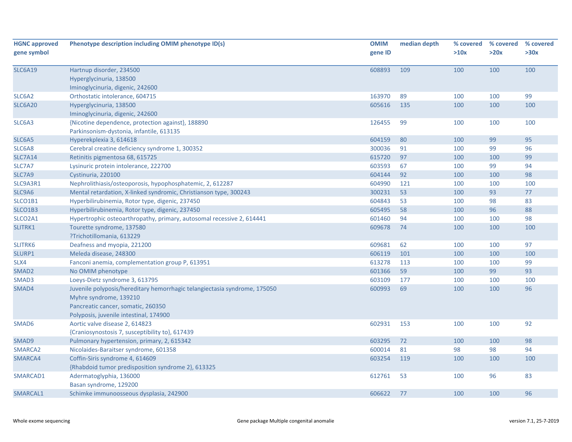| <b>HGNC approved</b><br>gene symbol | Phenotype description including OMIM phenotype ID(s)                                                                                                                                | <b>OMIM</b><br>gene ID | median depth | % covered<br>>10x | % covered<br>>20x | % covered<br>>30x |
|-------------------------------------|-------------------------------------------------------------------------------------------------------------------------------------------------------------------------------------|------------------------|--------------|-------------------|-------------------|-------------------|
| <b>SLC6A19</b>                      | Hartnup disorder, 234500<br>Hyperglycinuria, 138500<br>Iminoglycinuria, digenic, 242600                                                                                             | 608893                 | 109          | 100               | 100               | 100               |
| SLC6A2                              | Orthostatic intolerance, 604715                                                                                                                                                     | 163970                 | 89           | 100               | 100               | 99                |
| <b>SLC6A20</b>                      | Hyperglycinuria, 138500<br>Iminoglycinuria, digenic, 242600                                                                                                                         | 605616                 | 135          | 100               | 100               | 100               |
| SLC6A3                              | {Nicotine dependence, protection against}, 188890<br>Parkinsonism-dystonia, infantile, 613135                                                                                       | 126455                 | 99           | 100               | 100               | 100               |
| SLC6A5                              | Hyperekplexia 3, 614618                                                                                                                                                             | 604159                 | 80           | 100               | 99                | 95                |
| SLC6A8                              | Cerebral creatine deficiency syndrome 1, 300352                                                                                                                                     | 300036                 | 91           | 100               | 99                | 96                |
| <b>SLC7A14</b>                      | Retinitis pigmentosa 68, 615725                                                                                                                                                     | 615720                 | 97           | 100               | 100               | 99                |
| SLC7A7                              | Lysinuric protein intolerance, 222700                                                                                                                                               | 603593                 | 67           | 100               | 99                | 94                |
| SLC7A9                              | Cystinuria, 220100                                                                                                                                                                  | 604144                 | 92           | 100               | 100               | 98                |
| SLC9A3R1                            | Nephrolithiasis/osteoporosis, hypophosphatemic, 2, 612287                                                                                                                           | 604990                 | 121          | 100               | 100               | 100               |
| SLC9A6                              | Mental retardation, X-linked syndromic, Christianson type, 300243                                                                                                                   | 300231                 | 53           | 100               | 93                | 77                |
| SLCO1B1                             | Hyperbilirubinemia, Rotor type, digenic, 237450                                                                                                                                     | 604843                 | 53           | 100               | 98                | 83                |
| SLCO1B3                             | Hyperbilirubinemia, Rotor type, digenic, 237450                                                                                                                                     | 605495                 | 58           | 100               | 96                | 88                |
| SLCO2A1                             | Hypertrophic osteoarthropathy, primary, autosomal recessive 2, 614441                                                                                                               | 601460                 | 94           | 100               | 100               | 98                |
| SLITRK1                             | Tourette syndrome, 137580<br>?Trichotillomania, 613229                                                                                                                              | 609678                 | 74           | 100               | 100               | 100               |
| SLITRK6                             | Deafness and myopia, 221200                                                                                                                                                         | 609681                 | 62           | 100               | 100               | 97                |
| SLURP1                              | Meleda disease, 248300                                                                                                                                                              | 606119                 | 101          | 100               | 100               | 100               |
| SLX4                                | Fanconi anemia, complementation group P, 613951                                                                                                                                     | 613278                 | 113          | 100               | 100               | 99                |
| SMAD <sub>2</sub>                   | No OMIM phenotype                                                                                                                                                                   | 601366                 | 59           | 100               | 99                | 93                |
| SMAD3                               | Loeys-Dietz syndrome 3, 613795                                                                                                                                                      | 603109                 | 177          | 100               | 100               | 100               |
| SMAD4                               | Juvenile polyposis/hereditary hemorrhagic telangiectasia syndrome, 175050<br>Myhre syndrome, 139210<br>Pancreatic cancer, somatic, 260350<br>Polyposis, juvenile intestinal, 174900 | 600993                 | 69           | 100               | 100               | 96                |
| SMAD6                               | Aortic valve disease 2, 614823<br>{Craniosynostosis 7, susceptibility to}, 617439                                                                                                   | 602931                 | 153          | 100               | 100               | 92                |
| SMAD9                               | Pulmonary hypertension, primary, 2, 615342                                                                                                                                          | 603295                 | 72           | 100               | 100               | 98                |
| SMARCA2                             | Nicolaides-Baraitser syndrome, 601358                                                                                                                                               | 600014                 | 81           | 98                | 98                | 94                |
| SMARCA4                             | Coffin-Siris syndrome 4, 614609<br>{Rhabdoid tumor predisposition syndrome 2}, 613325                                                                                               | 603254                 | 119          | 100               | 100               | 100               |
| SMARCAD1                            | Adermatoglyphia, 136000<br>Basan syndrome, 129200                                                                                                                                   | 612761                 | 53           | 100               | 96                | 83                |
| SMARCAL1                            | Schimke immunoosseous dysplasia, 242900                                                                                                                                             | 606622                 | 77           | 100               | 100               | 96                |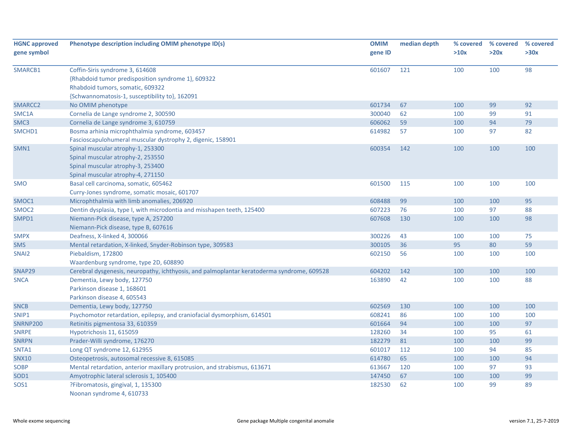| <b>HGNC approved</b> | Phenotype description including OMIM phenotype ID(s)                                       | <b>OMIM</b> | median depth | % covered | % covered | % covered |
|----------------------|--------------------------------------------------------------------------------------------|-------------|--------------|-----------|-----------|-----------|
| gene symbol          |                                                                                            | gene ID     |              | >10x      | >20x      | >30x      |
| SMARCB1              | Coffin-Siris syndrome 3, 614608                                                            | 601607      | 121          | 100       | 100       | 98        |
|                      | {Rhabdoid tumor predisposition syndrome 1}, 609322                                         |             |              |           |           |           |
|                      | Rhabdoid tumors, somatic, 609322                                                           |             |              |           |           |           |
|                      | {Schwannomatosis-1, susceptibility to}, 162091                                             |             |              |           |           |           |
| SMARCC <sub>2</sub>  | No OMIM phenotype                                                                          | 601734      | 67           | 100       | 99        | 92        |
| SMC1A                | Cornelia de Lange syndrome 2, 300590                                                       | 300040      | 62           | 100       | 99        | 91        |
| SMC <sub>3</sub>     | Cornelia de Lange syndrome 3, 610759                                                       | 606062      | 59           | 100       | 94        | 79        |
| SMCHD1               | Bosma arhinia microphthalmia syndrome, 603457                                              | 614982      | 57           | 100       | 97        | 82        |
|                      | Fascioscapulohumeral muscular dystrophy 2, digenic, 158901                                 |             |              |           |           |           |
| SMN1                 | Spinal muscular atrophy-1, 253300                                                          | 600354      | 142          | 100       | 100       | 100       |
|                      | Spinal muscular atrophy-2, 253550                                                          |             |              |           |           |           |
|                      | Spinal muscular atrophy-3, 253400                                                          |             |              |           |           |           |
|                      | Spinal muscular atrophy-4, 271150                                                          |             |              |           |           |           |
| <b>SMO</b>           | Basal cell carcinoma, somatic, 605462                                                      | 601500      | 115          | 100       | 100       | 100       |
|                      | Curry-Jones syndrome, somatic mosaic, 601707                                               |             |              |           |           |           |
| SMOC1                | Microphthalmia with limb anomalies, 206920                                                 | 608488      | 99           | 100       | 100       | 95        |
| SMOC <sub>2</sub>    | Dentin dysplasia, type I, with microdontia and misshapen teeth, 125400                     | 607223      | 76           | 100       | 97        | 88        |
| SMPD1                | Niemann-Pick disease, type A, 257200                                                       | 607608      | 130          | 100       | 100       | 98        |
|                      | Niemann-Pick disease, type B, 607616                                                       |             |              |           |           |           |
| <b>SMPX</b>          | Deafness, X-linked 4, 300066                                                               | 300226      | 43           | 100       | 100       | 75        |
| <b>SMS</b>           | Mental retardation, X-linked, Snyder-Robinson type, 309583                                 | 300105      | 36           | 95        | 80        | 59        |
| SNAI2                | Piebaldism, 172800                                                                         | 602150      | 56           | 100       | 100       | 100       |
|                      | Waardenburg syndrome, type 2D, 608890                                                      |             |              |           |           |           |
| SNAP29               | Cerebral dysgenesis, neuropathy, ichthyosis, and palmoplantar keratoderma syndrome, 609528 | 604202      | 142          | 100       | 100       | 100       |
| <b>SNCA</b>          | Dementia, Lewy body, 127750                                                                | 163890      | 42           | 100       | 100       | 88        |
|                      | Parkinson disease 1, 168601                                                                |             |              |           |           |           |
|                      | Parkinson disease 4, 605543                                                                |             |              |           |           |           |
| <b>SNCB</b>          | Dementia, Lewy body, 127750                                                                | 602569      | 130          | 100       | 100       | 100       |
| SNIP1                | Psychomotor retardation, epilepsy, and craniofacial dysmorphism, 614501                    | 608241      | 86           | 100       | 100       | 100       |
| <b>SNRNP200</b>      | Retinitis pigmentosa 33, 610359                                                            | 601664      | 94           | 100       | 100       | 97        |
| <b>SNRPE</b>         | Hypotrichosis 11, 615059                                                                   | 128260      | 34           | 100       | 95        | 61        |
| <b>SNRPN</b>         | Prader-Willi syndrome, 176270                                                              | 182279      | 81           | 100       | 100       | 99        |
| SNTA1                | Long QT syndrome 12, 612955                                                                | 601017      | 112          | 100       | 94        | 85        |
| <b>SNX10</b>         | Osteopetrosis, autosomal recessive 8, 615085                                               | 614780      | 65           | 100       | 100       | 94        |
| <b>SOBP</b>          | Mental retardation, anterior maxillary protrusion, and strabismus, 613671                  | 613667      | 120          | 100       | 97        | 93        |
| SOD1                 | Amyotrophic lateral sclerosis 1, 105400                                                    | 147450      | 67           | 100       | 100       | 99        |
| SOS1                 | ?Fibromatosis, gingival, 1, 135300                                                         | 182530      | 62           | 100       | 99        | 89        |
|                      | Noonan syndrome 4, 610733                                                                  |             |              |           |           |           |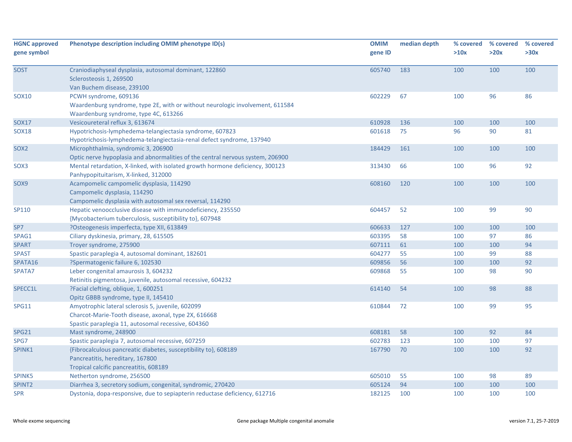| <b>HGNC approved</b><br>gene symbol | Phenotype description including OMIM phenotype ID(s)                                                                                                            | <b>OMIM</b><br>gene ID | median depth | % covered<br>>10x | % covered<br>>20x | % covered<br>>30x |
|-------------------------------------|-----------------------------------------------------------------------------------------------------------------------------------------------------------------|------------------------|--------------|-------------------|-------------------|-------------------|
| <b>SOST</b>                         | Craniodiaphyseal dysplasia, autosomal dominant, 122860<br>Sclerosteosis 1, 269500<br>Van Buchem disease, 239100                                                 | 605740                 | 183          | 100               | 100               | 100               |
| <b>SOX10</b>                        | PCWH syndrome, 609136<br>Waardenburg syndrome, type 2E, with or without neurologic involvement, 611584<br>Waardenburg syndrome, type 4C, 613266                 | 602229                 | 67           | 100               | 96                | 86                |
| <b>SOX17</b>                        | Vesicoureteral reflux 3, 613674                                                                                                                                 | 610928                 | 136          | 100               | 100               | 100               |
| <b>SOX18</b>                        | Hypotrichosis-lymphedema-telangiectasia syndrome, 607823<br>Hypotrichosis-lymphedema-telangiectasia-renal defect syndrome, 137940                               | 601618                 | 75           | 96                | 90                | 81                |
| SOX <sub>2</sub>                    | Microphthalmia, syndromic 3, 206900<br>Optic nerve hypoplasia and abnormalities of the central nervous system, 206900                                           | 184429                 | 161          | 100               | 100               | 100               |
| SOX3                                | Mental retardation, X-linked, with isolated growth hormone deficiency, 300123<br>Panhypopituitarism, X-linked, 312000                                           | 313430                 | 66           | 100               | 96                | 92                |
| SOX9                                | Acampomelic campomelic dysplasia, 114290<br>Campomelic dysplasia, 114290<br>Campomelic dysplasia with autosomal sex reversal, 114290                            | 608160                 | 120          | 100               | 100               | 100               |
| SP110                               | Hepatic venoocclusive disease with immunodeficiency, 235550<br>{Mycobacterium tuberculosis, susceptibility to}, 607948                                          | 604457                 | 52           | 100               | 99                | 90                |
| SP7                                 | ?Osteogenesis imperfecta, type XII, 613849                                                                                                                      | 606633                 | 127          | 100               | 100               | 100               |
| SPAG1                               | Ciliary dyskinesia, primary, 28, 615505                                                                                                                         | 603395                 | 58           | 100               | 97                | 86                |
| <b>SPART</b>                        | Troyer syndrome, 275900                                                                                                                                         | 607111                 | 61           | 100               | 100               | 94                |
| <b>SPAST</b>                        | Spastic paraplegia 4, autosomal dominant, 182601                                                                                                                | 604277                 | 55           | 100               | 99                | 88                |
| SPATA16                             | ?Spermatogenic failure 6, 102530                                                                                                                                | 609856                 | 56           | 100               | 100               | 92                |
| SPATA7                              | Leber congenital amaurosis 3, 604232<br>Retinitis pigmentosa, juvenile, autosomal recessive, 604232                                                             | 609868                 | 55           | 100               | 98                | 90                |
| SPECC1L                             | ?Facial clefting, oblique, 1, 600251<br>Opitz GBBB syndrome, type II, 145410                                                                                    | 614140                 | 54           | 100               | 98                | 88                |
| <b>SPG11</b>                        | Amyotrophic lateral sclerosis 5, juvenile, 602099<br>Charcot-Marie-Tooth disease, axonal, type 2X, 616668<br>Spastic paraplegia 11, autosomal recessive, 604360 | 610844                 | 72           | 100               | 99                | 95                |
| SPG21                               | Mast syndrome, 248900                                                                                                                                           | 608181                 | 58           | 100               | 92                | 84                |
| SPG7                                | Spastic paraplegia 7, autosomal recessive, 607259                                                                                                               | 602783                 | 123          | 100               | 100               | 97                |
| SPINK1                              | {Fibrocalculous pancreatic diabetes, susceptibility to}, 608189<br>Pancreatitis, hereditary, 167800<br>Tropical calcific pancreatitis, 608189                   | 167790                 | 70           | 100               | 100               | 92                |
| SPINK5                              | Netherton syndrome, 256500                                                                                                                                      | 605010                 | 55           | 100               | 98                | 89                |
| SPINT <sub>2</sub>                  | Diarrhea 3, secretory sodium, congenital, syndromic, 270420                                                                                                     | 605124                 | 94           | 100               | 100               | 100               |
| <b>SPR</b>                          | Dystonia, dopa-responsive, due to sepiapterin reductase deficiency, 612716                                                                                      | 182125                 | 100          | 100               | 100               | 100               |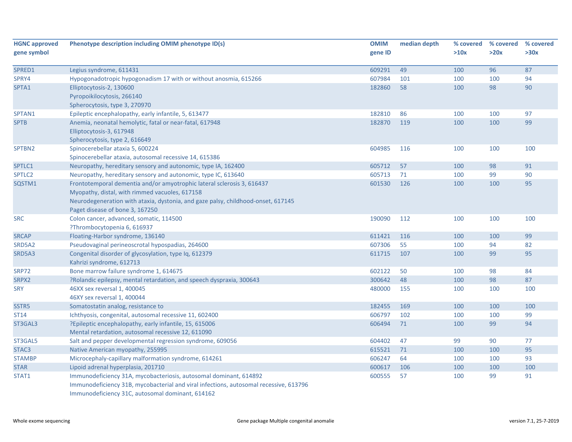| <b>HGNC approved</b> | Phenotype description including OMIM phenotype ID(s)                                  | <b>OMIM</b> | median depth | % covered | % covered | % covered |
|----------------------|---------------------------------------------------------------------------------------|-------------|--------------|-----------|-----------|-----------|
| gene symbol          |                                                                                       | gene ID     |              | >10x      | >20x      | >30x      |
| SPRED1               | Legius syndrome, 611431                                                               | 609291      | 49           | 100       | 96        | 87        |
| SPRY4                | Hypogonadotropic hypogonadism 17 with or without anosmia, 615266                      | 607984      | 101          | 100       | 100       | 94        |
| SPTA1                | Elliptocytosis-2, 130600                                                              | 182860      | 58           | 100       | 98        | 90        |
|                      | Pyropoikilocytosis, 266140                                                            |             |              |           |           |           |
|                      | Spherocytosis, type 3, 270970                                                         |             |              |           |           |           |
| SPTAN1               | Epileptic encephalopathy, early infantile, 5, 613477                                  | 182810      | 86           | 100       | 100       | 97        |
| <b>SPTB</b>          | Anemia, neonatal hemolytic, fatal or near-fatal, 617948                               | 182870      | 119          | 100       | 100       | 99        |
|                      | Elliptocytosis-3, 617948                                                              |             |              |           |           |           |
|                      | Spherocytosis, type 2, 616649                                                         |             |              |           |           |           |
| SPTBN2               | Spinocerebellar ataxia 5, 600224                                                      | 604985      | 116          | 100       | 100       | 100       |
|                      | Spinocerebellar ataxia, autosomal recessive 14, 615386                                |             |              |           |           |           |
| SPTLC1               | Neuropathy, hereditary sensory and autonomic, type IA, 162400                         | 605712      | 57           | 100       | 98        | 91        |
| SPTLC2               | Neuropathy, hereditary sensory and autonomic, type IC, 613640                         | 605713      | 71           | 100       | 99        | 90        |
| SQSTM1               | Frontotemporal dementia and/or amyotrophic lateral sclerosis 3, 616437                | 601530      | 126          | 100       | 100       | 95        |
|                      | Myopathy, distal, with rimmed vacuoles, 617158                                        |             |              |           |           |           |
|                      | Neurodegeneration with ataxia, dystonia, and gaze palsy, childhood-onset, 617145      |             |              |           |           |           |
|                      | Paget disease of bone 3, 167250                                                       |             |              |           |           |           |
| <b>SRC</b>           | Colon cancer, advanced, somatic, 114500                                               | 190090      | 112          | 100       | 100       | 100       |
|                      | ?Thrombocytopenia 6, 616937                                                           |             |              |           |           |           |
| <b>SRCAP</b>         | Floating-Harbor syndrome, 136140                                                      | 611421      | 116          | 100       | 100       | 99        |
| SRD5A2               | Pseudovaginal perineoscrotal hypospadias, 264600                                      | 607306      | 55           | 100       | 94        | 82        |
| SRD5A3               | Congenital disorder of glycosylation, type Iq, 612379                                 | 611715      | 107          | 100       | 99        | 95        |
|                      | Kahrizi syndrome, 612713                                                              |             |              |           |           |           |
| <b>SRP72</b>         | Bone marrow failure syndrome 1, 614675                                                | 602122      | 50           | 100       | 98        | 84        |
| SRPX2                | ?Rolandic epilepsy, mental retardation, and speech dyspraxia, 300643                  | 300642      | 48           | 100       | 98        | 87        |
| <b>SRY</b>           | 46XX sex reversal 1, 400045                                                           | 480000      | 155          | 100       | 100       | 100       |
|                      | 46XY sex reversal 1, 400044                                                           |             |              |           |           |           |
| SSTR5                | Somatostatin analog, resistance to                                                    | 182455      | 169          | 100       | 100       | 100       |
| ST14                 | Ichthyosis, congenital, autosomal recessive 11, 602400                                | 606797      | 102          | 100       | 100       | 99        |
| ST3GAL3              | ?Epileptic encephalopathy, early infantile, 15, 615006                                | 606494      | 71           | 100       | 99        | 94        |
|                      | Mental retardation, autosomal recessive 12, 611090                                    |             |              |           |           |           |
| ST3GAL5              | Salt and pepper developmental regression syndrome, 609056                             | 604402      | 47           | 99        | 90        | 77        |
| STAC <sub>3</sub>    | Native American myopathy, 255995                                                      | 615521      | 71           | 100       | 100       | 95        |
| <b>STAMBP</b>        | Microcephaly-capillary malformation syndrome, 614261                                  | 606247      | 64           | 100       | 100       | 93        |
| <b>STAR</b>          | Lipoid adrenal hyperplasia, 201710                                                    | 600617      | 106          | 100       | 100       | 100       |
| STAT1                | Immunodeficiency 31A, mycobacteriosis, autosomal dominant, 614892                     | 600555      | 57           | 100       | 99        | 91        |
|                      | Immunodeficiency 31B, mycobacterial and viral infections, autosomal recessive, 613796 |             |              |           |           |           |
|                      | Immunodeficiency 31C, autosomal dominant, 614162                                      |             |              |           |           |           |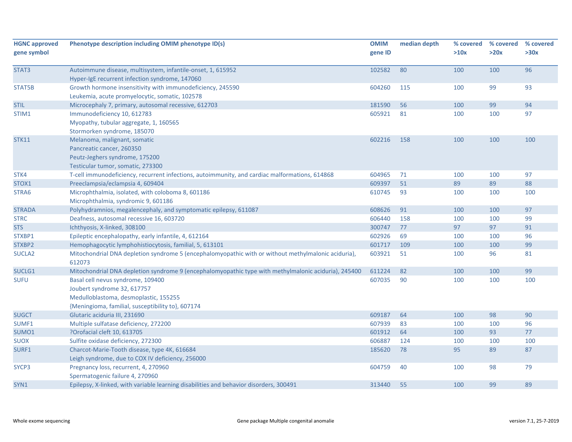| <b>HGNC approved</b><br>gene symbol | Phenotype description including OMIM phenotype ID(s)                                                 | <b>OMIM</b><br>gene ID | median depth | % covered<br>>10x | % covered<br>>20x | % covered<br>>30x |
|-------------------------------------|------------------------------------------------------------------------------------------------------|------------------------|--------------|-------------------|-------------------|-------------------|
|                                     |                                                                                                      |                        |              |                   |                   |                   |
| STAT3                               | Autoimmune disease, multisystem, infantile-onset, 1, 615952                                          | 102582                 | 80           | 100               | 100               | 96                |
|                                     | Hyper-IgE recurrent infection syndrome, 147060                                                       |                        |              |                   |                   |                   |
| STAT5B                              | Growth hormone insensitivity with immunodeficiency, 245590                                           | 604260                 | 115          | 100               | 99                | 93                |
|                                     | Leukemia, acute promyelocytic, somatic, 102578                                                       |                        |              |                   |                   |                   |
| <b>STIL</b>                         | Microcephaly 7, primary, autosomal recessive, 612703                                                 | 181590                 | 56           | 100               | 99                | 94                |
| STIM1                               | Immunodeficiency 10, 612783                                                                          | 605921                 | 81           | 100               | 100               | 97                |
|                                     | Myopathy, tubular aggregate, 1, 160565                                                               |                        |              |                   |                   |                   |
|                                     | Stormorken syndrome, 185070                                                                          |                        |              |                   |                   |                   |
| <b>STK11</b>                        | Melanoma, malignant, somatic                                                                         | 602216                 | 158          | 100               | 100               | 100               |
|                                     | Pancreatic cancer, 260350                                                                            |                        |              |                   |                   |                   |
|                                     | Peutz-Jeghers syndrome, 175200                                                                       |                        |              |                   |                   |                   |
|                                     | Testicular tumor, somatic, 273300                                                                    |                        |              |                   |                   |                   |
| STK4                                | T-cell immunodeficiency, recurrent infections, autoimmunity, and cardiac malformations, 614868       | 604965                 | 71           | 100               | 100               | 97                |
| STOX1                               | Preeclampsia/eclampsia 4, 609404                                                                     | 609397                 | 51           | 89                | 89                | 88                |
| STRA6                               | Microphthalmia, isolated, with coloboma 8, 601186                                                    | 610745                 | 93           | 100               | 100               | 100               |
|                                     | Microphthalmia, syndromic 9, 601186                                                                  |                        |              |                   |                   |                   |
| <b>STRADA</b>                       | Polyhydramnios, megalencephaly, and symptomatic epilepsy, 611087                                     | 608626                 | 91           | 100               | 100               | 97                |
| <b>STRC</b>                         | Deafness, autosomal recessive 16, 603720                                                             | 606440                 | 158          | 100               | 100               | 99                |
| <b>STS</b>                          | Ichthyosis, X-linked, 308100                                                                         | 300747                 | 77           | 97                | 97                | 91                |
| STXBP1                              | Epileptic encephalopathy, early infantile, 4, 612164                                                 | 602926                 | 69           | 100               | 100               | 96                |
| STXBP2                              | Hemophagocytic lymphohistiocytosis, familial, 5, 613101                                              | 601717                 | 109          | 100               | 100               | 99                |
| SUCLA <sub>2</sub>                  | Mitochondrial DNA depletion syndrome 5 (encephalomyopathic with or without methylmalonic aciduria),  | 603921                 | 51           | 100               | 96                | 81                |
|                                     | 612073                                                                                               |                        |              |                   |                   |                   |
| SUCLG1                              | Mitochondrial DNA depletion syndrome 9 (encephalomyopathic type with methylmalonic aciduria), 245400 | 611224                 | 82           | 100               | 100               | 99                |
| <b>SUFU</b>                         | Basal cell nevus syndrome, 109400                                                                    | 607035                 | 90           | 100               | 100               | 100               |
|                                     | Joubert syndrome 32, 617757                                                                          |                        |              |                   |                   |                   |
|                                     | Medulloblastoma, desmoplastic, 155255                                                                |                        |              |                   |                   |                   |
|                                     | {Meningioma, familial, susceptibility to}, 607174                                                    |                        |              |                   |                   |                   |
| <b>SUGCT</b>                        | Glutaric aciduria III, 231690                                                                        | 609187                 | 64           | 100               | 98                | 90                |
| SUMF1                               | Multiple sulfatase deficiency, 272200                                                                | 607939                 | 83           | 100               | 100               | 96                |
| SUMO1                               | ?Orofacial cleft 10, 613705                                                                          | 601912                 | 64           | 100               | 93                | $77$              |
| SUOX                                | Sulfite oxidase deficiency, 272300                                                                   | 606887                 | 124          | 100               | 100               | 100               |
| SURF1                               | Charcot-Marie-Tooth disease, type 4K, 616684                                                         | 185620                 | 78           | 95                | 89                | 87                |
|                                     | Leigh syndrome, due to COX IV deficiency, 256000                                                     |                        |              |                   |                   |                   |
| SYCP3                               | Pregnancy loss, recurrent, 4, 270960                                                                 | 604759                 | 40           | 100               | 98                | 79                |
|                                     | Spermatogenic failure 4, 270960                                                                      |                        |              |                   |                   |                   |
| SYN1                                | Epilepsy, X-linked, with variable learning disabilities and behavior disorders, 300491               | 313440                 | 55           | 100               | 99                | 89                |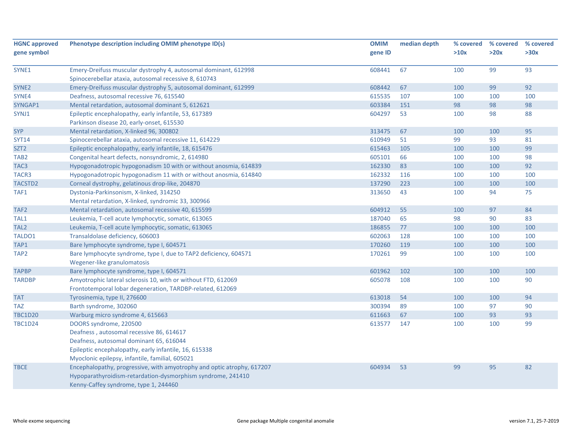| <b>HGNC approved</b> | Phenotype description including OMIM phenotype ID(s)                   | <b>OMIM</b> | median depth | % covered | % covered | % covered |
|----------------------|------------------------------------------------------------------------|-------------|--------------|-----------|-----------|-----------|
| gene symbol          |                                                                        | gene ID     |              | >10x      | >20x      | >30x      |
|                      |                                                                        |             |              |           |           |           |
| SYNE1                | Emery-Dreifuss muscular dystrophy 4, autosomal dominant, 612998        | 608441      | 67           | 100       | 99        | 93        |
|                      | Spinocerebellar ataxia, autosomal recessive 8, 610743                  |             |              |           |           |           |
| SYNE <sub>2</sub>    | Emery-Dreifuss muscular dystrophy 5, autosomal dominant, 612999        | 608442      | 67           | 100       | 99        | 92        |
| SYNE4                | Deafness, autosomal recessive 76, 615540                               | 615535      | 107          | 100       | 100       | 100       |
| SYNGAP1              | Mental retardation, autosomal dominant 5, 612621                       | 603384      | 151          | 98        | 98        | 98        |
| SYNJ1                | Epileptic encephalopathy, early infantile, 53, 617389                  | 604297      | 53           | 100       | 98        | 88        |
|                      | Parkinson disease 20, early-onset, 615530                              |             |              |           |           |           |
| <b>SYP</b>           | Mental retardation, X-linked 96, 300802                                | 313475      | 67           | 100       | 100       | 95        |
| <b>SYT14</b>         | Spinocerebellar ataxia, autosomal recessive 11, 614229                 | 610949      | 51           | 99        | 93        | 81        |
| SZT <sub>2</sub>     | Epileptic encephalopathy, early infantile, 18, 615476                  | 615463      | 105          | 100       | 100       | 99        |
| TAB <sub>2</sub>     | Congenital heart defects, nonsyndromic, 2, 614980                      | 605101      | 66           | 100       | 100       | 98        |
| TAC <sub>3</sub>     | Hypogonadotropic hypogonadism 10 with or without anosmia, 614839       | 162330      | 83           | 100       | 100       | 92        |
| TACR3                | Hypogonadotropic hypogonadism 11 with or without anosmia, 614840       | 162332      | 116          | 100       | 100       | 100       |
| TACSTD2              | Corneal dystrophy, gelatinous drop-like, 204870                        | 137290      | 223          | 100       | 100       | 100       |
| TAF1                 | Dystonia-Parkinsonism, X-linked, 314250                                | 313650      | 43           | 100       | 94        | 75        |
|                      | Mental retardation, X-linked, syndromic 33, 300966                     |             |              |           |           |           |
| TAF <sub>2</sub>     | Mental retardation, autosomal recessive 40, 615599                     | 604912      | 55           | 100       | 97        | 84        |
| TAL1                 | Leukemia, T-cell acute lymphocytic, somatic, 613065                    | 187040      | 65           | 98        | 90        | 83        |
| TAL <sub>2</sub>     | Leukemia, T-cell acute lymphocytic, somatic, 613065                    | 186855      | 77           | 100       | 100       | 100       |
| TALDO1               | Transaldolase deficiency, 606003                                       | 602063      | 128          | 100       | 100       | 100       |
| TAP1                 | Bare lymphocyte syndrome, type I, 604571                               | 170260      | 119          | 100       | 100       | 100       |
| TAP <sub>2</sub>     | Bare lymphocyte syndrome, type I, due to TAP2 deficiency, 604571       | 170261      | 99           | 100       | 100       | 100       |
|                      | Wegener-like granulomatosis                                            |             |              |           |           |           |
| <b>TAPBP</b>         | Bare lymphocyte syndrome, type I, 604571                               | 601962      | 102          | 100       | 100       | 100       |
| <b>TARDBP</b>        | Amyotrophic lateral sclerosis 10, with or without FTD, 612069          | 605078      | 108          | 100       | 100       | 90        |
|                      | Frontotemporal lobar degeneration, TARDBP-related, 612069              |             |              |           |           |           |
| <b>TAT</b>           | Tyrosinemia, type II, 276600                                           | 613018      | 54           | 100       | 100       | 94        |
| <b>TAZ</b>           | Barth syndrome, 302060                                                 | 300394      | 89           | 100       | 97        | 90        |
| <b>TBC1D20</b>       | Warburg micro syndrome 4, 615663                                       | 611663      | 67           | 100       | 93        | 93        |
| <b>TBC1D24</b>       | DOORS syndrome, 220500                                                 | 613577      | 147          | 100       | 100       | 99        |
|                      | Deafness, autosomal recessive 86, 614617                               |             |              |           |           |           |
|                      | Deafness, autosomal dominant 65, 616044                                |             |              |           |           |           |
|                      | Epileptic encephalopathy, early infantile, 16, 615338                  |             |              |           |           |           |
|                      | Myoclonic epilepsy, infantile, familial, 605021                        |             |              |           |           |           |
| <b>TBCE</b>          | Encephalopathy, progressive, with amyotrophy and optic atrophy, 617207 | 604934      | 53           | 99        | 95        | 82        |
|                      | Hypoparathyroidism-retardation-dysmorphism syndrome, 241410            |             |              |           |           |           |
|                      | Kenny-Caffey syndrome, type 1, 244460                                  |             |              |           |           |           |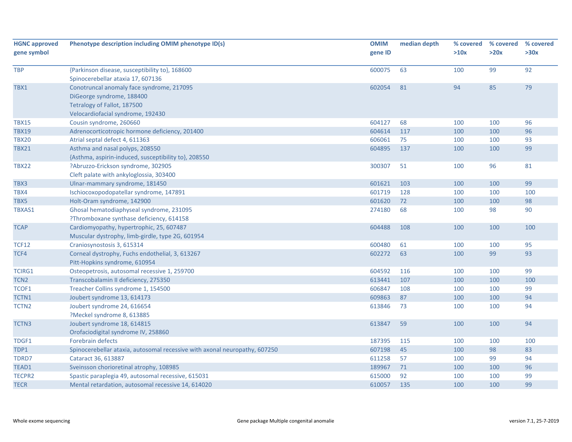| <b>HGNC approved</b> | Phenotype description including OMIM phenotype ID(s)                       | <b>OMIM</b> | median depth | % covered | % covered | % covered |
|----------------------|----------------------------------------------------------------------------|-------------|--------------|-----------|-----------|-----------|
| gene symbol          |                                                                            | gene ID     |              | >10x      | >20x      | >30x      |
| <b>TBP</b>           | {Parkinson disease, susceptibility to}, 168600                             | 600075      | 63           | 100       | 99        | 92        |
|                      | Spinocerebellar ataxia 17, 607136                                          |             | 81           | 94        | 85        | 79        |
| TBX1                 | Conotruncal anomaly face syndrome, 217095<br>DiGeorge syndrome, 188400     | 602054      |              |           |           |           |
|                      | Tetralogy of Fallot, 187500                                                |             |              |           |           |           |
|                      | Velocardiofacial syndrome, 192430                                          |             |              |           |           |           |
| <b>TBX15</b>         | Cousin syndrome, 260660                                                    | 604127      | 68           | 100       | 100       | 96        |
| <b>TBX19</b>         | Adrenocorticotropic hormone deficiency, 201400                             | 604614      | 117          | 100       | 100       | 96        |
| <b>TBX20</b>         | Atrial septal defect 4, 611363                                             | 606061      | 75           | 100       | 100       | 93        |
| <b>TBX21</b>         | Asthma and nasal polyps, 208550                                            | 604895      | 137          | 100       | 100       | 99        |
|                      | {Asthma, aspirin-induced, susceptibility to}, 208550                       |             |              |           |           |           |
| <b>TBX22</b>         | ?Abruzzo-Erickson syndrome, 302905                                         | 300307      | 51           | 100       | 96        | 81        |
|                      | Cleft palate with ankyloglossia, 303400                                    |             |              |           |           |           |
| TBX3                 | Ulnar-mammary syndrome, 181450                                             | 601621      | 103          | 100       | 100       | 99        |
| TBX4                 | Ischiocoxopodopatellar syndrome, 147891                                    | 601719      | 128          | 100       | 100       | 100       |
| TBX5                 | Holt-Oram syndrome, 142900                                                 | 601620      | 72           | 100       | 100       | 98        |
| TBXAS1               | Ghosal hematodiaphyseal syndrome, 231095                                   | 274180      | 68           | 100       | 98        | 90        |
|                      | ?Thromboxane synthase deficiency, 614158                                   |             |              |           |           |           |
| <b>TCAP</b>          | Cardiomyopathy, hypertrophic, 25, 607487                                   | 604488      | 108          | 100       | 100       | 100       |
|                      | Muscular dystrophy, limb-girdle, type 2G, 601954                           |             |              |           |           |           |
| <b>TCF12</b>         | Craniosynostosis 3, 615314                                                 | 600480      | 61           | 100       | 100       | 95        |
| TCF4                 | Corneal dystrophy, Fuchs endothelial, 3, 613267                            | 602272      | 63           | 100       | 99        | 93        |
|                      | Pitt-Hopkins syndrome, 610954                                              |             |              |           |           |           |
| TCIRG1               | Osteopetrosis, autosomal recessive 1, 259700                               | 604592      | 116          | 100       | 100       | 99        |
| TCN <sub>2</sub>     | Transcobalamin II deficiency, 275350                                       | 613441      | 107          | 100       | 100       | 100       |
| TCOF1                | Treacher Collins syndrome 1, 154500                                        | 606847      | 108          | 100       | 100       | 99        |
| TCTN1                | Joubert syndrome 13, 614173                                                | 609863      | 87           | 100       | 100       | 94        |
| TCTN <sub>2</sub>    | Joubert syndrome 24, 616654                                                | 613846      | 73           | 100       | 100       | 94        |
|                      | ?Meckel syndrome 8, 613885                                                 |             |              |           |           |           |
| TCTN3                | Joubert syndrome 18, 614815                                                | 613847      | 59           | 100       | 100       | 94        |
|                      | Orofaciodigital syndrome IV, 258860                                        |             |              |           |           |           |
| TDGF1                | Forebrain defects                                                          | 187395      | 115          | 100       | 100       | 100       |
| TDP1                 | Spinocerebellar ataxia, autosomal recessive with axonal neuropathy, 607250 | 607198      | 45           | 100       | 98        | 83        |
| TDRD7                | Cataract 36, 613887                                                        | 611258      | 57           | 100       | 99        | 94        |
| TEAD1                | Sveinsson chorioretinal atrophy, 108985                                    | 189967      | 71           | 100       | 100       | 96        |
| <b>TECPR2</b>        | Spastic paraplegia 49, autosomal recessive, 615031                         | 615000      | 92           | 100       | 100       | 99        |
| <b>TECR</b>          | Mental retardation, autosomal recessive 14, 614020                         | 610057      | 135          | 100       | 100       | 99        |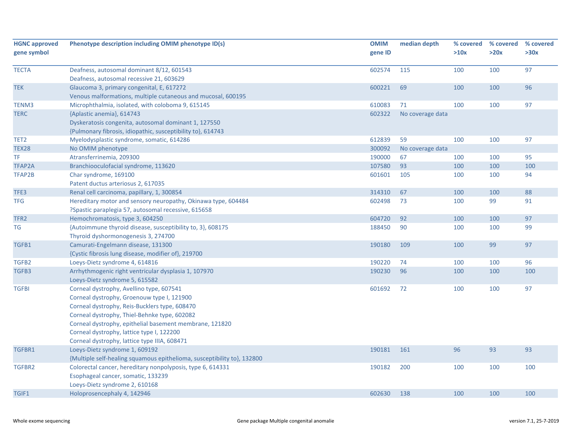| <b>HGNC approved</b> | Phenotype description including OMIM phenotype ID(s)                    | <b>OMIM</b> | median depth     | % covered | % covered | % covered |
|----------------------|-------------------------------------------------------------------------|-------------|------------------|-----------|-----------|-----------|
| gene symbol          |                                                                         | gene ID     |                  | >10x      | >20x      | >30x      |
| <b>TECTA</b>         | Deafness, autosomal dominant 8/12, 601543                               | 602574      | 115              | 100       | 100       | 97        |
|                      | Deafness, autosomal recessive 21, 603629                                |             |                  |           |           |           |
| <b>TEK</b>           | Glaucoma 3, primary congenital, E, 617272                               | 600221      | 69               | 100       | 100       | 96        |
|                      | Venous malformations, multiple cutaneous and mucosal, 600195            |             |                  |           |           |           |
| TENM3                | Microphthalmia, isolated, with coloboma 9, 615145                       | 610083      | 71               | 100       | 100       | 97        |
| <b>TERC</b>          | {Aplastic anemia}, 614743                                               | 602322      | No coverage data |           |           |           |
|                      | Dyskeratosis congenita, autosomal dominant 1, 127550                    |             |                  |           |           |           |
|                      | {Pulmonary fibrosis, idiopathic, susceptibility to}, 614743             |             |                  |           |           |           |
| TET <sub>2</sub>     | Myelodysplastic syndrome, somatic, 614286                               | 612839      | 59               | 100       | 100       | 97        |
| <b>TEX28</b>         | No OMIM phenotype                                                       | 300092      | No coverage data |           |           |           |
| ΤF                   | Atransferrinemia, 209300                                                | 190000      | 67               | 100       | 100       | 95        |
| TFAP2A               | Branchiooculofacial syndrome, 113620                                    | 107580      | 93               | 100       | 100       | 100       |
| TFAP2B               | Char syndrome, 169100                                                   | 601601      | 105              | 100       | 100       | 94        |
|                      | Patent ductus arteriosus 2, 617035                                      |             |                  |           |           |           |
| TFE3                 | Renal cell carcinoma, papillary, 1, 300854                              | 314310      | 67               | 100       | 100       | 88        |
| <b>TFG</b>           | Hereditary motor and sensory neuropathy, Okinawa type, 604484           | 602498      | 73               | 100       | 99        | 91        |
|                      | ?Spastic paraplegia 57, autosomal recessive, 615658                     |             |                  |           |           |           |
| TFR2                 | Hemochromatosis, type 3, 604250                                         | 604720      | 92               | 100       | 100       | 97        |
| TG                   | {Autoimmune thyroid disease, susceptibility to, 3}, 608175              | 188450      | 90               | 100       | 100       | 99        |
|                      | Thyroid dyshormonogenesis 3, 274700                                     |             |                  |           |           |           |
| TGFB1                | Camurati-Engelmann disease, 131300                                      | 190180      | 109              | 100       | 99        | 97        |
|                      | {Cystic fibrosis lung disease, modifier of}, 219700                     |             |                  |           |           |           |
| TGFB2                | Loeys-Dietz syndrome 4, 614816                                          | 190220      | 74               | 100       | 100       | 96        |
| TGFB3                | Arrhythmogenic right ventricular dysplasia 1, 107970                    | 190230      | 96               | 100       | 100       | 100       |
|                      | Loeys-Dietz syndrome 5, 615582                                          |             |                  |           |           |           |
| <b>TGFBI</b>         | Corneal dystrophy, Avellino type, 607541                                | 601692      | 72               | 100       | 100       | 97        |
|                      | Corneal dystrophy, Groenouw type I, 121900                              |             |                  |           |           |           |
|                      | Corneal dystrophy, Reis-Bucklers type, 608470                           |             |                  |           |           |           |
|                      | Corneal dystrophy, Thiel-Behnke type, 602082                            |             |                  |           |           |           |
|                      | Corneal dystrophy, epithelial basement membrane, 121820                 |             |                  |           |           |           |
|                      | Corneal dystrophy, lattice type I, 122200                               |             |                  |           |           |           |
|                      | Corneal dystrophy, lattice type IIIA, 608471                            |             |                  |           |           |           |
| TGFBR1               | Loeys-Dietz syndrome 1, 609192                                          | 190181      | 161              | 96        | 93        | 93        |
|                      | {Multiple self-healing squamous epithelioma, susceptibility to}, 132800 |             |                  |           |           |           |
| TGFBR2               | Colorectal cancer, hereditary nonpolyposis, type 6, 614331              | 190182      | 200              | 100       | 100       | 100       |
|                      | Esophageal cancer, somatic, 133239                                      |             |                  |           |           |           |
|                      | Loeys-Dietz syndrome 2, 610168                                          |             |                  |           |           |           |
| TGIF1                | Holoprosencephaly 4, 142946                                             | 602630      | 138              | 100       | 100       | 100       |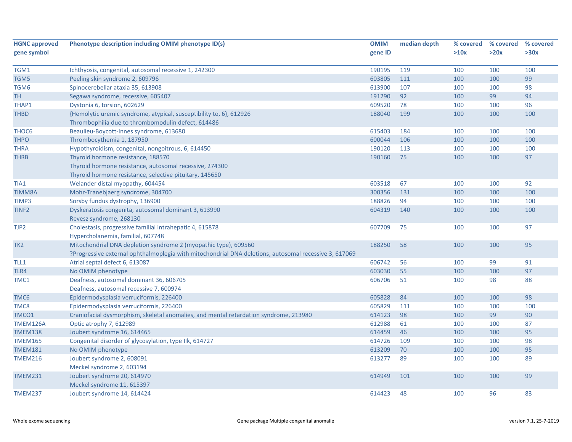| <b>HGNC approved</b> | Phenotype description including OMIM phenotype ID(s)                                                  | <b>OMIM</b> | median depth | % covered | % covered | % covered |
|----------------------|-------------------------------------------------------------------------------------------------------|-------------|--------------|-----------|-----------|-----------|
| gene symbol          |                                                                                                       | gene ID     |              | >10x      | >20x      | >30x      |
|                      |                                                                                                       |             |              |           |           |           |
| TGM1                 | Ichthyosis, congenital, autosomal recessive 1, 242300                                                 | 190195      | 119          | 100       | 100       | 100       |
| TGM5                 | Peeling skin syndrome 2, 609796                                                                       | 603805      | 111          | 100       | 100       | 99        |
| TGM6                 | Spinocerebellar ataxia 35, 613908                                                                     | 613900      | 107          | 100       | 100       | 98        |
| <b>TH</b>            | Segawa syndrome, recessive, 605407                                                                    | 191290      | 92           | 100       | 99        | 94        |
| THAP1                | Dystonia 6, torsion, 602629                                                                           | 609520      | 78           | 100       | 100       | 96        |
| <b>THBD</b>          | {Hemolytic uremic syndrome, atypical, susceptibility to, 6}, 612926                                   | 188040      | 199          | 100       | 100       | 100       |
|                      | Thrombophilia due to thrombomodulin defect, 614486                                                    |             |              |           |           |           |
| THOC6                | Beaulieu-Boycott-Innes syndrome, 613680                                                               | 615403      | 184          | 100       | 100       | 100       |
| <b>THPO</b>          | Thrombocythemia 1, 187950                                                                             | 600044      | 106          | 100       | 100       | 100       |
| <b>THRA</b>          | Hypothyroidism, congenital, nongoitrous, 6, 614450                                                    | 190120      | 113          | 100       | 100       | 100       |
| <b>THRB</b>          | Thyroid hormone resistance, 188570                                                                    | 190160      | 75           | 100       | 100       | 97        |
|                      | Thyroid hormone resistance, autosomal recessive, 274300                                               |             |              |           |           |           |
|                      | Thyroid hormone resistance, selective pituitary, 145650                                               |             |              |           |           |           |
| TIA1                 | Welander distal myopathy, 604454                                                                      | 603518      | 67           | 100       | 100       | 92        |
| <b>TIMM8A</b>        | Mohr-Tranebjaerg syndrome, 304700                                                                     | 300356      | 131          | 100       | 100       | 100       |
| TIMP3                | Sorsby fundus dystrophy, 136900                                                                       | 188826      | 94           | 100       | 100       | 100       |
| TINF <sub>2</sub>    | Dyskeratosis congenita, autosomal dominant 3, 613990                                                  | 604319      | 140          | 100       | 100       | 100       |
|                      | Revesz syndrome, 268130                                                                               |             |              |           |           |           |
| TJP2                 | Cholestasis, progressive familial intrahepatic 4, 615878                                              | 607709      | 75           | 100       | 100       | 97        |
|                      | Hypercholanemia, familial, 607748                                                                     |             |              |           |           |           |
| TK <sub>2</sub>      | Mitochondrial DNA depletion syndrome 2 (myopathic type), 609560                                       | 188250      | 58           | 100       | 100       | 95        |
|                      | ?Progressive external ophthalmoplegia with mitochondrial DNA deletions, autosomal recessive 3, 617069 |             |              |           |           |           |
| TLL1                 | Atrial septal defect 6, 613087                                                                        | 606742      | 56           | 100       | 99        | 91        |
| TLR4                 | No OMIM phenotype                                                                                     | 603030      | 55           | 100       | 100       | 97        |
| TMC1                 | Deafness, autosomal dominant 36, 606705                                                               | 606706      | 51           | 100       | 98        | 88        |
|                      | Deafness, autosomal recessive 7, 600974                                                               |             |              |           |           |           |
| TMC6                 | Epidermodysplasia verruciformis, 226400                                                               | 605828      | 84           | 100       | 100       | 98        |
| TMC8                 | Epidermodysplasia verruciformis, 226400                                                               | 605829      | 111          | 100       | 100       | 100       |
| TMCO1                | Craniofacial dysmorphism, skeletal anomalies, and mental retardation syndrome, 213980                 | 614123      | 98           | 100       | 99        | 90        |
| TMEM126A             | Optic atrophy 7, 612989                                                                               | 612988      | 61           | 100       | 100       | 87        |
| <b>TMEM138</b>       | Joubert syndrome 16, 614465                                                                           | 614459      | 46           | 100       | 100       | 95        |
| <b>TMEM165</b>       | Congenital disorder of glycosylation, type IIk, 614727                                                | 614726      | 109          | 100       | 100       | 98        |
| <b>TMEM181</b>       | No OMIM phenotype                                                                                     | 613209      | 70           | 100       | 100       | 95        |
| <b>TMEM216</b>       | Joubert syndrome 2, 608091                                                                            | 613277      | 89           | 100       | 100       | 89        |
|                      | Meckel syndrome 2, 603194                                                                             |             |              |           |           |           |
| <b>TMEM231</b>       | Joubert syndrome 20, 614970                                                                           | 614949      | 101          | 100       | 100       | 99        |
|                      | Meckel syndrome 11, 615397                                                                            |             |              |           |           |           |
|                      |                                                                                                       | 614423      | 48           |           | 96        | 83        |
| <b>TMEM237</b>       | Joubert syndrome 14, 614424                                                                           |             |              | 100       |           |           |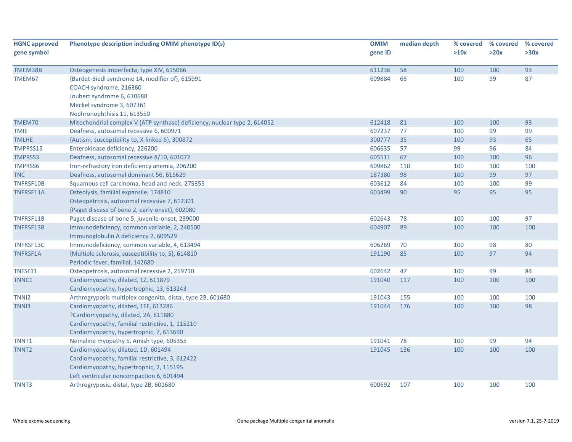| <b>HGNC approved</b> | Phenotype description including OMIM phenotype ID(s)                      | <b>OMIM</b> | median depth | % covered | % covered | % covered |
|----------------------|---------------------------------------------------------------------------|-------------|--------------|-----------|-----------|-----------|
| gene symbol          |                                                                           | gene ID     |              | >10x      | >20x      | >30x      |
|                      |                                                                           |             |              |           |           |           |
| TMEM38B              | Osteogenesis imperfecta, type XIV, 615066                                 | 611236      | 58           | 100       | 100       | 93        |
| TMEM67               | {Bardet-Biedl syndrome 14, modifier of}, 615991                           | 609884      | 68           | 100       | 99        | 87        |
|                      | COACH syndrome, 216360                                                    |             |              |           |           |           |
|                      | Joubert syndrome 6, 610688                                                |             |              |           |           |           |
|                      | Meckel syndrome 3, 607361                                                 |             |              |           |           |           |
|                      | Nephronophthisis 11, 613550                                               |             |              |           |           |           |
| TMEM70               | Mitochondrial complex V (ATP synthase) deficiency, nuclear type 2, 614052 | 612418      | 81           | 100       | 100       | 93        |
| <b>TMIE</b>          | Deafness, autosomal recessive 6, 600971                                   | 607237      | 77           | 100       | 99        | 99        |
| <b>TMLHE</b>         | {Autism, susceptibility to, X-linked 6}, 300872                           | 300777      | 35           | 100       | 93        | 65        |
| TMPRSS15             | Enterokinase deficiency, 226200                                           | 606635      | 57           | 99        | 96        | 84        |
| <b>TMPRSS3</b>       | Deafness, autosomal recessive 8/10, 601072                                | 605511      | 67           | 100       | 100       | 96        |
| <b>TMPRSS6</b>       | Iron-refractory iron deficiency anemia, 206200                            | 609862      | 110          | 100       | 100       | 100       |
| <b>TNC</b>           | Deafness, autosomal dominant 56, 615629                                   | 187380      | 98           | 100       | 99        | 97        |
| TNFRSF10B            | Squamous cell carcinoma, head and neck, 275355                            | 603612      | 84           | 100       | 100       | 99        |
| TNFRSF11A            | Osteolysis, familial expansile, 174810                                    | 603499      | 90           | 95        | 95        | 95        |
|                      | Osteopetrosis, autosomal recessive 7, 612301                              |             |              |           |           |           |
|                      | {Paget disease of bone 2, early-onset}, 602080                            |             |              |           |           |           |
| TNFRSF11B            | Paget disease of bone 5, juvenile-onset, 239000                           | 602643      | 78           | 100       | 100       | 97        |
| TNFRSF13B            | Immunodeficiency, common variable, 2, 240500                              | 604907      | 89           | 100       | 100       | 100       |
|                      | Immunoglobulin A deficiency 2, 609529                                     |             |              |           |           |           |
| TNFRSF13C            | Immunodeficiency, common variable, 4, 613494                              | 606269      | 70           | 100       | 98        | 80        |
| TNFRSF1A             | {Multiple sclerosis, susceptibility to, 5}, 614810                        | 191190      | 85           | 100       | 97        | 94        |
|                      | Periodic fever, familial, 142680                                          |             |              |           |           |           |
| TNFSF11              | Osteopetrosis, autosomal recessive 2, 259710                              | 602642      | 47           | 100       | 99        | 84        |
| TNNC1                | Cardiomyopathy, dilated, 1Z, 611879                                       | 191040      | 117          | 100       | 100       | 100       |
|                      | Cardiomyopathy, hypertrophic, 13, 613243                                  |             |              |           |           |           |
| TNNI <sub>2</sub>    | Arthrogryposis multiplex congenita, distal, type 2B, 601680               | 191043      | 155          | 100       | 100       | 100       |
| TNN <sub>13</sub>    | Cardiomyopathy, dilated, 1FF, 613286                                      | 191044      | 176          | 100       | 100       | 98        |
|                      | ?Cardiomyopathy, dilated, 2A, 611880                                      |             |              |           |           |           |
|                      | Cardiomyopathy, familial restrictive, 1, 115210                           |             |              |           |           |           |
|                      | Cardiomyopathy, hypertrophic, 7, 613690                                   |             |              |           |           |           |
| TNNT1                | Nemaline myopathy 5, Amish type, 605355                                   | 191041      | 78           | 100       | 99        | 94        |
| TNNT <sub>2</sub>    | Cardiomyopathy, dilated, 1D, 601494                                       | 191045      | 136          | 100       | 100       | 100       |
|                      | Cardiomyopathy, familial restrictive, 3, 612422                           |             |              |           |           |           |
|                      | Cardiomyopathy, hypertrophic, 2, 115195                                   |             |              |           |           |           |
|                      | Left ventricular noncompaction 6, 601494                                  |             |              |           |           |           |
| TNNT3                | Arthrogryposis, distal, type 2B, 601680                                   | 600692      | 107          | 100       | 100       | 100       |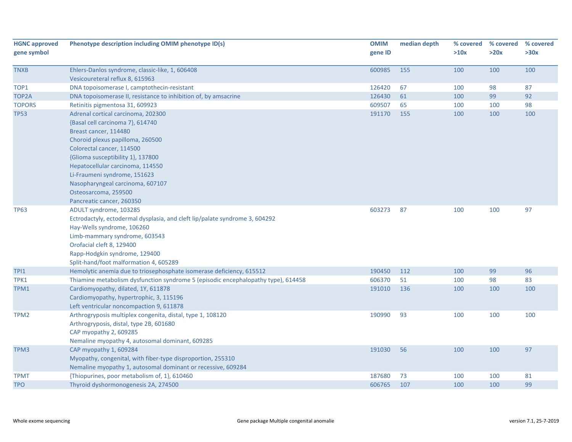| <b>HGNC approved</b> | Phenotype description including OMIM phenotype ID(s)                              | <b>OMIM</b> | median depth |      | % covered % covered | % covered |
|----------------------|-----------------------------------------------------------------------------------|-------------|--------------|------|---------------------|-----------|
| gene symbol          |                                                                                   | gene ID     |              | >10x | >20x                | >30x      |
| <b>TNXB</b>          | Ehlers-Danlos syndrome, classic-like, 1, 606408                                   | 600985      | 155          | 100  | 100                 | 100       |
|                      | Vesicoureteral reflux 8, 615963                                                   |             |              |      |                     |           |
| TOP1                 | DNA topoisomerase I, camptothecin-resistant                                       | 126420      | 67           | 100  | 98                  | 87        |
| TOP2A                | DNA topoisomerase II, resistance to inhibition of, by amsacrine                   | 126430      | 61           | 100  | 99                  | 92        |
| <b>TOPORS</b>        | Retinitis pigmentosa 31, 609923                                                   | 609507      | 65           | 100  | 100                 | 98        |
| <b>TP53</b>          | Adrenal cortical carcinoma, 202300                                                | 191170      | 155          | 100  | 100                 | 100       |
|                      | {Basal cell carcinoma 7}, 614740                                                  |             |              |      |                     |           |
|                      | Breast cancer, 114480                                                             |             |              |      |                     |           |
|                      | Choroid plexus papilloma, 260500                                                  |             |              |      |                     |           |
|                      | Colorectal cancer, 114500                                                         |             |              |      |                     |           |
|                      | {Glioma susceptibility 1}, 137800                                                 |             |              |      |                     |           |
|                      | Hepatocellular carcinoma, 114550                                                  |             |              |      |                     |           |
|                      | Li-Fraumeni syndrome, 151623                                                      |             |              |      |                     |           |
|                      | Nasopharyngeal carcinoma, 607107                                                  |             |              |      |                     |           |
|                      | Osteosarcoma, 259500                                                              |             |              |      |                     |           |
|                      | Pancreatic cancer, 260350                                                         |             |              |      |                     |           |
| <b>TP63</b>          | ADULT syndrome, 103285                                                            | 603273      | 87           | 100  | 100                 | 97        |
|                      | Ectrodactyly, ectodermal dysplasia, and cleft lip/palate syndrome 3, 604292       |             |              |      |                     |           |
|                      | Hay-Wells syndrome, 106260                                                        |             |              |      |                     |           |
|                      | Limb-mammary syndrome, 603543                                                     |             |              |      |                     |           |
|                      | Orofacial cleft 8, 129400                                                         |             |              |      |                     |           |
|                      | Rapp-Hodgkin syndrome, 129400                                                     |             |              |      |                     |           |
|                      | Split-hand/foot malformation 4, 605289                                            |             |              |      |                     |           |
| TPI1                 | Hemolytic anemia due to triosephosphate isomerase deficiency, 615512              | 190450      | 112          | 100  | 99                  | 96        |
| TPK1                 | Thiamine metabolism dysfunction syndrome 5 (episodic encephalopathy type), 614458 | 606370      | 51           | 100  | 98                  | 83        |
| TPM1                 | Cardiomyopathy, dilated, 1Y, 611878                                               | 191010      | 136          | 100  | 100                 | 100       |
|                      | Cardiomyopathy, hypertrophic, 3, 115196                                           |             |              |      |                     |           |
|                      | Left ventricular noncompaction 9, 611878                                          |             |              |      |                     |           |
| TPM <sub>2</sub>     | Arthrogryposis multiplex congenita, distal, type 1, 108120                        | 190990      | 93           | 100  | 100                 | 100       |
|                      | Arthrogryposis, distal, type 2B, 601680                                           |             |              |      |                     |           |
|                      | CAP myopathy 2, 609285                                                            |             |              |      |                     |           |
|                      | Nemaline myopathy 4, autosomal dominant, 609285                                   |             |              |      |                     |           |
| TPM3                 | CAP myopathy 1, 609284                                                            | 191030      | 56           | 100  | 100                 | 97        |
|                      | Myopathy, congenital, with fiber-type disproportion, 255310                       |             |              |      |                     |           |
|                      | Nemaline myopathy 1, autosomal dominant or recessive, 609284                      |             |              |      |                     |           |
| <b>TPMT</b>          | {Thiopurines, poor metabolism of, 1}, 610460                                      | 187680      | 73           | 100  | 100                 | 81        |
| <b>TPO</b>           | Thyroid dyshormonogenesis 2A, 274500                                              | 606765      | 107          | 100  | 100                 | 99        |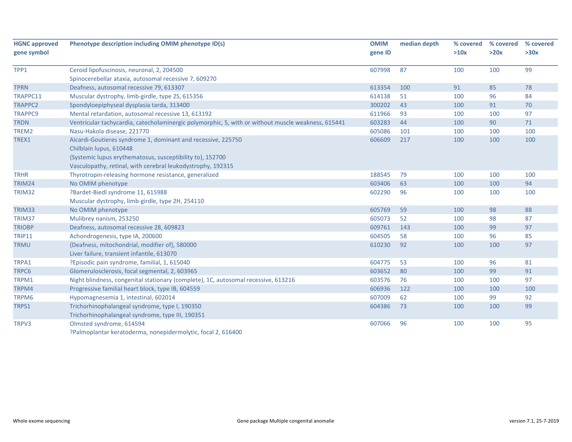| <b>HGNC approved</b> | Phenotype description including OMIM phenotype ID(s)                                                | <b>OMIM</b> | median depth | % covered  | % covered | % covered |
|----------------------|-----------------------------------------------------------------------------------------------------|-------------|--------------|------------|-----------|-----------|
| gene symbol          |                                                                                                     | gene ID     |              | >10x       | >20x      | >30x      |
| TPP1                 |                                                                                                     | 607998      | 87           | 100        | 100       | 99        |
|                      | Ceroid lipofuscinosis, neuronal, 2, 204500<br>Spinocerebellar ataxia, autosomal recessive 7, 609270 |             |              |            |           |           |
| <b>TPRN</b>          |                                                                                                     | 613354      | 100          | 91         | 85        | 78        |
| TRAPPC11             | Deafness, autosomal recessive 79, 613307                                                            |             | 51           |            |           |           |
| <b>TRAPPC2</b>       | Muscular dystrophy, limb-girdle, type 2S, 615356                                                    | 614138      | 43           | 100<br>100 | 96<br>91  | 84<br>70  |
|                      | Spondyloepiphyseal dysplasia tarda, 313400                                                          | 300202      |              |            |           |           |
| <b>TRAPPC9</b>       | Mental retardation, autosomal recessive 13, 613192                                                  | 611966      | 93           | 100        | 100       | 97        |
| <b>TRDN</b>          | Ventricular tachycardia, catecholaminergic polymorphic, 5, with or without muscle weakness, 615441  | 603283      | 44           | 100        | 90        | 71        |
| TREM2                | Nasu-Hakola disease, 221770                                                                         | 605086      | 101          | 100        | 100       | 100       |
| TREX1                | Aicardi-Goutieres syndrome 1, dominant and recessive, 225750<br>Chilblain lupus, 610448             | 606609      | 217          | 100        | 100       | 100       |
|                      | {Systemic lupus erythematosus, susceptibility to}, 152700                                           |             |              |            |           |           |
|                      | Vasculopathy, retinal, with cerebral leukodystrophy, 192315                                         |             |              |            |           |           |
| <b>TRHR</b>          | Thyrotropin-releasing hormone resistance, generalized                                               | 188545      | 79           | 100        | 100       | 100       |
| TRIM24               |                                                                                                     | 603406      | 63           | 100        | 100       | 94        |
| TRIM32               | No OMIM phenotype                                                                                   | 602290      | 96           | 100        | 100       | 100       |
|                      | ?Bardet-Biedl syndrome 11, 615988                                                                   |             |              |            |           |           |
|                      | Muscular dystrophy, limb-girdle, type 2H, 254110                                                    |             |              |            |           |           |
| TRIM33               | No OMIM phenotype                                                                                   | 605769      | 59           | 100        | 98        | 88        |
| TRIM37               | Mulibrey nanism, 253250                                                                             | 605073      | 52           | 100        | 98        | 87        |
| <b>TRIOBP</b>        | Deafness, autosomal recessive 28, 609823                                                            | 609761      | 143          | 100        | 99        | 97        |
| <b>TRIP11</b>        | Achondrogenesis, type IA, 200600                                                                    | 604505      | 58           | 100        | 96        | 85        |
| <b>TRMU</b>          | {Deafness, mitochondrial, modifier of}, 580000                                                      | 610230      | 92           | 100        | 100       | 97        |
|                      | Liver failure, transient infantile, 613070                                                          |             |              |            |           |           |
| TRPA1                | ?Episodic pain syndrome, familial, 1, 615040                                                        | 604775      | 53           | 100        | 96        | 81        |
| TRPC6                | Glomerulosclerosis, focal segmental, 2, 603965                                                      | 603652      | 80           | 100        | 99        | 91        |
| TRPM1                | Night blindness, congenital stationary (complete), 1C, autosomal recessive, 613216                  | 603576      | 76           | 100        | 100       | 97        |
| TRPM4                | Progressive familial heart block, type IB, 604559                                                   | 606936      | 122          | 100        | 100       | 100       |
| TRPM6                | Hypomagnesemia 1, intestinal, 602014                                                                | 607009      | 62           | 100        | 99        | 92        |
| TRPS1                | Trichorhinophalangeal syndrome, type I, 190350                                                      | 604386      | 73           | 100        | 100       | 99        |
|                      | Trichorhinophalangeal syndrome, type III, 190351                                                    |             |              |            |           |           |
| TRPV3                | Olmsted syndrome, 614594                                                                            | 607066      | 96           | 100        | 100       | 95        |
|                      | ?Palmoplantar keratoderma, nonepidermolytic, focal 2, 616400                                        |             |              |            |           |           |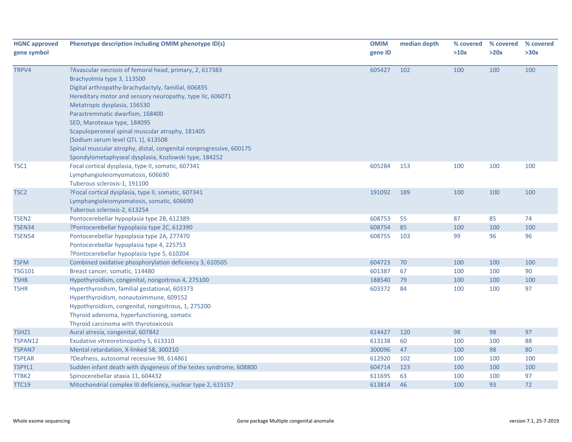| <b>HGNC approved</b><br>gene symbol | Phenotype description including OMIM phenotype ID(s)               | <b>OMIM</b><br>gene ID | median depth | % covered<br>>10x | % covered<br>>20x | % covered<br>>30x |
|-------------------------------------|--------------------------------------------------------------------|------------------------|--------------|-------------------|-------------------|-------------------|
| TRPV4                               | ?Avascular necrosis of femoral head, primary, 2, 617383            | 605427                 | 102          | 100               | 100               | 100               |
|                                     | Brachyolmia type 3, 113500                                         |                        |              |                   |                   |                   |
|                                     | Digital arthropathy-brachydactyly, familial, 606835                |                        |              |                   |                   |                   |
|                                     | Hereditary motor and sensory neuropathy, type IIc, 606071          |                        |              |                   |                   |                   |
|                                     | Metatropic dysplasia, 156530                                       |                        |              |                   |                   |                   |
|                                     | Parastremmatic dwarfism, 168400                                    |                        |              |                   |                   |                   |
|                                     | SED, Maroteaux type, 184095                                        |                        |              |                   |                   |                   |
|                                     | Scapuloperoneal spinal muscular atrophy, 181405                    |                        |              |                   |                   |                   |
|                                     | [Sodium serum level QTL 1], 613508                                 |                        |              |                   |                   |                   |
|                                     | Spinal muscular atrophy, distal, congenital nonprogressive, 600175 |                        |              |                   |                   |                   |
|                                     | Spondylometaphyseal dysplasia, Kozlowski type, 184252              |                        |              |                   |                   |                   |
| TSC1                                | Focal cortical dysplasia, type II, somatic, 607341                 | 605284                 | 153          | 100               | 100               | 100               |
|                                     | Lymphangioleiomyomatosis, 606690                                   |                        |              |                   |                   |                   |
|                                     | Tuberous sclerosis-1, 191100                                       |                        |              |                   |                   |                   |
| TSC <sub>2</sub>                    | ?Focal cortical dysplasia, type II, somatic, 607341                | 191092                 | 189          | 100               | 100               | 100               |
|                                     | Lymphangioleiomyomatosis, somatic, 606690                          |                        |              |                   |                   |                   |
|                                     | Tuberous sclerosis-2, 613254                                       |                        |              |                   |                   |                   |
| TSEN <sub>2</sub>                   | Pontocerebellar hypoplasia type 2B, 612389                         | 608753                 | 55           | 87                | 85                | 74                |
| TSEN34                              | ?Pontocerebellar hypoplasia type 2C, 612390                        | 608754                 | 85           | 100               | 100               | 100               |
| <b>TSEN54</b>                       | Pontocerebellar hypoplasia type 2A, 277470                         | 608755                 | 103          | 99                | 96                | 96                |
|                                     | Pontocerebellar hypoplasia type 4, 225753                          |                        |              |                   |                   |                   |
|                                     | ?Pontocerebellar hypoplasia type 5, 610204                         |                        |              |                   |                   |                   |
| <b>TSFM</b>                         | Combined oxidative phosphorylation deficiency 3, 610505            | 604723                 | 70           | 100               | 100               | 100               |
| <b>TSG101</b>                       | Breast cancer, somatic, 114480                                     | 601387                 | 67           | 100               | 100               | 90                |
| <b>TSHB</b>                         | Hypothyroidism, congenital, nongoitrous 4, 275100                  | 188540                 | 79           | 100               | 100               | 100               |
| <b>TSHR</b>                         | Hyperthyroidism, familial gestational, 603373                      | 603372                 | 84           | 100               | 100               | 97                |
|                                     | Hyperthyroidism, nonautoimmune, 609152                             |                        |              |                   |                   |                   |
|                                     | Hypothyroidism, congenital, nongoitrous, 1, 275200                 |                        |              |                   |                   |                   |
|                                     | Thyroid adenoma, hyperfunctioning, somatic                         |                        |              |                   |                   |                   |
|                                     | Thyroid carcinoma with thyrotoxicosis                              |                        |              |                   |                   |                   |
| TSHZ1                               | Aural atresia, congenital, 607842                                  | 614427                 | 120          | 98                | 98                | 97                |
| TSPAN12                             | Exudative vitreoretinopathy 5, 613310                              | 613138                 | 60           | 100               | 100               | 88                |
| <b>TSPAN7</b>                       | Mental retardation, X-linked 58, 300210                            | 300096                 | 47           | 100               | 98                | 80                |
| <b>TSPEAR</b>                       | ?Deafness, autosomal recessive 98, 614861                          | 612920                 | 102          | 100               | 100               | 100               |
| TSPYL1                              | Sudden infant death with dysgenesis of the testes syndrome, 608800 | 604714                 | 123          | 100               | 100               | 100               |
| TTBK2                               | Spinocerebellar ataxia 11, 604432                                  | 611695                 | 63           | 100               | 100               | 97                |
| <b>TTC19</b>                        | Mitochondrial complex III deficiency, nuclear type 2, 615157       | 613814                 | 46           | 100               | 93                | 72                |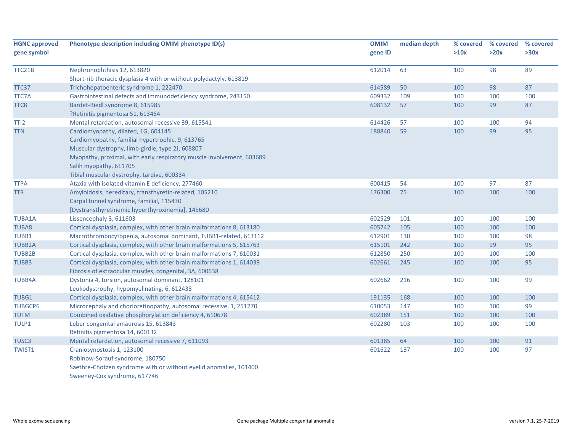| <b>HGNC approved</b><br>gene symbol | Phenotype description including OMIM phenotype ID(s)                  | <b>OMIM</b><br>gene ID | median depth | % covered<br>>10x | % covered<br>>20x | % covered<br>>30x |
|-------------------------------------|-----------------------------------------------------------------------|------------------------|--------------|-------------------|-------------------|-------------------|
| TTC21B                              | Nephronophthisis 12, 613820                                           | 612014                 | 63           | 100               | 98                | 89                |
|                                     | Short-rib thoracic dysplasia 4 with or without polydactyly, 613819    |                        |              |                   |                   |                   |
| TTC37                               | Trichohepatoenteric syndrome 1, 222470                                | 614589                 | 50           | 100               | 98                | 87                |
| <b>TTC7A</b>                        | Gastrointestinal defects and immunodeficiency syndrome, 243150        | 609332                 | 109          | 100               | 100               | 100               |
| TTC8                                | Bardet-Biedl syndrome 8, 615985                                       | 608132                 | 57           | 100               | 99                | 87                |
|                                     | ?Retinitis pigmentosa 51, 613464                                      |                        |              |                   |                   |                   |
| TTI <sub>2</sub>                    | Mental retardation, autosomal recessive 39, 615541                    | 614426                 | 57           | 100               | 100               | 94                |
| <b>TTN</b>                          | Cardiomyopathy, dilated, 1G, 604145                                   | 188840                 | 59           | 100               | 99                | 95                |
|                                     | Cardiomyopathy, familial hypertrophic, 9, 613765                      |                        |              |                   |                   |                   |
|                                     | Muscular dystrophy, limb-girdle, type 2J, 608807                      |                        |              |                   |                   |                   |
|                                     | Myopathy, proximal, with early respiratory muscle involvement, 603689 |                        |              |                   |                   |                   |
|                                     | Salih myopathy, 611705                                                |                        |              |                   |                   |                   |
|                                     | Tibial muscular dystrophy, tardive, 600334                            |                        |              |                   |                   |                   |
| <b>TTPA</b>                         | Ataxia with isolated vitamin E deficiency, 277460                     | 600415                 | 54           | 100               | 97                | 87                |
| <b>TTR</b>                          | Amyloidosis, hereditary, transthyretin-related, 105210                | 176300                 | 75           | 100               | 100               | 100               |
|                                     | Carpal tunnel syndrome, familial, 115430                              |                        |              |                   |                   |                   |
|                                     | [Dystransthyretinemic hyperthyroxinemia], 145680                      |                        |              |                   |                   |                   |
| <b>TUBA1A</b>                       | Lissencephaly 3, 611603                                               | 602529                 | 101          | 100               | 100               | 100               |
| <b>TUBA8</b>                        | Cortical dysplasia, complex, with other brain malformations 8, 613180 | 605742                 | 105          | 100               | 100               | 100               |
| TUBB1                               | Macrothrombocytopenia, autosomal dominant, TUBB1-related, 613112      | 612901                 | 130          | 100               | 100               | 98                |
| <b>TUBB2A</b>                       | Cortical dysplasia, complex, with other brain malformations 5, 615763 | 615101                 | 242          | 100               | 99                | 95                |
| <b>TUBB2B</b>                       | Cortical dysplasia, complex, with other brain malformations 7, 610031 | 612850                 | 250          | 100               | 100               | 100               |
| TUBB3                               | Cortical dysplasia, complex, with other brain malformations 1, 614039 | 602661                 | 245          | 100               | 100               | 95                |
|                                     | Fibrosis of extraocular muscles, congenital, 3A, 600638               |                        |              |                   |                   |                   |
| <b>TUBB4A</b>                       | Dystonia 4, torsion, autosomal dominant, 128101                       | 602662                 | 216          | 100               | 100               | 99                |
|                                     | Leukodystrophy, hypomyelinating, 6, 612438                            |                        |              |                   |                   |                   |
| TUBG1                               | Cortical dysplasia, complex, with other brain malformations 4, 615412 | 191135                 | 168          | 100               | 100               | 100               |
| <b>TUBGCP6</b>                      | Microcephaly and chorioretinopathy, autosomal recessive, 1, 251270    | 610053                 | 147          | 100               | 100               | 99                |
| <b>TUFM</b>                         | Combined oxidative phosphorylation deficiency 4, 610678               | 602389                 | 151          | 100               | 100               | 100               |
| TULP1                               | Leber congenital amaurosis 15, 613843                                 | 602280                 | 103          | 100               | 100               | 100               |
|                                     | Retinitis pigmentosa 14, 600132                                       |                        |              |                   |                   |                   |
| TUSC <sub>3</sub>                   | Mental retardation, autosomal recessive 7, 611093                     | 601385                 | 64           | 100               | 100               | 91                |
| TWIST1                              | Craniosynostosis 1, 123100                                            | 601622                 | 137          | 100               | 100               | 97                |
|                                     | Robinow-Sorauf syndrome, 180750                                       |                        |              |                   |                   |                   |
|                                     | Saethre-Chotzen syndrome with or without eyelid anomalies, 101400     |                        |              |                   |                   |                   |
|                                     | Sweeney-Cox syndrome, 617746                                          |                        |              |                   |                   |                   |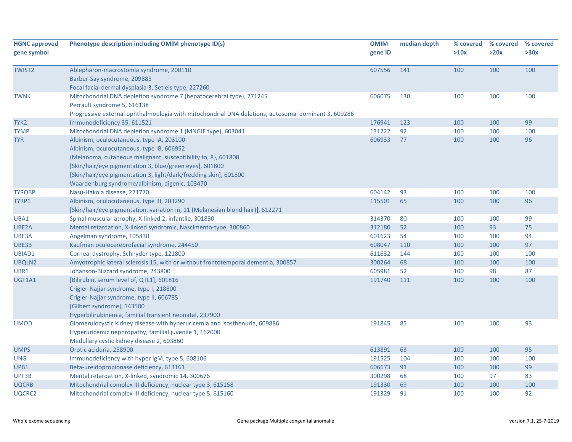| <b>HGNC approved</b><br>gene symbol | Phenotype description including OMIM phenotype ID(s)                                                                                                                                                                                                                                                                                      | <b>OMIM</b><br>gene ID | median depth | % covered<br>>10x | % covered<br>>20x | % covered<br>>30x |
|-------------------------------------|-------------------------------------------------------------------------------------------------------------------------------------------------------------------------------------------------------------------------------------------------------------------------------------------------------------------------------------------|------------------------|--------------|-------------------|-------------------|-------------------|
| <b>TWIST2</b>                       | Ablepharon-macrostomia syndrome, 200110<br>Barber-Say syndrome, 209885<br>Focal facial dermal dysplasia 3, Setleis type, 227260                                                                                                                                                                                                           | 607556                 | 141          | 100               | 100               | 100               |
| <b>TWNK</b>                         | Mitochondrial DNA depletion syndrome 7 (hepatocerebral type), 271245<br>Perrault syndrome 5, 616138<br>Progressive external ophthalmoplegia with mitochondrial DNA deletions, autosomal dominant 3, 609286                                                                                                                                | 606075                 | 130          | 100               | 100               | 100               |
| TYK <sub>2</sub>                    | Immunodeficiency 35, 611521                                                                                                                                                                                                                                                                                                               | 176941                 | 123          | 100               | 100               | 99                |
| <b>TYMP</b>                         | Mitochondrial DNA depletion syndrome 1 (MNGIE type), 603041                                                                                                                                                                                                                                                                               | 131222                 | 92           | 100               | 100               | 100               |
| <b>TYR</b>                          | Albinism, oculocutaneous, type IA, 203100<br>Albinism, oculocutaneous, type IB, 606952<br>{Melanoma, cutaneous malignant, susceptibility to, 8}, 601800<br>[Skin/hair/eye pigmentation 3, blue/green eyes], 601800<br>[Skin/hair/eye pigmentation 3, light/dark/freckling skin], 601800<br>Waardenburg syndrome/albinism, digenic, 103470 | 606933                 | 77           | 100               | 100               | 96                |
| <b>TYROBP</b>                       | Nasu-Hakola disease, 221770                                                                                                                                                                                                                                                                                                               | 604142                 | 93           | 100               | 100               | 100               |
| TYRP1                               | Albinism, oculocutaneous, type III, 203290<br>[Skin/hair/eye pigmentation, variation in, 11 (Melanesian blond hair)], 612271                                                                                                                                                                                                              | 115501                 | 65           | 100               | 100               | 96                |
| UBA1                                | Spinal muscular atrophy, X-linked 2, infantile, 301830                                                                                                                                                                                                                                                                                    | 314370                 | 80           | 100               | 100               | 99                |
| UBE2A                               | Mental retardation, X-linked syndromic, Nascimento-type, 300860                                                                                                                                                                                                                                                                           | 312180                 | 52           | 100               | 93                | 75                |
| UBE3A                               | Angelman syndrome, 105830                                                                                                                                                                                                                                                                                                                 | 601623                 | 54           | 100               | 100               | 94                |
| UBE3B                               | Kaufman oculocerebrofacial syndrome, 244450                                                                                                                                                                                                                                                                                               | 608047                 | 110          | 100               | 100               | 97                |
| UBIAD1                              | Corneal dystrophy, Schnyder type, 121800                                                                                                                                                                                                                                                                                                  | 611632                 | 144          | 100               | 100               | 100               |
| UBQLN2                              | Amyotrophic lateral sclerosis 15, with or without frontotemporal dementia, 300857                                                                                                                                                                                                                                                         | 300264                 | 68           | 100               | 100               | 100               |
| UBR1                                | Johanson-Blizzard syndrome, 243800                                                                                                                                                                                                                                                                                                        | 605981                 | 52           | 100               | 98                | 87                |
| UGT1A1                              | [Bilirubin, serum level of, QTL1], 601816<br>Crigler-Najjar syndrome, type I, 218800<br>Crigler-Najjar syndrome, type II, 606785<br>[Gilbert syndrome], 143500<br>Hyperbilirubinemia, familial transient neonatal, 237900                                                                                                                 | 191740                 | 111          | 100               | 100               | 100               |
| <b>UMOD</b>                         | Glomerulocystic kidney disease with hyperuricemia and isosthenuria, 609886<br>Hyperuricemic nephropathy, familial juvenile 1, 162000<br>Medullary cystic kidney disease 2, 603860                                                                                                                                                         | 191845                 | 85           | 100               | 100               | 93                |
| <b>UMPS</b>                         | Orotic aciduria, 258900                                                                                                                                                                                                                                                                                                                   | 613891                 | 63           | 100               | 100               | 95                |
| UNG                                 | Immunodeficiency with hyper IgM, type 5, 608106                                                                                                                                                                                                                                                                                           | 191525                 | 104          | 100               | 100               | 100               |
| UPB1                                | Beta-ureidopropionase deficiency, 613161                                                                                                                                                                                                                                                                                                  | 606673                 | 91           | 100               | 100               | 99                |
| UPF3B                               | Mental retardation, X-linked, syndromic 14, 300676                                                                                                                                                                                                                                                                                        | 300298                 | 68           | 100               | 97                | 83                |
| <b>UQCRB</b>                        | Mitochondrial complex III deficiency, nuclear type 3, 615158                                                                                                                                                                                                                                                                              | 191330                 | 69           | 100               | 100               | 100               |
| UQCRC2                              | Mitochondrial complex III deficiency, nuclear type 5, 615160                                                                                                                                                                                                                                                                              | 191329                 | 91           | 100               | 100               | 92                |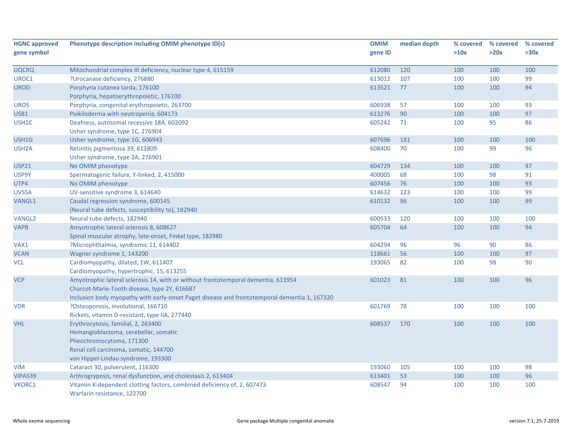| <b>HGNC approved</b> | Phenotype description including OMIM phenotype ID(s)                                                   | <b>OMIM</b> | median depth | % covered | % covered | % covered |
|----------------------|--------------------------------------------------------------------------------------------------------|-------------|--------------|-----------|-----------|-----------|
| gene symbol          |                                                                                                        | gene ID     |              | >10x      | >20x      | >30x      |
| <b>UQCRQ</b>         | Mitochondrial complex III deficiency, nuclear type 4, 615159                                           | 612080      | 120          | 100       | 100       | 100       |
| UROC1                | ?Urocanase deficiency, 276880                                                                          | 613012      | 107          | 100       | 100       | 99        |
| <b>UROD</b>          | Porphyria cutanea tarda, 176100                                                                        | 613521      | 77           | 100       | 100       | 94        |
|                      | Porphyria, hepatoerythropoietic, 176100                                                                |             |              |           |           |           |
| <b>UROS</b>          | Porphyria, congenital erythropoietic, 263700                                                           | 606938      | 57           | 100       | 100       | 93        |
| USB1                 | Poikiloderma with neutropenia, 604173                                                                  | 613276      | 90           | 100       | 100       | 97        |
| USH1C                | Deafness, autosomal recessive 18A, 602092                                                              | 605242      | 71           | 100       | 95        | 86        |
|                      | Usher syndrome, type 1C, 276904                                                                        |             |              |           |           |           |
| USH1G                | Usher syndrome, type 1G, 606943                                                                        | 607696      | 181          | 100       | 100       | 100       |
| USH <sub>2</sub> A   | Retinitis pigmentosa 39, 613809                                                                        | 608400      | 70           | 100       | 99        | 96        |
|                      | Usher syndrome, type 2A, 276901                                                                        |             |              |           |           |           |
| <b>USP21</b>         | No OMIM phenotype                                                                                      | 604729      | 134          | 100       | 100       | 97        |
| USP9Y                | Spermatogenic failure, Y-linked, 2, 415000                                                             | 400005      | 68           | 100       | 98        | 91        |
| UTP4                 | No OMIM phenotype                                                                                      | 607456      | 76           | 100       | 100       | 93        |
| <b>UVSSA</b>         | UV-sensitive syndrome 3, 614640                                                                        | 614632      | 123          | 100       | 100       | 99        |
| VANGL1               | Caudal regression syndrome, 600145                                                                     | 610132      | 96           | 100       | 100       | 99        |
|                      | {Neural tube defects, susceptibility to}, 182940                                                       |             |              |           |           |           |
| <b>VANGL2</b>        | Neural tube defects, 182940                                                                            | 600533      | 120          | 100       | 100       | 100       |
| <b>VAPB</b>          | Amyotrophic lateral sclerosis 8, 608627                                                                | 605704      | 64           | 100       | 100       | 94        |
|                      | Spinal muscular atrophy, late-onset, Finkel type, 182980                                               |             |              |           |           |           |
| VAX1                 | ?Microphthalmia, syndromic 11, 614402                                                                  | 604294      | 96           | 96        | 90        | 86        |
| <b>VCAN</b>          | Wagner syndrome 1, 143200                                                                              | 118661      | 56           | 100       | 100       | 97        |
| <b>VCL</b>           | Cardiomyopathy, dilated, 1W, 611407                                                                    | 193065      | 82           | 100       | 98        | 90        |
|                      | Cardiomyopathy, hypertrophic, 15, 613255                                                               |             |              |           |           |           |
| <b>VCP</b>           | Amyotrophic lateral sclerosis 14, with or without frontotemporal dementia, 613954                      | 601023      | 81           | 100       | 100       | 96        |
|                      | Charcot-Marie-Tooth disease, type 2Y, 616687                                                           |             |              |           |           |           |
|                      | Inclusion body myopathy with early-onset Paget disease and frontotemporal dementia 1, 167320           |             |              |           |           |           |
| <b>VDR</b>           | ?Osteoporosis, involutional, 166710                                                                    | 601769      | 78           | 100       | 100       | 100       |
|                      | Rickets, vitamin D-resistant, type IIA, 277440                                                         |             |              |           |           |           |
| <b>VHL</b>           | Erythrocytosis, familial, 2, 263400                                                                    | 608537      | 170          | 100       | 100       | 100       |
|                      | Hemangioblastoma, cerebellar, somatic                                                                  |             |              |           |           |           |
|                      | Pheochromocytoma, 171300                                                                               |             |              |           |           |           |
|                      | Renal cell carcinoma, somatic, 144700                                                                  |             |              |           |           |           |
|                      | von Hippel-Lindau syndrome, 193300                                                                     |             |              |           |           |           |
| <b>VIM</b>           | Cataract 30, pulverulent, 116300                                                                       | 193060      | 105          | 100       | 100       | 98        |
| VIPAS39              | Arthrogryposis, renal dysfunction, and cholestasis 2, 613404                                           | 613401      | 53           | 100       | 100       | 96        |
| VKORC1               | Vitamin K-dependent clotting factors, combined deficiency of, 2, 607473<br>Warfarin resistance, 122700 | 608547      | 94           | 100       | 100       | 100       |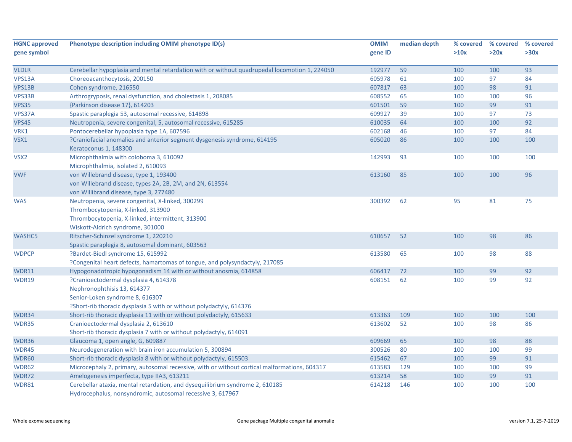| <b>HGNC approved</b> | Phenotype description including OMIM phenotype ID(s)                                                                                                                           | <b>OMIM</b> | median depth | % covered | % covered | % covered |
|----------------------|--------------------------------------------------------------------------------------------------------------------------------------------------------------------------------|-------------|--------------|-----------|-----------|-----------|
| gene symbol          |                                                                                                                                                                                | gene ID     |              | >10x      | >20x      | >30x      |
|                      |                                                                                                                                                                                |             |              |           |           |           |
| <b>VLDLR</b>         | Cerebellar hypoplasia and mental retardation with or without quadrupedal locomotion 1, 224050                                                                                  | 192977      | 59           | 100       | 100       | 93        |
| VPS13A               | Choreoacanthocytosis, 200150                                                                                                                                                   | 605978      | 61           | 100       | 97        | 84        |
| VPS13B               | Cohen syndrome, 216550                                                                                                                                                         | 607817      | 63           | 100       | 98        | 91        |
| VPS33B               | Arthrogryposis, renal dysfunction, and cholestasis 1, 208085                                                                                                                   | 608552      | 65           | 100       | 100       | 96        |
| <b>VPS35</b>         | {Parkinson disease 17}, 614203                                                                                                                                                 | 601501      | 59           | 100       | 99        | 91        |
| VPS37A               | Spastic paraplegia 53, autosomal recessive, 614898                                                                                                                             | 609927      | 39           | 100       | 97        | 73        |
| <b>VPS45</b>         | Neutropenia, severe congenital, 5, autosomal recessive, 615285                                                                                                                 | 610035      | 64           | 100       | 100       | 92        |
| VRK1                 | Pontocerebellar hypoplasia type 1A, 607596                                                                                                                                     | 602168      | 46           | 100       | 97        | 84        |
| VSX1                 | ?Craniofacial anomalies and anterior segment dysgenesis syndrome, 614195<br>Keratoconus 1, 148300                                                                              | 605020      | 86           | 100       | 100       | 100       |
| VSX2                 | Microphthalmia with coloboma 3, 610092<br>Microphthalmia, isolated 2, 610093                                                                                                   | 142993      | 93           | 100       | 100       | 100       |
| <b>VWF</b>           | von Willebrand disease, type 1, 193400<br>von Willebrand disease, types 2A, 2B, 2M, and 2N, 613554<br>von Willibrand disease, type 3, 277480                                   | 613160      | 85           | 100       | 100       | 96        |
| <b>WAS</b>           | Neutropenia, severe congenital, X-linked, 300299<br>Thrombocytopenia, X-linked, 313900<br>Thrombocytopenia, X-linked, intermittent, 313900<br>Wiskott-Aldrich syndrome, 301000 | 300392      | 62           | 95        | 81        | 75        |
| WASHC5               | Ritscher-Schinzel syndrome 1, 220210<br>Spastic paraplegia 8, autosomal dominant, 603563                                                                                       | 610657      | 52           | 100       | 98        | 86        |
| <b>WDPCP</b>         | ?Bardet-Biedl syndrome 15, 615992<br>?Congenital heart defects, hamartomas of tongue, and polysyndactyly, 217085                                                               | 613580      | 65           | 100       | 98        | 88        |
| WDR11                | Hypogonadotropic hypogonadism 14 with or without anosmia, 614858                                                                                                               | 606417      | 72           | 100       | 99        | 92        |
| WDR19                | ?Cranioectodermal dysplasia 4, 614378<br>Nephronophthisis 13, 614377<br>Senior-Loken syndrome 8, 616307<br>?Short-rib thoracic dysplasia 5 with or without polydactyly, 614376 | 608151      | 62           | 100       | 99        | 92        |
| WDR34                | Short-rib thoracic dysplasia 11 with or without polydactyly, 615633                                                                                                            | 613363      | 109          | 100       | 100       | 100       |
| WDR35                | Cranioectodermal dysplasia 2, 613610<br>Short-rib thoracic dysplasia 7 with or without polydactyly, 614091                                                                     | 613602      | 52           | 100       | 98        | 86        |
| WDR36                | Glaucoma 1, open angle, G, 609887                                                                                                                                              | 609669      | 65           | 100       | 98        | 88        |
| WDR45                | Neurodegeneration with brain iron accumulation 5, 300894                                                                                                                       | 300526      | 80           | 100       | 100       | 99        |
| WDR60                | Short-rib thoracic dysplasia 8 with or without polydactyly, 615503                                                                                                             | 615462      | 67           | 100       | 99        | 91        |
| WDR62                | Microcephaly 2, primary, autosomal recessive, with or without cortical malformations, 604317                                                                                   | 613583      | 129          | 100       | 100       | 99        |
| WDR72                | Amelogenesis imperfecta, type IIA3, 613211                                                                                                                                     | 613214      | 58           | 100       | 99        | 91        |
| WDR81                | Cerebellar ataxia, mental retardation, and dysequilibrium syndrome 2, 610185<br>Hydrocephalus, nonsyndromic, autosomal recessive 3, 617967                                     | 614218      | 146          | 100       | 100       | 100       |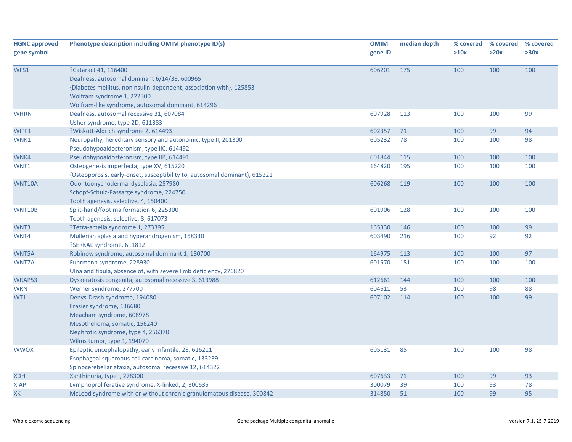| <b>HGNC approved</b><br>gene symbol | Phenotype description including OMIM phenotype ID(s)                                                                                                                                                                           | <b>OMIM</b><br>gene ID | median depth | % covered<br>>10x | % covered<br>>20x | % covered<br>>30x |
|-------------------------------------|--------------------------------------------------------------------------------------------------------------------------------------------------------------------------------------------------------------------------------|------------------------|--------------|-------------------|-------------------|-------------------|
| WFS1                                | ?Cataract 41, 116400<br>Deafness, autosomal dominant 6/14/38, 600965<br>{Diabetes mellitus, noninsulin-dependent, association with}, 125853<br>Wolfram syndrome 1, 222300<br>Wolfram-like syndrome, autosomal dominant, 614296 | 606201                 | 175          | 100               | 100               | 100               |
| <b>WHRN</b>                         | Deafness, autosomal recessive 31, 607084<br>Usher syndrome, type 2D, 611383                                                                                                                                                    | 607928                 | 113          | 100               | 100               | 99                |
| WIPF1                               | ?Wiskott-Aldrich syndrome 2, 614493                                                                                                                                                                                            | 602357                 | 71           | 100               | 99                | 94                |
| WNK1                                | Neuropathy, hereditary sensory and autonomic, type II, 201300<br>Pseudohypoaldosteronism, type IIC, 614492                                                                                                                     | 605232                 | 78           | 100               | 100               | 98                |
| WNK4                                | Pseudohypoaldosteronism, type IIB, 614491                                                                                                                                                                                      | 601844                 | 115          | 100               | 100               | 100               |
| WNT1                                | Osteogenesis imperfecta, type XV, 615220<br>{Osteoporosis, early-onset, susceptibility to, autosomal dominant}, 615221                                                                                                         | 164820                 | 195          | 100               | 100               | 100               |
| WNT10A                              | Odontoonychodermal dysplasia, 257980<br>Schopf-Schulz-Passarge syndrome, 224750<br>Tooth agenesis, selective, 4, 150400                                                                                                        | 606268                 | 119          | 100               | 100               | 100               |
| WNT10B                              | Split-hand/foot malformation 6, 225300<br>Tooth agenesis, selective, 8, 617073                                                                                                                                                 | 601906                 | 128          | 100               | 100               | 100               |
| WNT3                                | ?Tetra-amelia syndrome 1, 273395                                                                                                                                                                                               | 165330                 | 146          | 100               | 100               | 99                |
| WNT4                                | Mullerian aplasia and hyperandrogenism, 158330<br>?SERKAL syndrome, 611812                                                                                                                                                     | 603490                 | 216          | 100               | 92                | 92                |
| WNT5A                               | Robinow syndrome, autosomal dominant 1, 180700                                                                                                                                                                                 | 164975                 | 113          | 100               | 100               | 97                |
| WNT7A                               | Fuhrmann syndrome, 228930<br>Ulna and fibula, absence of, with severe limb deficiency, 276820                                                                                                                                  | 601570                 | 151          | 100               | 100               | 100               |
| WRAP53                              | Dyskeratosis congenita, autosomal recessive 3, 613988                                                                                                                                                                          | 612661                 | 144          | 100               | 100               | 100               |
| <b>WRN</b>                          | Werner syndrome, 277700                                                                                                                                                                                                        | 604611                 | 53           | 100               | 98                | 88                |
| WT1                                 | Denys-Drash syndrome, 194080<br>Frasier syndrome, 136680<br>Meacham syndrome, 608978<br>Mesothelioma, somatic, 156240<br>Nephrotic syndrome, type 4, 256370<br>Wilms tumor, type 1, 194070                                     | 607102                 | 114          | 100               | 100               | 99                |
| <b>WWOX</b>                         | Epileptic encephalopathy, early infantile, 28, 616211<br>Esophageal squamous cell carcinoma, somatic, 133239<br>Spinocerebellar ataxia, autosomal recessive 12, 614322                                                         | 605131                 | 85           | 100               | 100               | 98                |
| <b>XDH</b>                          | Xanthinuria, type I, 278300                                                                                                                                                                                                    | 607633                 | 71           | 100               | 99                | 93                |
| <b>XIAP</b>                         | Lymphoproliferative syndrome, X-linked, 2, 300635                                                                                                                                                                              | 300079                 | 39           | 100               | 93                | 78                |
| $\mathsf{X}\mathsf{K}$              | McLeod syndrome with or without chronic granulomatous disease, 300842                                                                                                                                                          | 314850                 | 51           | 100               | 99                | 95                |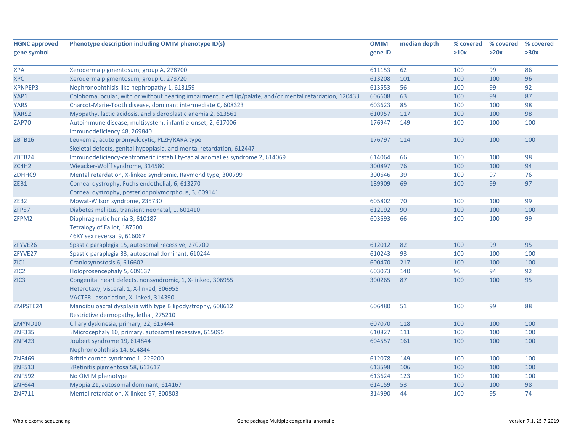| <b>HGNC approved</b> | Phenotype description including OMIM phenotype ID(s)                                                      | <b>OMIM</b> | median depth | % covered | % covered | % covered |
|----------------------|-----------------------------------------------------------------------------------------------------------|-------------|--------------|-----------|-----------|-----------|
| gene symbol          |                                                                                                           | gene ID     |              | >10x      | >20x      | >30x      |
|                      |                                                                                                           |             |              |           |           |           |
| <b>XPA</b>           | Xeroderma pigmentosum, group A, 278700                                                                    | 611153      | 62           | 100       | 99        | 86        |
| <b>XPC</b>           | Xeroderma pigmentosum, group C, 278720                                                                    | 613208      | 101          | 100       | 100       | 96        |
| <b>XPNPEP3</b>       | Nephronophthisis-like nephropathy 1, 613159                                                               | 613553      | 56           | 100       | 99        | 92        |
| YAP1                 | Coloboma, ocular, with or without hearing impairment, cleft lip/palate, and/or mental retardation, 120433 | 606608      | 63           | 100       | 99        | 87        |
| <b>YARS</b>          | Charcot-Marie-Tooth disease, dominant intermediate C, 608323                                              | 603623      | 85           | 100       | 100       | 98        |
| YARS2                | Myopathy, lactic acidosis, and sideroblastic anemia 2, 613561                                             | 610957      | 117          | 100       | 100       | 98        |
| ZAP70                | Autoimmune disease, multisystem, infantile-onset, 2, 617006                                               | 176947      | 149          | 100       | 100       | 100       |
|                      | Immunodeficiency 48, 269840                                                                               |             |              |           |           |           |
| ZBTB16               | Leukemia, acute promyelocytic, PL2F/RARA type                                                             | 176797      | 114          | 100       | 100       | 100       |
|                      | Skeletal defects, genital hypoplasia, and mental retardation, 612447                                      |             |              |           |           |           |
| ZBTB24               | Immunodeficiency-centromeric instability-facial anomalies syndrome 2, 614069                              | 614064      | 66           | 100       | 100       | 98        |
| ZC4H2                | Wieacker-Wolff syndrome, 314580                                                                           | 300897      | 76           | 100       | 100       | 94        |
| ZDHHC9               | Mental retardation, X-linked syndromic, Raymond type, 300799                                              | 300646      | 39           | 100       | 97        | 76        |
| ZEB1                 | Corneal dystrophy, Fuchs endothelial, 6, 613270                                                           | 189909      | 69           | 100       | 99        | 97        |
|                      | Corneal dystrophy, posterior polymorphous, 3, 609141                                                      |             |              |           |           |           |
| ZEB <sub>2</sub>     | Mowat-Wilson syndrome, 235730                                                                             | 605802      | 70           | 100       | 100       | 99        |
| ZFP57                | Diabetes mellitus, transient neonatal, 1, 601410                                                          | 612192      | 90           | 100       | 100       | 100       |
| ZFPM2                | Diaphragmatic hernia 3, 610187                                                                            | 603693      | 66           | 100       | 100       | 99        |
|                      | Tetralogy of Fallot, 187500                                                                               |             |              |           |           |           |
|                      | 46XY sex reversal 9, 616067                                                                               |             |              |           |           |           |
| ZFYVE26              | Spastic paraplegia 15, autosomal recessive, 270700                                                        | 612012      | 82           | 100       | 99        | 95        |
| ZFYVE27              | Spastic paraplegia 33, autosomal dominant, 610244                                                         | 610243      | 93           | 100       | 100       | 100       |
| ZIC1                 | Craniosynostosis 6, 616602                                                                                | 600470      | 217          | 100       | 100       | 100       |
| ZIC <sub>2</sub>     | Holoprosencephaly 5, 609637                                                                               | 603073      | 140          | 96        | 94        | 92        |
| ZIC <sub>3</sub>     | Congenital heart defects, nonsyndromic, 1, X-linked, 306955                                               | 300265      | 87           | 100       | 100       | 95        |
|                      | Heterotaxy, visceral, 1, X-linked, 306955                                                                 |             |              |           |           |           |
|                      | VACTERL association, X-linked, 314390                                                                     |             |              |           |           |           |
| ZMPSTE24             | Mandibuloacral dysplasia with type B lipodystrophy, 608612                                                | 606480      | 51           | 100       | 99        | 88        |
|                      | Restrictive dermopathy, lethal, 275210                                                                    |             |              |           |           |           |
| ZMYND10              | Ciliary dyskinesia, primary, 22, 615444                                                                   | 607070      | 118          | 100       | 100       | 100       |
| <b>ZNF335</b>        | ?Microcephaly 10, primary, autosomal recessive, 615095                                                    | 610827      | 111          | 100       | 100       | 100       |
| <b>ZNF423</b>        | Joubert syndrome 19, 614844                                                                               | 604557      | 161          | 100       | 100       | 100       |
|                      | Nephronophthisis 14, 614844                                                                               |             |              |           |           |           |
| <b>ZNF469</b>        | Brittle cornea syndrome 1, 229200                                                                         | 612078      | 149          | 100       | 100       | 100       |
| <b>ZNF513</b>        | ?Retinitis pigmentosa 58, 613617                                                                          | 613598      | 106          | 100       | 100       | 100       |
| <b>ZNF592</b>        | No OMIM phenotype                                                                                         | 613624      | 123          | 100       | 100       | 100       |
| <b>ZNF644</b>        | Myopia 21, autosomal dominant, 614167                                                                     | 614159      | 53           | 100       | 100       | 98        |
| <b>ZNF711</b>        | Mental retardation, X-linked 97, 300803                                                                   | 314990      | 44           | 100       | 95        | 74        |